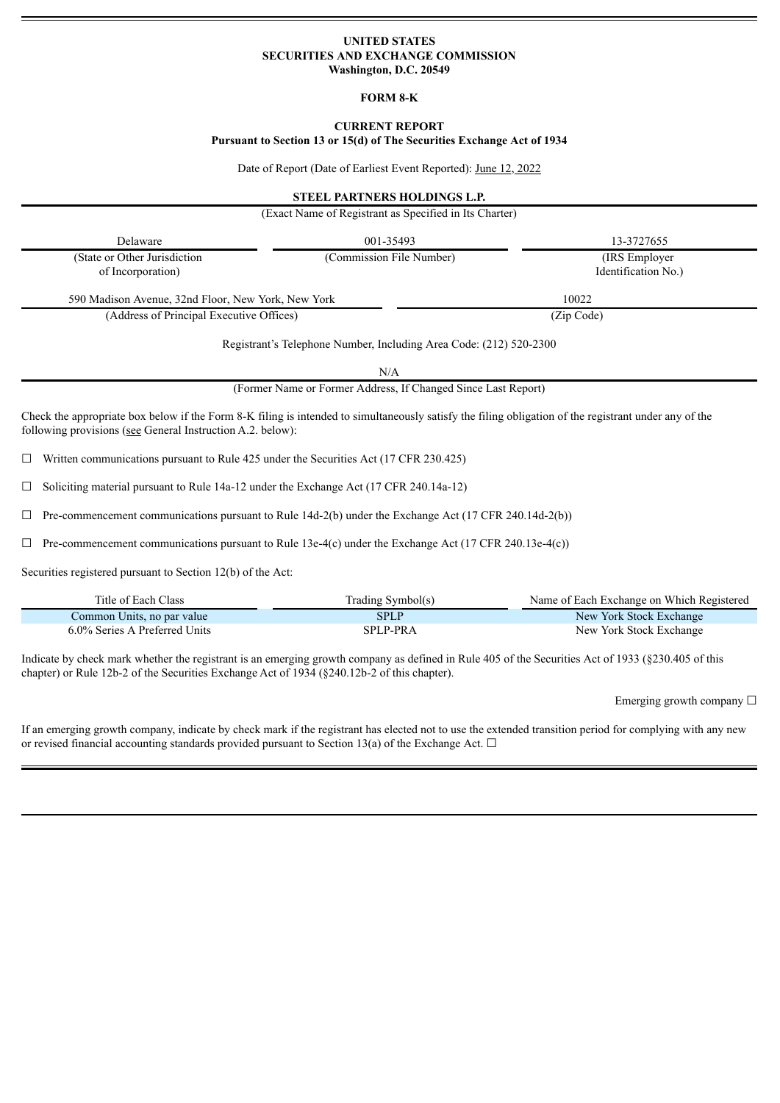## **UNITED STATES SECURITIES AND EXCHANGE COMMISSION Washington, D.C. 20549**

#### **FORM 8-K**

# **CURRENT REPORT**

**Pursuant to Section 13 or 15(d) of The Securities Exchange Act of 1934**

Date of Report (Date of Earliest Event Reported): June 12, 2022

#### **STEEL PARTNERS HOLDINGS L.P.**

|                                                                                                                                                                                                                     | (Exact Name of Registrant as Specified in Its Charter)                    |                                       |
|---------------------------------------------------------------------------------------------------------------------------------------------------------------------------------------------------------------------|---------------------------------------------------------------------------|---------------------------------------|
| Delaware                                                                                                                                                                                                            | 001-35493                                                                 | 13-3727655                            |
| (State or Other Jurisdiction<br>of Incorporation)                                                                                                                                                                   | (Commission File Number)                                                  | (IRS Employer)<br>Identification No.) |
| 590 Madison Avenue, 32nd Floor, New York, New York                                                                                                                                                                  |                                                                           | 10022                                 |
| (Address of Principal Executive Offices)                                                                                                                                                                            |                                                                           | (Zip Code)                            |
|                                                                                                                                                                                                                     | Registrant's Telephone Number, Including Area Code: (212) 520-2300<br>N/A |                                       |
|                                                                                                                                                                                                                     | (Former Name or Former Address, If Changed Since Last Report)             |                                       |
| Check the appropriate box below if the Form 8-K filing is intended to simultaneously satisfy the filing obligation of the registrant under any of the<br>following provisions (see General Instruction A.2. below): |                                                                           |                                       |
| Written communications pursuant to Rule 425 under the Securities Act (17 CFR 230.425)<br>$\Box$                                                                                                                     |                                                                           |                                       |

☐ Soliciting material pursuant to Rule 14a-12 under the Exchange Act (17 CFR 240.14a-12)

 $\Box$  Pre-commencement communications pursuant to Rule 14d-2(b) under the Exchange Act (17 CFR 240.14d-2(b))

 $\Box$  Pre-commencement communications pursuant to Rule 13e-4(c) under the Exchange Act (17 CFR 240.13e-4(c))

Securities registered pursuant to Section 12(b) of the Act:

| Title of Each Class           | Trading Symbol(s) | Name of Each Exchange on Which Registered |
|-------------------------------|-------------------|-------------------------------------------|
| Common Units, no par value    | <b>SPLP</b>       | New York Stock Exchange                   |
| 6.0% Series A Preferred Units | SPLP-PRA          | New York Stock Exchange                   |

Indicate by check mark whether the registrant is an emerging growth company as defined in Rule 405 of the Securities Act of 1933 (§230.405 of this chapter) or Rule 12b-2 of the Securities Exchange Act of 1934 (§240.12b-2 of this chapter).

Emerging growth company  $\Box$ 

If an emerging growth company, indicate by check mark if the registrant has elected not to use the extended transition period for complying with any new or revised financial accounting standards provided pursuant to Section 13(a) of the Exchange Act.  $\Box$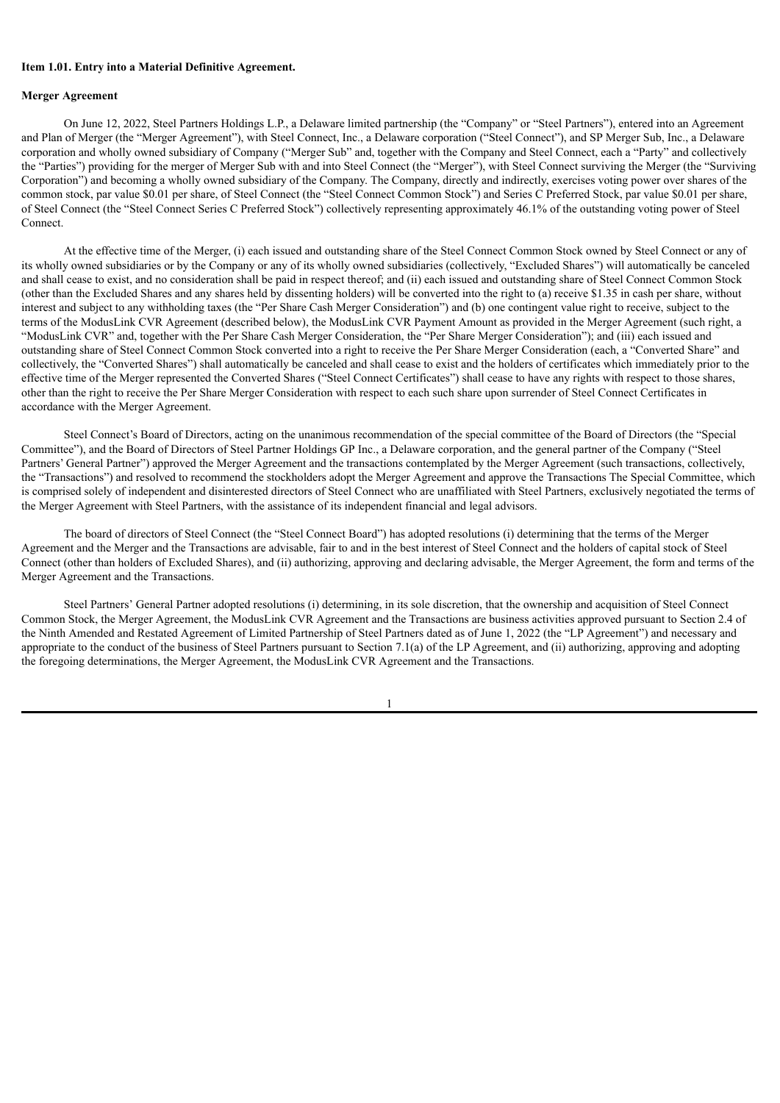#### **Item 1.01. Entry into a Material Definitive Agreement.**

## **Merger Agreement**

On June 12, 2022, Steel Partners Holdings L.P., a Delaware limited partnership (the "Company" or "Steel Partners"), entered into an Agreement and Plan of Merger (the "Merger Agreement"), with Steel Connect, Inc., a Delaware corporation ("Steel Connect"), and SP Merger Sub, Inc., a Delaware corporation and wholly owned subsidiary of Company ("Merger Sub" and, together with the Company and Steel Connect, each a "Party" and collectively the "Parties") providing for the merger of Merger Sub with and into Steel Connect (the "Merger"), with Steel Connect surviving the Merger (the "Surviving Corporation") and becoming a wholly owned subsidiary of the Company. The Company, directly and indirectly, exercises voting power over shares of the common stock, par value \$0.01 per share, of Steel Connect (the "Steel Connect Common Stock") and Series C Preferred Stock, par value \$0.01 per share, of Steel Connect (the "Steel Connect Series C Preferred Stock") collectively representing approximately 46.1% of the outstanding voting power of Steel Connect.

At the effective time of the Merger, (i) each issued and outstanding share of the Steel Connect Common Stock owned by Steel Connect or any of its wholly owned subsidiaries or by the Company or any of its wholly owned subsidiaries (collectively, "Excluded Shares") will automatically be canceled and shall cease to exist, and no consideration shall be paid in respect thereof; and (ii) each issued and outstanding share of Steel Connect Common Stock (other than the Excluded Shares and any shares held by dissenting holders) will be converted into the right to (a) receive \$1.35 in cash per share, without interest and subject to any withholding taxes (the "Per Share Cash Merger Consideration") and (b) one contingent value right to receive, subject to the terms of the ModusLink CVR Agreement (described below), the ModusLink CVR Payment Amount as provided in the Merger Agreement (such right, a "ModusLink CVR" and, together with the Per Share Cash Merger Consideration, the "Per Share Merger Consideration"); and (iii) each issued and outstanding share of Steel Connect Common Stock converted into a right to receive the Per Share Merger Consideration (each, a "Converted Share" and collectively, the "Converted Shares") shall automatically be canceled and shall cease to exist and the holders of certificates which immediately prior to the effective time of the Merger represented the Converted Shares ("Steel Connect Certificates") shall cease to have any rights with respect to those shares, other than the right to receive the Per Share Merger Consideration with respect to each such share upon surrender of Steel Connect Certificates in accordance with the Merger Agreement.

Steel Connect's Board of Directors, acting on the unanimous recommendation of the special committee of the Board of Directors (the "Special Committee"), and the Board of Directors of Steel Partner Holdings GP Inc., a Delaware corporation, and the general partner of the Company ("Steel Partners' General Partner") approved the Merger Agreement and the transactions contemplated by the Merger Agreement (such transactions, collectively, the "Transactions") and resolved to recommend the stockholders adopt the Merger Agreement and approve the Transactions The Special Committee, which is comprised solely of independent and disinterested directors of Steel Connect who are unaffiliated with Steel Partners, exclusively negotiated the terms of the Merger Agreement with Steel Partners, with the assistance of its independent financial and legal advisors.

The board of directors of Steel Connect (the "Steel Connect Board") has adopted resolutions (i) determining that the terms of the Merger Agreement and the Merger and the Transactions are advisable, fair to and in the best interest of Steel Connect and the holders of capital stock of Steel Connect (other than holders of Excluded Shares), and (ii) authorizing, approving and declaring advisable, the Merger Agreement, the form and terms of the Merger Agreement and the Transactions.

Steel Partners' General Partner adopted resolutions (i) determining, in its sole discretion, that the ownership and acquisition of Steel Connect Common Stock, the Merger Agreement, the ModusLink CVR Agreement and the Transactions are business activities approved pursuant to Section 2.4 of the Ninth Amended and Restated Agreement of Limited Partnership of Steel Partners dated as of June 1, 2022 (the "LP Agreement") and necessary and appropriate to the conduct of the business of Steel Partners pursuant to Section 7.1(a) of the LP Agreement, and (ii) authorizing, approving and adopting the foregoing determinations, the Merger Agreement, the ModusLink CVR Agreement and the Transactions.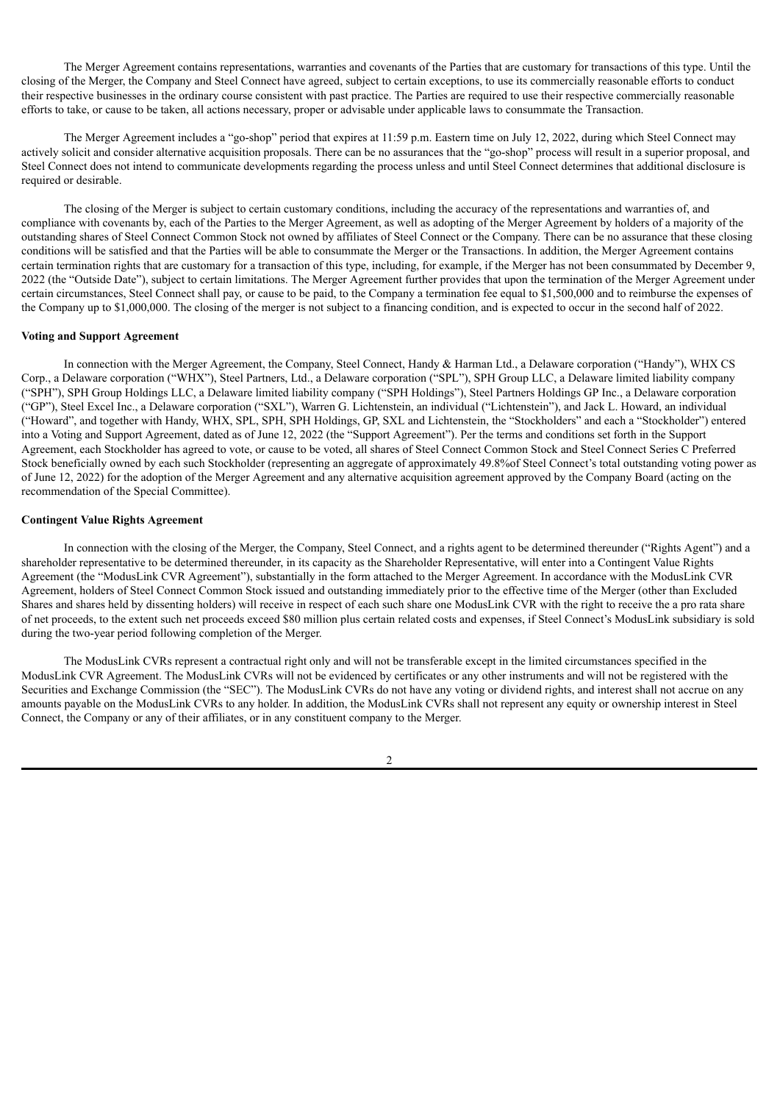The Merger Agreement contains representations, warranties and covenants of the Parties that are customary for transactions of this type. Until the closing of the Merger, the Company and Steel Connect have agreed, subject to certain exceptions, to use its commercially reasonable efforts to conduct their respective businesses in the ordinary course consistent with past practice. The Parties are required to use their respective commercially reasonable efforts to take, or cause to be taken, all actions necessary, proper or advisable under applicable laws to consummate the Transaction.

The Merger Agreement includes a "go-shop" period that expires at 11:59 p.m. Eastern time on July 12, 2022, during which Steel Connect may actively solicit and consider alternative acquisition proposals. There can be no assurances that the "go-shop" process will result in a superior proposal, and Steel Connect does not intend to communicate developments regarding the process unless and until Steel Connect determines that additional disclosure is required or desirable.

The closing of the Merger is subject to certain customary conditions, including the accuracy of the representations and warranties of, and compliance with covenants by, each of the Parties to the Merger Agreement, as well as adopting of the Merger Agreement by holders of a majority of the outstanding shares of Steel Connect Common Stock not owned by affiliates of Steel Connect or the Company. There can be no assurance that these closing conditions will be satisfied and that the Parties will be able to consummate the Merger or the Transactions. In addition, the Merger Agreement contains certain termination rights that are customary for a transaction of this type, including, for example, if the Merger has not been consummated by December 9, 2022 (the "Outside Date"), subject to certain limitations. The Merger Agreement further provides that upon the termination of the Merger Agreement under certain circumstances, Steel Connect shall pay, or cause to be paid, to the Company a termination fee equal to \$1,500,000 and to reimburse the expenses of the Company up to \$1,000,000. The closing of the merger is not subject to a financing condition, and is expected to occur in the second half of 2022.

#### **Voting and Support Agreement**

In connection with the Merger Agreement, the Company, Steel Connect, Handy & Harman Ltd., a Delaware corporation ("Handy"), WHX CS Corp., a Delaware corporation ("WHX"), Steel Partners, Ltd., a Delaware corporation ("SPL"), SPH Group LLC, a Delaware limited liability company ("SPH"), SPH Group Holdings LLC, a Delaware limited liability company ("SPH Holdings"), Steel Partners Holdings GP Inc., a Delaware corporation ("GP"), Steel Excel Inc., a Delaware corporation ("SXL"), Warren G. Lichtenstein, an individual ("Lichtenstein"), and Jack L. Howard, an individual ("Howard", and together with Handy, WHX, SPL, SPH, SPH Holdings, GP, SXL and Lichtenstein, the "Stockholders" and each a "Stockholder") entered into a Voting and Support Agreement, dated as of June 12, 2022 (the "Support Agreement"). Per the terms and conditions set forth in the Support Agreement, each Stockholder has agreed to vote, or cause to be voted, all shares of Steel Connect Common Stock and Steel Connect Series C Preferred Stock beneficially owned by each such Stockholder (representing an aggregate of approximately 49.8%of Steel Connect's total outstanding voting power as of June 12, 2022) for the adoption of the Merger Agreement and any alternative acquisition agreement approved by the Company Board (acting on the recommendation of the Special Committee).

#### **Contingent Value Rights Agreement**

In connection with the closing of the Merger, the Company, Steel Connect, and a rights agent to be determined thereunder ("Rights Agent") and a shareholder representative to be determined thereunder, in its capacity as the Shareholder Representative, will enter into a Contingent Value Rights Agreement (the "ModusLink CVR Agreement"), substantially in the form attached to the Merger Agreement. In accordance with the ModusLink CVR Agreement, holders of Steel Connect Common Stock issued and outstanding immediately prior to the effective time of the Merger (other than Excluded Shares and shares held by dissenting holders) will receive in respect of each such share one ModusLink CVR with the right to receive the a pro rata share of net proceeds, to the extent such net proceeds exceed \$80 million plus certain related costs and expenses, if Steel Connect's ModusLink subsidiary is sold during the two-year period following completion of the Merger.

The ModusLink CVRs represent a contractual right only and will not be transferable except in the limited circumstances specified in the ModusLink CVR Agreement. The ModusLink CVRs will not be evidenced by certificates or any other instruments and will not be registered with the Securities and Exchange Commission (the "SEC"). The ModusLink CVRs do not have any voting or dividend rights, and interest shall not accrue on any amounts payable on the ModusLink CVRs to any holder. In addition, the ModusLink CVRs shall not represent any equity or ownership interest in Steel Connect, the Company or any of their affiliates, or in any constituent company to the Merger.

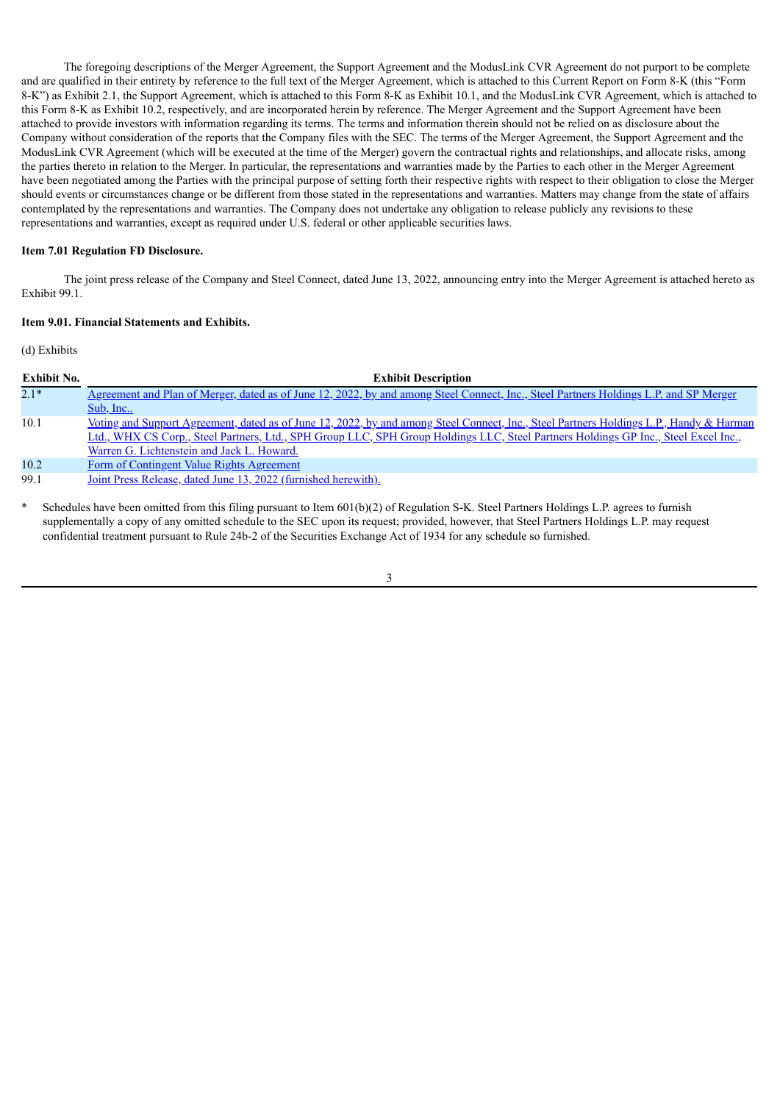The foregoing descriptions of the Merger Agreement, the Support Agreement and the ModusLink CVR Agreement do not purport to be complete and are qualified in their entirety by reference to the full text of the Merger Agreement, which is attached to this Current Report on Form 8-K (this "Form 8-K") as Exhibit 2.1, the Support Agreement, which is attached to this Form 8-K as Exhibit 10.1, and the ModusLink CVR Agreement, which is attached to this Form 8-K as Exhibit 10.2, respectively, and are incorporated herein by reference. The Merger Agreement and the Support Agreement have been attached to provide investors with information regarding its terms. The terms and information therein should not be relied on as disclosure about the Company without consideration of the reports that the Company files with the SEC. The terms of the Merger Agreement, the Support Agreement and the ModusLink CVR Agreement (which will be executed at the time of the Merger) govern the contractual rights and relationships, and allocate risks, among the parties thereto in relation to the Merger. In particular, the representations and warranties made by the Parties to each other in the Merger Agreement have been negotiated among the Parties with the principal purpose of setting forth their respective rights with respect to their obligation to close the Merger should events or circumstances change or be different from those stated in the representations and warranties. Matters may change from the state of affairs contemplated by the representations and warranties. The Company does not undertake any obligation to release publicly any revisions to these representations and warranties, except as required under U.S. federal or other applicable securities laws.

# **Item 7.01 Regulation FD Disclosure.**

The joint press release of the Company and Steel Connect, dated June 13, 2022, announcing entry into the Merger Agreement is attached hereto as Exhibit 99.1.

### **Item 9.01. Financial Statements and Exhibits.**

(d) Exhibits

| <b>Exhibit No.</b> | <b>Exhibit Description</b>                                                                                                              |
|--------------------|-----------------------------------------------------------------------------------------------------------------------------------------|
| $2.1*$             | Agreement and Plan of Merger, dated as of June 12, 2022, by and among Steel Connect, Inc., Steel Partners Holdings L.P. and SP Merger   |
|                    | Sub, Inc                                                                                                                                |
| 10.1               | Voting and Support Agreement, dated as of June 12, 2022, by and among Steel Connect, Inc., Steel Partners Holdings L.P., Handy & Harman |
|                    | Ltd., WHX CS Corp., Steel Partners, Ltd., SPH Group LLC, SPH Group Holdings LLC, Steel Partners Holdings GP Inc., Steel Excel Inc.,     |
|                    | Warren G. Lichtenstein and Jack L. Howard.                                                                                              |
| 10.2               | Form of Contingent Value Rights Agreement                                                                                               |
| 99.1               | <u>Joint Press Release, dated June 13, 2022 (furnished herewith).</u>                                                                   |
|                    |                                                                                                                                         |

Schedules have been omitted from this filing pursuant to Item 601(b)(2) of Regulation S-K. Steel Partners Holdings L.P. agrees to furnish supplementally a copy of any omitted schedule to the SEC upon its request; provided, however, that Steel Partners Holdings L.P. may request confidential treatment pursuant to Rule 24b-2 of the Securities Exchange Act of 1934 for any schedule so furnished.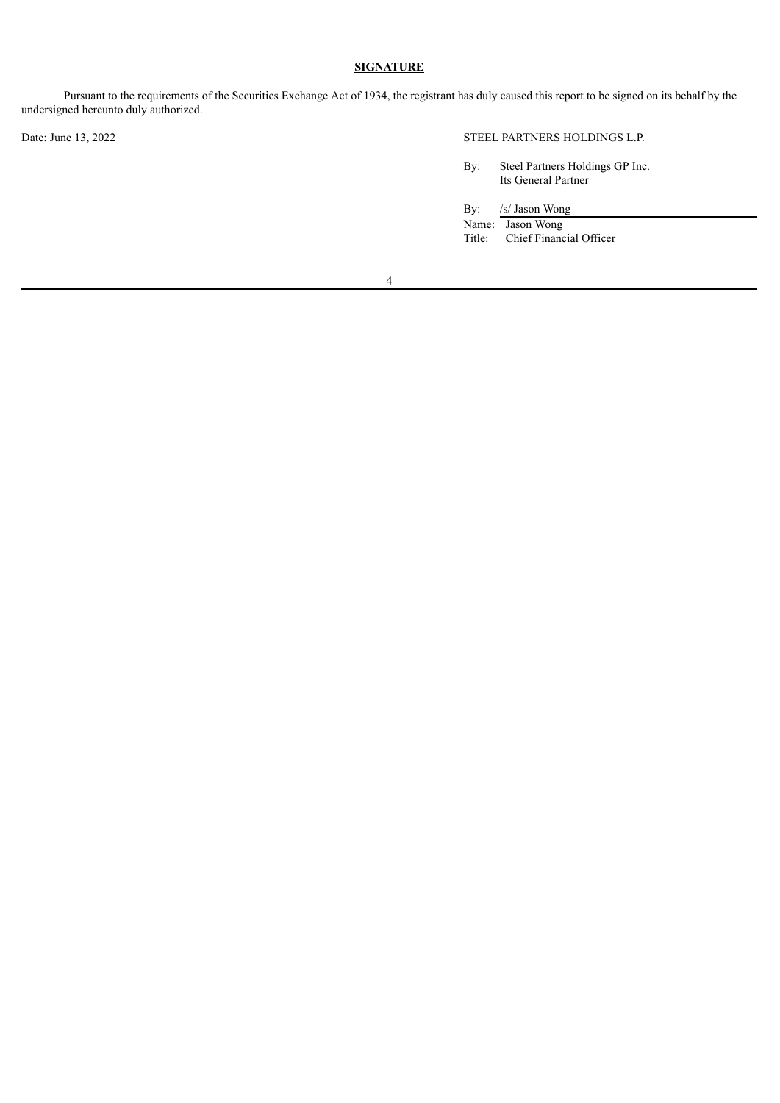# **SIGNATURE**

Pursuant to the requirements of the Securities Exchange Act of 1934, the registrant has duly caused this report to be signed on its behalf by the undersigned hereunto duly authorized.

Date: June 13, 2022 STEEL PARTNERS HOLDINGS L.P.

By: Steel Partners Holdings GP Inc. Its General Partner

By: /s/ Jason Wong

Name: Jason Wong<br>Title: Chief Financ Chief Financial Officer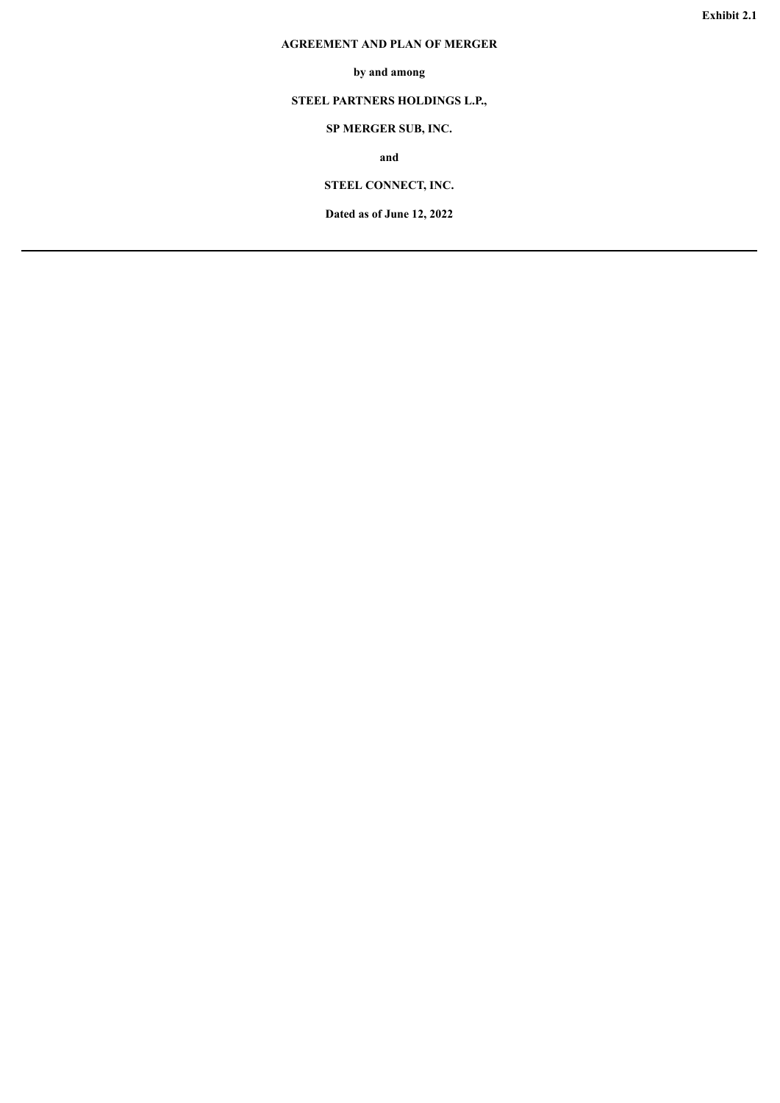# <span id="page-5-0"></span>**AGREEMENT AND PLAN OF MERGER**

# **by and among**

# **STEEL PARTNERS HOLDINGS L.P.,**

# **SP MERGER SUB, INC.**

**and**

# **STEEL CONNECT, INC.**

**Dated as of June 12, 2022**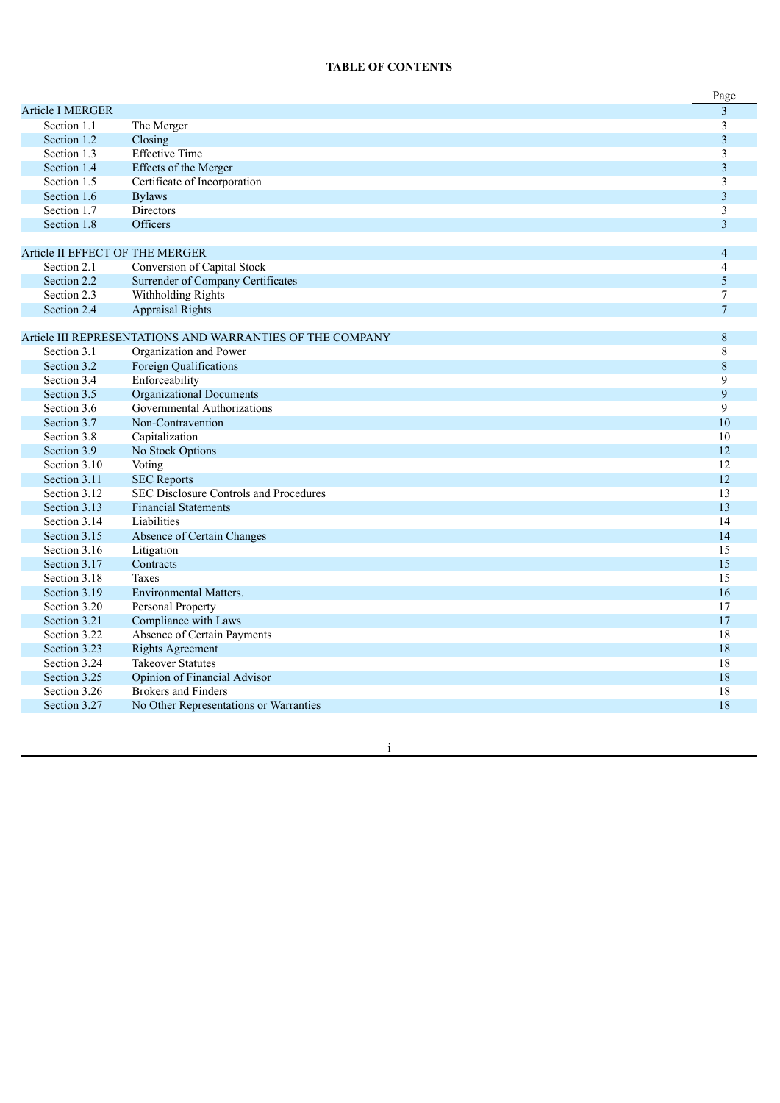#### **TABLE OF CONTENTS**

|                                 |                                                           | Page           |
|---------------------------------|-----------------------------------------------------------|----------------|
| <b>Article I MERGER</b>         |                                                           | $\overline{3}$ |
| Section 1.1                     | The Merger                                                | 3              |
| Section 1.2                     | Closing                                                   | 3              |
| Section 1.3                     | <b>Effective Time</b>                                     | 3              |
| Section 1.4                     | Effects of the Merger                                     | 3              |
| Section 1.5                     | Certificate of Incorporation                              | 3              |
| Section 1.6                     | <b>Bylaws</b>                                             | 3              |
| Section 1.7                     | <b>Directors</b>                                          | 3              |
| Section 1.8                     | <b>Officers</b>                                           | $\overline{3}$ |
|                                 |                                                           |                |
| Article II EFFECT OF THE MERGER |                                                           | $\overline{4}$ |
| Section 2.1                     | Conversion of Capital Stock                               | 4              |
| Section 2.2                     | Surrender of Company Certificates                         | 5              |
| Section 2.3                     | Withholding Rights                                        | 7              |
| Section 2.4                     | <b>Appraisal Rights</b>                                   | $\overline{7}$ |
|                                 |                                                           |                |
|                                 | Article III REPRESENTATIONS AND WARRANTIES OF THE COMPANY | 8              |
| Section 3.1                     | Organization and Power                                    | 8              |
| Section 3.2                     | Foreign Qualifications                                    | $\,8\,$        |
| Section 3.4                     | Enforceability                                            | 9              |
| Section 3.5                     | <b>Organizational Documents</b>                           | 9              |
| Section 3.6                     | Governmental Authorizations                               | 9              |
| Section 3.7                     | Non-Contravention                                         | 10             |
| Section 3.8                     | Capitalization                                            | 10             |
| Section 3.9                     | No Stock Options                                          | 12             |
| Section 3.10                    | Voting                                                    | 12             |
| Section 3.11                    | <b>SEC Reports</b>                                        | 12             |
| Section 3.12                    | SEC Disclosure Controls and Procedures                    | 13             |
| Section 3.13                    | <b>Financial Statements</b>                               | 13             |
| Section 3.14                    | Liabilities                                               | 14             |
| Section 3.15                    | Absence of Certain Changes                                | 14             |
| Section 3.16                    | Litigation                                                | 15             |
| Section 3.17                    | Contracts                                                 | 15             |
| Section 3.18                    | <b>Taxes</b>                                              | 15             |
| Section 3.19                    | <b>Environmental Matters.</b>                             | 16             |
| Section 3.20                    | Personal Property                                         | 17             |
| Section 3.21                    | Compliance with Laws                                      | 17             |
| Section 3.22                    | Absence of Certain Payments                               | 18             |
| Section 3.23                    | <b>Rights Agreement</b>                                   | 18             |
| Section 3.24                    | <b>Takeover Statutes</b>                                  | 18             |
| Section 3.25                    | Opinion of Financial Advisor                              | 18             |
| Section 3.26                    | <b>Brokers and Finders</b>                                | 18             |
| Section 3.27                    | No Other Representations or Warranties                    | 18             |

in the contract of the contract of the contract of the contract of the contract of the contract of the contract of the contract of the contract of the contract of the contract of the contract of the contract of the contrac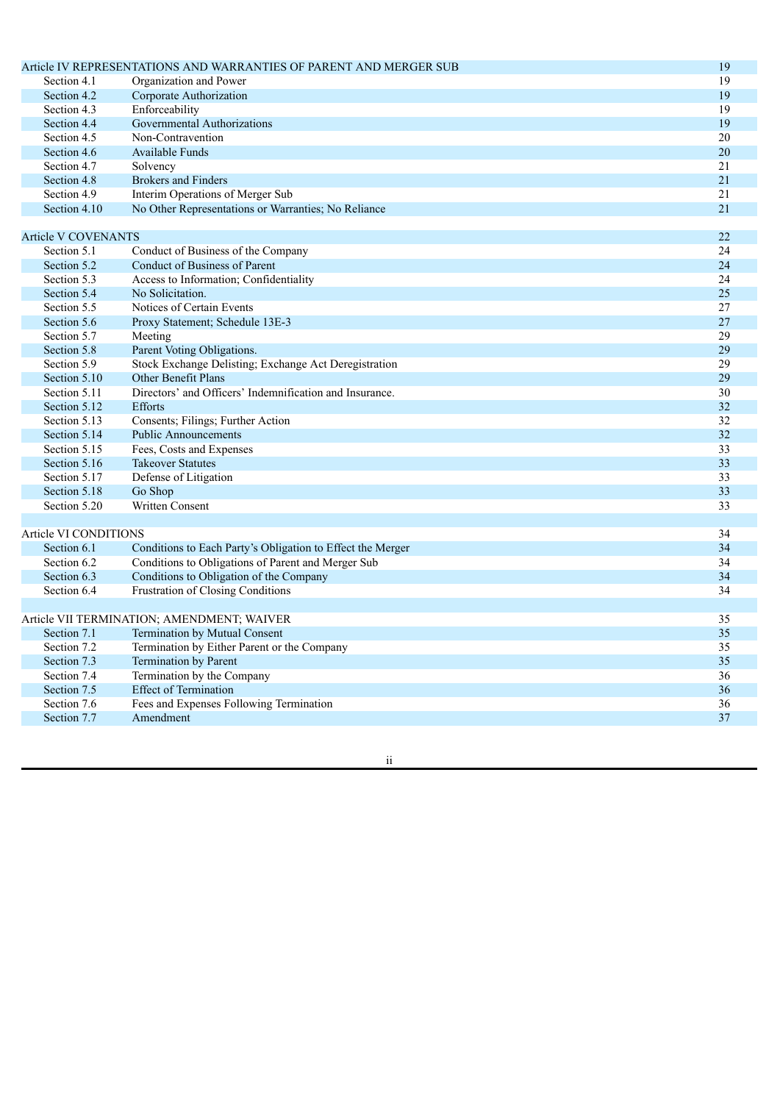|                            | Article IV REPRESENTATIONS AND WARRANTIES OF PARENT AND MERGER SUB | 19              |
|----------------------------|--------------------------------------------------------------------|-----------------|
| Section 4.1                | Organization and Power                                             | 19              |
| Section 4.2                | Corporate Authorization                                            | 19              |
| Section 4.3                | Enforceability                                                     | 19              |
| Section 4.4                | Governmental Authorizations                                        | 19              |
| Section 4.5                | Non-Contravention                                                  | 20              |
| Section 4.6                | Available Funds                                                    | 20              |
| Section 4.7                | Solvency                                                           | $\overline{21}$ |
| Section 4.8                | <b>Brokers and Finders</b>                                         | 21              |
| Section 4.9                | Interim Operations of Merger Sub                                   | $\overline{21}$ |
| Section 4.10               | No Other Representations or Warranties; No Reliance                | 21              |
|                            |                                                                    |                 |
| <b>Article V COVENANTS</b> |                                                                    | 22              |
| Section 5.1                | Conduct of Business of the Company                                 | 24              |
| Section 5.2                | Conduct of Business of Parent                                      | 24              |
| Section 5.3                | Access to Information; Confidentiality                             | 24              |
| Section 5.4                | No Solicitation.                                                   | 25              |
| Section 5.5                | Notices of Certain Events                                          | 27              |
| Section 5.6                | Proxy Statement; Schedule 13E-3                                    | 27              |
| Section 5.7                | Meeting                                                            | 29              |
| Section 5.8                | Parent Voting Obligations.                                         | 29              |
| Section 5.9                | Stock Exchange Delisting; Exchange Act Deregistration              | 29              |
| Section 5.10               | Other Benefit Plans                                                | 29              |
| Section 5.11               | Directors' and Officers' Indemnification and Insurance.            | 30              |
| Section 5.12               | Efforts                                                            | 32              |
| Section 5.13               | Consents; Filings; Further Action                                  | 32              |
| Section 5.14               | <b>Public Announcements</b>                                        | 32              |
| Section 5.15               | Fees, Costs and Expenses                                           | 33              |
| Section 5.16               | <b>Takeover Statutes</b>                                           | 33              |
| Section 5.17               | Defense of Litigation                                              | 33              |
| Section 5.18               | Go Shop                                                            | 33              |
| Section 5.20               | <b>Written Consent</b>                                             | $\overline{33}$ |
|                            |                                                                    |                 |
| Article VI CONDITIONS      |                                                                    | 34              |
| Section 6.1                | Conditions to Each Party's Obligation to Effect the Merger         | 34              |
| Section 6.2                | Conditions to Obligations of Parent and Merger Sub                 | 34              |
| Section 6.3                | Conditions to Obligation of the Company                            | 34              |
| Section 6.4                | Frustration of Closing Conditions                                  | 34              |
|                            |                                                                    |                 |
|                            | Article VII TERMINATION; AMENDMENT; WAIVER                         | 35              |
| Section 7.1                | Termination by Mutual Consent                                      | 35              |
| Section 7.2                | Termination by Either Parent or the Company                        | 35              |
| Section 7.3                | Termination by Parent                                              | 35              |
| Section 7.4                | Termination by the Company                                         | 36              |
| Section 7.5                | <b>Effect of Termination</b>                                       | 36              |
| Section 7.6                | Fees and Expenses Following Termination                            | 36              |
| Section 7.7                | Amendment                                                          | 37              |

i i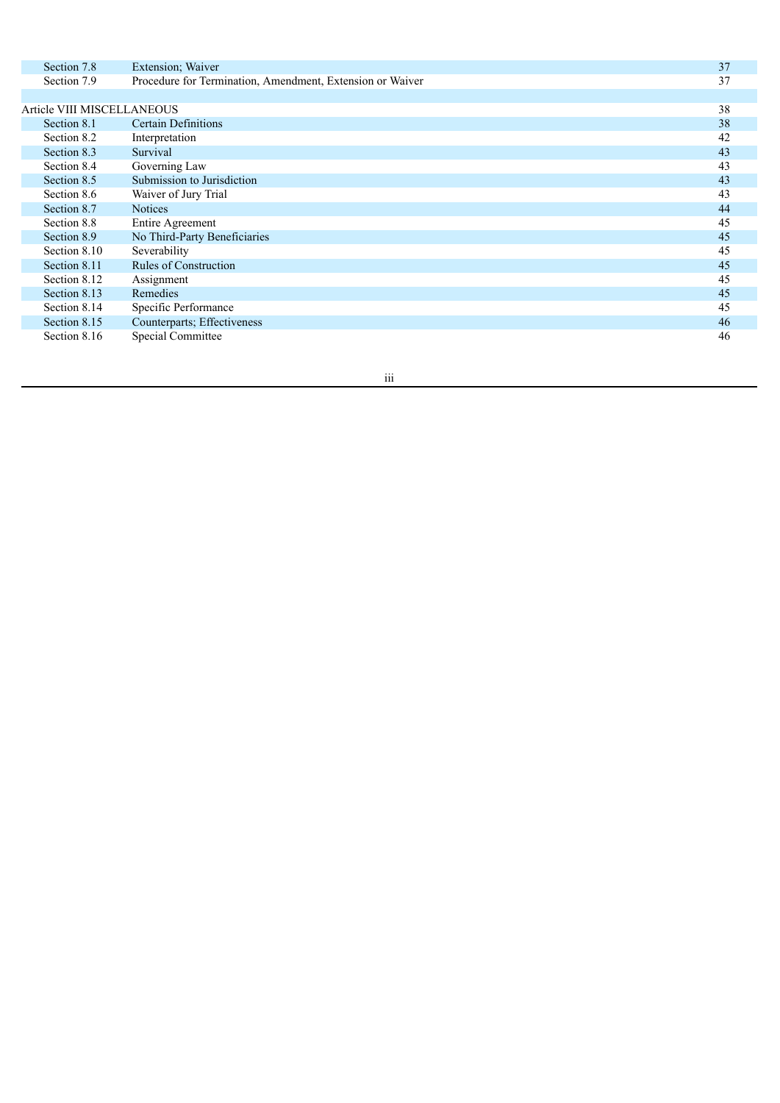| Section 7.8                | Extension; Waiver                                         | 37 |
|----------------------------|-----------------------------------------------------------|----|
| Section 7.9                | Procedure for Termination, Amendment, Extension or Waiver | 37 |
|                            |                                                           |    |
| Article VIII MISCELLANEOUS |                                                           | 38 |
| Section 8.1                | Certain Definitions                                       | 38 |
| Section 8.2                | Interpretation                                            | 42 |
| Section 8.3                | Survival                                                  | 43 |
| Section 8.4                | Governing Law                                             | 43 |
| Section 8.5                | Submission to Jurisdiction                                | 43 |
| Section 8.6                | Waiver of Jury Trial                                      | 43 |
| Section 8.7                | <b>Notices</b>                                            | 44 |
| Section 8.8                | Entire Agreement                                          | 45 |
| Section 8.9                | No Third-Party Beneficiaries                              | 45 |
| Section 8.10               | Severability                                              | 45 |
| Section 8.11               | <b>Rules of Construction</b>                              | 45 |
| Section 8.12               | Assignment                                                | 45 |
| Section 8.13               | Remedies                                                  | 45 |
| Section 8.14               | Specific Performance                                      | 45 |
| Section 8.15               | Counterparts; Effectiveness                               | 46 |
| Section 8.16               | <b>Special Committee</b>                                  | 46 |

i i i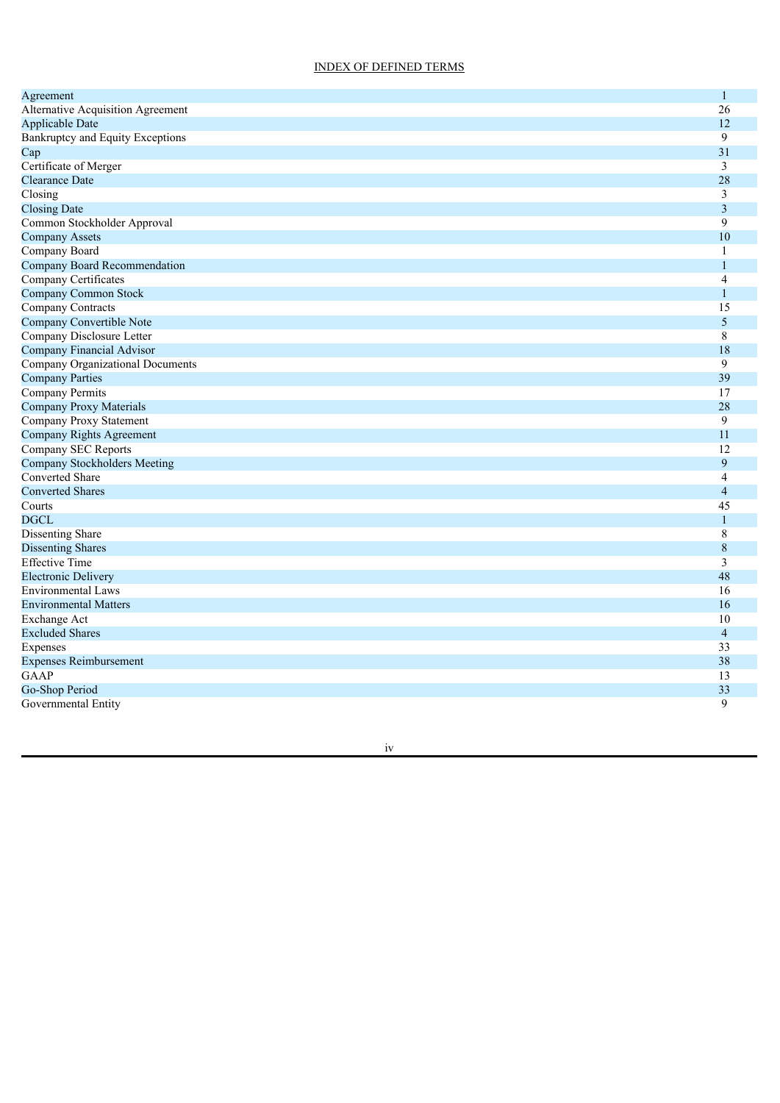## INDEX OF DEFINED TERMS

| Agreement                           | $\mathbf{1}$            |
|-------------------------------------|-------------------------|
| Alternative Acquisition Agreement   | 26                      |
| <b>Applicable Date</b>              | 12                      |
| Bankruptcy and Equity Exceptions    | 9                       |
| Cap                                 | 31                      |
| Certificate of Merger               | $\overline{3}$          |
| <b>Clearance Date</b>               | 28                      |
| Closing                             | 3                       |
| <b>Closing Date</b>                 | 3                       |
| Common Stockholder Approval         | 9                       |
| <b>Company Assets</b>               | 10                      |
| Company Board                       | 1                       |
| Company Board Recommendation        | 1                       |
| Company Certificates                | $\overline{4}$          |
| <b>Company Common Stock</b>         | $\mathbf{1}$            |
| <b>Company Contracts</b>            | 15                      |
| Company Convertible Note            | 5                       |
| Company Disclosure Letter           | 8                       |
| Company Financial Advisor           | 18                      |
| Company Organizational Documents    | 9                       |
| <b>Company Parties</b>              | 39                      |
| Company Permits                     | 17                      |
| Company Proxy Materials             | 28                      |
| Company Proxy Statement             | 9                       |
| Company Rights Agreement            | 11                      |
| Company SEC Reports                 | 12                      |
| <b>Company Stockholders Meeting</b> | 9                       |
| <b>Converted Share</b>              | 4                       |
| <b>Converted Shares</b>             | $\overline{4}$          |
| Courts                              | 45                      |
| <b>DGCL</b>                         | $\mathbf{1}$            |
| Dissenting Share                    | 8                       |
| <b>Dissenting Shares</b>            | $\,8\,$                 |
| <b>Effective Time</b>               | $\overline{\mathbf{3}}$ |
| <b>Electronic Delivery</b>          | 48                      |
| <b>Environmental Laws</b>           | 16                      |
| <b>Environmental Matters</b>        | 16                      |
| <b>Exchange Act</b>                 | 10                      |
| <b>Excluded Shares</b>              | $\overline{4}$          |
| Expenses                            | 33                      |
| <b>Expenses Reimbursement</b>       | 38                      |
| <b>GAAP</b>                         | 13                      |
| Go-Shop Period                      | 33                      |
| Governmental Entity                 | 9                       |

i v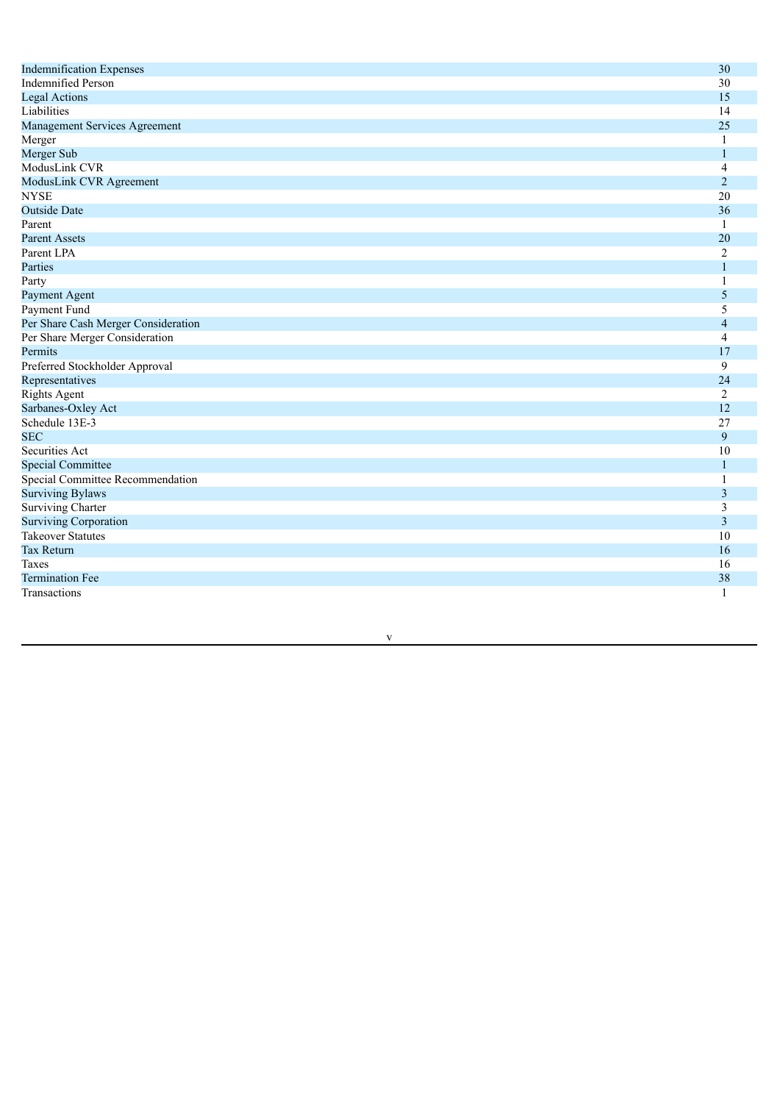| <b>Indemnification Expenses</b>     | 30             |
|-------------------------------------|----------------|
| <b>Indemnified Person</b>           | 30             |
| <b>Legal Actions</b>                | 15             |
| Liabilities                         | 14             |
| Management Services Agreement       | 25             |
| Merger                              | $\mathbf{1}$   |
| Merger Sub                          | 1              |
| ModusLink CVR                       | 4              |
| ModusLink CVR Agreement             | $\overline{2}$ |
| <b>NYSE</b>                         | 20             |
| <b>Outside Date</b>                 | 36             |
| Parent                              | $\overline{1}$ |
| <b>Parent Assets</b>                | 20             |
| Parent LPA                          | $\overline{2}$ |
| Parties                             | $\mathbf{1}$   |
| Party                               | 1              |
| Payment Agent                       | 5              |
| Payment Fund                        | 5              |
| Per Share Cash Merger Consideration | $\overline{4}$ |
| Per Share Merger Consideration      | $\overline{4}$ |
| Permits                             | 17             |
| Preferred Stockholder Approval      | 9              |
| Representatives                     | 24             |
| <b>Rights Agent</b>                 | $\overline{2}$ |
| Sarbanes-Oxley Act                  | 12             |
| Schedule 13E-3                      | 27             |
| <b>SEC</b>                          | 9              |
| <b>Securities Act</b>               | 10             |
| <b>Special Committee</b>            | 1              |
| Special Committee Recommendation    | 1              |
| <b>Surviving Bylaws</b>             | 3              |
| <b>Surviving Charter</b>            | 3              |
| <b>Surviving Corporation</b>        | $\mathfrak{Z}$ |
| <b>Takeover Statutes</b>            | 10             |
| <b>Tax Return</b>                   | 16             |
| Taxes                               | 16             |
| <b>Termination Fee</b>              | 38             |
| Transactions                        | 1              |

v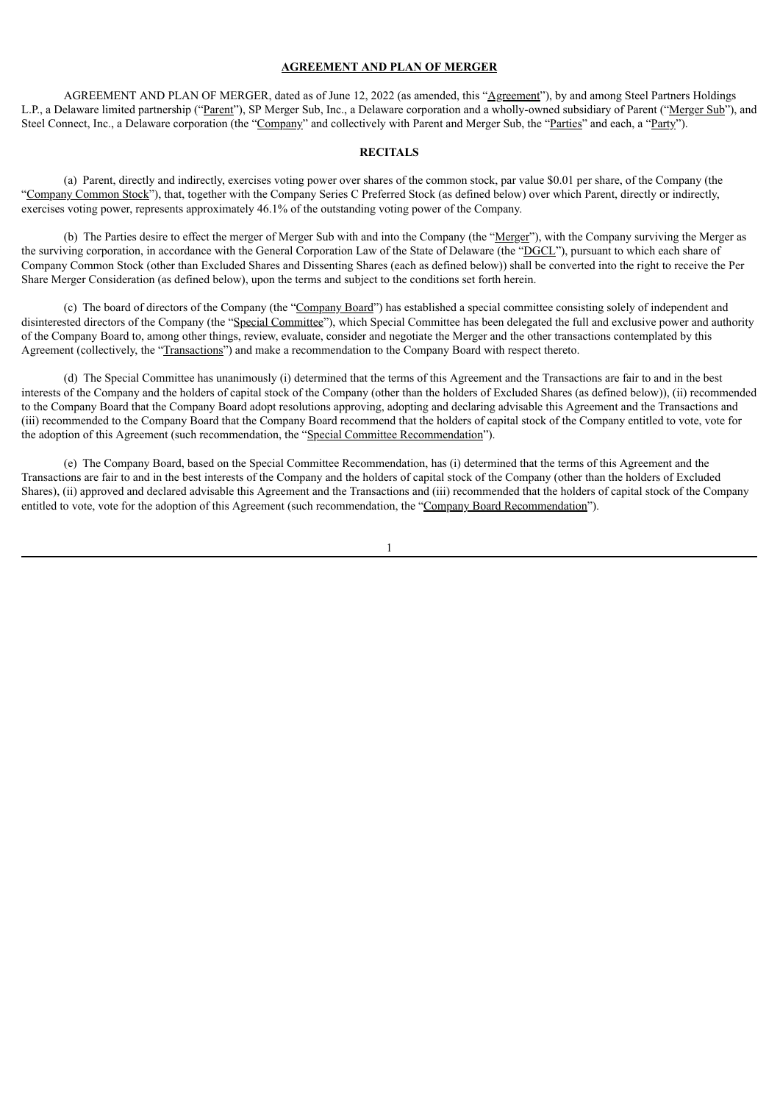#### **AGREEMENT AND PLAN OF MERGER**

AGREEMENT AND PLAN OF MERGER, dated as of June 12, 2022 (as amended, this "Agreement"), by and among Steel Partners Holdings L.P., a Delaware limited partnership ("Parent"), SP Merger Sub, Inc., a Delaware corporation and a wholly-owned subsidiary of Parent ("Merger Sub"), and Steel Connect, Inc., a Delaware corporation (the "Company" and collectively with Parent and Merger Sub, the "Parties" and each, a "Party").

## **RECITALS**

(a) Parent, directly and indirectly, exercises voting power over shares of the common stock, par value \$0.01 per share, of the Company (the "Company Common Stock"), that, together with the Company Series C Preferred Stock (as defined below) over which Parent, directly or indirectly, exercises voting power, represents approximately 46.1% of the outstanding voting power of the Company.

(b) The Parties desire to effect the merger of Merger Sub with and into the Company (the "Merger"), with the Company surviving the Merger as the surviving corporation, in accordance with the General Corporation Law of the State of Delaware (the "DGCL"), pursuant to which each share of Company Common Stock (other than Excluded Shares and Dissenting Shares (each as defined below)) shall be converted into the right to receive the Per Share Merger Consideration (as defined below), upon the terms and subject to the conditions set forth herein.

(c) The board of directors of the Company (the "Company Board") has established a special committee consisting solely of independent and disinterested directors of the Company (the "Special Committee"), which Special Committee has been delegated the full and exclusive power and authority of the Company Board to, among other things, review, evaluate, consider and negotiate the Merger and the other transactions contemplated by this Agreement (collectively, the "Transactions") and make a recommendation to the Company Board with respect thereto.

(d) The Special Committee has unanimously (i) determined that the terms of this Agreement and the Transactions are fair to and in the best interests of the Company and the holders of capital stock of the Company (other than the holders of Excluded Shares (as defined below)), (ii) recommended to the Company Board that the Company Board adopt resolutions approving, adopting and declaring advisable this Agreement and the Transactions and (iii) recommended to the Company Board that the Company Board recommend that the holders of capital stock of the Company entitled to vote, vote for the adoption of this Agreement (such recommendation, the "Special Committee Recommendation").

(e) The Company Board, based on the Special Committee Recommendation, has (i) determined that the terms of this Agreement and the Transactions are fair to and in the best interests of the Company and the holders of capital stock of the Company (other than the holders of Excluded Shares), (ii) approved and declared advisable this Agreement and the Transactions and (iii) recommended that the holders of capital stock of the Company entitled to vote, vote for the adoption of this Agreement (such recommendation, the "Company Board Recommendation").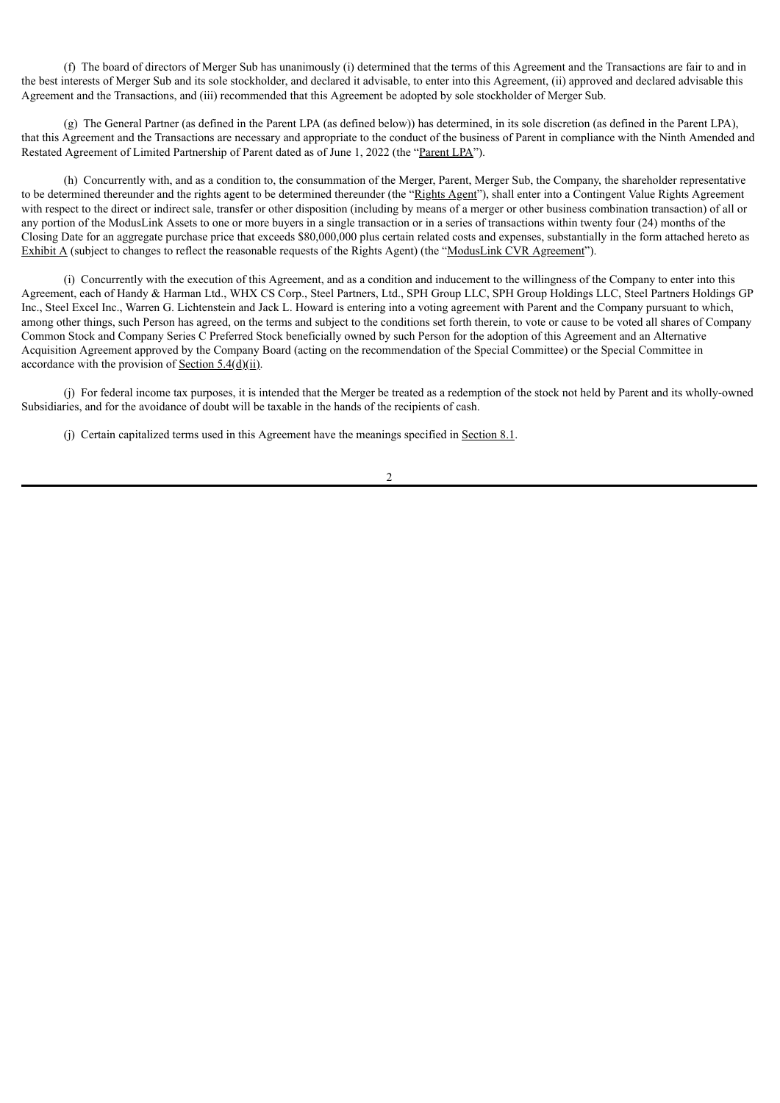(f) The board of directors of Merger Sub has unanimously (i) determined that the terms of this Agreement and the Transactions are fair to and in the best interests of Merger Sub and its sole stockholder, and declared it advisable, to enter into this Agreement, (ii) approved and declared advisable this Agreement and the Transactions, and (iii) recommended that this Agreement be adopted by sole stockholder of Merger Sub.

(g) The General Partner (as defined in the Parent LPA (as defined below)) has determined, in its sole discretion (as defined in the Parent LPA), that this Agreement and the Transactions are necessary and appropriate to the conduct of the business of Parent in compliance with the Ninth Amended and Restated Agreement of Limited Partnership of Parent dated as of June 1, 2022 (the "Parent LPA").

(h) Concurrently with, and as a condition to, the consummation of the Merger, Parent, Merger Sub, the Company, the shareholder representative to be determined thereunder and the rights agent to be determined thereunder (the "Rights Agent"), shall enter into a Contingent Value Rights Agreement with respect to the direct or indirect sale, transfer or other disposition (including by means of a merger or other business combination transaction) of all or any portion of the ModusLink Assets to one or more buyers in a single transaction or in a series of transactions within twenty four (24) months of the Closing Date for an aggregate purchase price that exceeds \$80,000,000 plus certain related costs and expenses, substantially in the form attached hereto as Exhibit A (subject to changes to reflect the reasonable requests of the Rights Agent) (the "ModusLink CVR Agreement").

(i) Concurrently with the execution of this Agreement, and as a condition and inducement to the willingness of the Company to enter into this Agreement, each of Handy & Harman Ltd., WHX CS Corp., Steel Partners, Ltd., SPH Group LLC, SPH Group Holdings LLC, Steel Partners Holdings GP Inc., Steel Excel Inc., Warren G. Lichtenstein and Jack L. Howard is entering into a voting agreement with Parent and the Company pursuant to which, among other things, such Person has agreed, on the terms and subject to the conditions set forth therein, to vote or cause to be voted all shares of Company Common Stock and Company Series C Preferred Stock beneficially owned by such Person for the adoption of this Agreement and an Alternative Acquisition Agreement approved by the Company Board (acting on the recommendation of the Special Committee) or the Special Committee in accordance with the provision of Section 5.4(d)(ii).

(j) For federal income tax purposes, it is intended that the Merger be treated as a redemption of the stock not held by Parent and its wholly-owned Subsidiaries, and for the avoidance of doubt will be taxable in the hands of the recipients of cash.

(j) Certain capitalized terms used in this Agreement have the meanings specified in Section 8.1.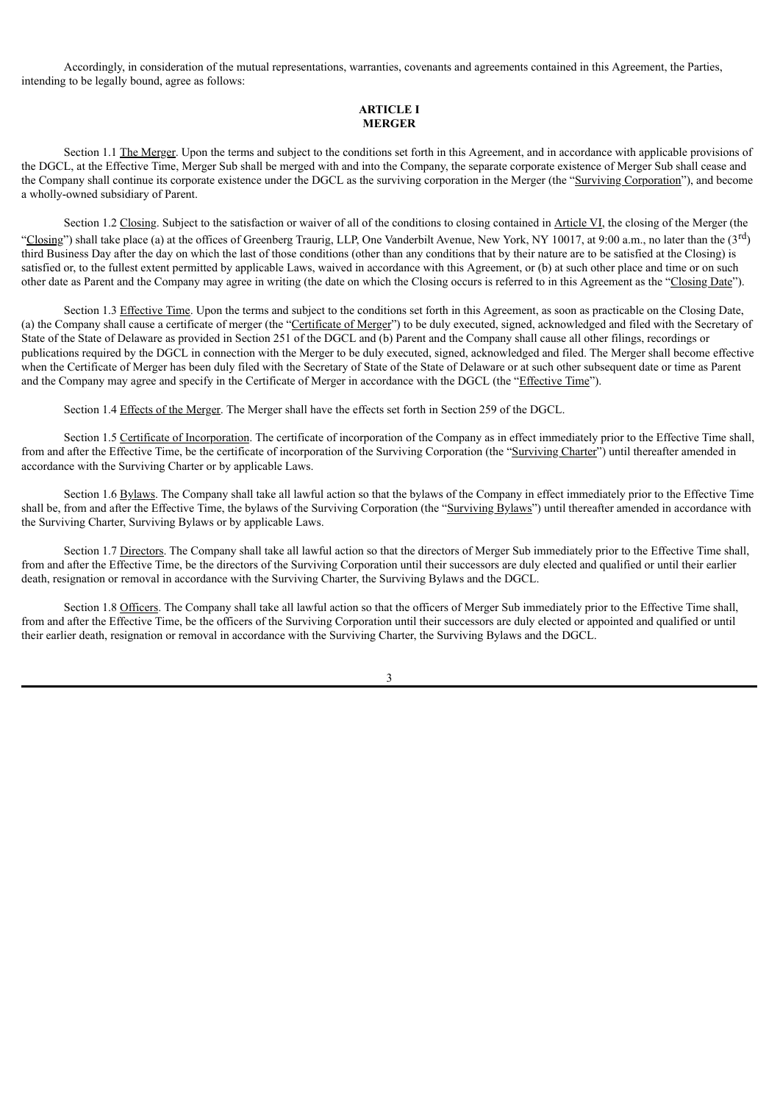Accordingly, in consideration of the mutual representations, warranties, covenants and agreements contained in this Agreement, the Parties, intending to be legally bound, agree as follows:

## **ARTICLE I MERGER**

Section 1.1 The Merger. Upon the terms and subject to the conditions set forth in this Agreement, and in accordance with applicable provisions of the DGCL, at the Effective Time, Merger Sub shall be merged with and into the Company, the separate corporate existence of Merger Sub shall cease and the Company shall continue its corporate existence under the DGCL as the surviving corporation in the Merger (the "Surviving Corporation"), and become a wholly-owned subsidiary of Parent.

Section 1.2 Closing. Subject to the satisfaction or waiver of all of the conditions to closing contained in Article VI, the closing of the Merger (the "Closing") shall take place (a) at the offices of Greenberg Traurig, LLP, One Vanderbilt Avenue, New York, NY 10017, at 9:00 a.m., no later than the  $(3<sup>rd</sup>)$ third Business Day after the day on which the last of those conditions (other than any conditions that by their nature are to be satisfied at the Closing) is satisfied or, to the fullest extent permitted by applicable Laws, waived in accordance with this Agreement, or (b) at such other place and time or on such other date as Parent and the Company may agree in writing (the date on which the Closing occurs is referred to in this Agreement as the "Closing Date").

Section 1.3 Effective Time. Upon the terms and subject to the conditions set forth in this Agreement, as soon as practicable on the Closing Date, (a) the Company shall cause a certificate of merger (the "Certificate of Merger") to be duly executed, signed, acknowledged and filed with the Secretary of State of the State of Delaware as provided in Section 251 of the DGCL and (b) Parent and the Company shall cause all other filings, recordings or publications required by the DGCL in connection with the Merger to be duly executed, signed, acknowledged and filed. The Merger shall become effective when the Certificate of Merger has been duly filed with the Secretary of State of the State of Delaware or at such other subsequent date or time as Parent and the Company may agree and specify in the Certificate of Merger in accordance with the DGCL (the "Effective Time").

Section 1.4 Effects of the Merger. The Merger shall have the effects set forth in Section 259 of the DGCL.

Section 1.5 Certificate of Incorporation. The certificate of incorporation of the Company as in effect immediately prior to the Effective Time shall, from and after the Effective Time, be the certificate of incorporation of the Surviving Corporation (the "Surviving Charter") until thereafter amended in accordance with the Surviving Charter or by applicable Laws.

Section 1.6 Bylaws. The Company shall take all lawful action so that the bylaws of the Company in effect immediately prior to the Effective Time shall be, from and after the Effective Time, the bylaws of the Surviving Corporation (the "Surviving Bylaws") until thereafter amended in accordance with the Surviving Charter, Surviving Bylaws or by applicable Laws.

Section 1.7 Directors. The Company shall take all lawful action so that the directors of Merger Sub immediately prior to the Effective Time shall, from and after the Effective Time, be the directors of the Surviving Corporation until their successors are duly elected and qualified or until their earlier death, resignation or removal in accordance with the Surviving Charter, the Surviving Bylaws and the DGCL.

Section 1.8 Officers. The Company shall take all lawful action so that the officers of Merger Sub immediately prior to the Effective Time shall, from and after the Effective Time, be the officers of the Surviving Corporation until their successors are duly elected or appointed and qualified or until their earlier death, resignation or removal in accordance with the Surviving Charter, the Surviving Bylaws and the DGCL.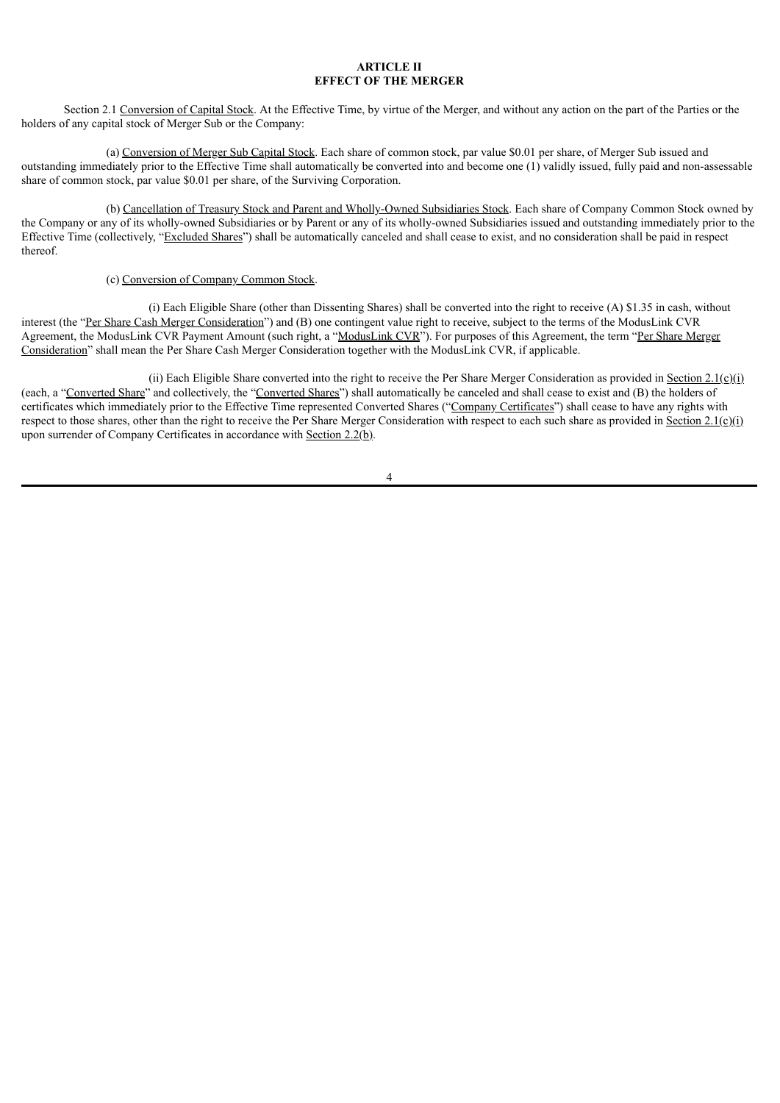## **ARTICLE II EFFECT OF THE MERGER**

Section 2.1 Conversion of Capital Stock. At the Effective Time, by virtue of the Merger, and without any action on the part of the Parties or the holders of any capital stock of Merger Sub or the Company:

(a) Conversion of Merger Sub Capital Stock. Each share of common stock, par value \$0.01 per share, of Merger Sub issued and outstanding immediately prior to the Effective Time shall automatically be converted into and become one (1) validly issued, fully paid and non-assessable share of common stock, par value \$0.01 per share, of the Surviving Corporation.

(b) Cancellation of Treasury Stock and Parent and Wholly-Owned Subsidiaries Stock. Each share of Company Common Stock owned by the Company or any of its wholly-owned Subsidiaries or by Parent or any of its wholly-owned Subsidiaries issued and outstanding immediately prior to the Effective Time (collectively, "Excluded Shares") shall be automatically canceled and shall cease to exist, and no consideration shall be paid in respect thereof.

## (c) Conversion of Company Common Stock.

(i) Each Eligible Share (other than Dissenting Shares) shall be converted into the right to receive (A) \$1.35 in cash, without interest (the "Per Share Cash Merger Consideration") and (B) one contingent value right to receive, subject to the terms of the ModusLink CVR Agreement, the ModusLink CVR Payment Amount (such right, a "ModusLink CVR"). For purposes of this Agreement, the term "Per Share Merger Consideration" shall mean the Per Share Cash Merger Consideration together with the ModusLink CVR, if applicable.

(ii) Each Eligible Share converted into the right to receive the Per Share Merger Consideration as provided in Section 2.1(c)(i) (each, a "Converted Share" and collectively, the "Converted Shares") shall automatically be canceled and shall cease to exist and (B) the holders of certificates which immediately prior to the Effective Time represented Converted Shares ("Company Certificates") shall cease to have any rights with respect to those shares, other than the right to receive the Per Share Merger Consideration with respect to each such share as provided in Section 2.1(c)(i) upon surrender of Company Certificates in accordance with Section 2.2(b).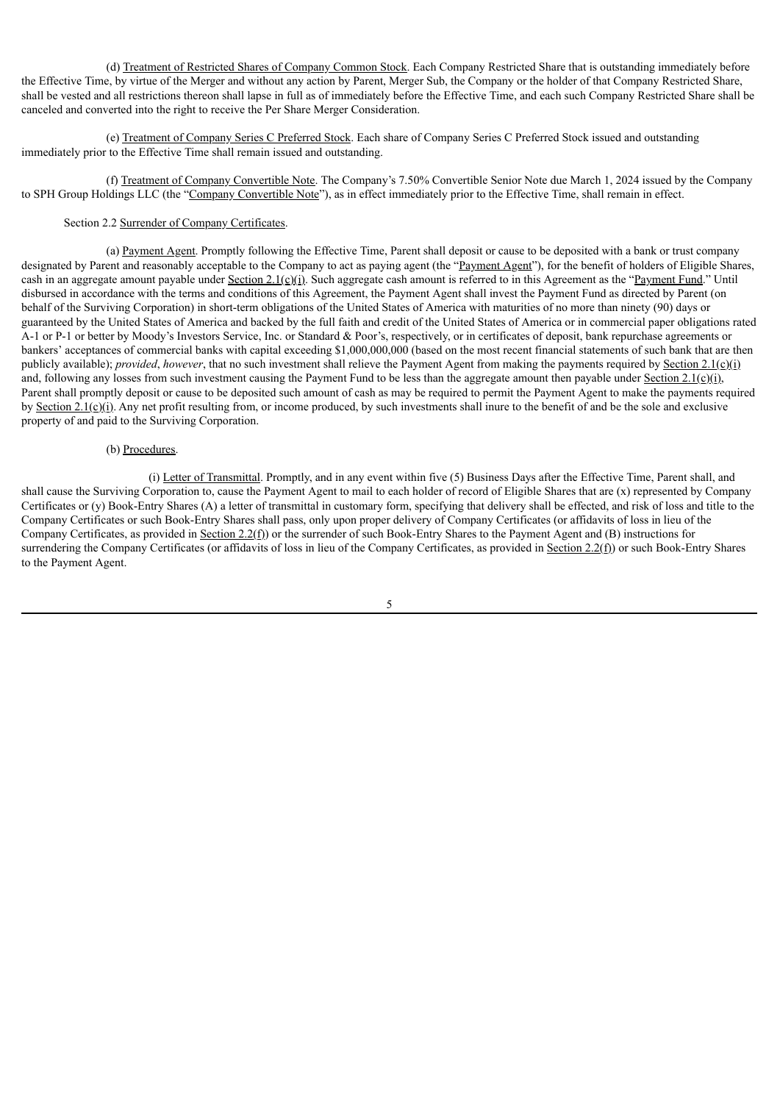(d) Treatment of Restricted Shares of Company Common Stock. Each Company Restricted Share that is outstanding immediately before the Effective Time, by virtue of the Merger and without any action by Parent, Merger Sub, the Company or the holder of that Company Restricted Share, shall be vested and all restrictions thereon shall lapse in full as of immediately before the Effective Time, and each such Company Restricted Share shall be canceled and converted into the right to receive the Per Share Merger Consideration.

(e) Treatment of Company Series C Preferred Stock. Each share of Company Series C Preferred Stock issued and outstanding immediately prior to the Effective Time shall remain issued and outstanding.

(f) Treatment of Company Convertible Note. The Company's 7.50% Convertible Senior Note due March 1, 2024 issued by the Company to SPH Group Holdings LLC (the "Company Convertible Note"), as in effect immediately prior to the Effective Time, shall remain in effect.

## Section 2.2 Surrender of Company Certificates.

(a) Payment Agent. Promptly following the Effective Time, Parent shall deposit or cause to be deposited with a bank or trust company designated by Parent and reasonably acceptable to the Company to act as paying agent (the "Payment Agent"), for the benefit of holders of Eligible Shares, cash in an aggregate amount payable under Section 2.1(c)(i). Such aggregate cash amount is referred to in this Agreement as the "Payment Fund." Until disbursed in accordance with the terms and conditions of this Agreement, the Payment Agent shall invest the Payment Fund as directed by Parent (on behalf of the Surviving Corporation) in short-term obligations of the United States of America with maturities of no more than ninety (90) days or guaranteed by the United States of America and backed by the full faith and credit of the United States of America or in commercial paper obligations rated A-1 or P-1 or better by Moody's Investors Service, Inc. or Standard & Poor's, respectively, or in certificates of deposit, bank repurchase agreements or bankers' acceptances of commercial banks with capital exceeding \$1,000,000,000 (based on the most recent financial statements of such bank that are then publicly available); *provided*, *however*, that no such investment shall relieve the Payment Agent from making the payments required by Section 2.1(c)(i) and, following any losses from such investment causing the Payment Fund to be less than the aggregate amount then payable under Section 2.1(c)(i), Parent shall promptly deposit or cause to be deposited such amount of cash as may be required to permit the Payment Agent to make the payments required by Section  $2.1(c)(i)$ . Any net profit resulting from, or income produced, by such investments shall inure to the benefit of and be the sole and exclusive property of and paid to the Surviving Corporation.

## (b) Procedures.

(i) Letter of Transmittal. Promptly, and in any event within five (5) Business Days after the Effective Time, Parent shall, and shall cause the Surviving Corporation to, cause the Payment Agent to mail to each holder of record of Eligible Shares that are (x) represented by Company Certificates or (y) Book-Entry Shares (A) a letter of transmittal in customary form, specifying that delivery shall be effected, and risk of loss and title to the Company Certificates or such Book-Entry Shares shall pass, only upon proper delivery of Company Certificates (or affidavits of loss in lieu of the Company Certificates, as provided in Section 2.2(f)) or the surrender of such Book-Entry Shares to the Payment Agent and (B) instructions for surrendering the Company Certificates (or affidavits of loss in lieu of the Company Certificates, as provided in Section 2.2(f)) or such Book-Entry Shares to the Payment Agent.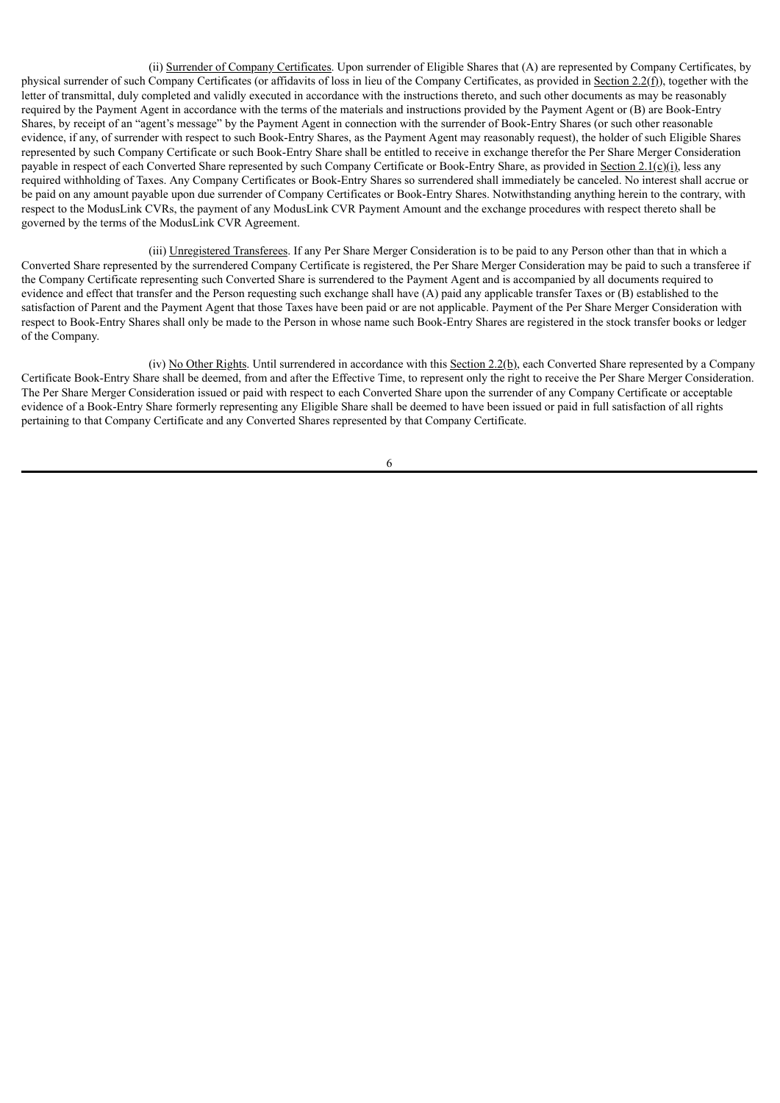(ii) Surrender of Company Certificates. Upon surrender of Eligible Shares that (A) are represented by Company Certificates, by physical surrender of such Company Certificates (or affidavits of loss in lieu of the Company Certificates, as provided in Section 2.2(f)), together with the letter of transmittal, duly completed and validly executed in accordance with the instructions thereto, and such other documents as may be reasonably required by the Payment Agent in accordance with the terms of the materials and instructions provided by the Payment Agent or (B) are Book-Entry Shares, by receipt of an "agent's message" by the Payment Agent in connection with the surrender of Book-Entry Shares (or such other reasonable evidence, if any, of surrender with respect to such Book-Entry Shares, as the Payment Agent may reasonably request), the holder of such Eligible Shares represented by such Company Certificate or such Book-Entry Share shall be entitled to receive in exchange therefor the Per Share Merger Consideration payable in respect of each Converted Share represented by such Company Certificate or Book-Entry Share, as provided in Section 2.1(c)(i), less any required withholding of Taxes. Any Company Certificates or Book-Entry Shares so surrendered shall immediately be canceled. No interest shall accrue or be paid on any amount payable upon due surrender of Company Certificates or Book-Entry Shares. Notwithstanding anything herein to the contrary, with respect to the ModusLink CVRs, the payment of any ModusLink CVR Payment Amount and the exchange procedures with respect thereto shall be governed by the terms of the ModusLink CVR Agreement.

(iii) Unregistered Transferees. If any Per Share Merger Consideration is to be paid to any Person other than that in which a Converted Share represented by the surrendered Company Certificate is registered, the Per Share Merger Consideration may be paid to such a transferee if the Company Certificate representing such Converted Share is surrendered to the Payment Agent and is accompanied by all documents required to evidence and effect that transfer and the Person requesting such exchange shall have (A) paid any applicable transfer Taxes or (B) established to the satisfaction of Parent and the Payment Agent that those Taxes have been paid or are not applicable. Payment of the Per Share Merger Consideration with respect to Book-Entry Shares shall only be made to the Person in whose name such Book-Entry Shares are registered in the stock transfer books or ledger of the Company.

(iv) No Other Rights. Until surrendered in accordance with this Section  $2.2(b)$ , each Converted Share represented by a Company Certificate Book-Entry Share shall be deemed, from and after the Effective Time, to represent only the right to receive the Per Share Merger Consideration. The Per Share Merger Consideration issued or paid with respect to each Converted Share upon the surrender of any Company Certificate or acceptable evidence of a Book-Entry Share formerly representing any Eligible Share shall be deemed to have been issued or paid in full satisfaction of all rights pertaining to that Company Certificate and any Converted Shares represented by that Company Certificate.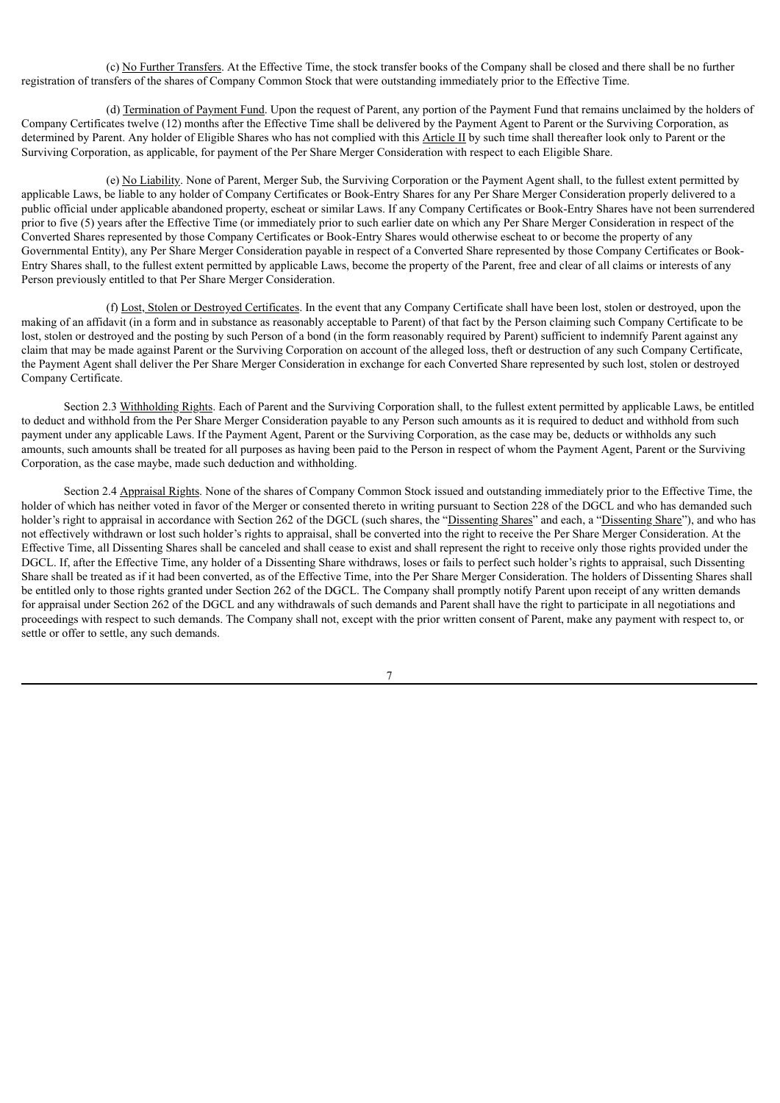(c) No Further Transfers. At the Effective Time, the stock transfer books of the Company shall be closed and there shall be no further registration of transfers of the shares of Company Common Stock that were outstanding immediately prior to the Effective Time.

(d) Termination of Payment Fund. Upon the request of Parent, any portion of the Payment Fund that remains unclaimed by the holders of Company Certificates twelve (12) months after the Effective Time shall be delivered by the Payment Agent to Parent or the Surviving Corporation, as determined by Parent. Any holder of Eligible Shares who has not complied with this Article II by such time shall thereafter look only to Parent or the Surviving Corporation, as applicable, for payment of the Per Share Merger Consideration with respect to each Eligible Share.

(e) No Liability. None of Parent, Merger Sub, the Surviving Corporation or the Payment Agent shall, to the fullest extent permitted by applicable Laws, be liable to any holder of Company Certificates or Book-Entry Shares for any Per Share Merger Consideration properly delivered to a public official under applicable abandoned property, escheat or similar Laws. If any Company Certificates or Book-Entry Shares have not been surrendered prior to five (5) years after the Effective Time (or immediately prior to such earlier date on which any Per Share Merger Consideration in respect of the Converted Shares represented by those Company Certificates or Book-Entry Shares would otherwise escheat to or become the property of any Governmental Entity), any Per Share Merger Consideration payable in respect of a Converted Share represented by those Company Certificates or Book-Entry Shares shall, to the fullest extent permitted by applicable Laws, become the property of the Parent, free and clear of all claims or interests of any Person previously entitled to that Per Share Merger Consideration.

(f) Lost, Stolen or Destroyed Certificates. In the event that any Company Certificate shall have been lost, stolen or destroyed, upon the making of an affidavit (in a form and in substance as reasonably acceptable to Parent) of that fact by the Person claiming such Company Certificate to be lost, stolen or destroyed and the posting by such Person of a bond (in the form reasonably required by Parent) sufficient to indemnify Parent against any claim that may be made against Parent or the Surviving Corporation on account of the alleged loss, theft or destruction of any such Company Certificate, the Payment Agent shall deliver the Per Share Merger Consideration in exchange for each Converted Share represented by such lost, stolen or destroyed Company Certificate.

Section 2.3 Withholding Rights. Each of Parent and the Surviving Corporation shall, to the fullest extent permitted by applicable Laws, be entitled to deduct and withhold from the Per Share Merger Consideration payable to any Person such amounts as it is required to deduct and withhold from such payment under any applicable Laws. If the Payment Agent, Parent or the Surviving Corporation, as the case may be, deducts or withholds any such amounts, such amounts shall be treated for all purposes as having been paid to the Person in respect of whom the Payment Agent, Parent or the Surviving Corporation, as the case maybe, made such deduction and withholding.

Section 2.4 Appraisal Rights. None of the shares of Company Common Stock issued and outstanding immediately prior to the Effective Time, the holder of which has neither voted in favor of the Merger or consented thereto in writing pursuant to Section 228 of the DGCL and who has demanded such holder's right to appraisal in accordance with Section 262 of the DGCL (such shares, the "Dissenting Shares" and each, a "Dissenting Share"), and who has not effectively withdrawn or lost such holder's rights to appraisal, shall be converted into the right to receive the Per Share Merger Consideration. At the Effective Time, all Dissenting Shares shall be canceled and shall cease to exist and shall represent the right to receive only those rights provided under the DGCL. If, after the Effective Time, any holder of a Dissenting Share withdraws, loses or fails to perfect such holder's rights to appraisal, such Dissenting Share shall be treated as if it had been converted, as of the Effective Time, into the Per Share Merger Consideration. The holders of Dissenting Shares shall be entitled only to those rights granted under Section 262 of the DGCL. The Company shall promptly notify Parent upon receipt of any written demands for appraisal under Section 262 of the DGCL and any withdrawals of such demands and Parent shall have the right to participate in all negotiations and proceedings with respect to such demands. The Company shall not, except with the prior written consent of Parent, make any payment with respect to, or settle or offer to settle, any such demands.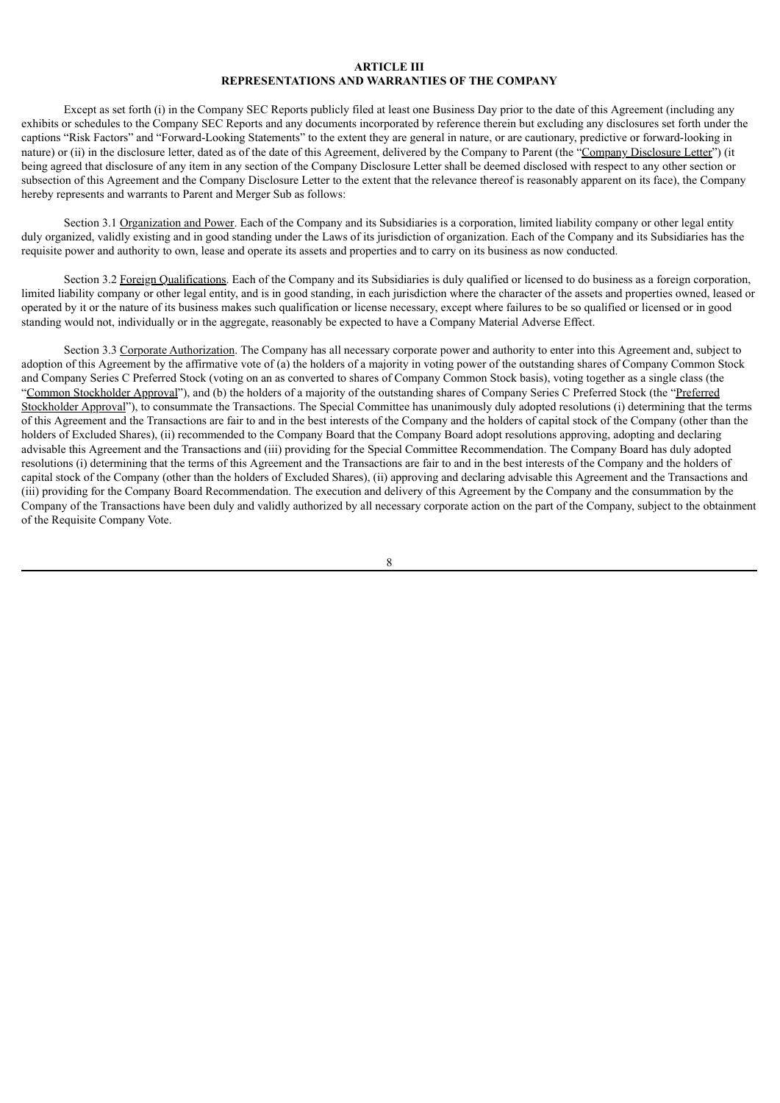## **ARTICLE III REPRESENTATIONS AND WARRANTIES OF THE COMPANY**

Except as set forth (i) in the Company SEC Reports publicly filed at least one Business Day prior to the date of this Agreement (including any exhibits or schedules to the Company SEC Reports and any documents incorporated by reference therein but excluding any disclosures set forth under the captions "Risk Factors" and "Forward-Looking Statements" to the extent they are general in nature, or are cautionary, predictive or forward-looking in nature) or (ii) in the disclosure letter, dated as of the date of this Agreement, delivered by the Company to Parent (the "Company Disclosure Letter") (it being agreed that disclosure of any item in any section of the Company Disclosure Letter shall be deemed disclosed with respect to any other section or subsection of this Agreement and the Company Disclosure Letter to the extent that the relevance thereof is reasonably apparent on its face), the Company hereby represents and warrants to Parent and Merger Sub as follows:

Section 3.1 Organization and Power. Each of the Company and its Subsidiaries is a corporation, limited liability company or other legal entity duly organized, validly existing and in good standing under the Laws of its jurisdiction of organization. Each of the Company and its Subsidiaries has the requisite power and authority to own, lease and operate its assets and properties and to carry on its business as now conducted.

Section 3.2 Foreign Qualifications. Each of the Company and its Subsidiaries is duly qualified or licensed to do business as a foreign corporation, limited liability company or other legal entity, and is in good standing, in each jurisdiction where the character of the assets and properties owned, leased or operated by it or the nature of its business makes such qualification or license necessary, except where failures to be so qualified or licensed or in good standing would not, individually or in the aggregate, reasonably be expected to have a Company Material Adverse Effect.

Section 3.3 Corporate Authorization. The Company has all necessary corporate power and authority to enter into this Agreement and, subject to adoption of this Agreement by the affirmative vote of (a) the holders of a majority in voting power of the outstanding shares of Company Common Stock and Company Series C Preferred Stock (voting on an as converted to shares of Company Common Stock basis), voting together as a single class (the "Common Stockholder Approval"), and (b) the holders of a majority of the outstanding shares of Company Series C Preferred Stock (the "Preferred Stockholder Approval"), to consummate the Transactions. The Special Committee has unanimously duly adopted resolutions (i) determining that the terms of this Agreement and the Transactions are fair to and in the best interests of the Company and the holders of capital stock of the Company (other than the holders of Excluded Shares), (ii) recommended to the Company Board that the Company Board adopt resolutions approving, adopting and declaring advisable this Agreement and the Transactions and (iii) providing for the Special Committee Recommendation. The Company Board has duly adopted resolutions (i) determining that the terms of this Agreement and the Transactions are fair to and in the best interests of the Company and the holders of capital stock of the Company (other than the holders of Excluded Shares), (ii) approving and declaring advisable this Agreement and the Transactions and (iii) providing for the Company Board Recommendation. The execution and delivery of this Agreement by the Company and the consummation by the Company of the Transactions have been duly and validly authorized by all necessary corporate action on the part of the Company, subject to the obtainment of the Requisite Company Vote.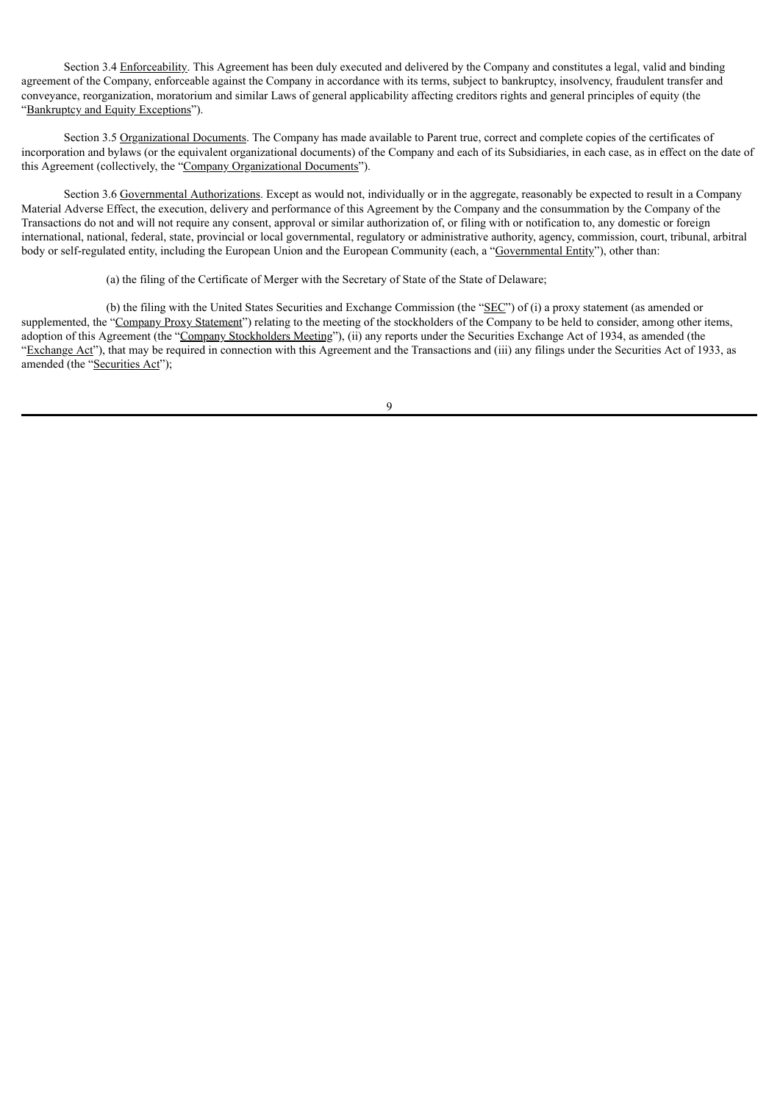Section 3.4 Enforceability. This Agreement has been duly executed and delivered by the Company and constitutes a legal, valid and binding agreement of the Company, enforceable against the Company in accordance with its terms, subject to bankruptcy, insolvency, fraudulent transfer and conveyance, reorganization, moratorium and similar Laws of general applicability affecting creditors rights and general principles of equity (the "Bankruptcy and Equity Exceptions").

Section 3.5 Organizational Documents. The Company has made available to Parent true, correct and complete copies of the certificates of incorporation and bylaws (or the equivalent organizational documents) of the Company and each of its Subsidiaries, in each case, as in effect on the date of this Agreement (collectively, the "Company Organizational Documents").

Section 3.6 Governmental Authorizations. Except as would not, individually or in the aggregate, reasonably be expected to result in a Company Material Adverse Effect, the execution, delivery and performance of this Agreement by the Company and the consummation by the Company of the Transactions do not and will not require any consent, approval or similar authorization of, or filing with or notification to, any domestic or foreign international, national, federal, state, provincial or local governmental, regulatory or administrative authority, agency, commission, court, tribunal, arbitral body or self-regulated entity, including the European Union and the European Community (each, a "Governmental Entity"), other than:

(a) the filing of the Certificate of Merger with the Secretary of State of the State of Delaware;

(b) the filing with the United States Securities and Exchange Commission (the "SEC") of (i) a proxy statement (as amended or supplemented, the "Company Proxy Statement") relating to the meeting of the stockholders of the Company to be held to consider, among other items, adoption of this Agreement (the "Company Stockholders Meeting"), (ii) any reports under the Securities Exchange Act of 1934, as amended (the "Exchange Act"), that may be required in connection with this Agreement and the Transactions and (iii) any filings under the Securities Act of 1933, as amended (the "Securities Act");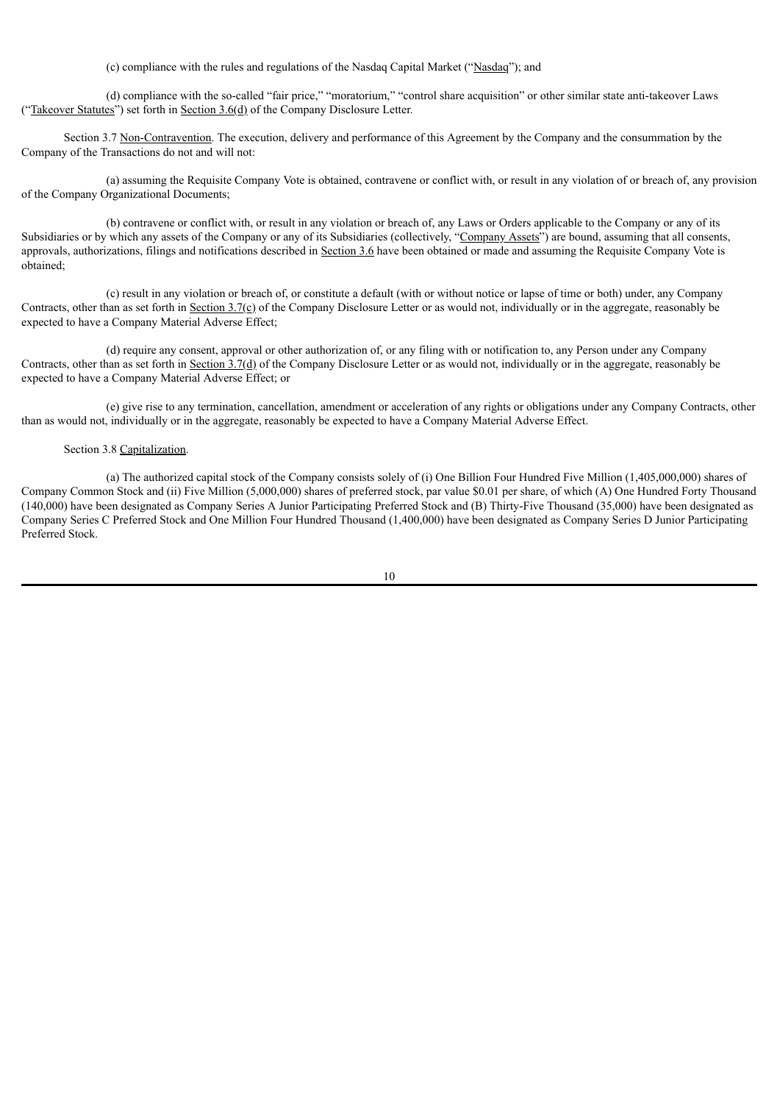(c) compliance with the rules and regulations of the Nasdaq Capital Market ("Nasdaq"); and

(d) compliance with the so-called "fair price," "moratorium," "control share acquisition" or other similar state anti-takeover Laws ("Takeover Statutes") set forth in Section 3.6(d) of the Company Disclosure Letter.

Section 3.7 Non-Contravention. The execution, delivery and performance of this Agreement by the Company and the consummation by the Company of the Transactions do not and will not:

(a) assuming the Requisite Company Vote is obtained, contravene or conflict with, or result in any violation of or breach of, any provision of the Company Organizational Documents;

(b) contravene or conflict with, or result in any violation or breach of, any Laws or Orders applicable to the Company or any of its Subsidiaries or by which any assets of the Company or any of its Subsidiaries (collectively, "Company Assets") are bound, assuming that all consents, approvals, authorizations, filings and notifications described in Section 3.6 have been obtained or made and assuming the Requisite Company Vote is obtained;

(c) result in any violation or breach of, or constitute a default (with or without notice or lapse of time or both) under, any Company Contracts, other than as set forth in Section  $3.7(\text{c})$  of the Company Disclosure Letter or as would not, individually or in the aggregate, reasonably be expected to have a Company Material Adverse Effect;

(d) require any consent, approval or other authorization of, or any filing with or notification to, any Person under any Company Contracts, other than as set forth in Section 3.7(d) of the Company Disclosure Letter or as would not, individually or in the aggregate, reasonably be expected to have a Company Material Adverse Effect; or

(e) give rise to any termination, cancellation, amendment or acceleration of any rights or obligations under any Company Contracts, other than as would not, individually or in the aggregate, reasonably be expected to have a Company Material Adverse Effect.

#### Section 3.8 Capitalization.

(a) The authorized capital stock of the Company consists solely of (i) One Billion Four Hundred Five Million (1,405,000,000) shares of Company Common Stock and (ii) Five Million (5,000,000) shares of preferred stock, par value \$0.01 per share, of which (A) One Hundred Forty Thousand (140,000) have been designated as Company Series A Junior Participating Preferred Stock and (B) Thirty-Five Thousand (35,000) have been designated as Company Series C Preferred Stock and One Million Four Hundred Thousand (1,400,000) have been designated as Company Series D Junior Participating Preferred Stock.

| ۰,                |
|-------------------|
| ٦<br>٦<br>×<br>۰. |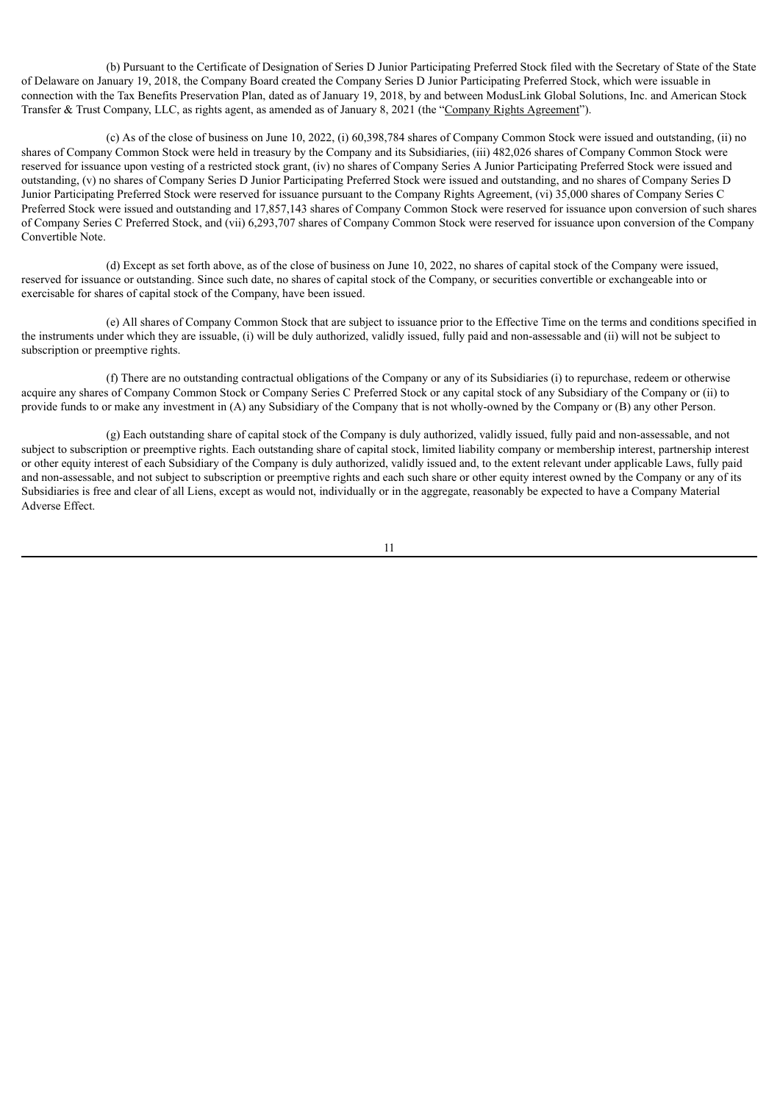(b) Pursuant to the Certificate of Designation of Series D Junior Participating Preferred Stock filed with the Secretary of State of the State of Delaware on January 19, 2018, the Company Board created the Company Series D Junior Participating Preferred Stock, which were issuable in connection with the Tax Benefits Preservation Plan, dated as of January 19, 2018, by and between ModusLink Global Solutions, Inc. and American Stock Transfer & Trust Company, LLC, as rights agent, as amended as of January 8, 2021 (the "Company Rights Agreement").

(c) As of the close of business on June 10, 2022, (i) 60,398,784 shares of Company Common Stock were issued and outstanding, (ii) no shares of Company Common Stock were held in treasury by the Company and its Subsidiaries, (iii) 482,026 shares of Company Common Stock were reserved for issuance upon vesting of a restricted stock grant, (iv) no shares of Company Series A Junior Participating Preferred Stock were issued and outstanding, (v) no shares of Company Series D Junior Participating Preferred Stock were issued and outstanding, and no shares of Company Series D Junior Participating Preferred Stock were reserved for issuance pursuant to the Company Rights Agreement, (vi) 35,000 shares of Company Series C Preferred Stock were issued and outstanding and 17,857,143 shares of Company Common Stock were reserved for issuance upon conversion of such shares of Company Series C Preferred Stock, and (vii) 6,293,707 shares of Company Common Stock were reserved for issuance upon conversion of the Company Convertible Note.

(d) Except as set forth above, as of the close of business on June 10, 2022, no shares of capital stock of the Company were issued, reserved for issuance or outstanding. Since such date, no shares of capital stock of the Company, or securities convertible or exchangeable into or exercisable for shares of capital stock of the Company, have been issued.

(e) All shares of Company Common Stock that are subject to issuance prior to the Effective Time on the terms and conditions specified in the instruments under which they are issuable, (i) will be duly authorized, validly issued, fully paid and non-assessable and (ii) will not be subject to subscription or preemptive rights.

(f) There are no outstanding contractual obligations of the Company or any of its Subsidiaries (i) to repurchase, redeem or otherwise acquire any shares of Company Common Stock or Company Series C Preferred Stock or any capital stock of any Subsidiary of the Company or (ii) to provide funds to or make any investment in (A) any Subsidiary of the Company that is not wholly-owned by the Company or (B) any other Person.

(g) Each outstanding share of capital stock of the Company is duly authorized, validly issued, fully paid and non-assessable, and not subject to subscription or preemptive rights. Each outstanding share of capital stock, limited liability company or membership interest, partnership interest or other equity interest of each Subsidiary of the Company is duly authorized, validly issued and, to the extent relevant under applicable Laws, fully paid and non-assessable, and not subject to subscription or preemptive rights and each such share or other equity interest owned by the Company or any of its Subsidiaries is free and clear of all Liens, except as would not, individually or in the aggregate, reasonably be expected to have a Company Material Adverse Effect.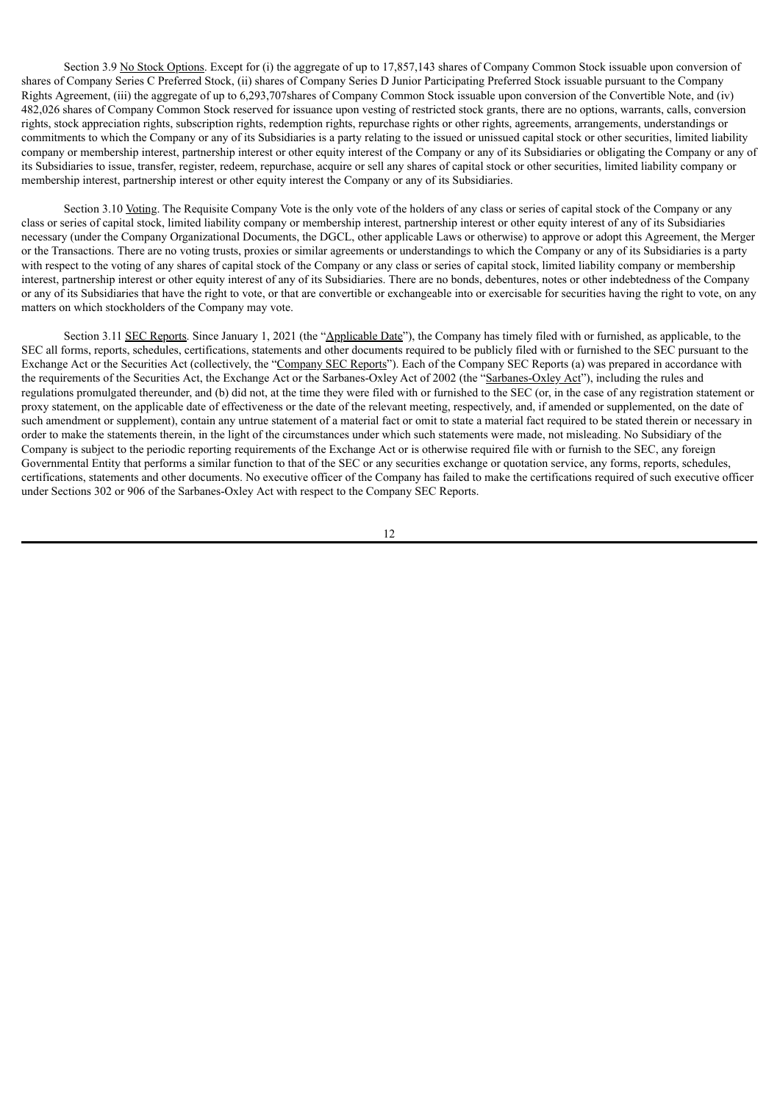Section 3.9 No Stock Options. Except for (i) the aggregate of up to 17,857,143 shares of Company Common Stock issuable upon conversion of shares of Company Series C Preferred Stock, (ii) shares of Company Series D Junior Participating Preferred Stock issuable pursuant to the Company Rights Agreement, (iii) the aggregate of up to 6,293,707shares of Company Common Stock issuable upon conversion of the Convertible Note, and (iv) 482,026 shares of Company Common Stock reserved for issuance upon vesting of restricted stock grants, there are no options, warrants, calls, conversion rights, stock appreciation rights, subscription rights, redemption rights, repurchase rights or other rights, agreements, arrangements, understandings or commitments to which the Company or any of its Subsidiaries is a party relating to the issued or unissued capital stock or other securities, limited liability company or membership interest, partnership interest or other equity interest of the Company or any of its Subsidiaries or obligating the Company or any of its Subsidiaries to issue, transfer, register, redeem, repurchase, acquire or sell any shares of capital stock or other securities, limited liability company or membership interest, partnership interest or other equity interest the Company or any of its Subsidiaries.

Section 3.10 Voting. The Requisite Company Vote is the only vote of the holders of any class or series of capital stock of the Company or any class or series of capital stock, limited liability company or membership interest, partnership interest or other equity interest of any of its Subsidiaries necessary (under the Company Organizational Documents, the DGCL, other applicable Laws or otherwise) to approve or adopt this Agreement, the Merger or the Transactions. There are no voting trusts, proxies or similar agreements or understandings to which the Company or any of its Subsidiaries is a party with respect to the voting of any shares of capital stock of the Company or any class or series of capital stock, limited liability company or membership interest, partnership interest or other equity interest of any of its Subsidiaries. There are no bonds, debentures, notes or other indebtedness of the Company or any of its Subsidiaries that have the right to vote, or that are convertible or exchangeable into or exercisable for securities having the right to vote, on any matters on which stockholders of the Company may vote.

Section 3.11 SEC Reports. Since January 1, 2021 (the "Applicable Date"), the Company has timely filed with or furnished, as applicable, to the SEC all forms, reports, schedules, certifications, statements and other documents required to be publicly filed with or furnished to the SEC pursuant to the Exchange Act or the Securities Act (collectively, the "Company SEC Reports"). Each of the Company SEC Reports (a) was prepared in accordance with the requirements of the Securities Act, the Exchange Act or the Sarbanes-Oxley Act of 2002 (the "Sarbanes-Oxley Act"), including the rules and regulations promulgated thereunder, and (b) did not, at the time they were filed with or furnished to the SEC (or, in the case of any registration statement or proxy statement, on the applicable date of effectiveness or the date of the relevant meeting, respectively, and, if amended or supplemented, on the date of such amendment or supplement), contain any untrue statement of a material fact or omit to state a material fact required to be stated therein or necessary in order to make the statements therein, in the light of the circumstances under which such statements were made, not misleading. No Subsidiary of the Company is subject to the periodic reporting requirements of the Exchange Act or is otherwise required file with or furnish to the SEC, any foreign Governmental Entity that performs a similar function to that of the SEC or any securities exchange or quotation service, any forms, reports, schedules, certifications, statements and other documents. No executive officer of the Company has failed to make the certifications required of such executive officer under Sections 302 or 906 of the Sarbanes-Oxley Act with respect to the Company SEC Reports.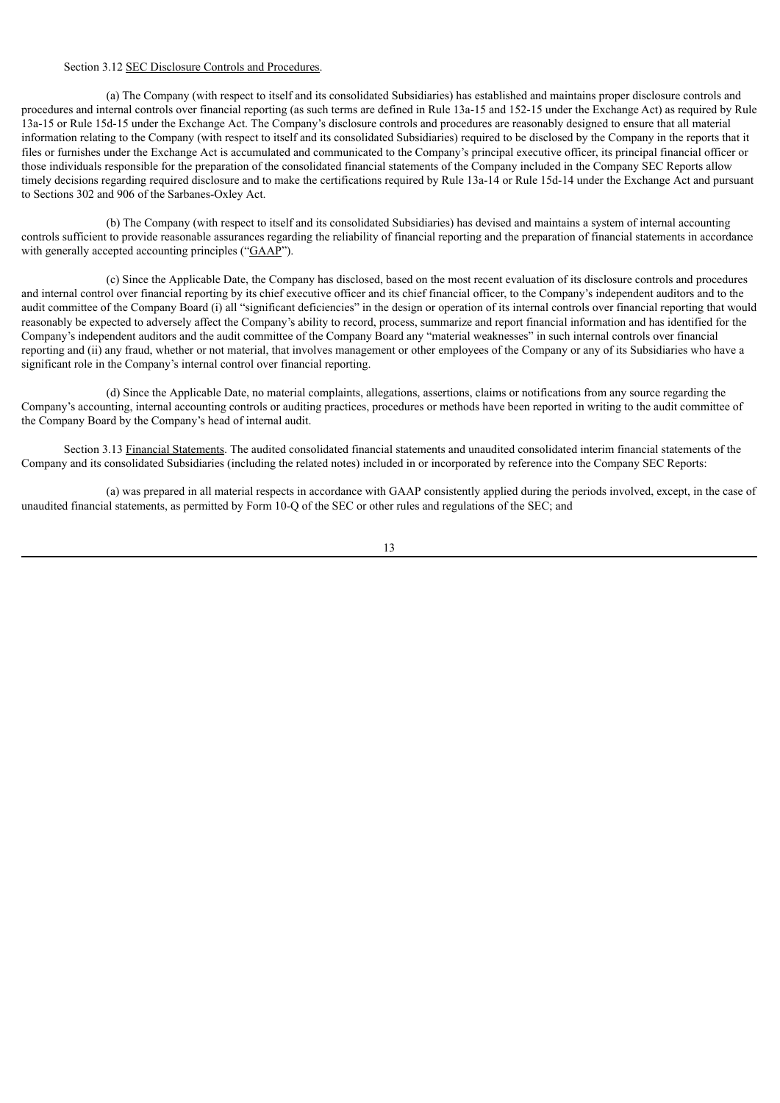## Section 3.12 SEC Disclosure Controls and Procedures.

(a) The Company (with respect to itself and its consolidated Subsidiaries) has established and maintains proper disclosure controls and procedures and internal controls over financial reporting (as such terms are defined in Rule 13a-15 and 152-15 under the Exchange Act) as required by Rule 13a-15 or Rule 15d-15 under the Exchange Act. The Company's disclosure controls and procedures are reasonably designed to ensure that all material information relating to the Company (with respect to itself and its consolidated Subsidiaries) required to be disclosed by the Company in the reports that it files or furnishes under the Exchange Act is accumulated and communicated to the Company's principal executive officer, its principal financial officer or those individuals responsible for the preparation of the consolidated financial statements of the Company included in the Company SEC Reports allow timely decisions regarding required disclosure and to make the certifications required by Rule 13a-14 or Rule 15d-14 under the Exchange Act and pursuant to Sections 302 and 906 of the Sarbanes-Oxley Act.

(b) The Company (with respect to itself and its consolidated Subsidiaries) has devised and maintains a system of internal accounting controls sufficient to provide reasonable assurances regarding the reliability of financial reporting and the preparation of financial statements in accordance with generally accepted accounting principles ("GAAP").

(c) Since the Applicable Date, the Company has disclosed, based on the most recent evaluation of its disclosure controls and procedures and internal control over financial reporting by its chief executive officer and its chief financial officer, to the Company's independent auditors and to the audit committee of the Company Board (i) all "significant deficiencies" in the design or operation of its internal controls over financial reporting that would reasonably be expected to adversely affect the Company's ability to record, process, summarize and report financial information and has identified for the Company's independent auditors and the audit committee of the Company Board any "material weaknesses" in such internal controls over financial reporting and (ii) any fraud, whether or not material, that involves management or other employees of the Company or any of its Subsidiaries who have a significant role in the Company's internal control over financial reporting.

(d) Since the Applicable Date, no material complaints, allegations, assertions, claims or notifications from any source regarding the Company's accounting, internal accounting controls or auditing practices, procedures or methods have been reported in writing to the audit committee of the Company Board by the Company's head of internal audit.

Section 3.13 Financial Statements. The audited consolidated financial statements and unaudited consolidated interim financial statements of the Company and its consolidated Subsidiaries (including the related notes) included in or incorporated by reference into the Company SEC Reports:

(a) was prepared in all material respects in accordance with GAAP consistently applied during the periods involved, except, in the case of unaudited financial statements, as permitted by Form 10-Q of the SEC or other rules and regulations of the SEC; and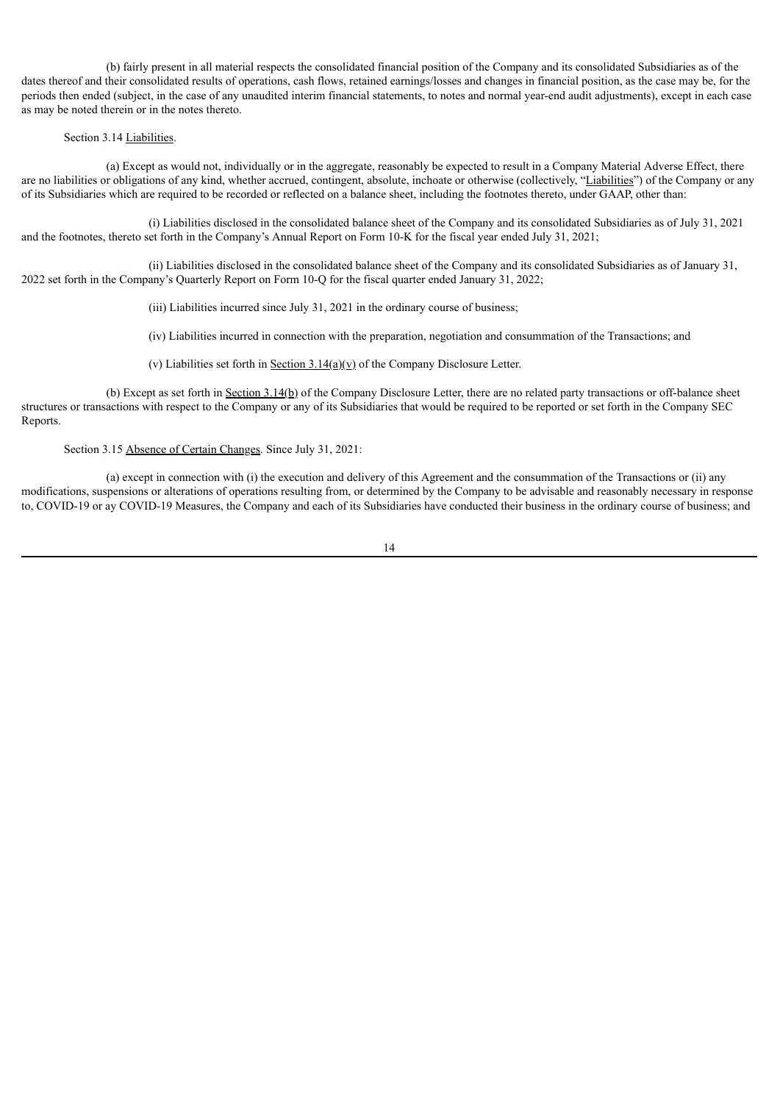(b) fairly present in all material respects the consolidated financial position of the Company and its consolidated Subsidiaries as of the dates thereof and their consolidated results of operations, cash flows, retained earnings/losses and changes in financial position, as the case may be, for the periods then ended (subject, in the case of any unaudited interim financial statements, to notes and normal year-end audit adjustments), except in each case as may be noted therein or in the notes thereto.

#### Section 3.14 Liabilities.

(a) Except as would not, individually or in the aggregate, reasonably be expected to result in a Company Material Adverse Effect, there are no liabilities or obligations of any kind, whether accrued, contingent, absolute, inchoate or otherwise (collectively, "Liabilities") of the Company or any of its Subsidiaries which are required to be recorded or reflected on a balance sheet, including the footnotes thereto, under GAAP, other than:

(i) Liabilities disclosed in the consolidated balance sheet of the Company and its consolidated Subsidiaries as of July 31, 2021 and the footnotes, thereto set forth in the Company's Annual Report on Form 10-K for the fiscal year ended July 31, 2021;

(ii) Liabilities disclosed in the consolidated balance sheet of the Company and its consolidated Subsidiaries as of January 31, 2022 set forth in the Company's Quarterly Report on Form 10-Q for the fiscal quarter ended January 31, 2022;

(iii) Liabilities incurred since July 31, 2021 in the ordinary course of business;

(iv) Liabilities incurred in connection with the preparation, negotiation and consummation of the Transactions; and

(v) Liabilities set forth in <u>Section 3.14(a)(v)</u> of the Company Disclosure Letter.

(b) Except as set forth in  $Section 3.14(b)$  of the Company Disclosure Letter, there are no related party transactions or off-balance sheet structures or transactions with respect to the Company or any of its Subsidiaries that would be required to be reported or set forth in the Company SEC Reports.

Section 3.15 Absence of Certain Changes. Since July 31, 2021:

(a) except in connection with (i) the execution and delivery of this Agreement and the consummation of the Transactions or (ii) any modifications, suspensions or alterations of operations resulting from, or determined by the Company to be advisable and reasonably necessary in response to, COVID-19 or ay COVID-19 Measures, the Company and each of its Subsidiaries have conducted their business in the ordinary course of business; and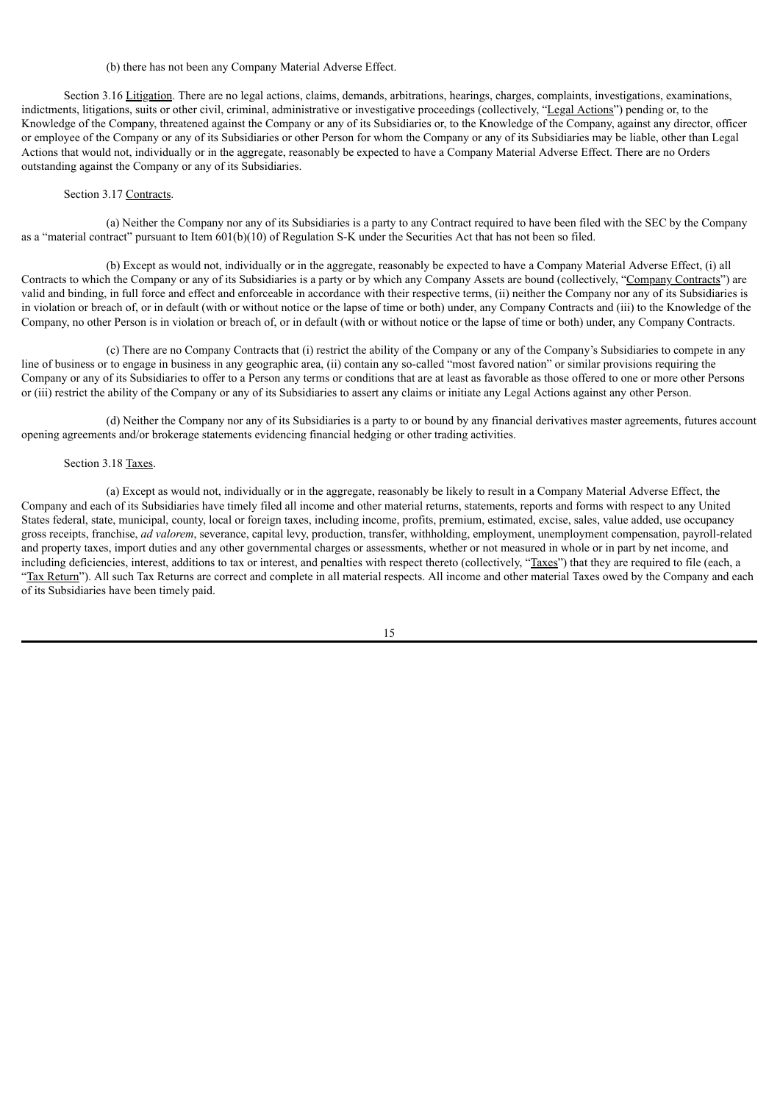# (b) there has not been any Company Material Adverse Effect.

Section 3.16 Litigation. There are no legal actions, claims, demands, arbitrations, hearings, charges, complaints, investigations, examinations, indictments, litigations, suits or other civil, criminal, administrative or investigative proceedings (collectively, "Legal Actions") pending or, to the Knowledge of the Company, threatened against the Company or any of its Subsidiaries or, to the Knowledge of the Company, against any director, officer or employee of the Company or any of its Subsidiaries or other Person for whom the Company or any of its Subsidiaries may be liable, other than Legal Actions that would not, individually or in the aggregate, reasonably be expected to have a Company Material Adverse Effect. There are no Orders outstanding against the Company or any of its Subsidiaries.

#### Section 3.17 Contracts.

(a) Neither the Company nor any of its Subsidiaries is a party to any Contract required to have been filed with the SEC by the Company as a "material contract" pursuant to Item 601(b)(10) of Regulation S-K under the Securities Act that has not been so filed.

(b) Except as would not, individually or in the aggregate, reasonably be expected to have a Company Material Adverse Effect, (i) all Contracts to which the Company or any of its Subsidiaries is a party or by which any Company Assets are bound (collectively, "Company Contracts") are valid and binding, in full force and effect and enforceable in accordance with their respective terms, (ii) neither the Company nor any of its Subsidiaries is in violation or breach of, or in default (with or without notice or the lapse of time or both) under, any Company Contracts and (iii) to the Knowledge of the Company, no other Person is in violation or breach of, or in default (with or without notice or the lapse of time or both) under, any Company Contracts.

(c) There are no Company Contracts that (i) restrict the ability of the Company or any of the Company's Subsidiaries to compete in any line of business or to engage in business in any geographic area, (ii) contain any so-called "most favored nation" or similar provisions requiring the Company or any of its Subsidiaries to offer to a Person any terms or conditions that are at least as favorable as those offered to one or more other Persons or (iii) restrict the ability of the Company or any of its Subsidiaries to assert any claims or initiate any Legal Actions against any other Person.

(d) Neither the Company nor any of its Subsidiaries is a party to or bound by any financial derivatives master agreements, futures account opening agreements and/or brokerage statements evidencing financial hedging or other trading activities.

#### Section 3.18 Taxes.

(a) Except as would not, individually or in the aggregate, reasonably be likely to result in a Company Material Adverse Effect, the Company and each of its Subsidiaries have timely filed all income and other material returns, statements, reports and forms with respect to any United States federal, state, municipal, county, local or foreign taxes, including income, profits, premium, estimated, excise, sales, value added, use occupancy gross receipts, franchise, *ad valorem*, severance, capital levy, production, transfer, withholding, employment, unemployment compensation, payroll-related and property taxes, import duties and any other governmental charges or assessments, whether or not measured in whole or in part by net income, and including deficiencies, interest, additions to tax or interest, and penalties with respect thereto (collectively, "Taxes") that they are required to file (each, a "Tax Return"). All such Tax Returns are correct and complete in all material respects. All income and other material Taxes owed by the Company and each of its Subsidiaries have been timely paid.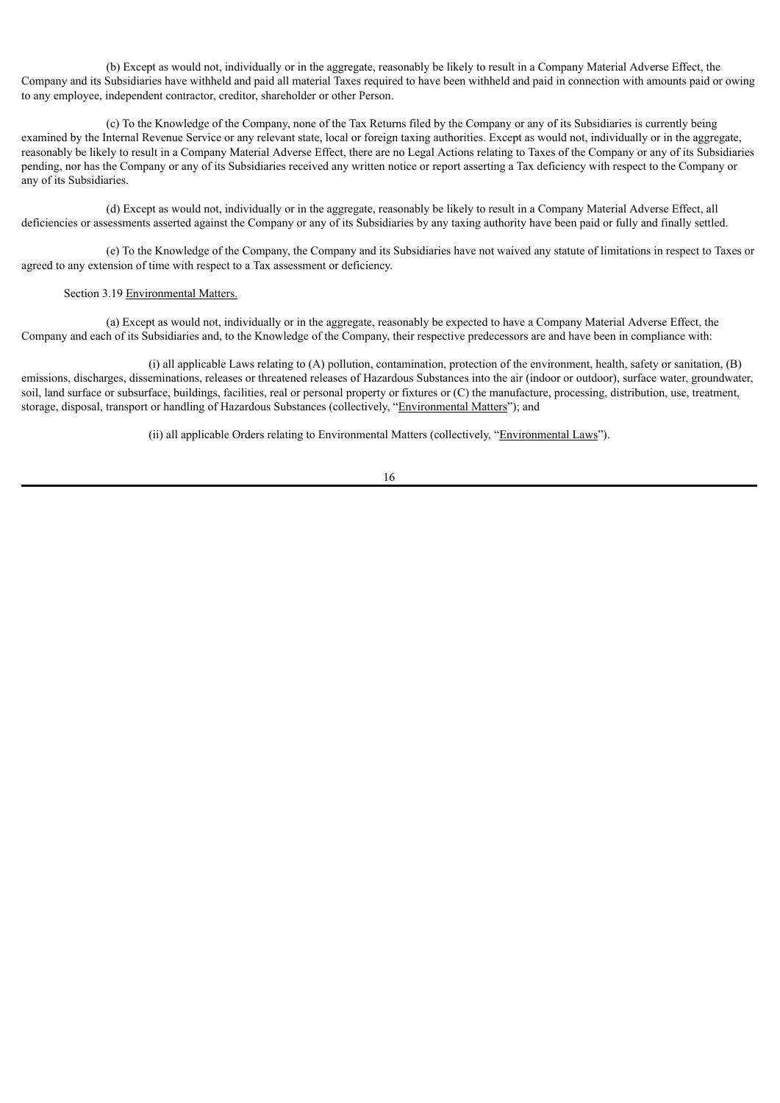(b) Except as would not, individually or in the aggregate, reasonably be likely to result in a Company Material Adverse Effect, the Company and its Subsidiaries have withheld and paid all material Taxes required to have been withheld and paid in connection with amounts paid or owing to any employee, independent contractor, creditor, shareholder or other Person.

(c) To the Knowledge of the Company, none of the Tax Returns filed by the Company or any of its Subsidiaries is currently being examined by the Internal Revenue Service or any relevant state, local or foreign taxing authorities. Except as would not, individually or in the aggregate, reasonably be likely to result in a Company Material Adverse Effect, there are no Legal Actions relating to Taxes of the Company or any of its Subsidiaries pending, nor has the Company or any of its Subsidiaries received any written notice or report asserting a Tax deficiency with respect to the Company or any of its Subsidiaries.

(d) Except as would not, individually or in the aggregate, reasonably be likely to result in a Company Material Adverse Effect, all deficiencies or assessments asserted against the Company or any of its Subsidiaries by any taxing authority have been paid or fully and finally settled.

(e) To the Knowledge of the Company, the Company and its Subsidiaries have not waived any statute of limitations in respect to Taxes or agreed to any extension of time with respect to a Tax assessment or deficiency.

#### Section 3.19 Environmental Matters.

(a) Except as would not, individually or in the aggregate, reasonably be expected to have a Company Material Adverse Effect, the Company and each of its Subsidiaries and, to the Knowledge of the Company, their respective predecessors are and have been in compliance with:

(i) all applicable Laws relating to (A) pollution, contamination, protection of the environment, health, safety or sanitation, (B) emissions, discharges, disseminations, releases or threatened releases of Hazardous Substances into the air (indoor or outdoor), surface water, groundwater, soil, land surface or subsurface, buildings, facilities, real or personal property or fixtures or (C) the manufacture, processing, distribution, use, treatment, storage, disposal, transport or handling of Hazardous Substances (collectively, "Environmental Matters"); and

(ii) all applicable Orders relating to Environmental Matters (collectively, "Environmental Laws").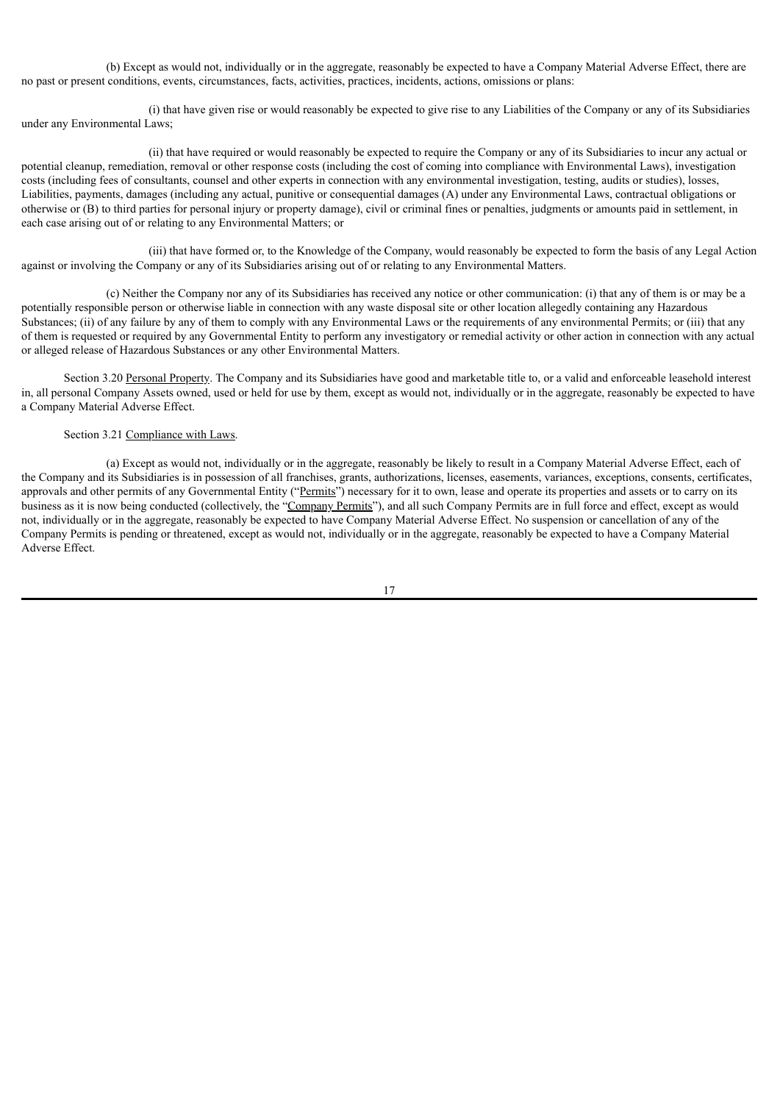(b) Except as would not, individually or in the aggregate, reasonably be expected to have a Company Material Adverse Effect, there are no past or present conditions, events, circumstances, facts, activities, practices, incidents, actions, omissions or plans:

(i) that have given rise or would reasonably be expected to give rise to any Liabilities of the Company or any of its Subsidiaries under any Environmental Laws;

(ii) that have required or would reasonably be expected to require the Company or any of its Subsidiaries to incur any actual or potential cleanup, remediation, removal or other response costs (including the cost of coming into compliance with Environmental Laws), investigation costs (including fees of consultants, counsel and other experts in connection with any environmental investigation, testing, audits or studies), losses, Liabilities, payments, damages (including any actual, punitive or consequential damages (A) under any Environmental Laws, contractual obligations or otherwise or (B) to third parties for personal injury or property damage), civil or criminal fines or penalties, judgments or amounts paid in settlement, in each case arising out of or relating to any Environmental Matters; or

(iii) that have formed or, to the Knowledge of the Company, would reasonably be expected to form the basis of any Legal Action against or involving the Company or any of its Subsidiaries arising out of or relating to any Environmental Matters.

(c) Neither the Company nor any of its Subsidiaries has received any notice or other communication: (i) that any of them is or may be a potentially responsible person or otherwise liable in connection with any waste disposal site or other location allegedly containing any Hazardous Substances; (ii) of any failure by any of them to comply with any Environmental Laws or the requirements of any environmental Permits; or (iii) that any of them is requested or required by any Governmental Entity to perform any investigatory or remedial activity or other action in connection with any actual or alleged release of Hazardous Substances or any other Environmental Matters.

Section 3.20 Personal Property. The Company and its Subsidiaries have good and marketable title to, or a valid and enforceable leasehold interest in, all personal Company Assets owned, used or held for use by them, except as would not, individually or in the aggregate, reasonably be expected to have a Company Material Adverse Effect.

## Section 3.21 Compliance with Laws.

(a) Except as would not, individually or in the aggregate, reasonably be likely to result in a Company Material Adverse Effect, each of the Company and its Subsidiaries is in possession of all franchises, grants, authorizations, licenses, easements, variances, exceptions, consents, certificates, approvals and other permits of any Governmental Entity ("Permits") necessary for it to own, lease and operate its properties and assets or to carry on its business as it is now being conducted (collectively, the "Company Permits"), and all such Company Permits are in full force and effect, except as would not, individually or in the aggregate, reasonably be expected to have Company Material Adverse Effect. No suspension or cancellation of any of the Company Permits is pending or threatened, except as would not, individually or in the aggregate, reasonably be expected to have a Company Material Adverse Effect.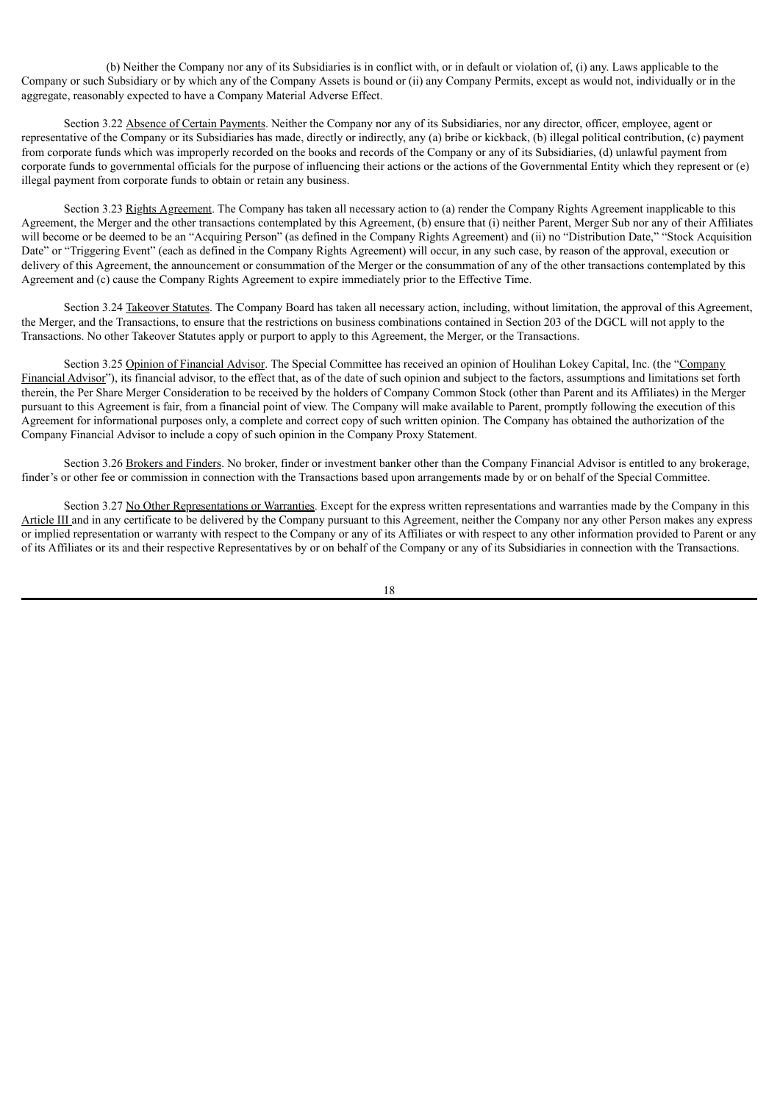(b) Neither the Company nor any of its Subsidiaries is in conflict with, or in default or violation of, (i) any. Laws applicable to the Company or such Subsidiary or by which any of the Company Assets is bound or (ii) any Company Permits, except as would not, individually or in the aggregate, reasonably expected to have a Company Material Adverse Effect.

Section 3.22 Absence of Certain Payments. Neither the Company nor any of its Subsidiaries, nor any director, officer, employee, agent or representative of the Company or its Subsidiaries has made, directly or indirectly, any (a) bribe or kickback, (b) illegal political contribution, (c) payment from corporate funds which was improperly recorded on the books and records of the Company or any of its Subsidiaries, (d) unlawful payment from corporate funds to governmental officials for the purpose of influencing their actions or the actions of the Governmental Entity which they represent or (e) illegal payment from corporate funds to obtain or retain any business.

Section 3.23 Rights Agreement. The Company has taken all necessary action to (a) render the Company Rights Agreement inapplicable to this Agreement, the Merger and the other transactions contemplated by this Agreement, (b) ensure that (i) neither Parent, Merger Sub nor any of their Affiliates will become or be deemed to be an "Acquiring Person" (as defined in the Company Rights Agreement) and (ii) no "Distribution Date," "Stock Acquisition Date" or "Triggering Event" (each as defined in the Company Rights Agreement) will occur, in any such case, by reason of the approval, execution or delivery of this Agreement, the announcement or consummation of the Merger or the consummation of any of the other transactions contemplated by this Agreement and (c) cause the Company Rights Agreement to expire immediately prior to the Effective Time.

Section 3.24 Takeover Statutes. The Company Board has taken all necessary action, including, without limitation, the approval of this Agreement, the Merger, and the Transactions, to ensure that the restrictions on business combinations contained in Section 203 of the DGCL will not apply to the Transactions. No other Takeover Statutes apply or purport to apply to this Agreement, the Merger, or the Transactions.

Section 3.25 Opinion of Financial Advisor. The Special Committee has received an opinion of Houlihan Lokey Capital, Inc. (the "Company Financial Advisor"), its financial advisor, to the effect that, as of the date of such opinion and subject to the factors, assumptions and limitations set forth therein, the Per Share Merger Consideration to be received by the holders of Company Common Stock (other than Parent and its Affiliates) in the Merger pursuant to this Agreement is fair, from a financial point of view. The Company will make available to Parent, promptly following the execution of this Agreement for informational purposes only, a complete and correct copy of such written opinion. The Company has obtained the authorization of the Company Financial Advisor to include a copy of such opinion in the Company Proxy Statement.

Section 3.26 Brokers and Finders. No broker, finder or investment banker other than the Company Financial Advisor is entitled to any brokerage, finder's or other fee or commission in connection with the Transactions based upon arrangements made by or on behalf of the Special Committee.

Section 3.27 No Other Representations or Warranties. Except for the express written representations and warranties made by the Company in this Article III and in any certificate to be delivered by the Company pursuant to this Agreement, neither the Company nor any other Person makes any express or implied representation or warranty with respect to the Company or any of its Affiliates or with respect to any other information provided to Parent or any of its Affiliates or its and their respective Representatives by or on behalf of the Company or any of its Subsidiaries in connection with the Transactions.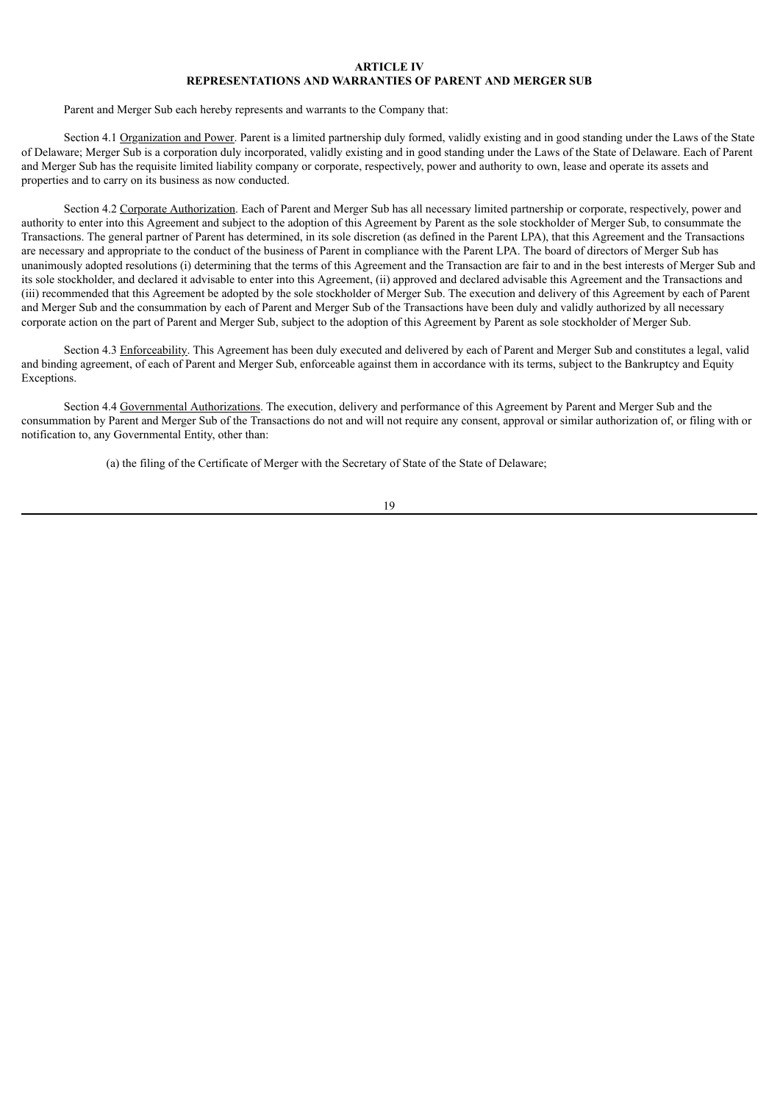## **ARTICLE IV REPRESENTATIONS AND WARRANTIES OF PARENT AND MERGER SUB**

Parent and Merger Sub each hereby represents and warrants to the Company that:

Section 4.1 Organization and Power. Parent is a limited partnership duly formed, validly existing and in good standing under the Laws of the State of Delaware; Merger Sub is a corporation duly incorporated, validly existing and in good standing under the Laws of the State of Delaware. Each of Parent and Merger Sub has the requisite limited liability company or corporate, respectively, power and authority to own, lease and operate its assets and properties and to carry on its business as now conducted.

Section 4.2 Corporate Authorization. Each of Parent and Merger Sub has all necessary limited partnership or corporate, respectively, power and authority to enter into this Agreement and subject to the adoption of this Agreement by Parent as the sole stockholder of Merger Sub, to consummate the Transactions. The general partner of Parent has determined, in its sole discretion (as defined in the Parent LPA), that this Agreement and the Transactions are necessary and appropriate to the conduct of the business of Parent in compliance with the Parent LPA. The board of directors of Merger Sub has unanimously adopted resolutions (i) determining that the terms of this Agreement and the Transaction are fair to and in the best interests of Merger Sub and its sole stockholder, and declared it advisable to enter into this Agreement, (ii) approved and declared advisable this Agreement and the Transactions and (iii) recommended that this Agreement be adopted by the sole stockholder of Merger Sub. The execution and delivery of this Agreement by each of Parent and Merger Sub and the consummation by each of Parent and Merger Sub of the Transactions have been duly and validly authorized by all necessary corporate action on the part of Parent and Merger Sub, subject to the adoption of this Agreement by Parent as sole stockholder of Merger Sub.

Section 4.3 Enforceability. This Agreement has been duly executed and delivered by each of Parent and Merger Sub and constitutes a legal, valid and binding agreement, of each of Parent and Merger Sub, enforceable against them in accordance with its terms, subject to the Bankruptcy and Equity Exceptions.

Section 4.4 Governmental Authorizations. The execution, delivery and performance of this Agreement by Parent and Merger Sub and the consummation by Parent and Merger Sub of the Transactions do not and will not require any consent, approval or similar authorization of, or filing with or notification to, any Governmental Entity, other than:

(a) the filing of the Certificate of Merger with the Secretary of State of the State of Delaware;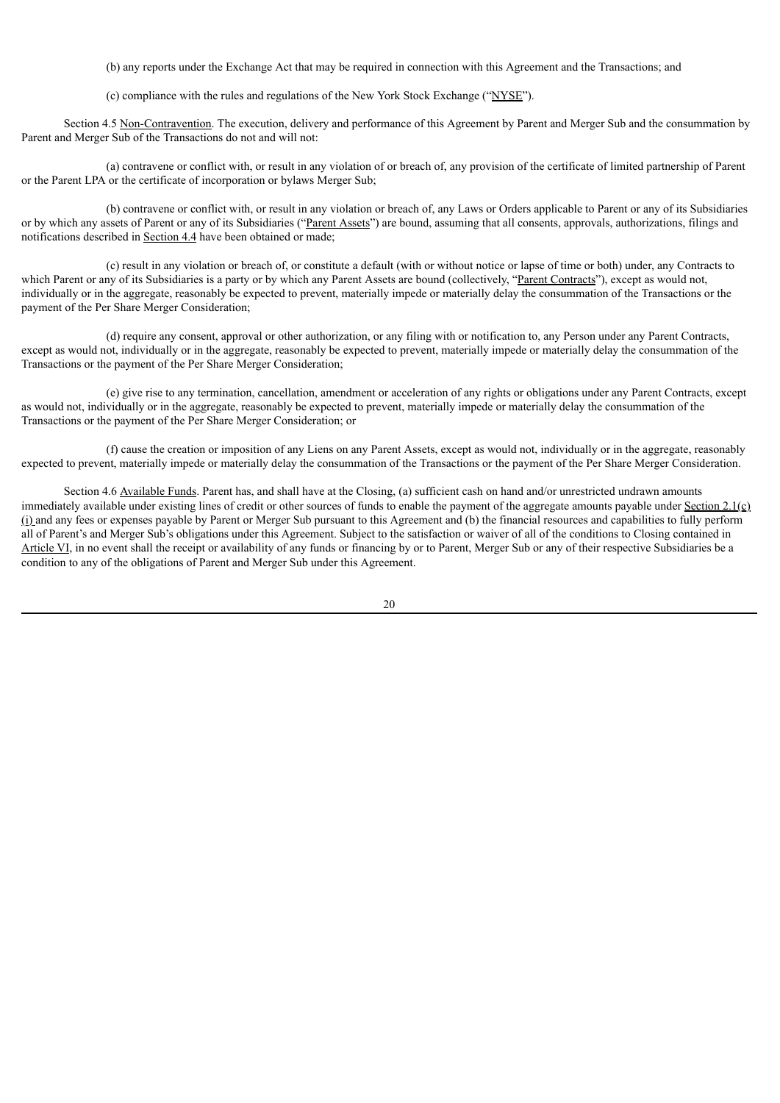(b) any reports under the Exchange Act that may be required in connection with this Agreement and the Transactions; and

(c) compliance with the rules and regulations of the New York Stock Exchange ("NYSE").

Section 4.5 Non-Contravention. The execution, delivery and performance of this Agreement by Parent and Merger Sub and the consummation by Parent and Merger Sub of the Transactions do not and will not:

(a) contravene or conflict with, or result in any violation of or breach of, any provision of the certificate of limited partnership of Parent or the Parent LPA or the certificate of incorporation or bylaws Merger Sub;

(b) contravene or conflict with, or result in any violation or breach of, any Laws or Orders applicable to Parent or any of its Subsidiaries or by which any assets of Parent or any of its Subsidiaries ("Parent Assets") are bound, assuming that all consents, approvals, authorizations, filings and notifications described in Section 4.4 have been obtained or made;

(c) result in any violation or breach of, or constitute a default (with or without notice or lapse of time or both) under, any Contracts to which Parent or any of its Subsidiaries is a party or by which any Parent Assets are bound (collectively, "Parent Contracts"), except as would not, individually or in the aggregate, reasonably be expected to prevent, materially impede or materially delay the consummation of the Transactions or the payment of the Per Share Merger Consideration;

(d) require any consent, approval or other authorization, or any filing with or notification to, any Person under any Parent Contracts, except as would not, individually or in the aggregate, reasonably be expected to prevent, materially impede or materially delay the consummation of the Transactions or the payment of the Per Share Merger Consideration;

(e) give rise to any termination, cancellation, amendment or acceleration of any rights or obligations under any Parent Contracts, except as would not, individually or in the aggregate, reasonably be expected to prevent, materially impede or materially delay the consummation of the Transactions or the payment of the Per Share Merger Consideration; or

(f) cause the creation or imposition of any Liens on any Parent Assets, except as would not, individually or in the aggregate, reasonably expected to prevent, materially impede or materially delay the consummation of the Transactions or the payment of the Per Share Merger Consideration.

Section 4.6 Available Funds. Parent has, and shall have at the Closing, (a) sufficient cash on hand and/or unrestricted undrawn amounts immediately available under existing lines of credit or other sources of funds to enable the payment of the aggregate amounts payable under Section  $2.1(\text{c})$  $(i)$  and any fees or expenses payable by Parent or Merger Sub pursuant to this Agreement and (b) the financial resources and capabilities to fully perform all of Parent's and Merger Sub's obligations under this Agreement. Subject to the satisfaction or waiver of all of the conditions to Closing contained in Article VI, in no event shall the receipt or availability of any funds or financing by or to Parent, Merger Sub or any of their respective Subsidiaries be a condition to any of the obligations of Parent and Merger Sub under this Agreement.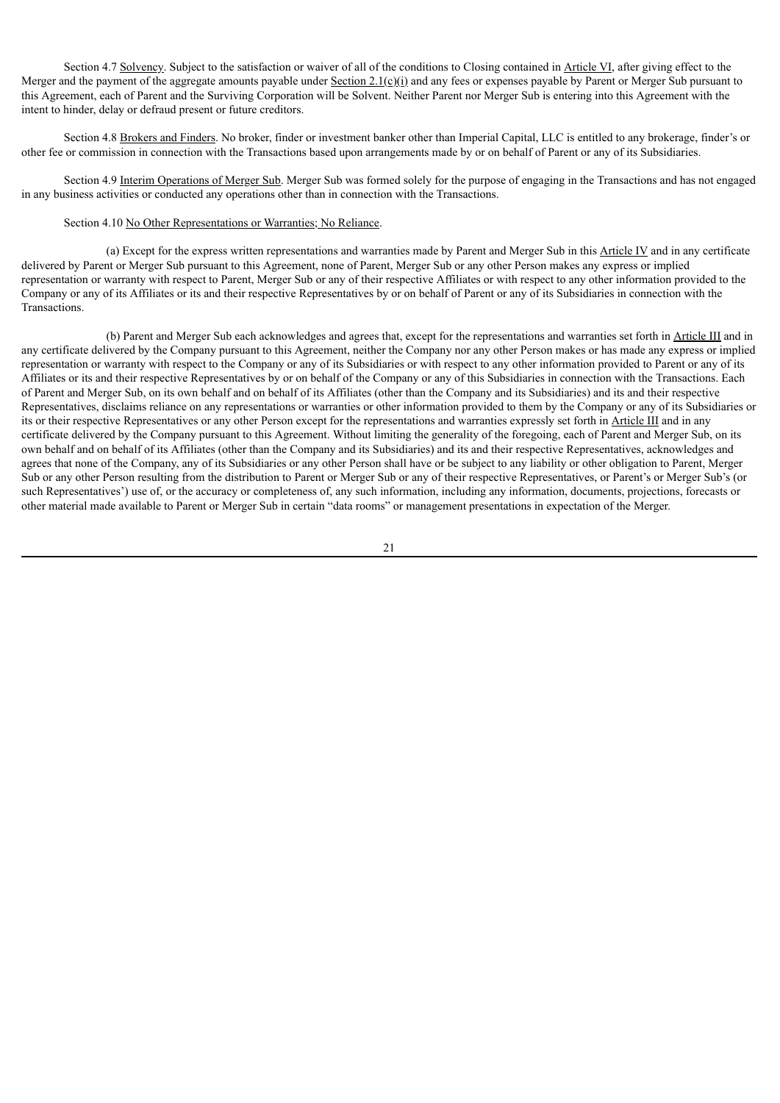Section 4.7 Solvency. Subject to the satisfaction or waiver of all of the conditions to Closing contained in Article VI, after giving effect to the Merger and the payment of the aggregate amounts payable under Section 2.1(c)(i) and any fees or expenses payable by Parent or Merger Sub pursuant to this Agreement, each of Parent and the Surviving Corporation will be Solvent. Neither Parent nor Merger Sub is entering into this Agreement with the intent to hinder, delay or defraud present or future creditors.

Section 4.8 Brokers and Finders. No broker, finder or investment banker other than Imperial Capital, LLC is entitled to any brokerage, finder's or other fee or commission in connection with the Transactions based upon arrangements made by or on behalf of Parent or any of its Subsidiaries.

Section 4.9 Interim Operations of Merger Sub. Merger Sub was formed solely for the purpose of engaging in the Transactions and has not engaged in any business activities or conducted any operations other than in connection with the Transactions.

## Section 4.10 No Other Representations or Warranties; No Reliance.

(a) Except for the express written representations and warranties made by Parent and Merger Sub in this Article IV and in any certificate delivered by Parent or Merger Sub pursuant to this Agreement, none of Parent, Merger Sub or any other Person makes any express or implied representation or warranty with respect to Parent, Merger Sub or any of their respective Affiliates or with respect to any other information provided to the Company or any of its Affiliates or its and their respective Representatives by or on behalf of Parent or any of its Subsidiaries in connection with the Transactions.

(b) Parent and Merger Sub each acknowledges and agrees that, except for the representations and warranties set forth in Article III and in any certificate delivered by the Company pursuant to this Agreement, neither the Company nor any other Person makes or has made any express or implied representation or warranty with respect to the Company or any of its Subsidiaries or with respect to any other information provided to Parent or any of its Affiliates or its and their respective Representatives by or on behalf of the Company or any of this Subsidiaries in connection with the Transactions. Each of Parent and Merger Sub, on its own behalf and on behalf of its Affiliates (other than the Company and its Subsidiaries) and its and their respective Representatives, disclaims reliance on any representations or warranties or other information provided to them by the Company or any of its Subsidiaries or its or their respective Representatives or any other Person except for the representations and warranties expressly set forth in Article III and in any certificate delivered by the Company pursuant to this Agreement. Without limiting the generality of the foregoing, each of Parent and Merger Sub, on its own behalf and on behalf of its Affiliates (other than the Company and its Subsidiaries) and its and their respective Representatives, acknowledges and agrees that none of the Company, any of its Subsidiaries or any other Person shall have or be subject to any liability or other obligation to Parent, Merger Sub or any other Person resulting from the distribution to Parent or Merger Sub or any of their respective Representatives, or Parent's or Merger Sub's (or such Representatives') use of, or the accuracy or completeness of, any such information, including any information, documents, projections, forecasts or other material made available to Parent or Merger Sub in certain "data rooms" or management presentations in expectation of the Merger.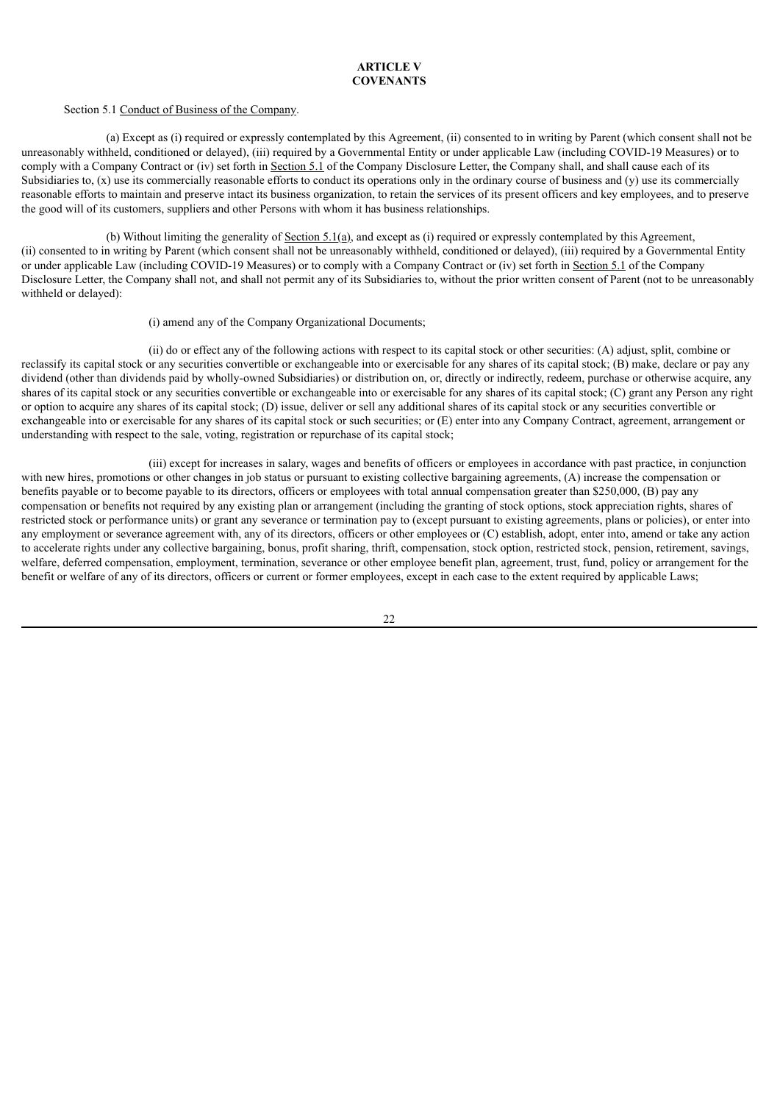# **ARTICLE V COVENANTS**

#### Section 5.1 Conduct of Business of the Company.

(a) Except as (i) required or expressly contemplated by this Agreement, (ii) consented to in writing by Parent (which consent shall not be unreasonably withheld, conditioned or delayed), (iii) required by a Governmental Entity or under applicable Law (including COVID-19 Measures) or to comply with a Company Contract or (iv) set forth in Section 5.1 of the Company Disclosure Letter, the Company shall, and shall cause each of its Subsidiaries to,  $(x)$  use its commercially reasonable efforts to conduct its operations only in the ordinary course of business and  $(y)$  use its commercially reasonable efforts to maintain and preserve intact its business organization, to retain the services of its present officers and key employees, and to preserve the good will of its customers, suppliers and other Persons with whom it has business relationships.

(b) Without limiting the generality of Section  $5.1(a)$ , and except as (i) required or expressly contemplated by this Agreement, (ii) consented to in writing by Parent (which consent shall not be unreasonably withheld, conditioned or delayed), (iii) required by a Governmental Entity or under applicable Law (including COVID-19 Measures) or to comply with a Company Contract or (iv) set forth in Section 5.1 of the Company Disclosure Letter, the Company shall not, and shall not permit any of its Subsidiaries to, without the prior written consent of Parent (not to be unreasonably withheld or delayed):

#### (i) amend any of the Company Organizational Documents;

(ii) do or effect any of the following actions with respect to its capital stock or other securities: (A) adjust, split, combine or reclassify its capital stock or any securities convertible or exchangeable into or exercisable for any shares of its capital stock; (B) make, declare or pay any dividend (other than dividends paid by wholly-owned Subsidiaries) or distribution on, or, directly or indirectly, redeem, purchase or otherwise acquire, any shares of its capital stock or any securities convertible or exchangeable into or exercisable for any shares of its capital stock; (C) grant any Person any right or option to acquire any shares of its capital stock; (D) issue, deliver or sell any additional shares of its capital stock or any securities convertible or exchangeable into or exercisable for any shares of its capital stock or such securities; or (E) enter into any Company Contract, agreement, arrangement or understanding with respect to the sale, voting, registration or repurchase of its capital stock;

(iii) except for increases in salary, wages and benefits of officers or employees in accordance with past practice, in conjunction with new hires, promotions or other changes in job status or pursuant to existing collective bargaining agreements, (A) increase the compensation or benefits payable or to become payable to its directors, officers or employees with total annual compensation greater than \$250,000, (B) pay any compensation or benefits not required by any existing plan or arrangement (including the granting of stock options, stock appreciation rights, shares of restricted stock or performance units) or grant any severance or termination pay to (except pursuant to existing agreements, plans or policies), or enter into any employment or severance agreement with, any of its directors, officers or other employees or (C) establish, adopt, enter into, amend or take any action to accelerate rights under any collective bargaining, bonus, profit sharing, thrift, compensation, stock option, restricted stock, pension, retirement, savings, welfare, deferred compensation, employment, termination, severance or other employee benefit plan, agreement, trust, fund, policy or arrangement for the benefit or welfare of any of its directors, officers or current or former employees, except in each case to the extent required by applicable Laws;

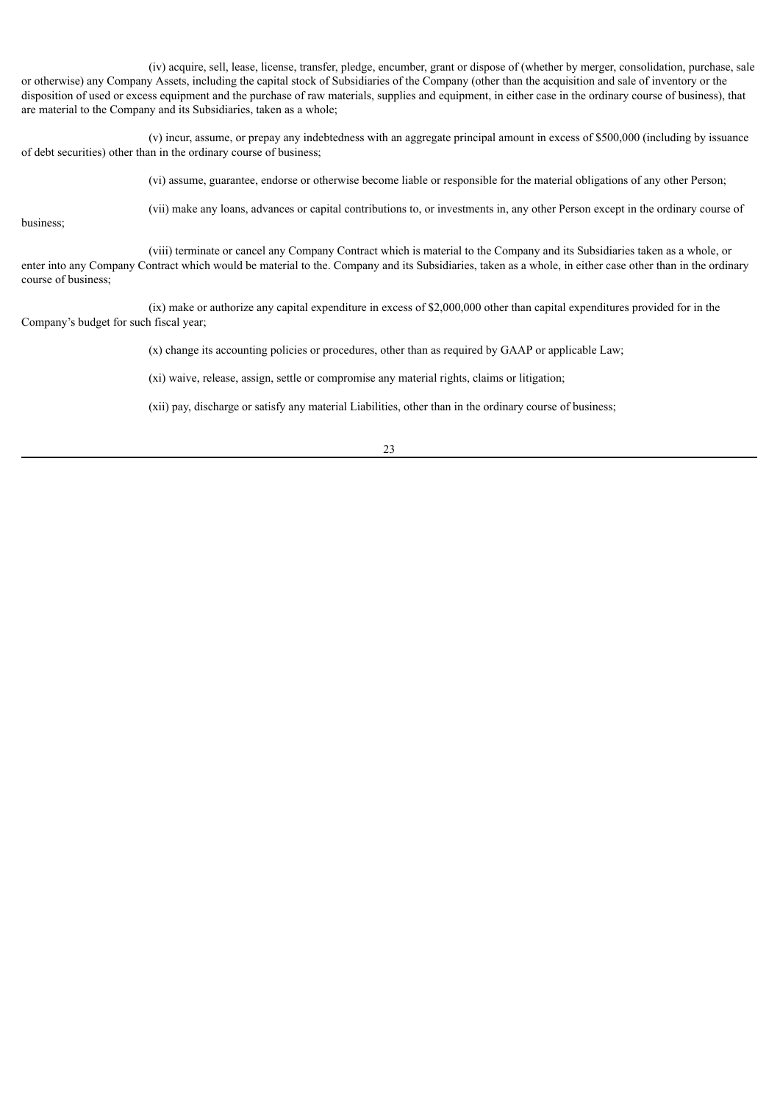(iv) acquire, sell, lease, license, transfer, pledge, encumber, grant or dispose of (whether by merger, consolidation, purchase, sale or otherwise) any Company Assets, including the capital stock of Subsidiaries of the Company (other than the acquisition and sale of inventory or the disposition of used or excess equipment and the purchase of raw materials, supplies and equipment, in either case in the ordinary course of business), that are material to the Company and its Subsidiaries, taken as a whole;

(v) incur, assume, or prepay any indebtedness with an aggregate principal amount in excess of \$500,000 (including by issuance of debt securities) other than in the ordinary course of business;

(vi) assume, guarantee, endorse or otherwise become liable or responsible for the material obligations of any other Person;

business;

(vii) make any loans, advances or capital contributions to, or investments in, any other Person except in the ordinary course of

(viii) terminate or cancel any Company Contract which is material to the Company and its Subsidiaries taken as a whole, or enter into any Company Contract which would be material to the. Company and its Subsidiaries, taken as a whole, in either case other than in the ordinary course of business;

(ix) make or authorize any capital expenditure in excess of \$2,000,000 other than capital expenditures provided for in the Company's budget for such fiscal year;

(x) change its accounting policies or procedures, other than as required by GAAP or applicable Law;

(xi) waive, release, assign, settle or compromise any material rights, claims or litigation;

(xii) pay, discharge or satisfy any material Liabilities, other than in the ordinary course of business;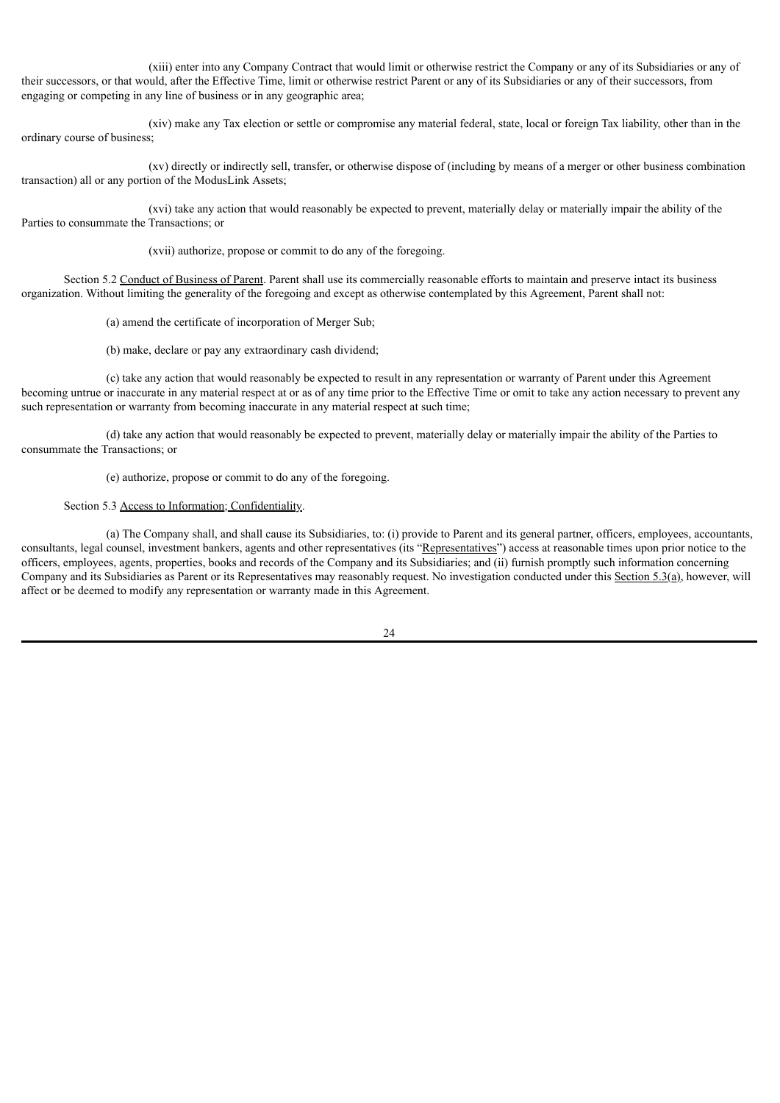(xiii) enter into any Company Contract that would limit or otherwise restrict the Company or any of its Subsidiaries or any of their successors, or that would, after the Effective Time, limit or otherwise restrict Parent or any of its Subsidiaries or any of their successors, from engaging or competing in any line of business or in any geographic area;

(xiv) make any Tax election or settle or compromise any material federal, state, local or foreign Tax liability, other than in the ordinary course of business;

(xv) directly or indirectly sell, transfer, or otherwise dispose of (including by means of a merger or other business combination transaction) all or any portion of the ModusLink Assets;

(xvi) take any action that would reasonably be expected to prevent, materially delay or materially impair the ability of the Parties to consummate the Transactions; or

(xvii) authorize, propose or commit to do any of the foregoing.

Section 5.2 Conduct of Business of Parent. Parent shall use its commercially reasonable efforts to maintain and preserve intact its business organization. Without limiting the generality of the foregoing and except as otherwise contemplated by this Agreement, Parent shall not:

(a) amend the certificate of incorporation of Merger Sub;

(b) make, declare or pay any extraordinary cash dividend;

(c) take any action that would reasonably be expected to result in any representation or warranty of Parent under this Agreement becoming untrue or inaccurate in any material respect at or as of any time prior to the Effective Time or omit to take any action necessary to prevent any such representation or warranty from becoming inaccurate in any material respect at such time;

(d) take any action that would reasonably be expected to prevent, materially delay or materially impair the ability of the Parties to consummate the Transactions; or

(e) authorize, propose or commit to do any of the foregoing.

#### Section 5.3 Access to Information; Confidentiality.

(a) The Company shall, and shall cause its Subsidiaries, to: (i) provide to Parent and its general partner, officers, employees, accountants, consultants, legal counsel, investment bankers, agents and other representatives (its "Representatives") access at reasonable times upon prior notice to the officers, employees, agents, properties, books and records of the Company and its Subsidiaries; and (ii) furnish promptly such information concerning Company and its Subsidiaries as Parent or its Representatives may reasonably request. No investigation conducted under this Section 5.3(a), however, will affect or be deemed to modify any representation or warranty made in this Agreement.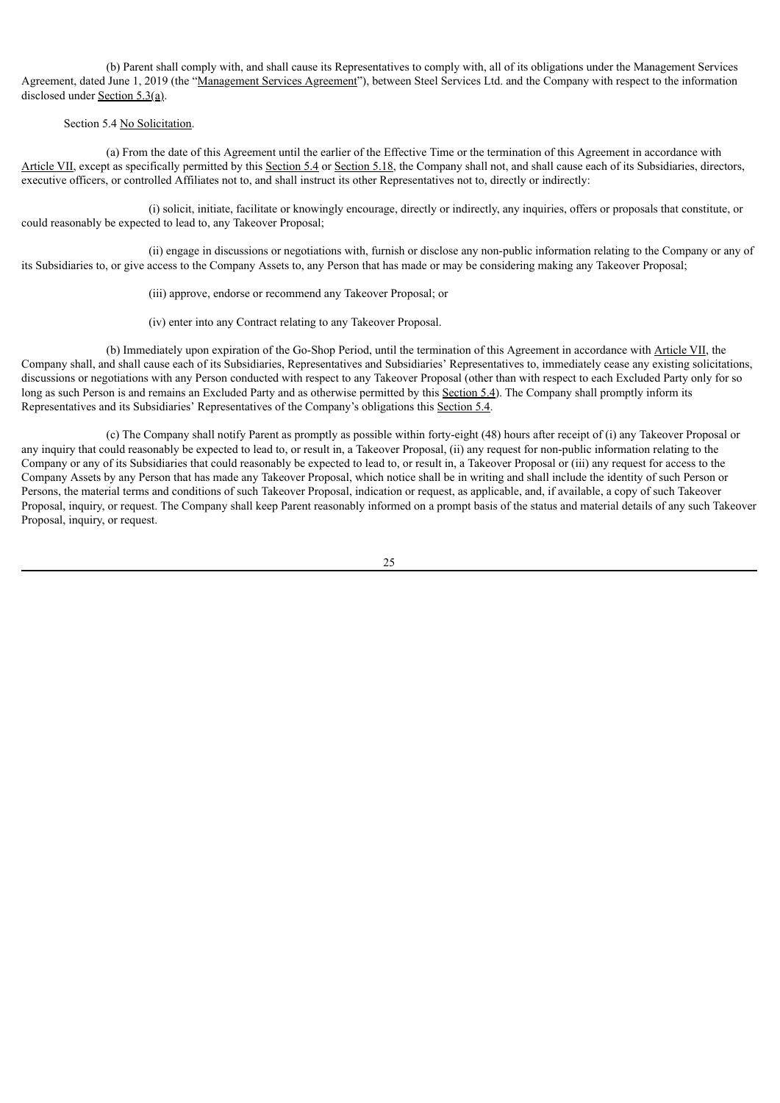(b) Parent shall comply with, and shall cause its Representatives to comply with, all of its obligations under the Management Services Agreement, dated June 1, 2019 (the "Management Services Agreement"), between Steel Services Ltd. and the Company with respect to the information disclosed under Section 5.3(a).

## Section 5.4 No Solicitation.

(a) From the date of this Agreement until the earlier of the Effective Time or the termination of this Agreement in accordance with Article VII, except as specifically permitted by this Section 5.4 or Section 5.18, the Company shall not, and shall cause each of its Subsidiaries, directors, executive officers, or controlled Affiliates not to, and shall instruct its other Representatives not to, directly or indirectly:

(i) solicit, initiate, facilitate or knowingly encourage, directly or indirectly, any inquiries, offers or proposals that constitute, or could reasonably be expected to lead to, any Takeover Proposal;

(ii) engage in discussions or negotiations with, furnish or disclose any non-public information relating to the Company or any of its Subsidiaries to, or give access to the Company Assets to, any Person that has made or may be considering making any Takeover Proposal;

(iii) approve, endorse or recommend any Takeover Proposal; or

(iv) enter into any Contract relating to any Takeover Proposal.

(b) Immediately upon expiration of the Go-Shop Period, until the termination of this Agreement in accordance with Article VII, the Company shall, and shall cause each of its Subsidiaries, Representatives and Subsidiaries' Representatives to, immediately cease any existing solicitations, discussions or negotiations with any Person conducted with respect to any Takeover Proposal (other than with respect to each Excluded Party only for so long as such Person is and remains an Excluded Party and as otherwise permitted by this Section 5.4). The Company shall promptly inform its Representatives and its Subsidiaries' Representatives of the Company's obligations this Section 5.4.

(c) The Company shall notify Parent as promptly as possible within forty-eight (48) hours after receipt of (i) any Takeover Proposal or any inquiry that could reasonably be expected to lead to, or result in, a Takeover Proposal, (ii) any request for non-public information relating to the Company or any of its Subsidiaries that could reasonably be expected to lead to, or result in, a Takeover Proposal or (iii) any request for access to the Company Assets by any Person that has made any Takeover Proposal, which notice shall be in writing and shall include the identity of such Person or Persons, the material terms and conditions of such Takeover Proposal, indication or request, as applicable, and, if available, a copy of such Takeover Proposal, inquiry, or request. The Company shall keep Parent reasonably informed on a prompt basis of the status and material details of any such Takeover Proposal, inquiry, or request.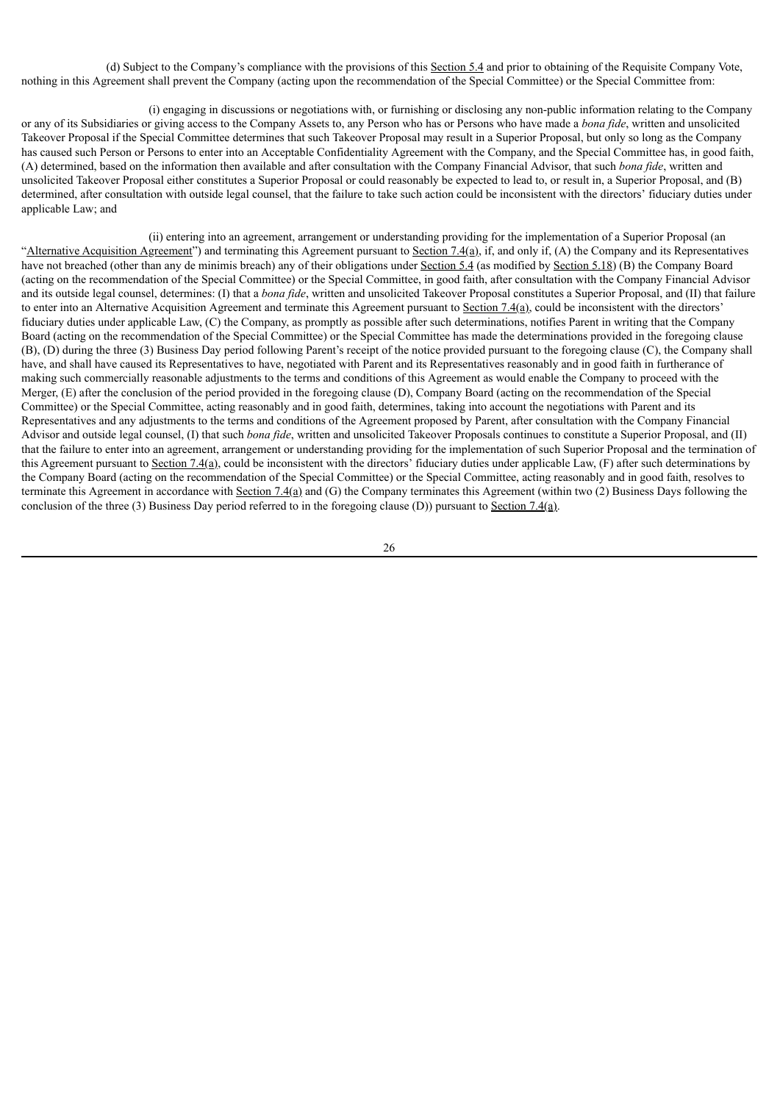(d) Subject to the Company's compliance with the provisions of this Section 5.4 and prior to obtaining of the Requisite Company Vote, nothing in this Agreement shall prevent the Company (acting upon the recommendation of the Special Committee) or the Special Committee from:

(i) engaging in discussions or negotiations with, or furnishing or disclosing any non-public information relating to the Company or any of its Subsidiaries or giving access to the Company Assets to, any Person who has or Persons who have made a *bona fide*, written and unsolicited Takeover Proposal if the Special Committee determines that such Takeover Proposal may result in a Superior Proposal, but only so long as the Company has caused such Person or Persons to enter into an Acceptable Confidentiality Agreement with the Company, and the Special Committee has, in good faith, (A) determined, based on the information then available and after consultation with the Company Financial Advisor, that such *bona fide*, written and unsolicited Takeover Proposal either constitutes a Superior Proposal or could reasonably be expected to lead to, or result in, a Superior Proposal, and (B) determined, after consultation with outside legal counsel, that the failure to take such action could be inconsistent with the directors' fiduciary duties under applicable Law; and

(ii) entering into an agreement, arrangement or understanding providing for the implementation of a Superior Proposal (an "Alternative Acquisition Agreement") and terminating this Agreement pursuant to Section 7.4(a), if, and only if, (A) the Company and its Representatives have not breached (other than any de minimis breach) any of their obligations under Section 5.4 (as modified by Section 5.18) (B) the Company Board (acting on the recommendation of the Special Committee) or the Special Committee, in good faith, after consultation with the Company Financial Advisor and its outside legal counsel, determines: (I) that a *bona fide*, written and unsolicited Takeover Proposal constitutes a Superior Proposal, and (II) that failure to enter into an Alternative Acquisition Agreement and terminate this Agreement pursuant to Section 7.4(a), could be inconsistent with the directors' fiduciary duties under applicable Law, (C) the Company, as promptly as possible after such determinations, notifies Parent in writing that the Company Board (acting on the recommendation of the Special Committee) or the Special Committee has made the determinations provided in the foregoing clause (B), (D) during the three (3) Business Day period following Parent's receipt of the notice provided pursuant to the foregoing clause (C), the Company shall have, and shall have caused its Representatives to have, negotiated with Parent and its Representatives reasonably and in good faith in furtherance of making such commercially reasonable adjustments to the terms and conditions of this Agreement as would enable the Company to proceed with the Merger, (E) after the conclusion of the period provided in the foregoing clause (D), Company Board (acting on the recommendation of the Special Committee) or the Special Committee, acting reasonably and in good faith, determines, taking into account the negotiations with Parent and its Representatives and any adjustments to the terms and conditions of the Agreement proposed by Parent, after consultation with the Company Financial Advisor and outside legal counsel, (I) that such *bona fide*, written and unsolicited Takeover Proposals continues to constitute a Superior Proposal, and (II) that the failure to enter into an agreement, arrangement or understanding providing for the implementation of such Superior Proposal and the termination of this Agreement pursuant to Section 7.4(a), could be inconsistent with the directors' fiduciary duties under applicable Law, (F) after such determinations by the Company Board (acting on the recommendation of the Special Committee) or the Special Committee, acting reasonably and in good faith, resolves to terminate this Agreement in accordance with Section 7.4(a) and (G) the Company terminates this Agreement (within two  $(2)$  Business Days following the conclusion of the three (3) Business Day period referred to in the foregoing clause (D)) pursuant to Section 7.4(a).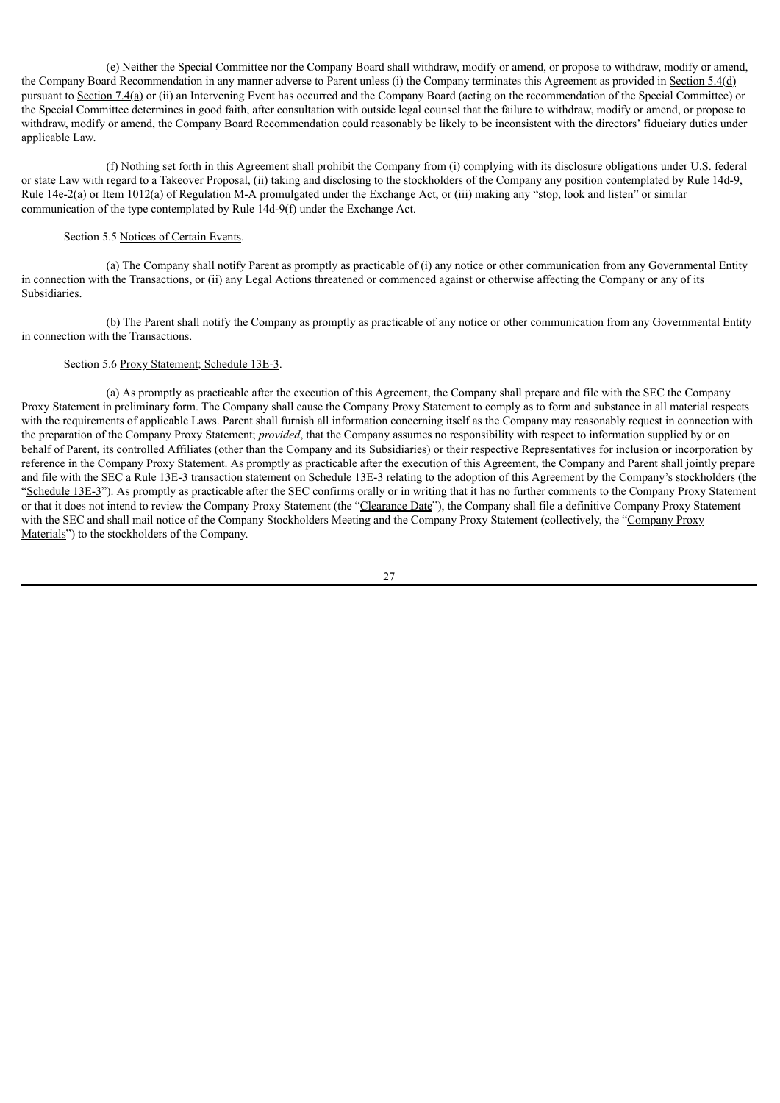(e) Neither the Special Committee nor the Company Board shall withdraw, modify or amend, or propose to withdraw, modify or amend, the Company Board Recommendation in any manner adverse to Parent unless (i) the Company terminates this Agreement as provided in Section 5.4(d) pursuant to Section 7.4(a) or (ii) an Intervening Event has occurred and the Company Board (acting on the recommendation of the Special Committee) or the Special Committee determines in good faith, after consultation with outside legal counsel that the failure to withdraw, modify or amend, or propose to withdraw, modify or amend, the Company Board Recommendation could reasonably be likely to be inconsistent with the directors' fiduciary duties under applicable Law.

(f) Nothing set forth in this Agreement shall prohibit the Company from (i) complying with its disclosure obligations under U.S. federal or state Law with regard to a Takeover Proposal, (ii) taking and disclosing to the stockholders of the Company any position contemplated by Rule 14d-9, Rule 14e-2(a) or Item 1012(a) of Regulation M-A promulgated under the Exchange Act, or (iii) making any "stop, look and listen" or similar communication of the type contemplated by Rule 14d-9(f) under the Exchange Act.

#### Section 5.5 Notices of Certain Events.

(a) The Company shall notify Parent as promptly as practicable of (i) any notice or other communication from any Governmental Entity in connection with the Transactions, or (ii) any Legal Actions threatened or commenced against or otherwise affecting the Company or any of its Subsidiaries.

(b) The Parent shall notify the Company as promptly as practicable of any notice or other communication from any Governmental Entity in connection with the Transactions.

#### Section 5.6 Proxy Statement; Schedule 13E-3.

(a) As promptly as practicable after the execution of this Agreement, the Company shall prepare and file with the SEC the Company Proxy Statement in preliminary form. The Company shall cause the Company Proxy Statement to comply as to form and substance in all material respects with the requirements of applicable Laws. Parent shall furnish all information concerning itself as the Company may reasonably request in connection with the preparation of the Company Proxy Statement; *provided*, that the Company assumes no responsibility with respect to information supplied by or on behalf of Parent, its controlled Affiliates (other than the Company and its Subsidiaries) or their respective Representatives for inclusion or incorporation by reference in the Company Proxy Statement. As promptly as practicable after the execution of this Agreement, the Company and Parent shall jointly prepare and file with the SEC a Rule 13E-3 transaction statement on Schedule 13E-3 relating to the adoption of this Agreement by the Company's stockholders (the "Schedule 13E-3"). As promptly as practicable after the SEC confirms orally or in writing that it has no further comments to the Company Proxy Statement or that it does not intend to review the Company Proxy Statement (the "Clearance Date"), the Company shall file a definitive Company Proxy Statement with the SEC and shall mail notice of the Company Stockholders Meeting and the Company Proxy Statement (collectively, the "Company Proxy Materials") to the stockholders of the Company.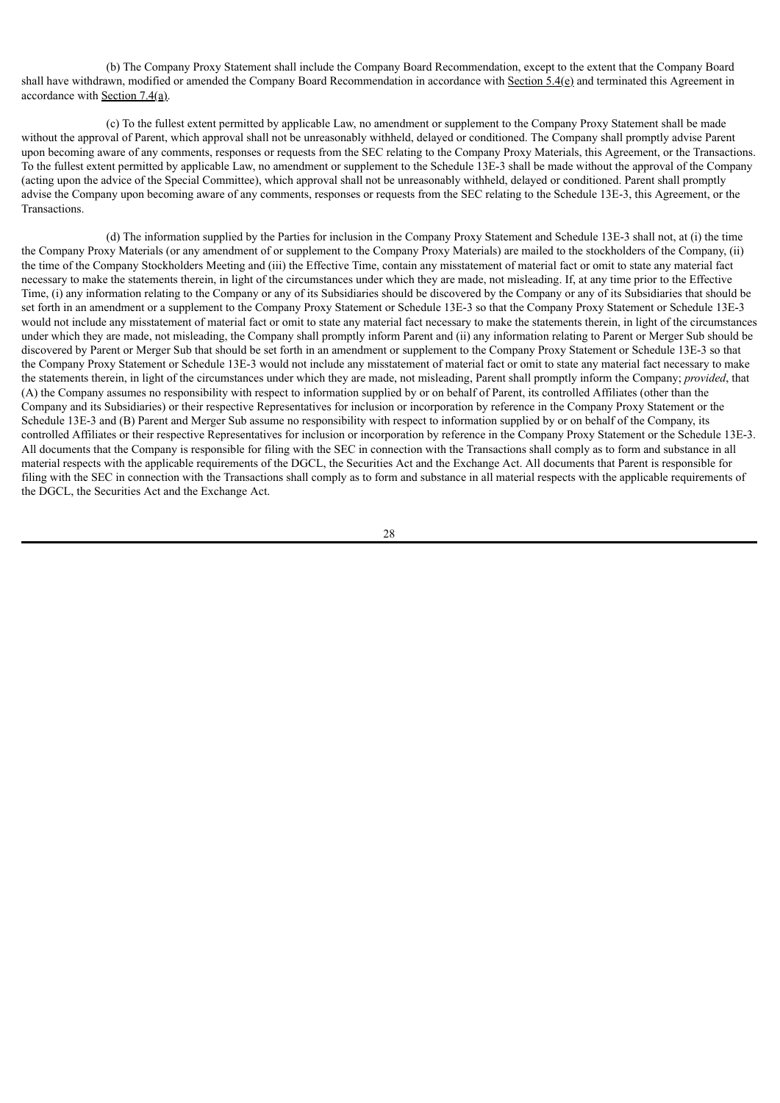(b) The Company Proxy Statement shall include the Company Board Recommendation, except to the extent that the Company Board shall have withdrawn, modified or amended the Company Board Recommendation in accordance with Section 5.4(e) and terminated this Agreement in accordance with Section 7.4(a).

(c) To the fullest extent permitted by applicable Law, no amendment or supplement to the Company Proxy Statement shall be made without the approval of Parent, which approval shall not be unreasonably withheld, delayed or conditioned. The Company shall promptly advise Parent upon becoming aware of any comments, responses or requests from the SEC relating to the Company Proxy Materials, this Agreement, or the Transactions. To the fullest extent permitted by applicable Law, no amendment or supplement to the Schedule 13E-3 shall be made without the approval of the Company (acting upon the advice of the Special Committee), which approval shall not be unreasonably withheld, delayed or conditioned. Parent shall promptly advise the Company upon becoming aware of any comments, responses or requests from the SEC relating to the Schedule 13E-3, this Agreement, or the **Transactions** 

(d) The information supplied by the Parties for inclusion in the Company Proxy Statement and Schedule 13E-3 shall not, at (i) the time the Company Proxy Materials (or any amendment of or supplement to the Company Proxy Materials) are mailed to the stockholders of the Company, (ii) the time of the Company Stockholders Meeting and (iii) the Effective Time, contain any misstatement of material fact or omit to state any material fact necessary to make the statements therein, in light of the circumstances under which they are made, not misleading. If, at any time prior to the Effective Time, (i) any information relating to the Company or any of its Subsidiaries should be discovered by the Company or any of its Subsidiaries that should be set forth in an amendment or a supplement to the Company Proxy Statement or Schedule 13E-3 so that the Company Proxy Statement or Schedule 13E-3 would not include any misstatement of material fact or omit to state any material fact necessary to make the statements therein, in light of the circumstances under which they are made, not misleading, the Company shall promptly inform Parent and (ii) any information relating to Parent or Merger Sub should be discovered by Parent or Merger Sub that should be set forth in an amendment or supplement to the Company Proxy Statement or Schedule 13E-3 so that the Company Proxy Statement or Schedule 13E-3 would not include any misstatement of material fact or omit to state any material fact necessary to make the statements therein, in light of the circumstances under which they are made, not misleading, Parent shall promptly inform the Company; *provided*, that (A) the Company assumes no responsibility with respect to information supplied by or on behalf of Parent, its controlled Affiliates (other than the Company and its Subsidiaries) or their respective Representatives for inclusion or incorporation by reference in the Company Proxy Statement or the Schedule 13E-3 and (B) Parent and Merger Sub assume no responsibility with respect to information supplied by or on behalf of the Company, its controlled Affiliates or their respective Representatives for inclusion or incorporation by reference in the Company Proxy Statement or the Schedule 13E-3. All documents that the Company is responsible for filing with the SEC in connection with the Transactions shall comply as to form and substance in all material respects with the applicable requirements of the DGCL, the Securities Act and the Exchange Act. All documents that Parent is responsible for filing with the SEC in connection with the Transactions shall comply as to form and substance in all material respects with the applicable requirements of the DGCL, the Securities Act and the Exchange Act.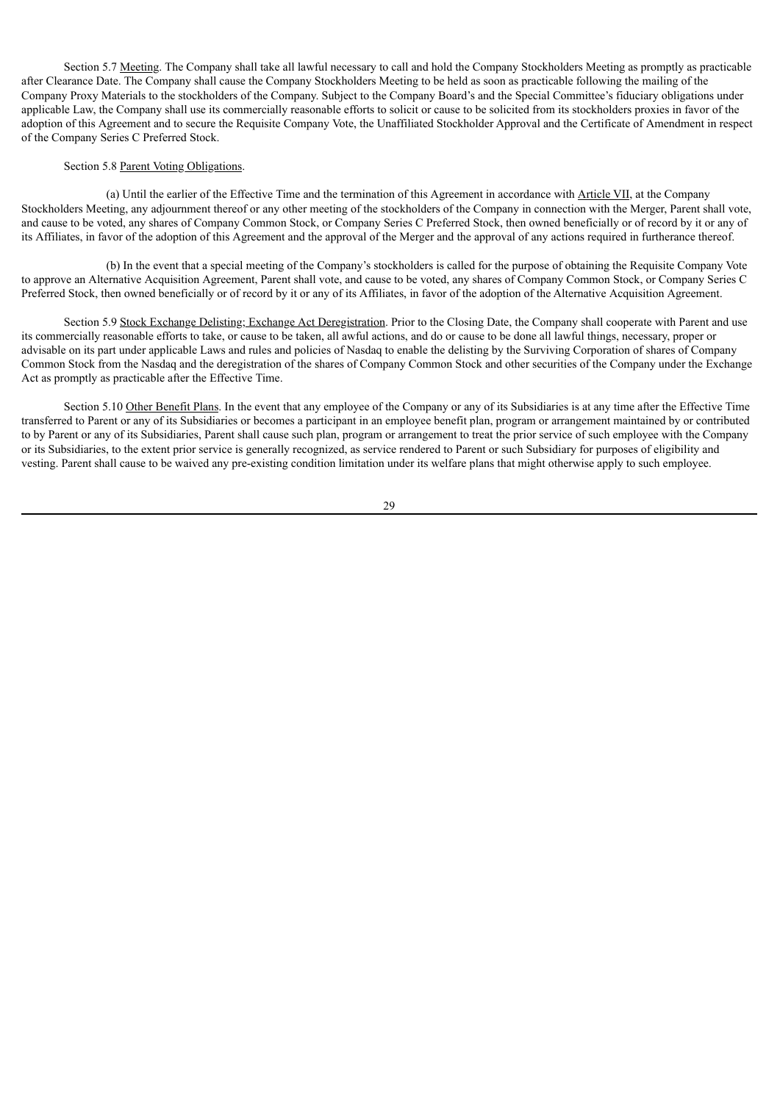Section 5.7 Meeting. The Company shall take all lawful necessary to call and hold the Company Stockholders Meeting as promptly as practicable after Clearance Date. The Company shall cause the Company Stockholders Meeting to be held as soon as practicable following the mailing of the Company Proxy Materials to the stockholders of the Company. Subject to the Company Board's and the Special Committee's fiduciary obligations under applicable Law, the Company shall use its commercially reasonable efforts to solicit or cause to be solicited from its stockholders proxies in favor of the adoption of this Agreement and to secure the Requisite Company Vote, the Unaffiliated Stockholder Approval and the Certificate of Amendment in respect of the Company Series C Preferred Stock.

#### Section 5.8 Parent Voting Obligations.

(a) Until the earlier of the Effective Time and the termination of this Agreement in accordance with Article VII, at the Company Stockholders Meeting, any adjournment thereof or any other meeting of the stockholders of the Company in connection with the Merger, Parent shall vote, and cause to be voted, any shares of Company Common Stock, or Company Series C Preferred Stock, then owned beneficially or of record by it or any of its Affiliates, in favor of the adoption of this Agreement and the approval of the Merger and the approval of any actions required in furtherance thereof.

(b) In the event that a special meeting of the Company's stockholders is called for the purpose of obtaining the Requisite Company Vote to approve an Alternative Acquisition Agreement, Parent shall vote, and cause to be voted, any shares of Company Common Stock, or Company Series C Preferred Stock, then owned beneficially or of record by it or any of its Affiliates, in favor of the adoption of the Alternative Acquisition Agreement.

Section 5.9 Stock Exchange Delisting; Exchange Act Deregistration. Prior to the Closing Date, the Company shall cooperate with Parent and use its commercially reasonable efforts to take, or cause to be taken, all awful actions, and do or cause to be done all lawful things, necessary, proper or advisable on its part under applicable Laws and rules and policies of Nasdaq to enable the delisting by the Surviving Corporation of shares of Company Common Stock from the Nasdaq and the deregistration of the shares of Company Common Stock and other securities of the Company under the Exchange Act as promptly as practicable after the Effective Time.

Section 5.10 Other Benefit Plans. In the event that any employee of the Company or any of its Subsidiaries is at any time after the Effective Time transferred to Parent or any of its Subsidiaries or becomes a participant in an employee benefit plan, program or arrangement maintained by or contributed to by Parent or any of its Subsidiaries, Parent shall cause such plan, program or arrangement to treat the prior service of such employee with the Company or its Subsidiaries, to the extent prior service is generally recognized, as service rendered to Parent or such Subsidiary for purposes of eligibility and vesting. Parent shall cause to be waived any pre-existing condition limitation under its welfare plans that might otherwise apply to such employee.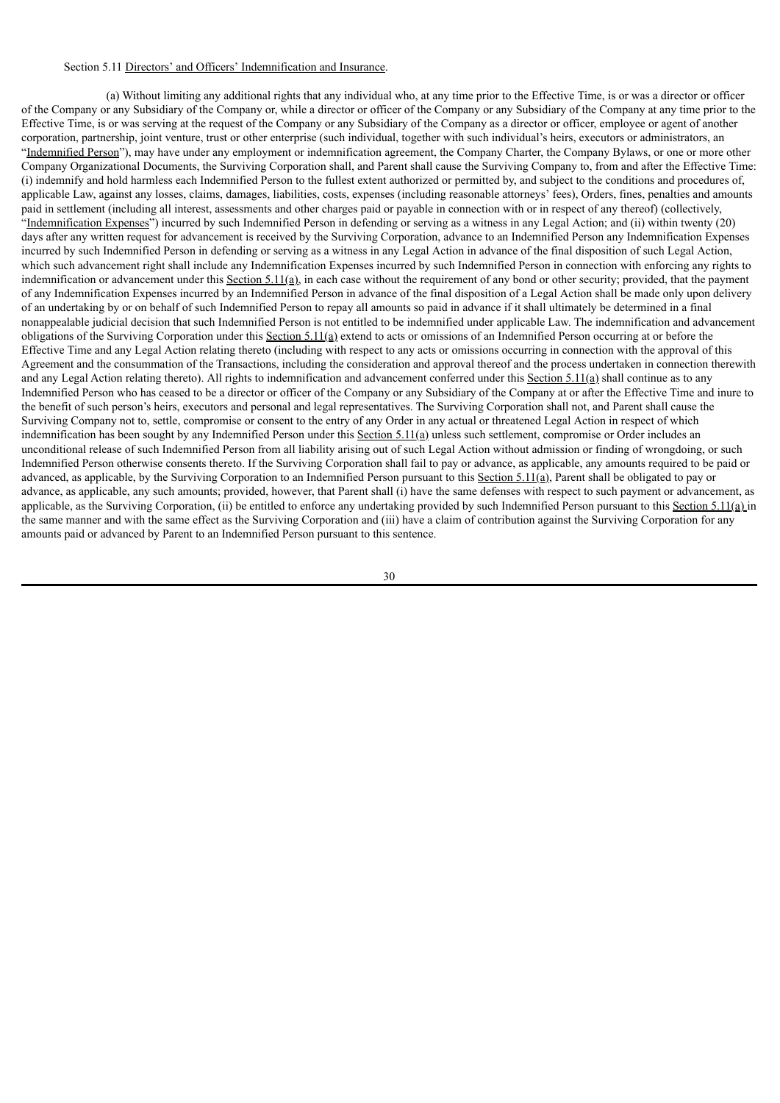# Section 5.11 Directors' and Officers' Indemnification and Insurance.

(a) Without limiting any additional rights that any individual who, at any time prior to the Effective Time, is or was a director or officer of the Company or any Subsidiary of the Company or, while a director or officer of the Company or any Subsidiary of the Company at any time prior to the Effective Time, is or was serving at the request of the Company or any Subsidiary of the Company as a director or officer, employee or agent of another corporation, partnership, joint venture, trust or other enterprise (such individual, together with such individual's heirs, executors or administrators, an "Indemnified Person"), may have under any employment or indemnification agreement, the Company Charter, the Company Bylaws, or one or more other Company Organizational Documents, the Surviving Corporation shall, and Parent shall cause the Surviving Company to, from and after the Effective Time: (i) indemnify and hold harmless each Indemnified Person to the fullest extent authorized or permitted by, and subject to the conditions and procedures of, applicable Law, against any losses, claims, damages, liabilities, costs, expenses (including reasonable attorneys' fees), Orders, fines, penalties and amounts paid in settlement (including all interest, assessments and other charges paid or payable in connection with or in respect of any thereof) (collectively, "Indemnification Expenses") incurred by such Indemnified Person in defending or serving as a witness in any Legal Action; and (ii) within twenty (20) days after any written request for advancement is received by the Surviving Corporation, advance to an Indemnified Person any Indemnification Expenses incurred by such Indemnified Person in defending or serving as a witness in any Legal Action in advance of the final disposition of such Legal Action, which such advancement right shall include any Indemnification Expenses incurred by such Indemnified Person in connection with enforcing any rights to indemnification or advancement under this Section 5.11(a), in each case without the requirement of any bond or other security; provided, that the payment of any Indemnification Expenses incurred by an Indemnified Person in advance of the final disposition of a Legal Action shall be made only upon delivery of an undertaking by or on behalf of such Indemnified Person to repay all amounts so paid in advance if it shall ultimately be determined in a final nonappealable judicial decision that such Indemnified Person is not entitled to be indemnified under applicable Law. The indemnification and advancement obligations of the Surviving Corporation under this Section 5.11(a) extend to acts or omissions of an Indemnified Person occurring at or before the Effective Time and any Legal Action relating thereto (including with respect to any acts or omissions occurring in connection with the approval of this Agreement and the consummation of the Transactions, including the consideration and approval thereof and the process undertaken in connection therewith and any Legal Action relating thereto). All rights to indemnification and advancement conferred under this Section 5.11(a) shall continue as to any Indemnified Person who has ceased to be a director or officer of the Company or any Subsidiary of the Company at or after the Effective Time and inure to the benefit of such person's heirs, executors and personal and legal representatives. The Surviving Corporation shall not, and Parent shall cause the Surviving Company not to, settle, compromise or consent to the entry of any Order in any actual or threatened Legal Action in respect of which indemnification has been sought by any Indemnified Person under this Section 5.11(a) unless such settlement, compromise or Order includes an unconditional release of such Indemnified Person from all liability arising out of such Legal Action without admission or finding of wrongdoing, or such Indemnified Person otherwise consents thereto. If the Surviving Corporation shall fail to pay or advance, as applicable, any amounts required to be paid or advanced, as applicable, by the Surviving Corporation to an Indemnified Person pursuant to this Section 5.11(a), Parent shall be obligated to pay or advance, as applicable, any such amounts; provided, however, that Parent shall (i) have the same defenses with respect to such payment or advancement, as applicable, as the Surviving Corporation, (ii) be entitled to enforce any undertaking provided by such Indemnified Person pursuant to this Section  $5.11(a)$  in the same manner and with the same effect as the Surviving Corporation and (iii) have a claim of contribution against the Surviving Corporation for any amounts paid or advanced by Parent to an Indemnified Person pursuant to this sentence.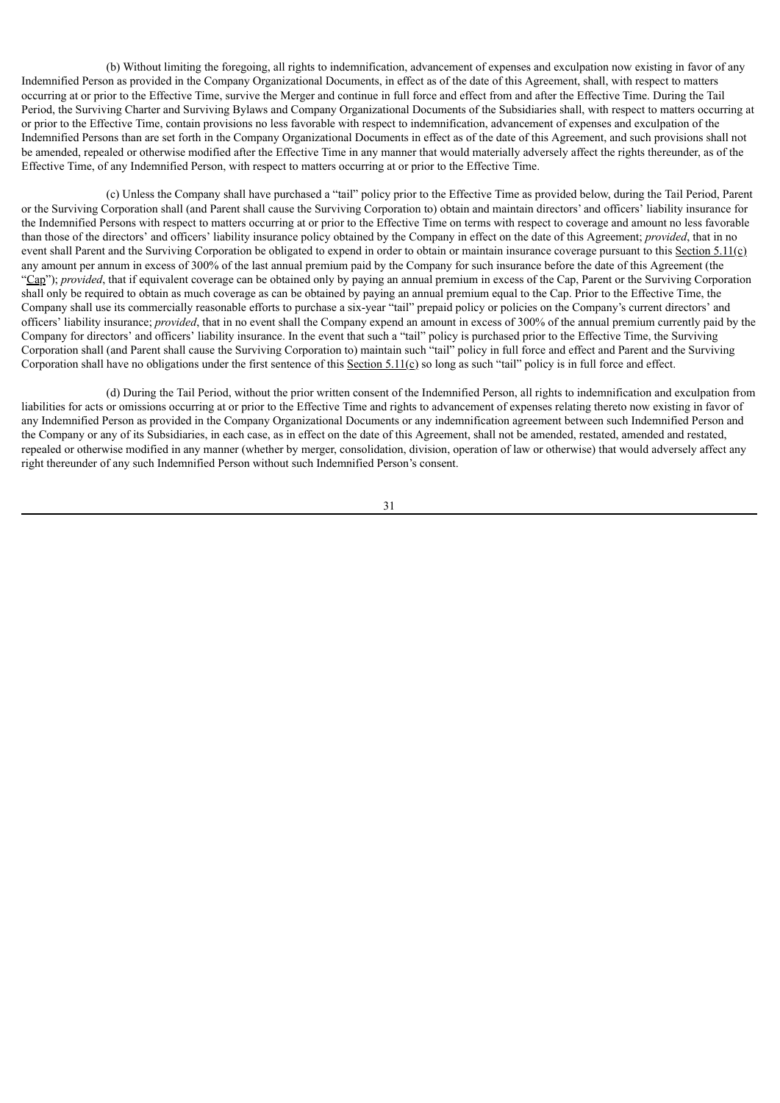(b) Without limiting the foregoing, all rights to indemnification, advancement of expenses and exculpation now existing in favor of any Indemnified Person as provided in the Company Organizational Documents, in effect as of the date of this Agreement, shall, with respect to matters occurring at or prior to the Effective Time, survive the Merger and continue in full force and effect from and after the Effective Time. During the Tail Period, the Surviving Charter and Surviving Bylaws and Company Organizational Documents of the Subsidiaries shall, with respect to matters occurring at or prior to the Effective Time, contain provisions no less favorable with respect to indemnification, advancement of expenses and exculpation of the Indemnified Persons than are set forth in the Company Organizational Documents in effect as of the date of this Agreement, and such provisions shall not be amended, repealed or otherwise modified after the Effective Time in any manner that would materially adversely affect the rights thereunder, as of the Effective Time, of any Indemnified Person, with respect to matters occurring at or prior to the Effective Time.

(c) Unless the Company shall have purchased a "tail" policy prior to the Effective Time as provided below, during the Tail Period, Parent or the Surviving Corporation shall (and Parent shall cause the Surviving Corporation to) obtain and maintain directors' and officers' liability insurance for the Indemnified Persons with respect to matters occurring at or prior to the Effective Time on terms with respect to coverage and amount no less favorable than those of the directors' and officers' liability insurance policy obtained by the Company in effect on the date of this Agreement; *provided*, that in no event shall Parent and the Surviving Corporation be obligated to expend in order to obtain or maintain insurance coverage pursuant to this Section 5.11( $\epsilon$ ) any amount per annum in excess of 300% of the last annual premium paid by the Company for such insurance before the date of this Agreement (the "Cap"); *provided*, that if equivalent coverage can be obtained only by paying an annual premium in excess of the Cap, Parent or the Surviving Corporation shall only be required to obtain as much coverage as can be obtained by paying an annual premium equal to the Cap. Prior to the Effective Time, the Company shall use its commercially reasonable efforts to purchase a six-year "tail" prepaid policy or policies on the Company's current directors' and officers' liability insurance; *provided*, that in no event shall the Company expend an amount in excess of 300% of the annual premium currently paid by the Company for directors' and officers' liability insurance. In the event that such a "tail" policy is purchased prior to the Effective Time, the Surviving Corporation shall (and Parent shall cause the Surviving Corporation to) maintain such "tail" policy in full force and effect and Parent and the Surviving Corporation shall have no obligations under the first sentence of this Section 5.11( $\Omega$ ) so long as such "tail" policy is in full force and effect.

(d) During the Tail Period, without the prior written consent of the Indemnified Person, all rights to indemnification and exculpation from liabilities for acts or omissions occurring at or prior to the Effective Time and rights to advancement of expenses relating thereto now existing in favor of any Indemnified Person as provided in the Company Organizational Documents or any indemnification agreement between such Indemnified Person and the Company or any of its Subsidiaries, in each case, as in effect on the date of this Agreement, shall not be amended, restated, amended and restated, repealed or otherwise modified in any manner (whether by merger, consolidation, division, operation of law or otherwise) that would adversely affect any right thereunder of any such Indemnified Person without such Indemnified Person's consent.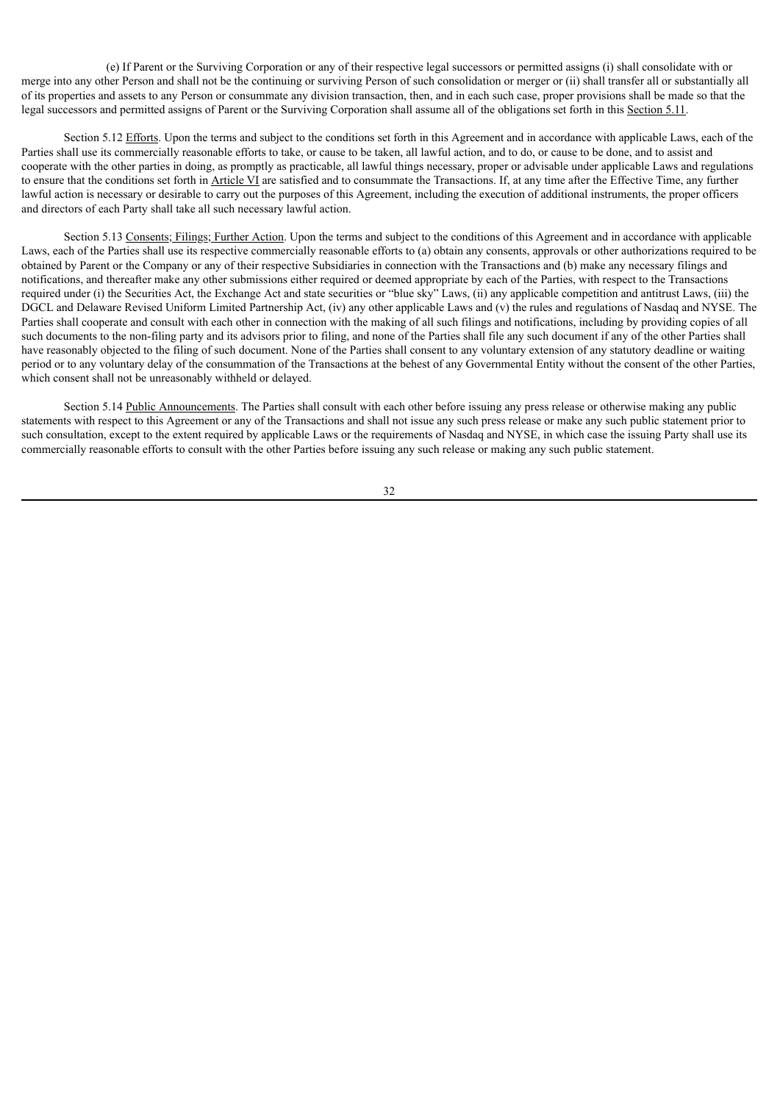(e) If Parent or the Surviving Corporation or any of their respective legal successors or permitted assigns (i) shall consolidate with or merge into any other Person and shall not be the continuing or surviving Person of such consolidation or merger or (ii) shall transfer all or substantially all of its properties and assets to any Person or consummate any division transaction, then, and in each such case, proper provisions shall be made so that the legal successors and permitted assigns of Parent or the Surviving Corporation shall assume all of the obligations set forth in this Section 5.11.

Section 5.12 Efforts. Upon the terms and subject to the conditions set forth in this Agreement and in accordance with applicable Laws, each of the Parties shall use its commercially reasonable efforts to take, or cause to be taken, all lawful action, and to do, or cause to be done, and to assist and cooperate with the other parties in doing, as promptly as practicable, all lawful things necessary, proper or advisable under applicable Laws and regulations to ensure that the conditions set forth in Article VI are satisfied and to consummate the Transactions. If, at any time after the Effective Time, any further lawful action is necessary or desirable to carry out the purposes of this Agreement, including the execution of additional instruments, the proper officers and directors of each Party shall take all such necessary lawful action.

Section 5.13 Consents; Filings; Further Action. Upon the terms and subject to the conditions of this Agreement and in accordance with applicable Laws, each of the Parties shall use its respective commercially reasonable efforts to (a) obtain any consents, approvals or other authorizations required to be obtained by Parent or the Company or any of their respective Subsidiaries in connection with the Transactions and (b) make any necessary filings and notifications, and thereafter make any other submissions either required or deemed appropriate by each of the Parties, with respect to the Transactions required under (i) the Securities Act, the Exchange Act and state securities or "blue sky" Laws, (ii) any applicable competition and antitrust Laws, (iii) the DGCL and Delaware Revised Uniform Limited Partnership Act, (iv) any other applicable Laws and (v) the rules and regulations of Nasdaq and NYSE. The Parties shall cooperate and consult with each other in connection with the making of all such filings and notifications, including by providing copies of all such documents to the non-filing party and its advisors prior to filing, and none of the Parties shall file any such document if any of the other Parties shall have reasonably objected to the filing of such document. None of the Parties shall consent to any voluntary extension of any statutory deadline or waiting period or to any voluntary delay of the consummation of the Transactions at the behest of any Governmental Entity without the consent of the other Parties, which consent shall not be unreasonably withheld or delayed.

Section 5.14 Public Announcements. The Parties shall consult with each other before issuing any press release or otherwise making any public statements with respect to this Agreement or any of the Transactions and shall not issue any such press release or make any such public statement prior to such consultation, except to the extent required by applicable Laws or the requirements of Nasdaq and NYSE, in which case the issuing Party shall use its commercially reasonable efforts to consult with the other Parties before issuing any such release or making any such public statement.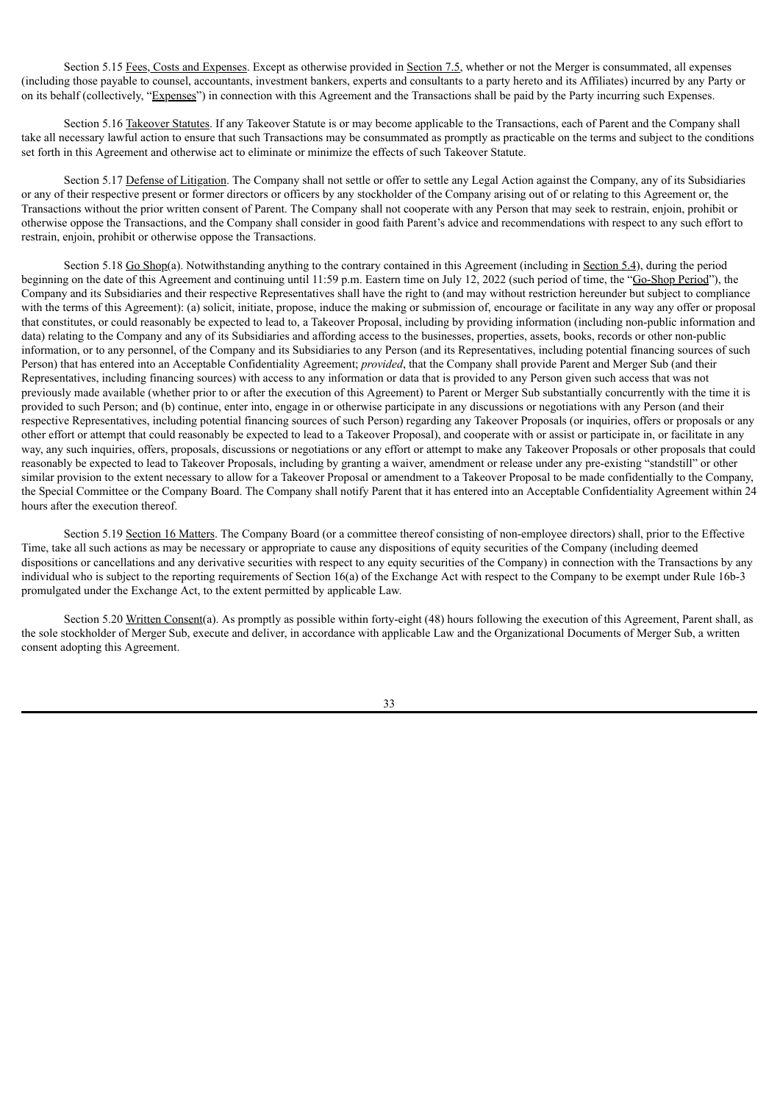Section 5.15 Fees, Costs and Expenses. Except as otherwise provided in Section 7.5, whether or not the Merger is consummated, all expenses (including those payable to counsel, accountants, investment bankers, experts and consultants to a party hereto and its Affiliates) incurred by any Party or on its behalf (collectively, "Expenses") in connection with this Agreement and the Transactions shall be paid by the Party incurring such Expenses.

Section 5.16 Takeover Statutes. If any Takeover Statute is or may become applicable to the Transactions, each of Parent and the Company shall take all necessary lawful action to ensure that such Transactions may be consummated as promptly as practicable on the terms and subject to the conditions set forth in this Agreement and otherwise act to eliminate or minimize the effects of such Takeover Statute.

Section 5.17 Defense of Litigation. The Company shall not settle or offer to settle any Legal Action against the Company, any of its Subsidiaries or any of their respective present or former directors or officers by any stockholder of the Company arising out of or relating to this Agreement or, the Transactions without the prior written consent of Parent. The Company shall not cooperate with any Person that may seek to restrain, enjoin, prohibit or otherwise oppose the Transactions, and the Company shall consider in good faith Parent's advice and recommendations with respect to any such effort to restrain, enjoin, prohibit or otherwise oppose the Transactions.

Section 5.18 Go Shop(a). Notwithstanding anything to the contrary contained in this Agreement (including in Section 5.4), during the period beginning on the date of this Agreement and continuing until 11:59 p.m. Eastern time on July 12, 2022 (such period of time, the "Go-Shop Period"), the Company and its Subsidiaries and their respective Representatives shall have the right to (and may without restriction hereunder but subject to compliance with the terms of this Agreement): (a) solicit, initiate, propose, induce the making or submission of, encourage or facilitate in any way any offer or proposal that constitutes, or could reasonably be expected to lead to, a Takeover Proposal, including by providing information (including non-public information and data) relating to the Company and any of its Subsidiaries and affording access to the businesses, properties, assets, books, records or other non-public information, or to any personnel, of the Company and its Subsidiaries to any Person (and its Representatives, including potential financing sources of such Person) that has entered into an Acceptable Confidentiality Agreement; *provided*, that the Company shall provide Parent and Merger Sub (and their Representatives, including financing sources) with access to any information or data that is provided to any Person given such access that was not previously made available (whether prior to or after the execution of this Agreement) to Parent or Merger Sub substantially concurrently with the time it is provided to such Person; and (b) continue, enter into, engage in or otherwise participate in any discussions or negotiations with any Person (and their respective Representatives, including potential financing sources of such Person) regarding any Takeover Proposals (or inquiries, offers or proposals or any other effort or attempt that could reasonably be expected to lead to a Takeover Proposal), and cooperate with or assist or participate in, or facilitate in any way, any such inquiries, offers, proposals, discussions or negotiations or any effort or attempt to make any Takeover Proposals or other proposals that could reasonably be expected to lead to Takeover Proposals, including by granting a waiver, amendment or release under any pre-existing "standstill" or other similar provision to the extent necessary to allow for a Takeover Proposal or amendment to a Takeover Proposal to be made confidentially to the Company, the Special Committee or the Company Board. The Company shall notify Parent that it has entered into an Acceptable Confidentiality Agreement within 24 hours after the execution thereof.

Section 5.19 Section 16 Matters. The Company Board (or a committee thereof consisting of non-employee directors) shall, prior to the Effective Time, take all such actions as may be necessary or appropriate to cause any dispositions of equity securities of the Company (including deemed dispositions or cancellations and any derivative securities with respect to any equity securities of the Company) in connection with the Transactions by any individual who is subject to the reporting requirements of Section 16(a) of the Exchange Act with respect to the Company to be exempt under Rule 16b-3 promulgated under the Exchange Act, to the extent permitted by applicable Law.

Section 5.20 Written Consent(a). As promptly as possible within forty-eight (48) hours following the execution of this Agreement, Parent shall, as the sole stockholder of Merger Sub, execute and deliver, in accordance with applicable Law and the Organizational Documents of Merger Sub, a written consent adopting this Agreement.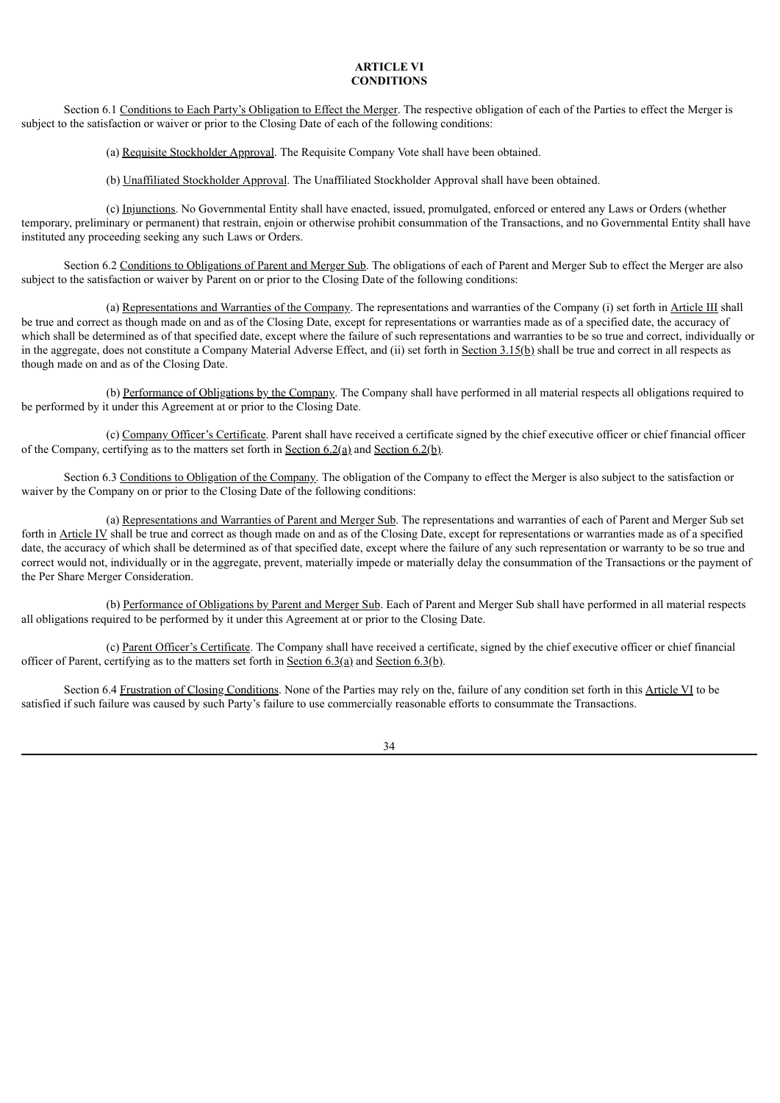# **ARTICLE VI CONDITIONS**

Section 6.1 Conditions to Each Party's Obligation to Effect the Merger. The respective obligation of each of the Parties to effect the Merger is subject to the satisfaction or waiver or prior to the Closing Date of each of the following conditions:

(a) Requisite Stockholder Approval. The Requisite Company Vote shall have been obtained.

(b) Unaffiliated Stockholder Approval. The Unaffiliated Stockholder Approval shall have been obtained.

(c) Injunctions. No Governmental Entity shall have enacted, issued, promulgated, enforced or entered any Laws or Orders (whether temporary, preliminary or permanent) that restrain, enjoin or otherwise prohibit consummation of the Transactions, and no Governmental Entity shall have instituted any proceeding seeking any such Laws or Orders.

Section 6.2 Conditions to Obligations of Parent and Merger Sub. The obligations of each of Parent and Merger Sub to effect the Merger are also subject to the satisfaction or waiver by Parent on or prior to the Closing Date of the following conditions:

(a) Representations and Warranties of the Company. The representations and warranties of the Company (i) set forth in Article III shall be true and correct as though made on and as of the Closing Date, except for representations or warranties made as of a specified date, the accuracy of which shall be determined as of that specified date, except where the failure of such representations and warranties to be so true and correct, individually or in the aggregate, does not constitute a Company Material Adverse Effect, and (ii) set forth in Section 3.15(b) shall be true and correct in all respects as though made on and as of the Closing Date.

(b) Performance of Obligations by the Company. The Company shall have performed in all material respects all obligations required to be performed by it under this Agreement at or prior to the Closing Date.

(c) Company Officer's Certificate. Parent shall have received a certificate signed by the chief executive officer or chief financial officer of the Company, certifying as to the matters set forth in Section  $6.2(q)$  and Section  $6.2(p)$ .

Section 6.3 Conditions to Obligation of the Company. The obligation of the Company to effect the Merger is also subject to the satisfaction or waiver by the Company on or prior to the Closing Date of the following conditions:

(a) Representations and Warranties of Parent and Merger Sub. The representations and warranties of each of Parent and Merger Sub set forth in Article IV shall be true and correct as though made on and as of the Closing Date, except for representations or warranties made as of a specified date, the accuracy of which shall be determined as of that specified date, except where the failure of any such representation or warranty to be so true and correct would not, individually or in the aggregate, prevent, materially impede or materially delay the consummation of the Transactions or the payment of the Per Share Merger Consideration.

(b) Performance of Obligations by Parent and Merger Sub. Each of Parent and Merger Sub shall have performed in all material respects all obligations required to be performed by it under this Agreement at or prior to the Closing Date.

(c) Parent Officer's Certificate. The Company shall have received a certificate, signed by the chief executive officer or chief financial officer of Parent, certifying as to the matters set forth in Section 6.3(a) and Section 6.3(b).

Section 6.4 Frustration of Closing Conditions. None of the Parties may rely on the, failure of any condition set forth in this Article VI to be satisfied if such failure was caused by such Party's failure to use commercially reasonable efforts to consummate the Transactions.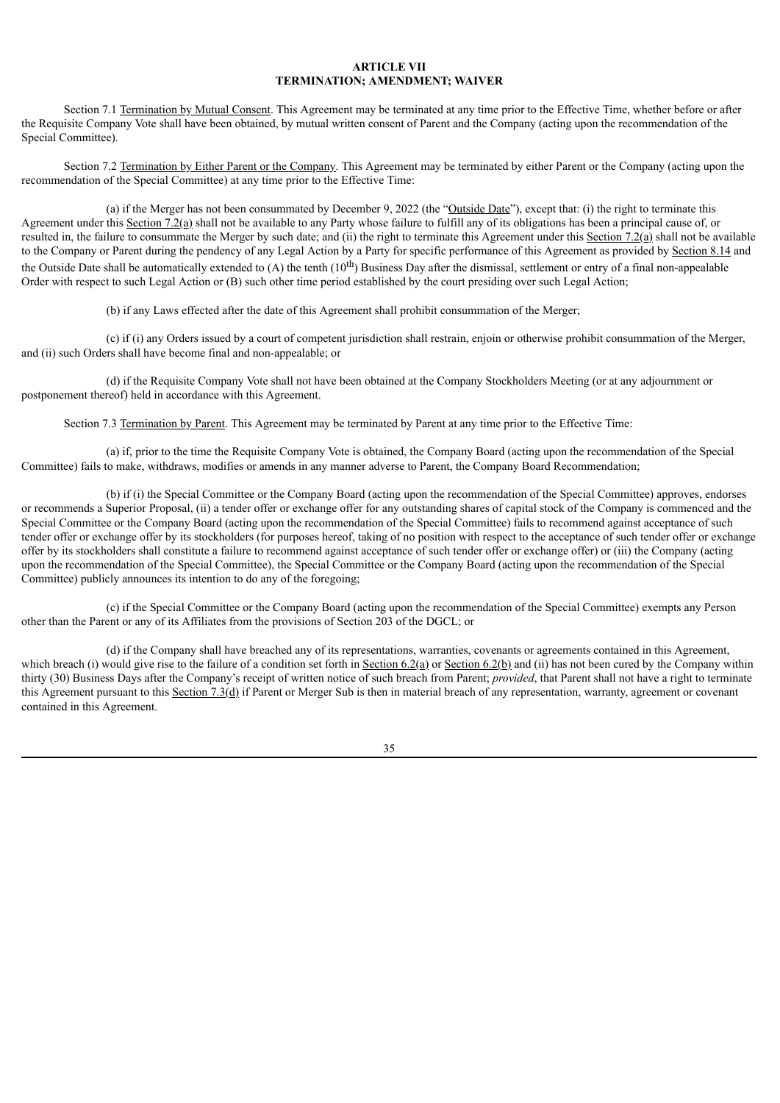# **ARTICLE VII TERMINATION; AMENDMENT; WAIVER**

Section 7.1 Termination by Mutual Consent. This Agreement may be terminated at any time prior to the Effective Time, whether before or after the Requisite Company Vote shall have been obtained, by mutual written consent of Parent and the Company (acting upon the recommendation of the Special Committee).

Section 7.2 Termination by Either Parent or the Company. This Agreement may be terminated by either Parent or the Company (acting upon the recommendation of the Special Committee) at any time prior to the Effective Time:

(a) if the Merger has not been consummated by December 9, 2022 (the "Outside Date"), except that: (i) the right to terminate this Agreement under this Section 7.2(a) shall not be available to any Party whose failure to fulfill any of its obligations has been a principal cause of, or resulted in, the failure to consummate the Merger by such date; and (ii) the right to terminate this Agreement under this Section  $7.2(a)$  shall not be available to the Company or Parent during the pendency of any Legal Action by a Party for specific performance of this Agreement as provided by Section 8.14 and the Outside Date shall be automatically extended to  $(A)$  the tenth  $(10^{th})$  Business Day after the dismissal, settlement or entry of a final non-appealable Order with respect to such Legal Action or (B) such other time period established by the court presiding over such Legal Action;

(b) if any Laws effected after the date of this Agreement shall prohibit consummation of the Merger;

(c) if (i) any Orders issued by a court of competent jurisdiction shall restrain, enjoin or otherwise prohibit consummation of the Merger, and (ii) such Orders shall have become final and non-appealable; or

(d) if the Requisite Company Vote shall not have been obtained at the Company Stockholders Meeting (or at any adjournment or postponement thereof) held in accordance with this Agreement.

Section 7.3 Termination by Parent. This Agreement may be terminated by Parent at any time prior to the Effective Time:

(a) if, prior to the time the Requisite Company Vote is obtained, the Company Board (acting upon the recommendation of the Special Committee) fails to make, withdraws, modifies or amends in any manner adverse to Parent, the Company Board Recommendation;

(b) if (i) the Special Committee or the Company Board (acting upon the recommendation of the Special Committee) approves, endorses or recommends a Superior Proposal, (ii) a tender offer or exchange offer for any outstanding shares of capital stock of the Company is commenced and the Special Committee or the Company Board (acting upon the recommendation of the Special Committee) fails to recommend against acceptance of such tender offer or exchange offer by its stockholders (for purposes hereof, taking of no position with respect to the acceptance of such tender offer or exchange offer by its stockholders shall constitute a failure to recommend against acceptance of such tender offer or exchange offer) or (iii) the Company (acting upon the recommendation of the Special Committee), the Special Committee or the Company Board (acting upon the recommendation of the Special Committee) publicly announces its intention to do any of the foregoing;

(c) if the Special Committee or the Company Board (acting upon the recommendation of the Special Committee) exempts any Person other than the Parent or any of its Affiliates from the provisions of Section 203 of the DGCL; or

(d) if the Company shall have breached any of its representations, warranties, covenants or agreements contained in this Agreement, which breach (i) would give rise to the failure of a condition set forth in  $Section 6.2(a) or Section 6.2(b)$  and (ii) has not been cured by the Company within</u> thirty (30) Business Days after the Company's receipt of written notice of such breach from Parent; *provided*, that Parent shall not have a right to terminate this Agreement pursuant to this  $Section 7.3(d)$  if Parent or Merger Sub is then in material breach of any representation, warranty, agreement or covenant contained in this Agreement.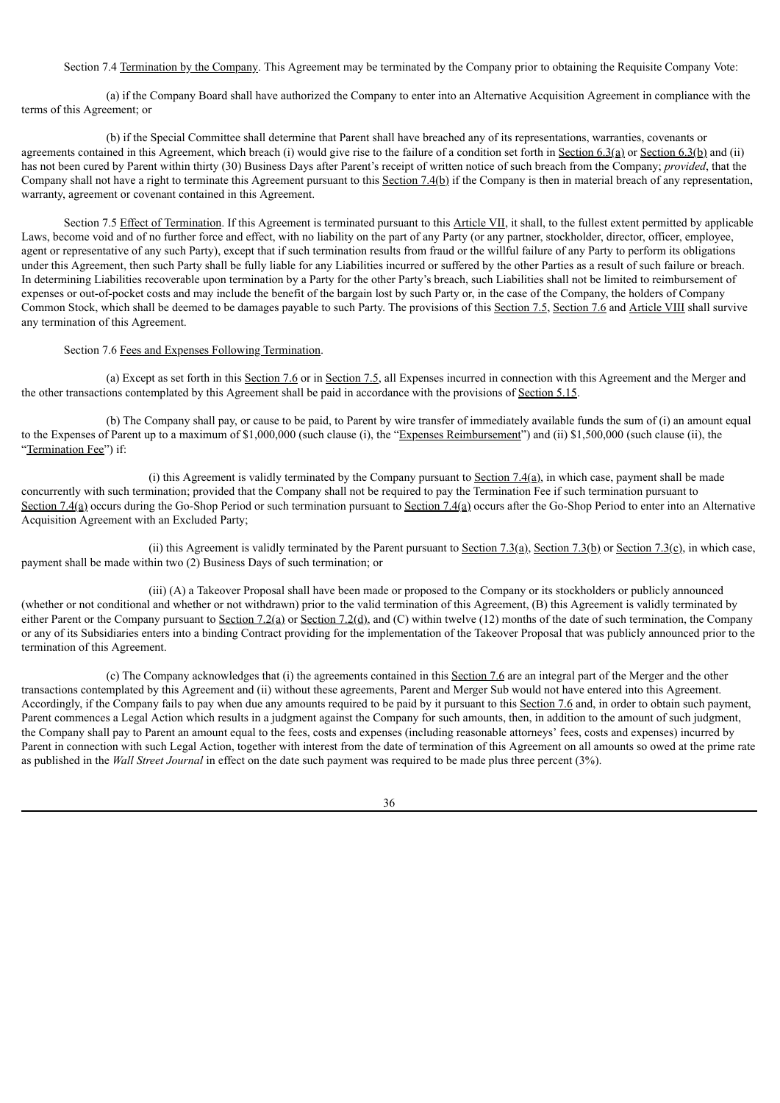Section 7.4 Termination by the Company. This Agreement may be terminated by the Company prior to obtaining the Requisite Company Vote:

(a) if the Company Board shall have authorized the Company to enter into an Alternative Acquisition Agreement in compliance with the terms of this Agreement; or

(b) if the Special Committee shall determine that Parent shall have breached any of its representations, warranties, covenants or agreements contained in this Agreement, which breach (i) would give rise to the failure of a condition set forth in Section 6.3(a) or Section 6.3(b) and (ii) has not been cured by Parent within thirty (30) Business Days after Parent's receipt of written notice of such breach from the Company; *provided*, that the Company shall not have a right to terminate this Agreement pursuant to this Section 7.4(b) if the Company is then in material breach of any representation, warranty, agreement or covenant contained in this Agreement.

Section 7.5 Effect of Termination. If this Agreement is terminated pursuant to this Article VII, it shall, to the fullest extent permitted by applicable Laws, become void and of no further force and effect, with no liability on the part of any Party (or any partner, stockholder, director, officer, employee, agent or representative of any such Party), except that if such termination results from fraud or the willful failure of any Party to perform its obligations under this Agreement, then such Party shall be fully liable for any Liabilities incurred or suffered by the other Parties as a result of such failure or breach. In determining Liabilities recoverable upon termination by a Party for the other Party's breach, such Liabilities shall not be limited to reimbursement of expenses or out-of-pocket costs and may include the benefit of the bargain lost by such Party or, in the case of the Company, the holders of Company Common Stock, which shall be deemed to be damages payable to such Party. The provisions of this Section 7.5, Section 7.6 and Article VIII shall survive any termination of this Agreement.

Section 7.6 Fees and Expenses Following Termination.

(a) Except as set forth in this Section 7.6 or in Section 7.5, all Expenses incurred in connection with this Agreement and the Merger and the other transactions contemplated by this Agreement shall be paid in accordance with the provisions of Section 5.15.

(b) The Company shall pay, or cause to be paid, to Parent by wire transfer of immediately available funds the sum of (i) an amount equal to the Expenses of Parent up to a maximum of \$1,000,000 (such clause (i), the "Expenses Reimbursement") and (ii) \$1,500,000 (such clause (ii), the "Termination Fee") if:

(i) this Agreement is validly terminated by the Company pursuant to Section  $7.4(a)$ , in which case, payment shall be made concurrently with such termination; provided that the Company shall not be required to pay the Termination Fee if such termination pursuant to Section 7.4(a) occurs during the Go-Shop Period or such termination pursuant to Section 7.4(a) occurs after the Go-Shop Period to enter into an Alternative Acquisition Agreement with an Excluded Party;

(ii) this Agreement is validly terminated by the Parent pursuant to Section 7.3(a), Section 7.3(b) or Section 7.3(c), in which case, payment shall be made within two (2) Business Days of such termination; or

(iii) (A) a Takeover Proposal shall have been made or proposed to the Company or its stockholders or publicly announced (whether or not conditional and whether or not withdrawn) prior to the valid termination of this Agreement, (B) this Agreement is validly terminated by either Parent or the Company pursuant to Section 7.2(a) or Section 7.2(d), and (C) within twelve (12) months of the date of such termination, the Company or any of its Subsidiaries enters into a binding Contract providing for the implementation of the Takeover Proposal that was publicly announced prior to the termination of this Agreement.

(c) The Company acknowledges that (i) the agreements contained in this Section 7.6 are an integral part of the Merger and the other transactions contemplated by this Agreement and (ii) without these agreements, Parent and Merger Sub would not have entered into this Agreement. Accordingly, if the Company fails to pay when due any amounts required to be paid by it pursuant to this Section 7.6 and, in order to obtain such payment, Parent commences a Legal Action which results in a judgment against the Company for such amounts, then, in addition to the amount of such judgment, the Company shall pay to Parent an amount equal to the fees, costs and expenses (including reasonable attorneys' fees, costs and expenses) incurred by Parent in connection with such Legal Action, together with interest from the date of termination of this Agreement on all amounts so owed at the prime rate as published in the *Wall Street Journal* in effect on the date such payment was required to be made plus three percent (3%).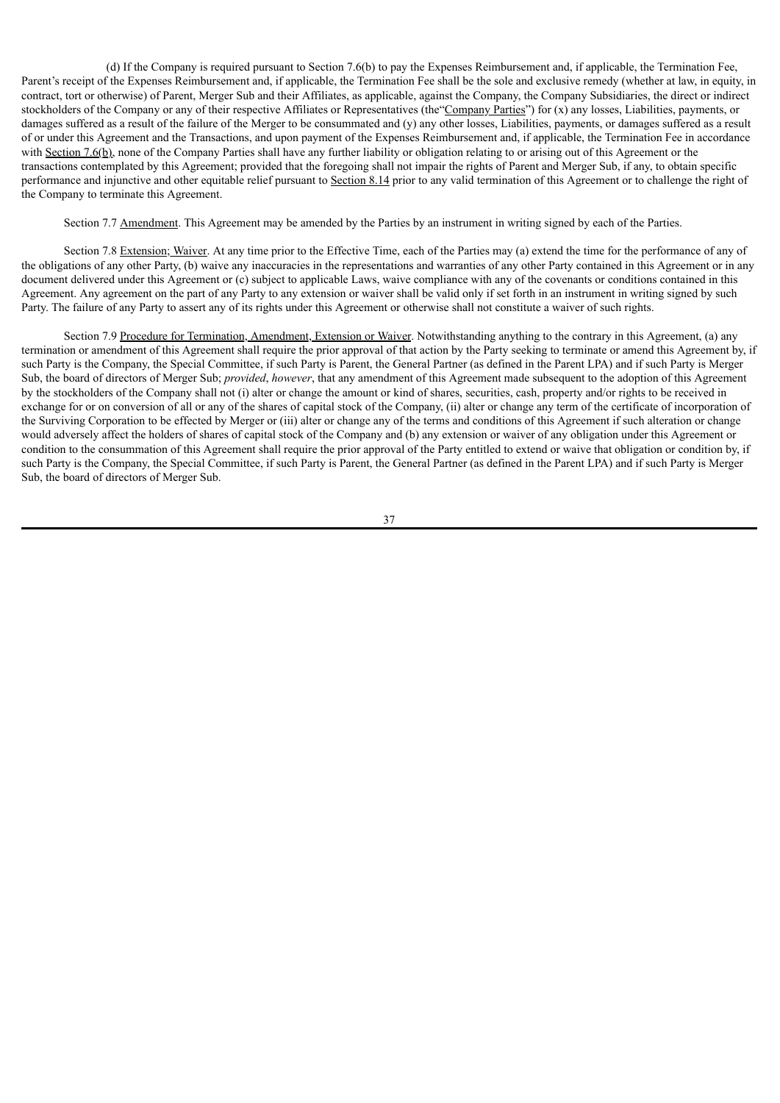(d) If the Company is required pursuant to Section 7.6(b) to pay the Expenses Reimbursement and, if applicable, the Termination Fee, Parent's receipt of the Expenses Reimbursement and, if applicable, the Termination Fee shall be the sole and exclusive remedy (whether at law, in equity, in contract, tort or otherwise) of Parent, Merger Sub and their Affiliates, as applicable, against the Company, the Company Subsidiaries, the direct or indirect stockholders of the Company or any of their respective Affiliates or Representatives (the"Company Parties") for (x) any losses, Liabilities, payments, or damages suffered as a result of the failure of the Merger to be consummated and (y) any other losses, Liabilities, payments, or damages suffered as a result of or under this Agreement and the Transactions, and upon payment of the Expenses Reimbursement and, if applicable, the Termination Fee in accordance with Section 7.6(b), none of the Company Parties shall have any further liability or obligation relating to or arising out of this Agreement or the transactions contemplated by this Agreement; provided that the foregoing shall not impair the rights of Parent and Merger Sub, if any, to obtain specific performance and injunctive and other equitable relief pursuant to Section 8.14 prior to any valid termination of this Agreement or to challenge the right of the Company to terminate this Agreement.

Section 7.7 Amendment. This Agreement may be amended by the Parties by an instrument in writing signed by each of the Parties.

Section 7.8 Extension; Waiver. At any time prior to the Effective Time, each of the Parties may (a) extend the time for the performance of any of the obligations of any other Party, (b) waive any inaccuracies in the representations and warranties of any other Party contained in this Agreement or in any document delivered under this Agreement or (c) subject to applicable Laws, waive compliance with any of the covenants or conditions contained in this Agreement. Any agreement on the part of any Party to any extension or waiver shall be valid only if set forth in an instrument in writing signed by such Party. The failure of any Party to assert any of its rights under this Agreement or otherwise shall not constitute a waiver of such rights.

Section 7.9 Procedure for Termination, Amendment, Extension or Waiver. Notwithstanding anything to the contrary in this Agreement, (a) any termination or amendment of this Agreement shall require the prior approval of that action by the Party seeking to terminate or amend this Agreement by, if such Party is the Company, the Special Committee, if such Party is Parent, the General Partner (as defined in the Parent LPA) and if such Party is Merger Sub, the board of directors of Merger Sub; *provided*, *however*, that any amendment of this Agreement made subsequent to the adoption of this Agreement by the stockholders of the Company shall not (i) alter or change the amount or kind of shares, securities, cash, property and/or rights to be received in exchange for or on conversion of all or any of the shares of capital stock of the Company, (ii) alter or change any term of the certificate of incorporation of the Surviving Corporation to be effected by Merger or (iii) alter or change any of the terms and conditions of this Agreement if such alteration or change would adversely affect the holders of shares of capital stock of the Company and (b) any extension or waiver of any obligation under this Agreement or condition to the consummation of this Agreement shall require the prior approval of the Party entitled to extend or waive that obligation or condition by, if such Party is the Company, the Special Committee, if such Party is Parent, the General Partner (as defined in the Parent LPA) and if such Party is Merger Sub, the board of directors of Merger Sub.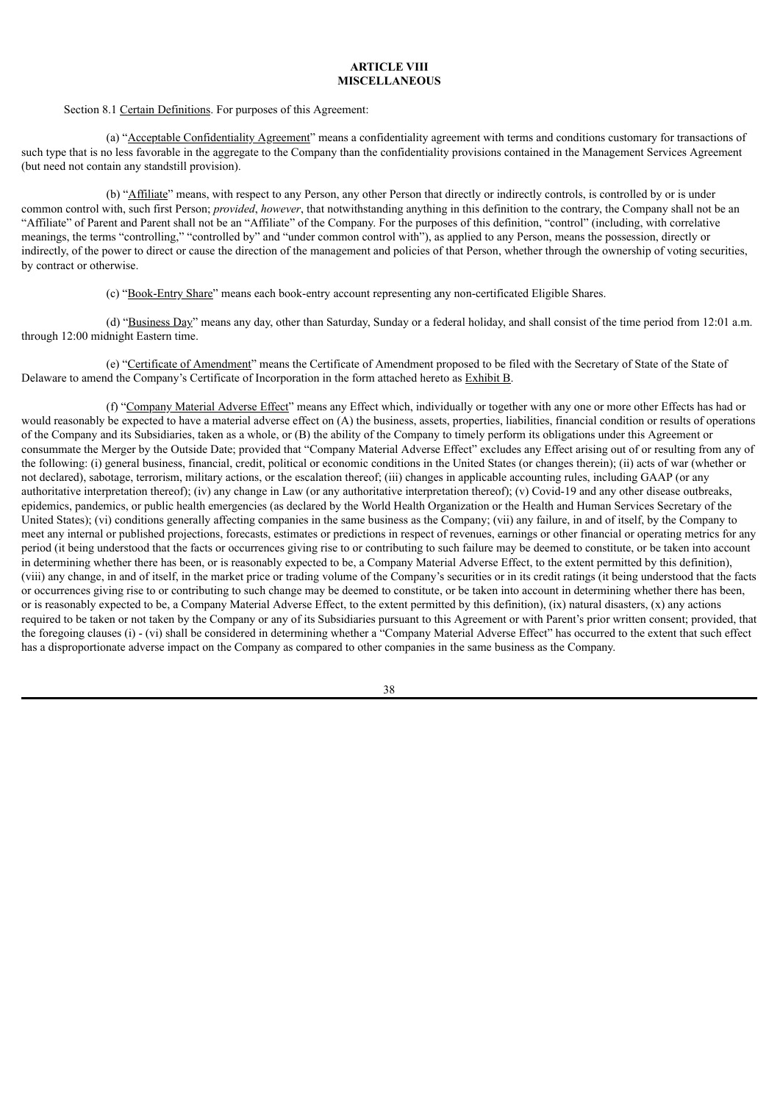# **ARTICLE VIII MISCELLANEOUS**

#### Section 8.1 Certain Definitions. For purposes of this Agreement:

(a) "Acceptable Confidentiality Agreement" means a confidentiality agreement with terms and conditions customary for transactions of such type that is no less favorable in the aggregate to the Company than the confidentiality provisions contained in the Management Services Agreement (but need not contain any standstill provision).

(b) "Affiliate" means, with respect to any Person, any other Person that directly or indirectly controls, is controlled by or is under common control with, such first Person; *provided*, *however*, that notwithstanding anything in this definition to the contrary, the Company shall not be an "Affiliate" of Parent and Parent shall not be an "Affiliate" of the Company. For the purposes of this definition, "control" (including, with correlative meanings, the terms "controlling," "controlled by" and "under common control with"), as applied to any Person, means the possession, directly or indirectly, of the power to direct or cause the direction of the management and policies of that Person, whether through the ownership of voting securities, by contract or otherwise.

(c) "Book-Entry Share" means each book-entry account representing any non-certificated Eligible Shares.

(d) "Business Day" means any day, other than Saturday, Sunday or a federal holiday, and shall consist of the time period from 12:01 a.m. through 12:00 midnight Eastern time.

(e) "Certificate of Amendment" means the Certificate of Amendment proposed to be filed with the Secretary of State of the State of Delaware to amend the Company's Certificate of Incorporation in the form attached hereto as Exhibit B.

(f) "Company Material Adverse Effect" means any Effect which, individually or together with any one or more other Effects has had or would reasonably be expected to have a material adverse effect on (A) the business, assets, properties, liabilities, financial condition or results of operations of the Company and its Subsidiaries, taken as a whole, or (B) the ability of the Company to timely perform its obligations under this Agreement or consummate the Merger by the Outside Date; provided that "Company Material Adverse Effect" excludes any Effect arising out of or resulting from any of the following: (i) general business, financial, credit, political or economic conditions in the United States (or changes therein); (ii) acts of war (whether or not declared), sabotage, terrorism, military actions, or the escalation thereof; (iii) changes in applicable accounting rules, including GAAP (or any authoritative interpretation thereof); (iv) any change in Law (or any authoritative interpretation thereof); (v) Covid-19 and any other disease outbreaks, epidemics, pandemics, or public health emergencies (as declared by the World Health Organization or the Health and Human Services Secretary of the United States); (vi) conditions generally affecting companies in the same business as the Company; (vii) any failure, in and of itself, by the Company to meet any internal or published projections, forecasts, estimates or predictions in respect of revenues, earnings or other financial or operating metrics for any period (it being understood that the facts or occurrences giving rise to or contributing to such failure may be deemed to constitute, or be taken into account in determining whether there has been, or is reasonably expected to be, a Company Material Adverse Effect, to the extent permitted by this definition), (viii) any change, in and of itself, in the market price or trading volume of the Company's securities or in its credit ratings (it being understood that the facts or occurrences giving rise to or contributing to such change may be deemed to constitute, or be taken into account in determining whether there has been, or is reasonably expected to be, a Company Material Adverse Effect, to the extent permitted by this definition), (ix) natural disasters, (x) any actions required to be taken or not taken by the Company or any of its Subsidiaries pursuant to this Agreement or with Parent's prior written consent; provided, that the foregoing clauses (i) - (vi) shall be considered in determining whether a "Company Material Adverse Effect" has occurred to the extent that such effect has a disproportionate adverse impact on the Company as compared to other companies in the same business as the Company.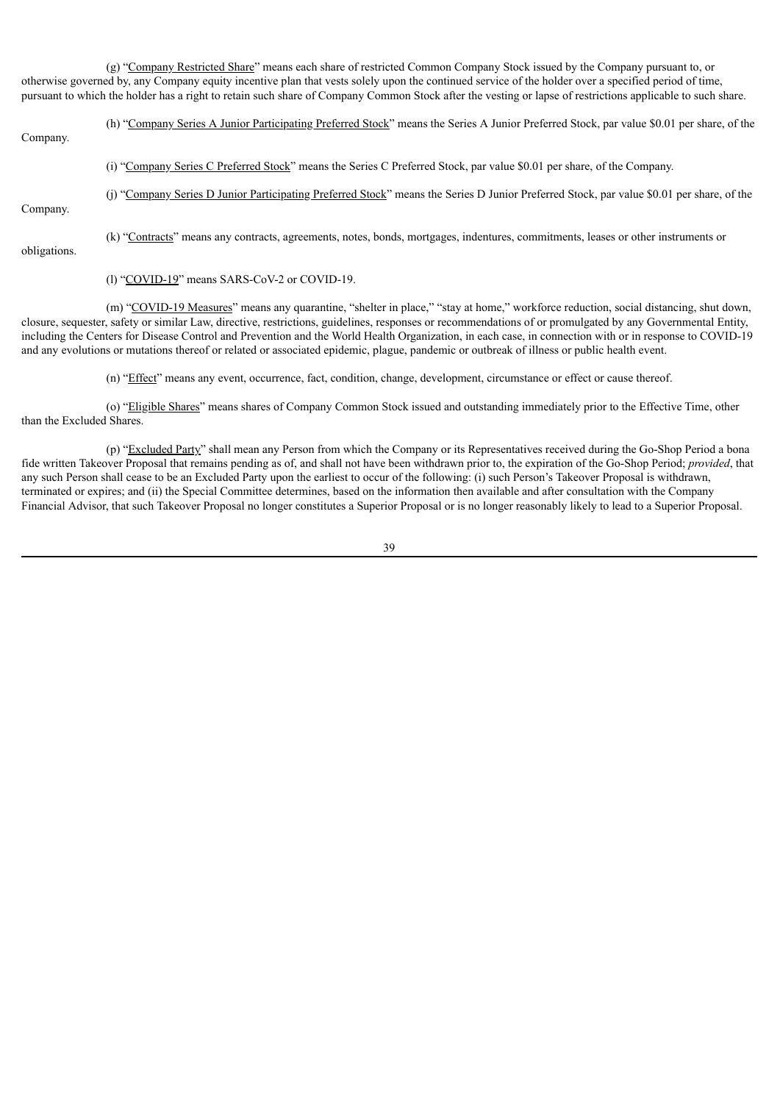(g) "Company Restricted Share" means each share of restricted Common Company Stock issued by the Company pursuant to, or otherwise governed by, any Company equity incentive plan that vests solely upon the continued service of the holder over a specified period of time, pursuant to which the holder has a right to retain such share of Company Common Stock after the vesting or lapse of restrictions applicable to such share.

(h) "Company Series A Junior Participating Preferred Stock" means the Series A Junior Preferred Stock, par value \$0.01 per share, of the Company.

- (i) "Company Series C Preferred Stock" means the Series C Preferred Stock, par value \$0.01 per share, of the Company.
- 

(j) "Company Series D Junior Participating Preferred Stock" means the Series D Junior Preferred Stock, par value \$0.01 per share, of the

Company.

(k) "Contracts" means any contracts, agreements, notes, bonds, mortgages, indentures, commitments, leases or other instruments or

obligations.

(l) "COVID-19" means SARS-CoV-2 or COVID-19.

(m) "COVID-19 Measures" means any quarantine, "shelter in place," "stay at home," workforce reduction, social distancing, shut down, closure, sequester, safety or similar Law, directive, restrictions, guidelines, responses or recommendations of or promulgated by any Governmental Entity, including the Centers for Disease Control and Prevention and the World Health Organization, in each case, in connection with or in response to COVID-19 and any evolutions or mutations thereof or related or associated epidemic, plague, pandemic or outbreak of illness or public health event.

(n) "Effect" means any event, occurrence, fact, condition, change, development, circumstance or effect or cause thereof.

(o) "Eligible Shares" means shares of Company Common Stock issued and outstanding immediately prior to the Effective Time, other than the Excluded Shares.

(p) "Excluded Party" shall mean any Person from which the Company or its Representatives received during the Go-Shop Period a bona fide written Takeover Proposal that remains pending as of, and shall not have been withdrawn prior to, the expiration of the Go-Shop Period; *provided*, that any such Person shall cease to be an Excluded Party upon the earliest to occur of the following: (i) such Person's Takeover Proposal is withdrawn, terminated or expires; and (ii) the Special Committee determines, based on the information then available and after consultation with the Company Financial Advisor, that such Takeover Proposal no longer constitutes a Superior Proposal or is no longer reasonably likely to lead to a Superior Proposal.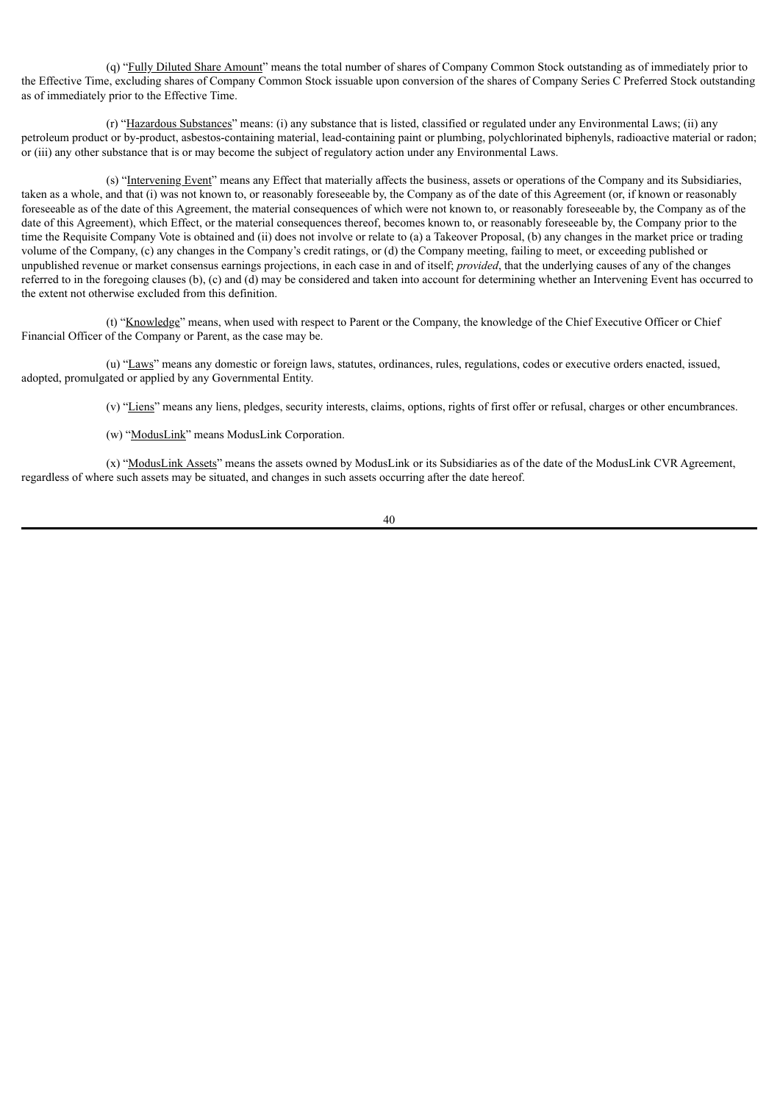(q) "Fully Diluted Share Amount" means the total number of shares of Company Common Stock outstanding as of immediately prior to the Effective Time, excluding shares of Company Common Stock issuable upon conversion of the shares of Company Series C Preferred Stock outstanding as of immediately prior to the Effective Time.

(r) "Hazardous Substances" means: (i) any substance that is listed, classified or regulated under any Environmental Laws; (ii) any petroleum product or by-product, asbestos-containing material, lead-containing paint or plumbing, polychlorinated biphenyls, radioactive material or radon; or (iii) any other substance that is or may become the subject of regulatory action under any Environmental Laws.

(s) "Intervening Event" means any Effect that materially affects the business, assets or operations of the Company and its Subsidiaries, taken as a whole, and that (i) was not known to, or reasonably foreseeable by, the Company as of the date of this Agreement (or, if known or reasonably foreseeable as of the date of this Agreement, the material consequences of which were not known to, or reasonably foreseeable by, the Company as of the date of this Agreement), which Effect, or the material consequences thereof, becomes known to, or reasonably foreseeable by, the Company prior to the time the Requisite Company Vote is obtained and (ii) does not involve or relate to (a) a Takeover Proposal, (b) any changes in the market price or trading volume of the Company, (c) any changes in the Company's credit ratings, or (d) the Company meeting, failing to meet, or exceeding published or unpublished revenue or market consensus earnings projections, in each case in and of itself; *provided*, that the underlying causes of any of the changes referred to in the foregoing clauses (b), (c) and (d) may be considered and taken into account for determining whether an Intervening Event has occurred to the extent not otherwise excluded from this definition.

(t) "Knowledge" means, when used with respect to Parent or the Company, the knowledge of the Chief Executive Officer or Chief Financial Officer of the Company or Parent, as the case may be.

(u) "Laws" means any domestic or foreign laws, statutes, ordinances, rules, regulations, codes or executive orders enacted, issued, adopted, promulgated or applied by any Governmental Entity.

(v) "Liens" means any liens, pledges, security interests, claims, options, rights of first offer or refusal, charges or other encumbrances.

(w) "ModusLink" means ModusLink Corporation.

(x) "ModusLink Assets" means the assets owned by ModusLink or its Subsidiaries as of the date of the ModusLink CVR Agreement, regardless of where such assets may be situated, and changes in such assets occurring after the date hereof.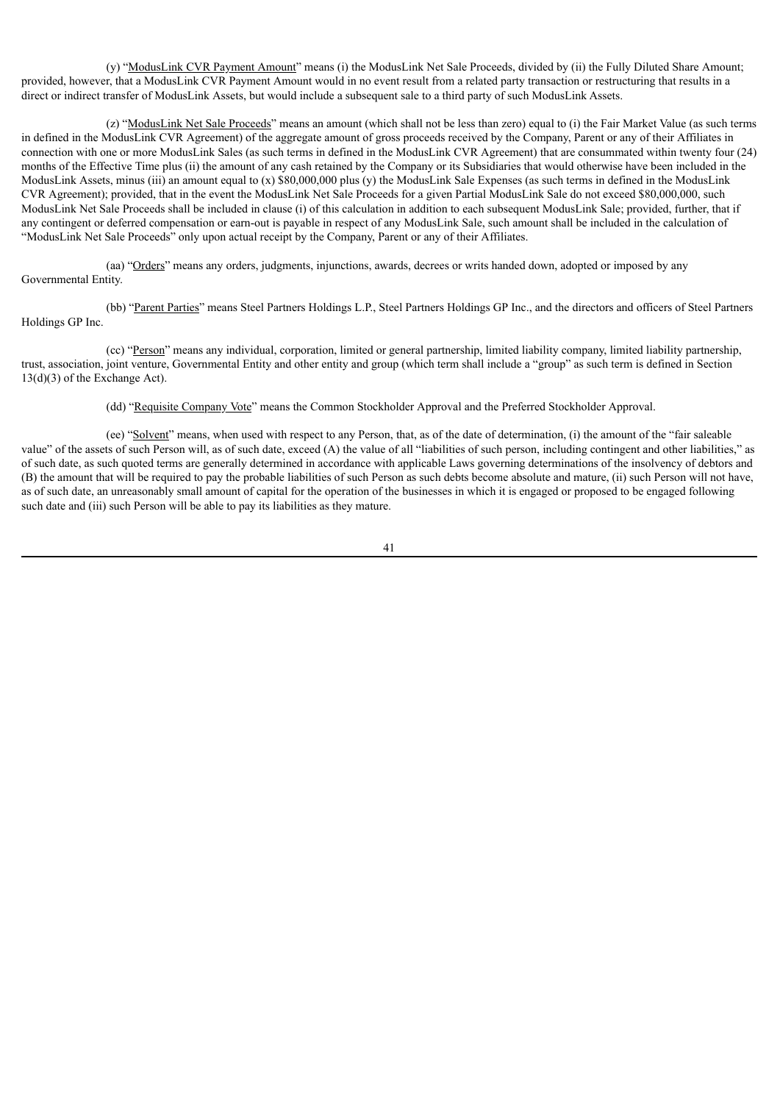(y) "ModusLink CVR Payment Amount" means (i) the ModusLink Net Sale Proceeds, divided by (ii) the Fully Diluted Share Amount; provided, however, that a ModusLink CVR Payment Amount would in no event result from a related party transaction or restructuring that results in a direct or indirect transfer of ModusLink Assets, but would include a subsequent sale to a third party of such ModusLink Assets.

(z) "ModusLink Net Sale Proceeds" means an amount (which shall not be less than zero) equal to (i) the Fair Market Value (as such terms in defined in the ModusLink CVR Agreement) of the aggregate amount of gross proceeds received by the Company, Parent or any of their Affiliates in connection with one or more ModusLink Sales (as such terms in defined in the ModusLink CVR Agreement) that are consummated within twenty four (24) months of the Effective Time plus (ii) the amount of any cash retained by the Company or its Subsidiaries that would otherwise have been included in the ModusLink Assets, minus (iii) an amount equal to (x) \$80,000,000 plus (y) the ModusLink Sale Expenses (as such terms in defined in the ModusLink CVR Agreement); provided, that in the event the ModusLink Net Sale Proceeds for a given Partial ModusLink Sale do not exceed \$80,000,000, such ModusLink Net Sale Proceeds shall be included in clause (i) of this calculation in addition to each subsequent ModusLink Sale; provided, further, that if any contingent or deferred compensation or earn-out is payable in respect of any ModusLink Sale, such amount shall be included in the calculation of "ModusLink Net Sale Proceeds" only upon actual receipt by the Company, Parent or any of their Affiliates.

(aa) "Orders" means any orders, judgments, injunctions, awards, decrees or writs handed down, adopted or imposed by any Governmental Entity.

(bb) "Parent Parties" means Steel Partners Holdings L.P., Steel Partners Holdings GP Inc., and the directors and officers of Steel Partners Holdings GP Inc.

(cc) "Person" means any individual, corporation, limited or general partnership, limited liability company, limited liability partnership, trust, association, joint venture, Governmental Entity and other entity and group (which term shall include a "group" as such term is defined in Section 13(d)(3) of the Exchange Act).

(dd) "Requisite Company Vote" means the Common Stockholder Approval and the Preferred Stockholder Approval.

(ee) "Solvent" means, when used with respect to any Person, that, as of the date of determination, (i) the amount of the "fair saleable value" of the assets of such Person will, as of such date, exceed (A) the value of all "liabilities of such person, including contingent and other liabilities," as of such date, as such quoted terms are generally determined in accordance with applicable Laws governing determinations of the insolvency of debtors and (B) the amount that will be required to pay the probable liabilities of such Person as such debts become absolute and mature, (ii) such Person will not have, as of such date, an unreasonably small amount of capital for the operation of the businesses in which it is engaged or proposed to be engaged following such date and (iii) such Person will be able to pay its liabilities as they mature.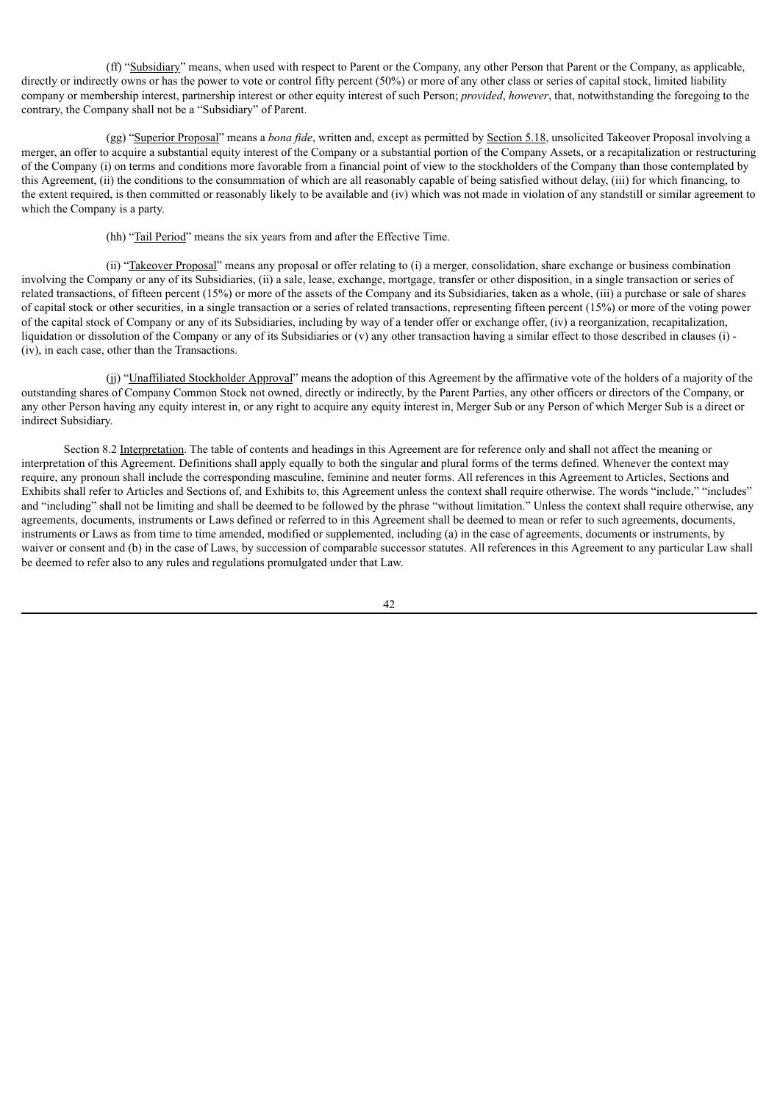(ff) "Subsidiary" means, when used with respect to Parent or the Company, any other Person that Parent or the Company, as applicable, directly or indirectly owns or has the power to vote or control fifty percent (50%) or more of any other class or series of capital stock, limited liability company or membership interest, partnership interest or other equity interest of such Person; *provided*, *however*, that, notwithstanding the foregoing to the contrary, the Company shall not be a "Subsidiary" of Parent.

(gg) "Superior Proposal" means a *bona fide*, written and, except as permitted by Section 5.18, unsolicited Takeover Proposal involving a merger, an offer to acquire a substantial equity interest of the Company or a substantial portion of the Company Assets, or a recapitalization or restructuring of the Company (i) on terms and conditions more favorable from a financial point of view to the stockholders of the Company than those contemplated by this Agreement, (ii) the conditions to the consummation of which are all reasonably capable of being satisfied without delay, (iii) for which financing, to the extent required, is then committed or reasonably likely to be available and (iv) which was not made in violation of any standstill or similar agreement to which the Company is a party.

(hh) "Tail Period" means the six years from and after the Effective Time.

(ii) "Takeover Proposal" means any proposal or offer relating to (i) a merger, consolidation, share exchange or business combination involving the Company or any of its Subsidiaries, (ii) a sale, lease, exchange, mortgage, transfer or other disposition, in a single transaction or series of related transactions, of fifteen percent (15%) or more of the assets of the Company and its Subsidiaries, taken as a whole, (iii) a purchase or sale of shares of capital stock or other securities, in a single transaction or a series of related transactions, representing fifteen percent (15%) or more of the voting power of the capital stock of Company or any of its Subsidiaries, including by way of a tender offer or exchange offer, (iv) a reorganization, recapitalization, liquidation or dissolution of the Company or any of its Subsidiaries or (v) any other transaction having a similar effect to those described in clauses (i) -(iv), in each case, other than the Transactions.

(ii) "Unaffiliated Stockholder Approval" means the adoption of this Agreement by the affirmative vote of the holders of a majority of the outstanding shares of Company Common Stock not owned, directly or indirectly, by the Parent Parties, any other officers or directors of the Company, or any other Person having any equity interest in, or any right to acquire any equity interest in, Merger Sub or any Person of which Merger Sub is a direct or indirect Subsidiary.

Section 8.2 Interpretation. The table of contents and headings in this Agreement are for reference only and shall not affect the meaning or interpretation of this Agreement. Definitions shall apply equally to both the singular and plural forms of the terms defined. Whenever the context may require, any pronoun shall include the corresponding masculine, feminine and neuter forms. All references in this Agreement to Articles, Sections and Exhibits shall refer to Articles and Sections of, and Exhibits to, this Agreement unless the context shall require otherwise. The words "include," "includes" and "including" shall not be limiting and shall be deemed to be followed by the phrase "without limitation." Unless the context shall require otherwise, any agreements, documents, instruments or Laws defined or referred to in this Agreement shall be deemed to mean or refer to such agreements, documents, instruments or Laws as from time to time amended, modified or supplemented, including (a) in the case of agreements, documents or instruments, by waiver or consent and (b) in the case of Laws, by succession of comparable successor statutes. All references in this Agreement to any particular Law shall be deemed to refer also to any rules and regulations promulgated under that Law.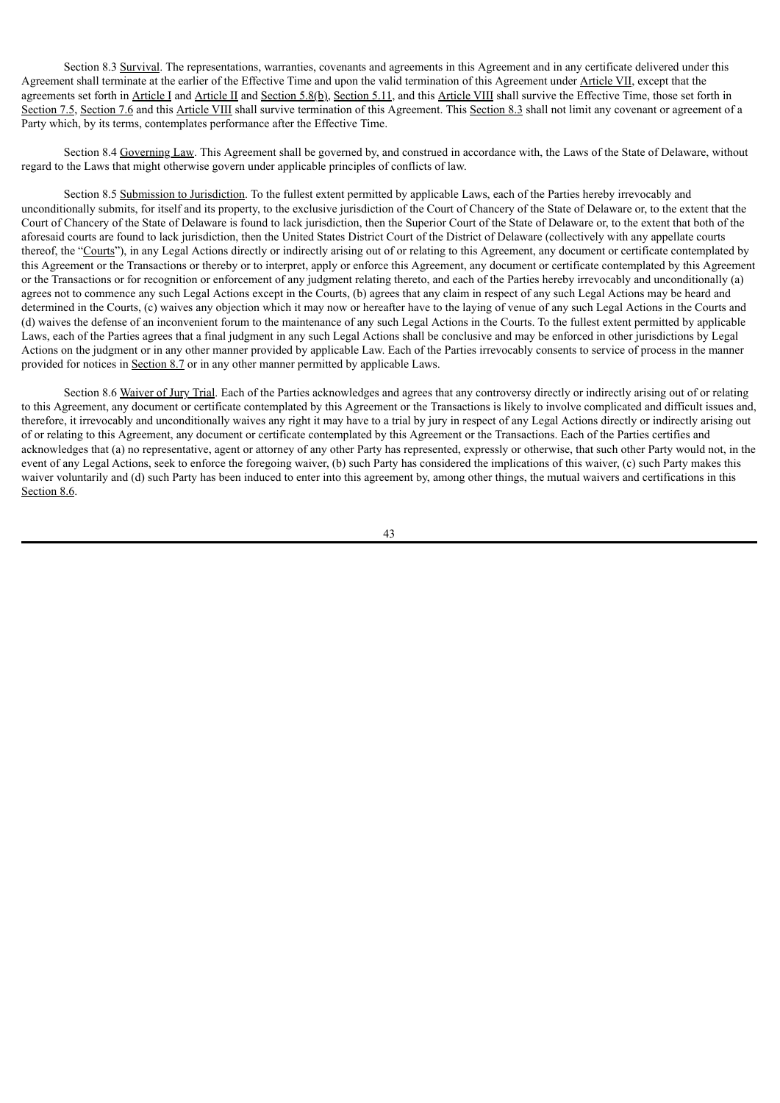Section 8.3 Survival. The representations, warranties, covenants and agreements in this Agreement and in any certificate delivered under this Agreement shall terminate at the earlier of the Effective Time and upon the valid termination of this Agreement under Article VII, except that the agreements set forth in Article I and Article II and Section 5.8(b), Section 5.11, and this Article VIII shall survive the Effective Time, those set forth in Section 7.5, Section 7.6 and this Article VIII shall survive termination of this Agreement. This Section 8.3 shall not limit any covenant or agreement of a Party which, by its terms, contemplates performance after the Effective Time.

Section 8.4 Governing Law. This Agreement shall be governed by, and construed in accordance with, the Laws of the State of Delaware, without regard to the Laws that might otherwise govern under applicable principles of conflicts of law.

Section 8.5 Submission to Jurisdiction. To the fullest extent permitted by applicable Laws, each of the Parties hereby irrevocably and unconditionally submits, for itself and its property, to the exclusive jurisdiction of the Court of Chancery of the State of Delaware or, to the extent that the Court of Chancery of the State of Delaware is found to lack jurisdiction, then the Superior Court of the State of Delaware or, to the extent that both of the aforesaid courts are found to lack jurisdiction, then the United States District Court of the District of Delaware (collectively with any appellate courts thereof, the "Courts"), in any Legal Actions directly or indirectly arising out of or relating to this Agreement, any document or certificate contemplated by this Agreement or the Transactions or thereby or to interpret, apply or enforce this Agreement, any document or certificate contemplated by this Agreement or the Transactions or for recognition or enforcement of any judgment relating thereto, and each of the Parties hereby irrevocably and unconditionally (a) agrees not to commence any such Legal Actions except in the Courts, (b) agrees that any claim in respect of any such Legal Actions may be heard and determined in the Courts, (c) waives any objection which it may now or hereafter have to the laying of venue of any such Legal Actions in the Courts and (d) waives the defense of an inconvenient forum to the maintenance of any such Legal Actions in the Courts. To the fullest extent permitted by applicable Laws, each of the Parties agrees that a final judgment in any such Legal Actions shall be conclusive and may be enforced in other jurisdictions by Legal Actions on the judgment or in any other manner provided by applicable Law. Each of the Parties irrevocably consents to service of process in the manner provided for notices in Section 8.7 or in any other manner permitted by applicable Laws.

Section 8.6 Waiver of Jury Trial. Each of the Parties acknowledges and agrees that any controversy directly or indirectly arising out of or relating to this Agreement, any document or certificate contemplated by this Agreement or the Transactions is likely to involve complicated and difficult issues and, therefore, it irrevocably and unconditionally waives any right it may have to a trial by jury in respect of any Legal Actions directly or indirectly arising out of or relating to this Agreement, any document or certificate contemplated by this Agreement or the Transactions. Each of the Parties certifies and acknowledges that (a) no representative, agent or attorney of any other Party has represented, expressly or otherwise, that such other Party would not, in the event of any Legal Actions, seek to enforce the foregoing waiver, (b) such Party has considered the implications of this waiver, (c) such Party makes this waiver voluntarily and (d) such Party has been induced to enter into this agreement by, among other things, the mutual waivers and certifications in this Section 8.6.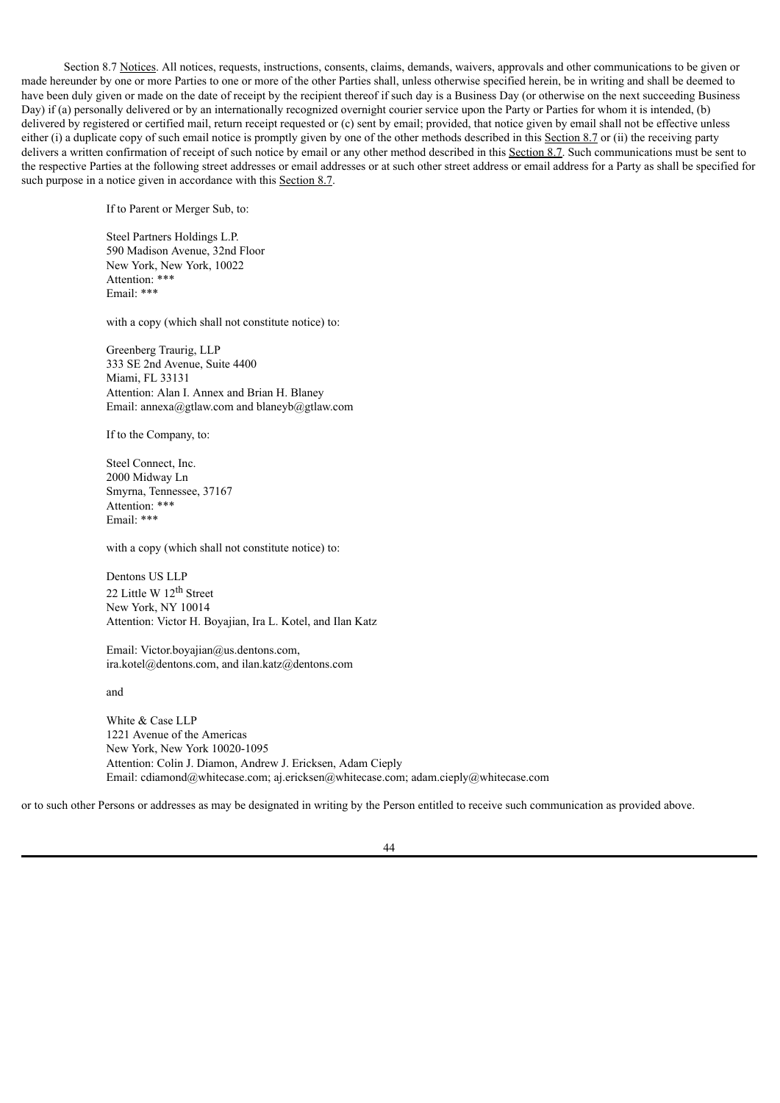Section 8.7 Notices. All notices, requests, instructions, consents, claims, demands, waivers, approvals and other communications to be given or made hereunder by one or more Parties to one or more of the other Parties shall, unless otherwise specified herein, be in writing and shall be deemed to have been duly given or made on the date of receipt by the recipient thereof if such day is a Business Day (or otherwise on the next succeeding Business Day) if (a) personally delivered or by an internationally recognized overnight courier service upon the Party or Parties for whom it is intended, (b) delivered by registered or certified mail, return receipt requested or (c) sent by email; provided, that notice given by email shall not be effective unless either (i) a duplicate copy of such email notice is promptly given by one of the other methods described in this Section 8.7 or (ii) the receiving party delivers a written confirmation of receipt of such notice by email or any other method described in this Section 8.7. Such communications must be sent to the respective Parties at the following street addresses or email addresses or at such other street address or email address for a Party as shall be specified for such purpose in a notice given in accordance with this Section 8.7.

If to Parent or Merger Sub, to:

Steel Partners Holdings L.P. 590 Madison Avenue, 32nd Floor New York, New York, 10022 Attention: \*\*\* Email: \*\*\*

with a copy (which shall not constitute notice) to:

Greenberg Traurig, LLP 333 SE 2nd Avenue, Suite 4400 Miami, FL 33131 Attention: Alan I. Annex and Brian H. Blaney Email: annexa@gtlaw.com and blaneyb@gtlaw.com

If to the Company, to:

Steel Connect, Inc. 2000 Midway Ln Smyrna, Tennessee, 37167 Attention: \*\*\* Email: \*\*\*

with a copy (which shall not constitute notice) to:

Dentons US LLP 22 Little W 12<sup>th</sup> Street New York, NY 10014 Attention: Victor H. Boyajian, Ira L. Kotel, and Ilan Katz

Email: Victor.boyajian@us.dentons.com, ira.kotel@dentons.com, and ilan.katz@dentons.com

and

White & Case LLP 1221 Avenue of the Americas New York, New York 10020-1095 Attention: Colin J. Diamon, Andrew J. Ericksen, Adam Cieply Email: cdiamond@whitecase.com; aj.ericksen@whitecase.com; adam.cieply@whitecase.com

or to such other Persons or addresses as may be designated in writing by the Person entitled to receive such communication as provided above.

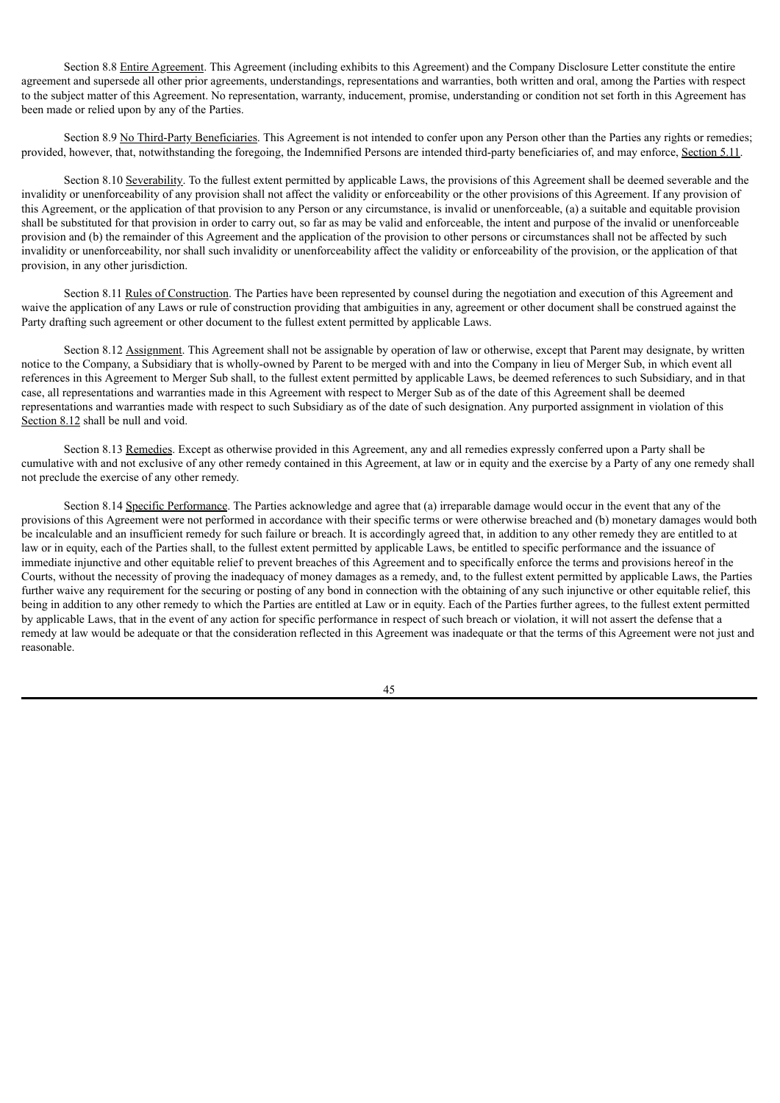Section 8.8 Entire Agreement. This Agreement (including exhibits to this Agreement) and the Company Disclosure Letter constitute the entire agreement and supersede all other prior agreements, understandings, representations and warranties, both written and oral, among the Parties with respect to the subject matter of this Agreement. No representation, warranty, inducement, promise, understanding or condition not set forth in this Agreement has been made or relied upon by any of the Parties.

Section 8.9 No Third-Party Beneficiaries. This Agreement is not intended to confer upon any Person other than the Parties any rights or remedies; provided, however, that, notwithstanding the foregoing, the Indemnified Persons are intended third-party beneficiaries of, and may enforce, Section 5.11.

Section 8.10 Severability. To the fullest extent permitted by applicable Laws, the provisions of this Agreement shall be deemed severable and the invalidity or unenforceability of any provision shall not affect the validity or enforceability or the other provisions of this Agreement. If any provision of this Agreement, or the application of that provision to any Person or any circumstance, is invalid or unenforceable, (a) a suitable and equitable provision shall be substituted for that provision in order to carry out, so far as may be valid and enforceable, the intent and purpose of the invalid or unenforceable provision and (b) the remainder of this Agreement and the application of the provision to other persons or circumstances shall not be affected by such invalidity or unenforceability, nor shall such invalidity or unenforceability affect the validity or enforceability of the provision, or the application of that provision, in any other jurisdiction.

Section 8.11 Rules of Construction. The Parties have been represented by counsel during the negotiation and execution of this Agreement and waive the application of any Laws or rule of construction providing that ambiguities in any, agreement or other document shall be construed against the Party drafting such agreement or other document to the fullest extent permitted by applicable Laws.

Section 8.12 Assignment. This Agreement shall not be assignable by operation of law or otherwise, except that Parent may designate, by written notice to the Company, a Subsidiary that is wholly-owned by Parent to be merged with and into the Company in lieu of Merger Sub, in which event all references in this Agreement to Merger Sub shall, to the fullest extent permitted by applicable Laws, be deemed references to such Subsidiary, and in that case, all representations and warranties made in this Agreement with respect to Merger Sub as of the date of this Agreement shall be deemed representations and warranties made with respect to such Subsidiary as of the date of such designation. Any purported assignment in violation of this Section 8.12 shall be null and void.

Section 8.13 Remedies. Except as otherwise provided in this Agreement, any and all remedies expressly conferred upon a Party shall be cumulative with and not exclusive of any other remedy contained in this Agreement, at law or in equity and the exercise by a Party of any one remedy shall not preclude the exercise of any other remedy.

Section 8.14 Specific Performance. The Parties acknowledge and agree that (a) irreparable damage would occur in the event that any of the provisions of this Agreement were not performed in accordance with their specific terms or were otherwise breached and (b) monetary damages would both be incalculable and an insufficient remedy for such failure or breach. It is accordingly agreed that, in addition to any other remedy they are entitled to at law or in equity, each of the Parties shall, to the fullest extent permitted by applicable Laws, be entitled to specific performance and the issuance of immediate injunctive and other equitable relief to prevent breaches of this Agreement and to specifically enforce the terms and provisions hereof in the Courts, without the necessity of proving the inadequacy of money damages as a remedy, and, to the fullest extent permitted by applicable Laws, the Parties further waive any requirement for the securing or posting of any bond in connection with the obtaining of any such injunctive or other equitable relief, this being in addition to any other remedy to which the Parties are entitled at Law or in equity. Each of the Parties further agrees, to the fullest extent permitted by applicable Laws, that in the event of any action for specific performance in respect of such breach or violation, it will not assert the defense that a remedy at law would be adequate or that the consideration reflected in this Agreement was inadequate or that the terms of this Agreement were not just and reasonable.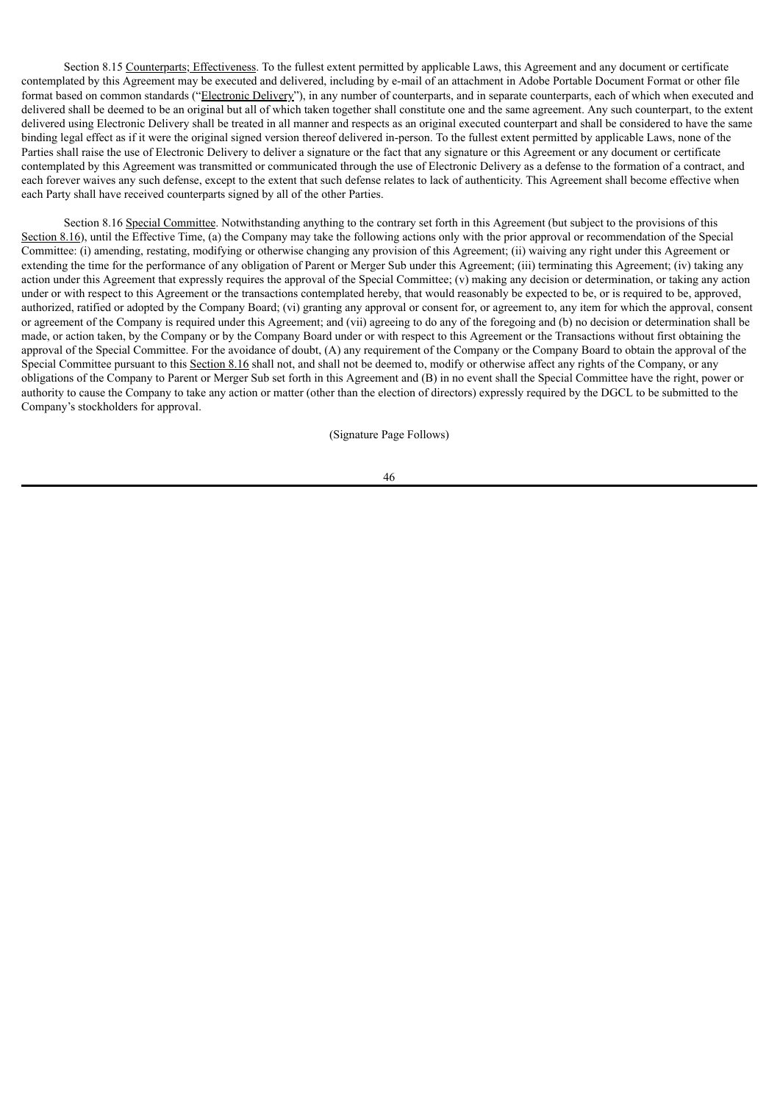Section 8.15 Counterparts; Effectiveness. To the fullest extent permitted by applicable Laws, this Agreement and any document or certificate contemplated by this Agreement may be executed and delivered, including by e-mail of an attachment in Adobe Portable Document Format or other file format based on common standards ("Electronic Delivery"), in any number of counterparts, and in separate counterparts, each of which when executed and delivered shall be deemed to be an original but all of which taken together shall constitute one and the same agreement. Any such counterpart, to the extent delivered using Electronic Delivery shall be treated in all manner and respects as an original executed counterpart and shall be considered to have the same binding legal effect as if it were the original signed version thereof delivered in-person. To the fullest extent permitted by applicable Laws, none of the Parties shall raise the use of Electronic Delivery to deliver a signature or the fact that any signature or this Agreement or any document or certificate contemplated by this Agreement was transmitted or communicated through the use of Electronic Delivery as a defense to the formation of a contract, and each forever waives any such defense, except to the extent that such defense relates to lack of authenticity. This Agreement shall become effective when each Party shall have received counterparts signed by all of the other Parties.

Section 8.16 Special Committee. Notwithstanding anything to the contrary set forth in this Agreement (but subject to the provisions of this Section 8.16), until the Effective Time, (a) the Company may take the following actions only with the prior approval or recommendation of the Special Committee: (i) amending, restating, modifying or otherwise changing any provision of this Agreement; (ii) waiving any right under this Agreement or extending the time for the performance of any obligation of Parent or Merger Sub under this Agreement; (iii) terminating this Agreement; (iv) taking any action under this Agreement that expressly requires the approval of the Special Committee; (v) making any decision or determination, or taking any action under or with respect to this Agreement or the transactions contemplated hereby, that would reasonably be expected to be, or is required to be, approved, authorized, ratified or adopted by the Company Board; (vi) granting any approval or consent for, or agreement to, any item for which the approval, consent or agreement of the Company is required under this Agreement; and (vii) agreeing to do any of the foregoing and (b) no decision or determination shall be made, or action taken, by the Company or by the Company Board under or with respect to this Agreement or the Transactions without first obtaining the approval of the Special Committee. For the avoidance of doubt, (A) any requirement of the Company or the Company Board to obtain the approval of the Special Committee pursuant to this Section 8.16 shall not, and shall not be deemed to, modify or otherwise affect any rights of the Company, or any obligations of the Company to Parent or Merger Sub set forth in this Agreement and (B) in no event shall the Special Committee have the right, power or authority to cause the Company to take any action or matter (other than the election of directors) expressly required by the DGCL to be submitted to the Company's stockholders for approval.

(Signature Page Follows)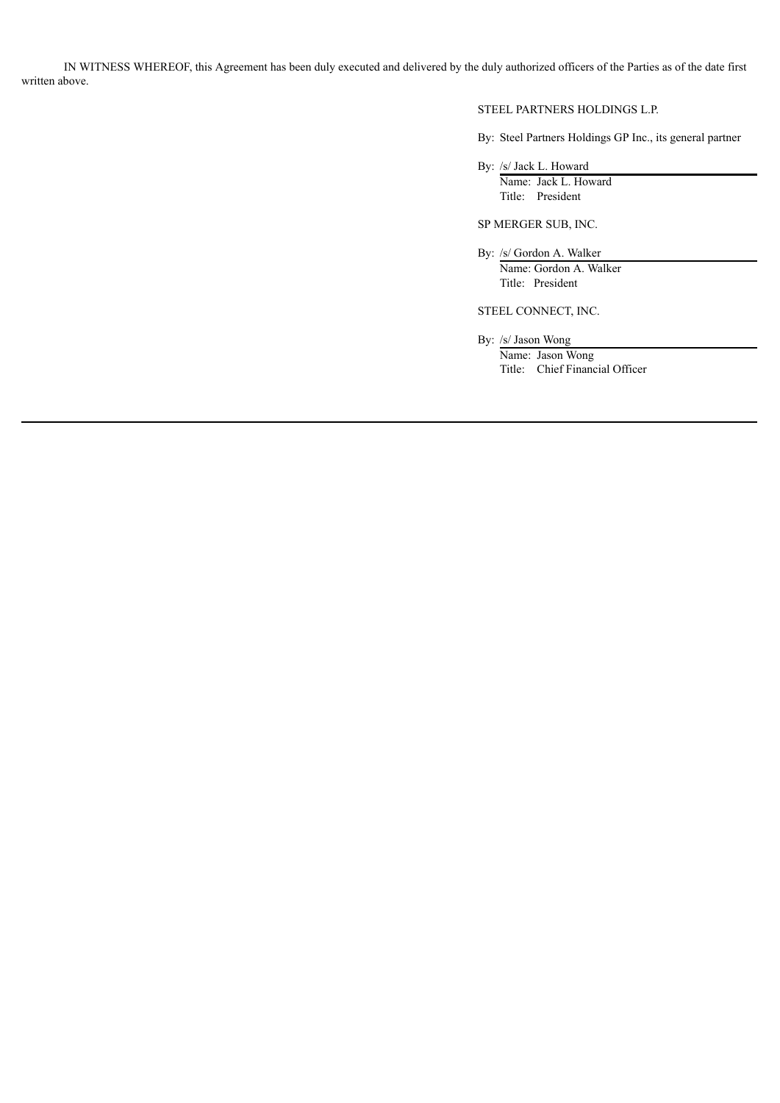IN WITNESS WHEREOF, this Agreement has been duly executed and delivered by the duly authorized officers of the Parties as of the date first written above.

# STEEL PARTNERS HOLDINGS L.P.

By: Steel Partners Holdings GP Inc., its general partner

By: /s/ Jack L. Howard

Name: Jack L. Howard Title: President

SP MERGER SUB, INC.

By: /s/ Gordon A. Walker Name: Gordon A. Walker Title: President

STEEL CONNECT, INC.

By: /s/ Jason Wong

Name: Jason Wong Title: Chief Financial Officer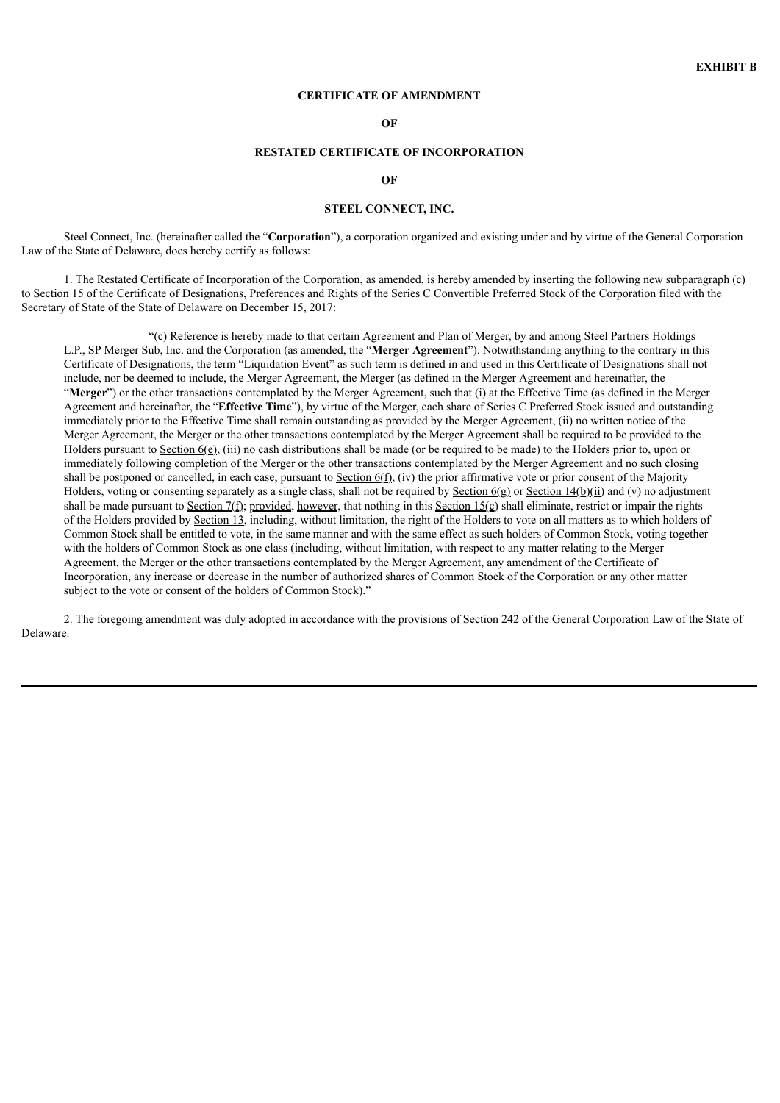#### **CERTIFICATE OF AMENDMENT**

**OF**

#### **RESTATED CERTIFICATE OF INCORPORATION**

#### **OF**

### **STEEL CONNECT, INC.**

Steel Connect, Inc. (hereinafter called the "**Corporation**"), a corporation organized and existing under and by virtue of the General Corporation Law of the State of Delaware, does hereby certify as follows:

1. The Restated Certificate of Incorporation of the Corporation, as amended, is hereby amended by inserting the following new subparagraph (c) to Section 15 of the Certificate of Designations, Preferences and Rights of the Series C Convertible Preferred Stock of the Corporation filed with the Secretary of State of the State of Delaware on December 15, 2017:

"(c) Reference is hereby made to that certain Agreement and Plan of Merger, by and among Steel Partners Holdings L.P., SP Merger Sub, Inc. and the Corporation (as amended, the "**Merger Agreement**"). Notwithstanding anything to the contrary in this Certificate of Designations, the term "Liquidation Event" as such term is defined in and used in this Certificate of Designations shall not include, nor be deemed to include, the Merger Agreement, the Merger (as defined in the Merger Agreement and hereinafter, the "Merger") or the other transactions contemplated by the Merger Agreement, such that (i) at the Effective Time (as defined in the Merger Agreement and hereinafter, the "**Effective Time**"), by virtue of the Merger, each share of Series C Preferred Stock issued and outstanding immediately prior to the Effective Time shall remain outstanding as provided by the Merger Agreement, (ii) no written notice of the Merger Agreement, the Merger or the other transactions contemplated by the Merger Agreement shall be required to be provided to the Holders pursuant to Section  $6(\rho)$ , (iii) no cash distributions shall be made (or be required to be made) to the Holders prior to, upon or immediately following completion of the Merger or the other transactions contemplated by the Merger Agreement and no such closing shall be postponed or cancelled, in each case, pursuant to Section  $6(f)$ , (iv) the prior affirmative vote or prior consent of the Majority Holders, voting or consenting separately as a single class, shall not be required by Section  $6(g)$  or Section  $14(b)(ii)$  and (v) no adjustment shall be made pursuant to Section  $7(f)$ ; provided, however, that nothing in this Section  $15(c)$  shall eliminate, restrict or impair the rights of the Holders provided by Section 13, including, without limitation, the right of the Holders to vote on all matters as to which holders of Common Stock shall be entitled to vote, in the same manner and with the same effect as such holders of Common Stock, voting together with the holders of Common Stock as one class (including, without limitation, with respect to any matter relating to the Merger Agreement, the Merger or the other transactions contemplated by the Merger Agreement, any amendment of the Certificate of Incorporation, any increase or decrease in the number of authorized shares of Common Stock of the Corporation or any other matter subject to the vote or consent of the holders of Common Stock)."

2. The foregoing amendment was duly adopted in accordance with the provisions of Section 242 of the General Corporation Law of the State of Delaware.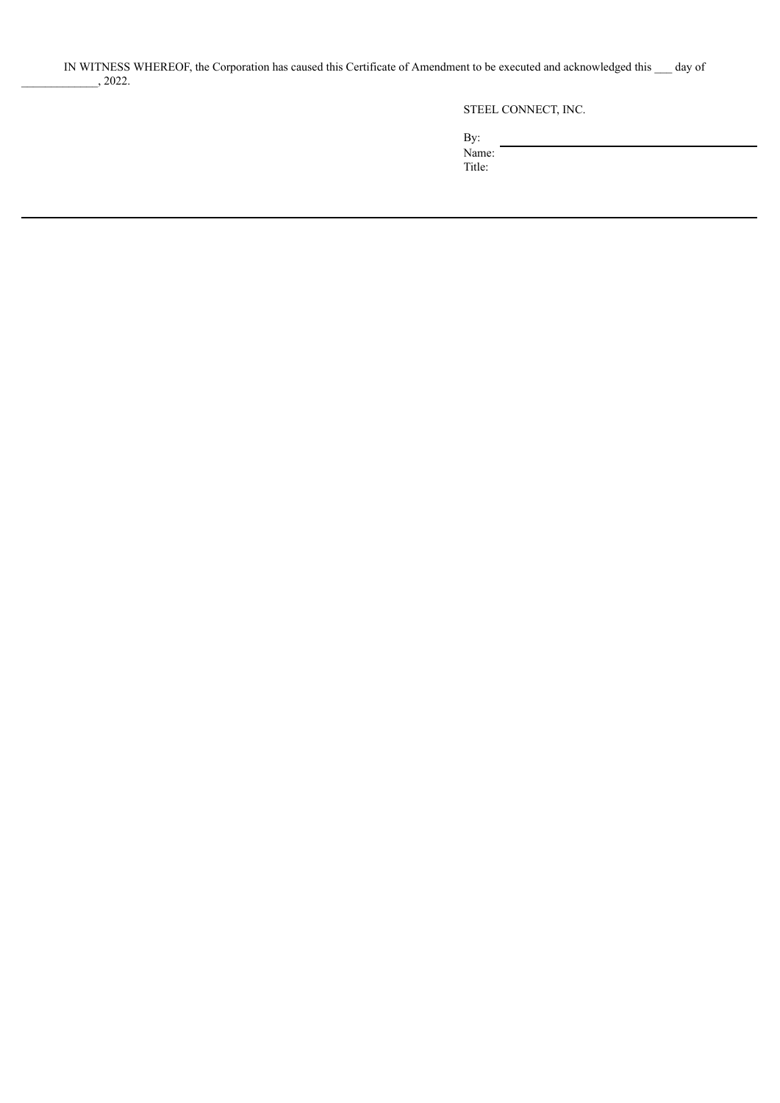STEEL CONNECT, INC.

By: Name:

Title: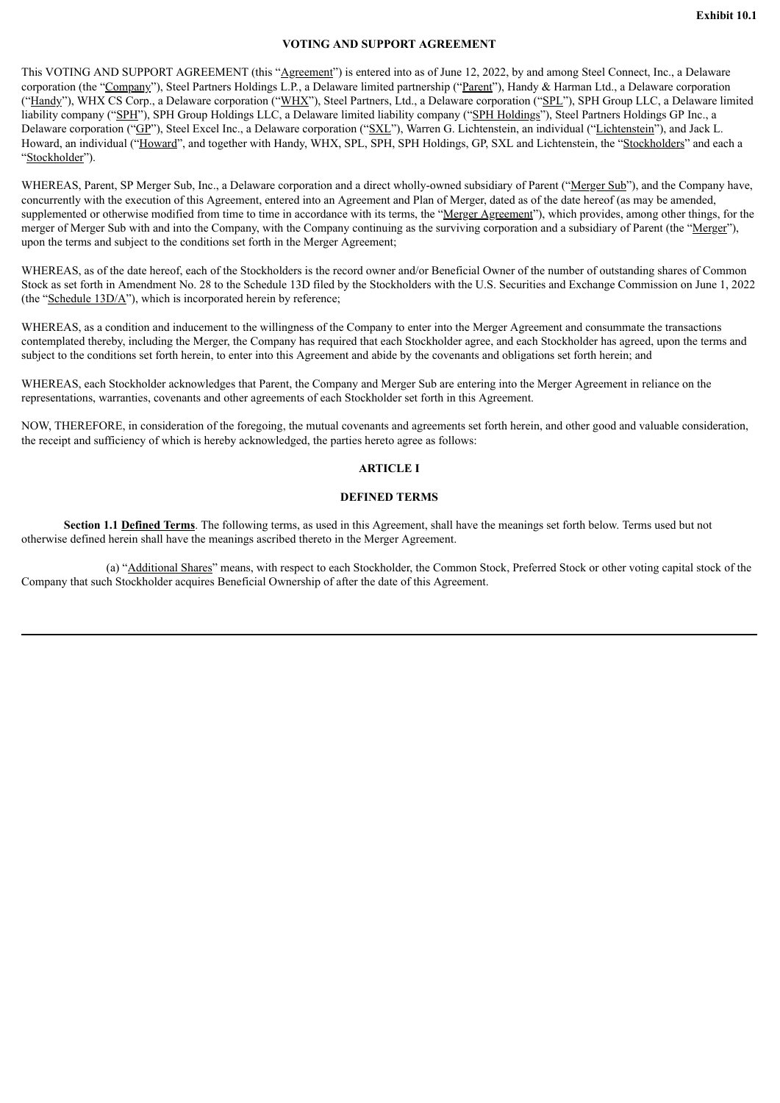## **VOTING AND SUPPORT AGREEMENT**

This VOTING AND SUPPORT AGREEMENT (this "Agreement") is entered into as of June 12, 2022, by and among Steel Connect, Inc., a Delaware corporation (the "Company"), Steel Partners Holdings L.P., a Delaware limited partnership ("Parent"), Handy & Harman Ltd., a Delaware corporation ("Handy"), WHX CS Corp., a Delaware corporation ("WHX"), Steel Partners, Ltd., a Delaware corporation ("SPL"), SPH Group LLC, a Delaware limited liability company ("SPH"), SPH Group Holdings LLC, a Delaware limited liability company ("SPH Holdings"), Steel Partners Holdings GP Inc., a Delaware corporation ("GP"), Steel Excel Inc., a Delaware corporation ("SXL"), Warren G. Lichtenstein, an individual ("Lichtenstein"), and Jack L. Howard, an individual ("Howard", and together with Handy, WHX, SPL, SPH, SPH Holdings, GP, SXL and Lichtenstein, the "Stockholders" and each a "Stockholder").

WHEREAS, Parent, SP Merger Sub, Inc., a Delaware corporation and a direct wholly-owned subsidiary of Parent ("Merger Sub"), and the Company have, concurrently with the execution of this Agreement, entered into an Agreement and Plan of Merger, dated as of the date hereof (as may be amended, supplemented or otherwise modified from time to time in accordance with its terms, the "Merger Agreement"), which provides, among other things, for the merger of Merger Sub with and into the Company, with the Company continuing as the surviving corporation and a subsidiary of Parent (the "Merger"), upon the terms and subject to the conditions set forth in the Merger Agreement;

WHEREAS, as of the date hereof, each of the Stockholders is the record owner and/or Beneficial Owner of the number of outstanding shares of Common Stock as set forth in Amendment No. 28 to the Schedule 13D filed by the Stockholders with the U.S. Securities and Exchange Commission on June 1, 2022 (the "Schedule 13D/A"), which is incorporated herein by reference;

WHEREAS, as a condition and inducement to the willingness of the Company to enter into the Merger Agreement and consummate the transactions contemplated thereby, including the Merger, the Company has required that each Stockholder agree, and each Stockholder has agreed, upon the terms and subject to the conditions set forth herein, to enter into this Agreement and abide by the covenants and obligations set forth herein; and

WHEREAS, each Stockholder acknowledges that Parent, the Company and Merger Sub are entering into the Merger Agreement in reliance on the representations, warranties, covenants and other agreements of each Stockholder set forth in this Agreement.

NOW, THEREFORE, in consideration of the foregoing, the mutual covenants and agreements set forth herein, and other good and valuable consideration, the receipt and sufficiency of which is hereby acknowledged, the parties hereto agree as follows:

# **ARTICLE I**

# **DEFINED TERMS**

**Section 1.1 Defined Terms**. The following terms, as used in this Agreement, shall have the meanings set forth below. Terms used but not otherwise defined herein shall have the meanings ascribed thereto in the Merger Agreement.

(a) "Additional Shares" means, with respect to each Stockholder, the Common Stock, Preferred Stock or other voting capital stock of the Company that such Stockholder acquires Beneficial Ownership of after the date of this Agreement.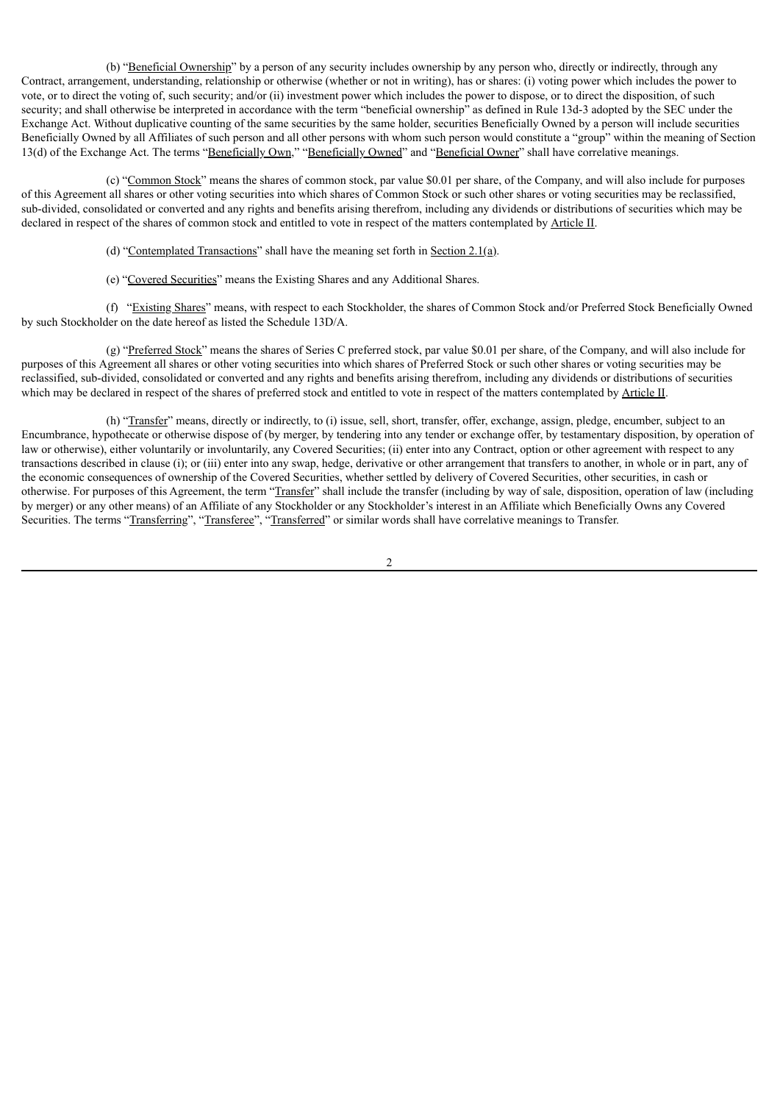(b) "Beneficial Ownership" by a person of any security includes ownership by any person who, directly or indirectly, through any Contract, arrangement, understanding, relationship or otherwise (whether or not in writing), has or shares: (i) voting power which includes the power to vote, or to direct the voting of, such security; and/or (ii) investment power which includes the power to dispose, or to direct the disposition, of such security; and shall otherwise be interpreted in accordance with the term "beneficial ownership" as defined in Rule 13d-3 adopted by the SEC under the Exchange Act. Without duplicative counting of the same securities by the same holder, securities Beneficially Owned by a person will include securities Beneficially Owned by all Affiliates of such person and all other persons with whom such person would constitute a "group" within the meaning of Section 13(d) of the Exchange Act. The terms "Beneficially Own," "Beneficially Owned" and "Beneficial Owner" shall have correlative meanings.

(c) "Common Stock" means the shares of common stock, par value \$0.01 per share, of the Company, and will also include for purposes of this Agreement all shares or other voting securities into which shares of Common Stock or such other shares or voting securities may be reclassified, sub-divided, consolidated or converted and any rights and benefits arising therefrom, including any dividends or distributions of securities which may be declared in respect of the shares of common stock and entitled to vote in respect of the matters contemplated by Article II.

- (d) "Contemplated Transactions" shall have the meaning set forth in Section  $2.1(a)$ .
- (e) "Covered Securities" means the Existing Shares and any Additional Shares.

(f) "Existing Shares" means, with respect to each Stockholder, the shares of Common Stock and/or Preferred Stock Beneficially Owned by such Stockholder on the date hereof as listed the Schedule 13D/A.

(g) "Preferred Stock" means the shares of Series C preferred stock, par value \$0.01 per share, of the Company, and will also include for purposes of this Agreement all shares or other voting securities into which shares of Preferred Stock or such other shares or voting securities may be reclassified, sub-divided, consolidated or converted and any rights and benefits arising therefrom, including any dividends or distributions of securities which may be declared in respect of the shares of preferred stock and entitled to vote in respect of the matters contemplated by Article II.

(h) "Transfer" means, directly or indirectly, to (i) issue, sell, short, transfer, offer, exchange, assign, pledge, encumber, subject to an Encumbrance, hypothecate or otherwise dispose of (by merger, by tendering into any tender or exchange offer, by testamentary disposition, by operation of law or otherwise), either voluntarily or involuntarily, any Covered Securities; (ii) enter into any Contract, option or other agreement with respect to any transactions described in clause (i); or (iii) enter into any swap, hedge, derivative or other arrangement that transfers to another, in whole or in part, any of the economic consequences of ownership of the Covered Securities, whether settled by delivery of Covered Securities, other securities, in cash or otherwise. For purposes of this Agreement, the term "Transfer" shall include the transfer (including by way of sale, disposition, operation of law (including by merger) or any other means) of an Affiliate of any Stockholder or any Stockholder's interest in an Affiliate which Beneficially Owns any Covered Securities. The terms "Transferring", "Transferee", "Transferred" or similar words shall have correlative meanings to Transfer.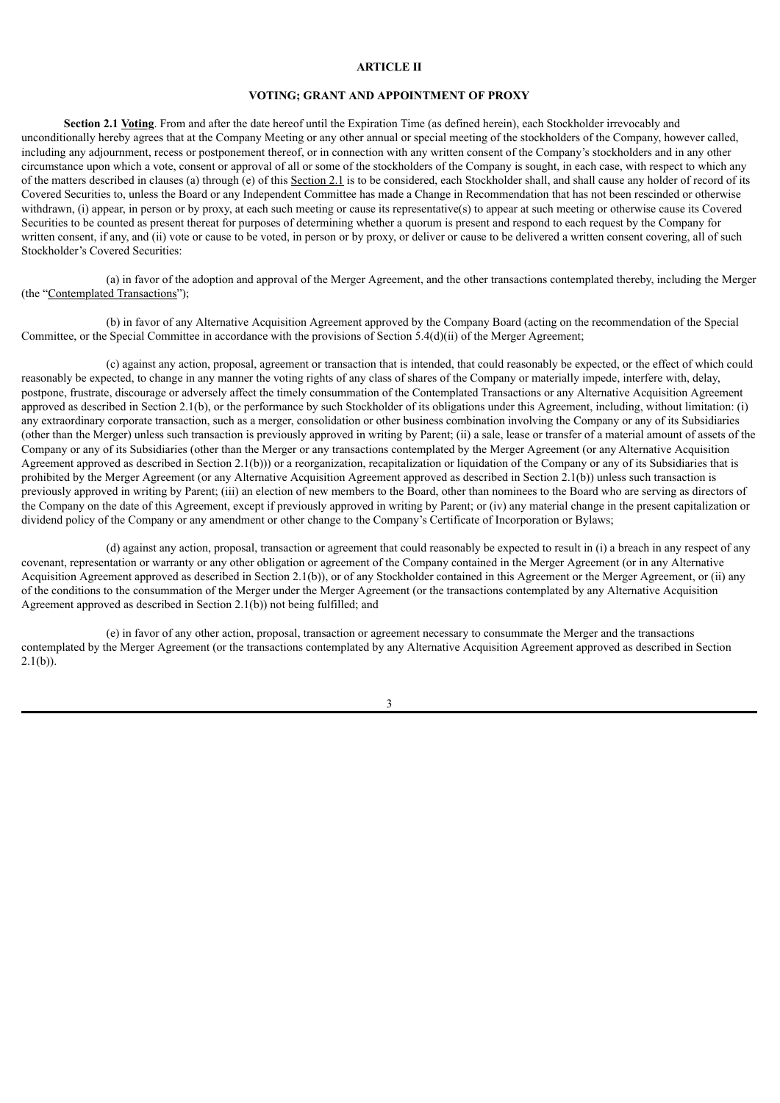## **ARTICLE II**

#### **VOTING; GRANT AND APPOINTMENT OF PROXY**

**Section 2.1 Voting**. From and after the date hereof until the Expiration Time (as defined herein), each Stockholder irrevocably and unconditionally hereby agrees that at the Company Meeting or any other annual or special meeting of the stockholders of the Company, however called, including any adjournment, recess or postponement thereof, or in connection with any written consent of the Company's stockholders and in any other circumstance upon which a vote, consent or approval of all or some of the stockholders of the Company is sought, in each case, with respect to which any of the matters described in clauses (a) through (e) of this Section 2.1 is to be considered, each Stockholder shall, and shall cause any holder of record of its Covered Securities to, unless the Board or any Independent Committee has made a Change in Recommendation that has not been rescinded or otherwise withdrawn, (i) appear, in person or by proxy, at each such meeting or cause its representative(s) to appear at such meeting or otherwise cause its Covered Securities to be counted as present thereat for purposes of determining whether a quorum is present and respond to each request by the Company for written consent, if any, and (ii) vote or cause to be voted, in person or by proxy, or deliver or cause to be delivered a written consent covering, all of such Stockholder's Covered Securities:

(a) in favor of the adoption and approval of the Merger Agreement, and the other transactions contemplated thereby, including the Merger (the "Contemplated Transactions");

(b) in favor of any Alternative Acquisition Agreement approved by the Company Board (acting on the recommendation of the Special Committee, or the Special Committee in accordance with the provisions of Section 5.4(d)(ii) of the Merger Agreement;

(c) against any action, proposal, agreement or transaction that is intended, that could reasonably be expected, or the effect of which could reasonably be expected, to change in any manner the voting rights of any class of shares of the Company or materially impede, interfere with, delay, postpone, frustrate, discourage or adversely affect the timely consummation of the Contemplated Transactions or any Alternative Acquisition Agreement approved as described in Section 2.1(b), or the performance by such Stockholder of its obligations under this Agreement, including, without limitation: (i) any extraordinary corporate transaction, such as a merger, consolidation or other business combination involving the Company or any of its Subsidiaries (other than the Merger) unless such transaction is previously approved in writing by Parent; (ii) a sale, lease or transfer of a material amount of assets of the Company or any of its Subsidiaries (other than the Merger or any transactions contemplated by the Merger Agreement (or any Alternative Acquisition Agreement approved as described in Section 2.1(b))) or a reorganization, recapitalization or liquidation of the Company or any of its Subsidiaries that is prohibited by the Merger Agreement (or any Alternative Acquisition Agreement approved as described in Section 2.1(b)) unless such transaction is previously approved in writing by Parent; (iii) an election of new members to the Board, other than nominees to the Board who are serving as directors of the Company on the date of this Agreement, except if previously approved in writing by Parent; or (iv) any material change in the present capitalization or dividend policy of the Company or any amendment or other change to the Company's Certificate of Incorporation or Bylaws;

(d) against any action, proposal, transaction or agreement that could reasonably be expected to result in (i) a breach in any respect of any covenant, representation or warranty or any other obligation or agreement of the Company contained in the Merger Agreement (or in any Alternative Acquisition Agreement approved as described in Section 2.1(b)), or of any Stockholder contained in this Agreement or the Merger Agreement, or (ii) any of the conditions to the consummation of the Merger under the Merger Agreement (or the transactions contemplated by any Alternative Acquisition Agreement approved as described in Section 2.1(b)) not being fulfilled; and

(e) in favor of any other action, proposal, transaction or agreement necessary to consummate the Merger and the transactions contemplated by the Merger Agreement (or the transactions contemplated by any Alternative Acquisition Agreement approved as described in Section 2.1(b)).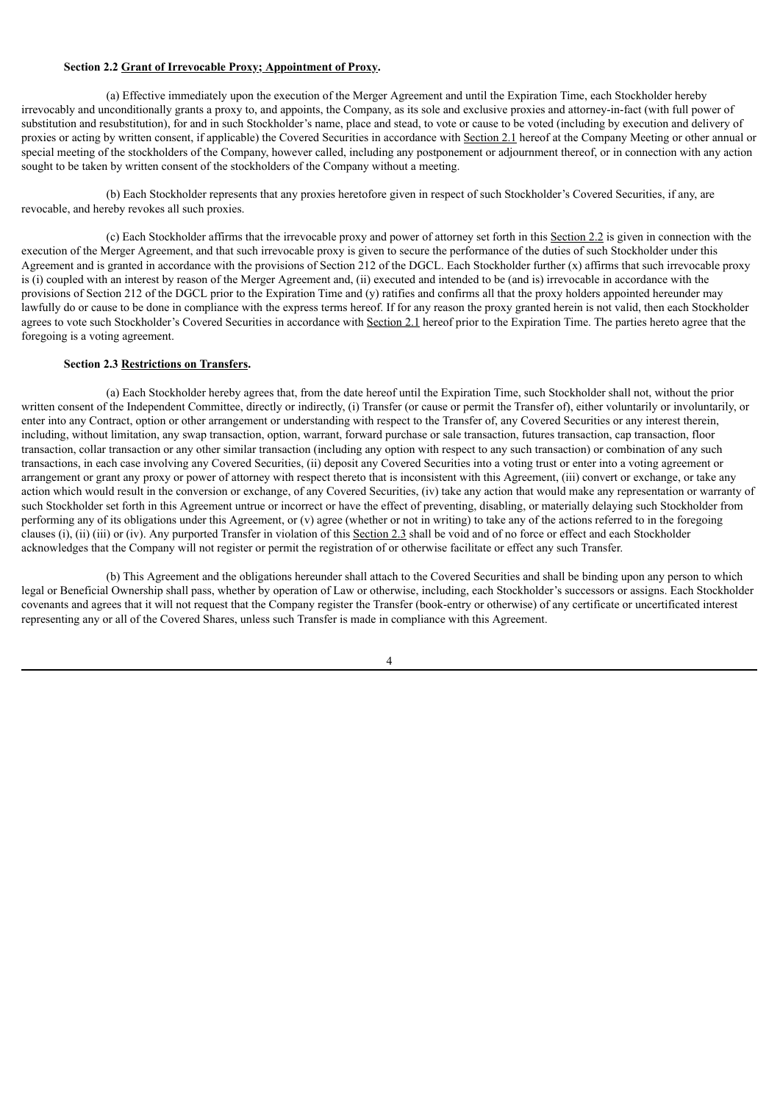#### **Section 2.2 Grant of Irrevocable Proxy; Appointment of Proxy.**

(a) Effective immediately upon the execution of the Merger Agreement and until the Expiration Time, each Stockholder hereby irrevocably and unconditionally grants a proxy to, and appoints, the Company, as its sole and exclusive proxies and attorney-in-fact (with full power of substitution and resubstitution), for and in such Stockholder's name, place and stead, to vote or cause to be voted (including by execution and delivery of proxies or acting by written consent, if applicable) the Covered Securities in accordance with Section 2.1 hereof at the Company Meeting or other annual or special meeting of the stockholders of the Company, however called, including any postponement or adjournment thereof, or in connection with any action sought to be taken by written consent of the stockholders of the Company without a meeting.

(b) Each Stockholder represents that any proxies heretofore given in respect of such Stockholder's Covered Securities, if any, are revocable, and hereby revokes all such proxies.

(c) Each Stockholder affirms that the irrevocable proxy and power of attorney set forth in this Section 2.2 is given in connection with the execution of the Merger Agreement, and that such irrevocable proxy is given to secure the performance of the duties of such Stockholder under this Agreement and is granted in accordance with the provisions of Section 212 of the DGCL. Each Stockholder further (x) affirms that such irrevocable proxy is (i) coupled with an interest by reason of the Merger Agreement and, (ii) executed and intended to be (and is) irrevocable in accordance with the provisions of Section 212 of the DGCL prior to the Expiration Time and (y) ratifies and confirms all that the proxy holders appointed hereunder may lawfully do or cause to be done in compliance with the express terms hereof. If for any reason the proxy granted herein is not valid, then each Stockholder agrees to vote such Stockholder's Covered Securities in accordance with Section 2.1 hereof prior to the Expiration Time. The parties hereto agree that the foregoing is a voting agreement.

#### **Section 2.3 Restrictions on Transfers.**

(a) Each Stockholder hereby agrees that, from the date hereof until the Expiration Time, such Stockholder shall not, without the prior written consent of the Independent Committee, directly or indirectly, (i) Transfer (or cause or permit the Transfer of), either voluntarily or involuntarily, or enter into any Contract, option or other arrangement or understanding with respect to the Transfer of, any Covered Securities or any interest therein, including, without limitation, any swap transaction, option, warrant, forward purchase or sale transaction, futures transaction, cap transaction, floor transaction, collar transaction or any other similar transaction (including any option with respect to any such transaction) or combination of any such transactions, in each case involving any Covered Securities, (ii) deposit any Covered Securities into a voting trust or enter into a voting agreement or arrangement or grant any proxy or power of attorney with respect thereto that is inconsistent with this Agreement, (iii) convert or exchange, or take any action which would result in the conversion or exchange, of any Covered Securities, (iv) take any action that would make any representation or warranty of such Stockholder set forth in this Agreement untrue or incorrect or have the effect of preventing, disabling, or materially delaying such Stockholder from performing any of its obligations under this Agreement, or (v) agree (whether or not in writing) to take any of the actions referred to in the foregoing clauses (i), (ii) (iii) or (iv). Any purported Transfer in violation of this Section 2.3 shall be void and of no force or effect and each Stockholder acknowledges that the Company will not register or permit the registration of or otherwise facilitate or effect any such Transfer.

(b) This Agreement and the obligations hereunder shall attach to the Covered Securities and shall be binding upon any person to which legal or Beneficial Ownership shall pass, whether by operation of Law or otherwise, including, each Stockholder's successors or assigns. Each Stockholder covenants and agrees that it will not request that the Company register the Transfer (book-entry or otherwise) of any certificate or uncertificated interest representing any or all of the Covered Shares, unless such Transfer is made in compliance with this Agreement.

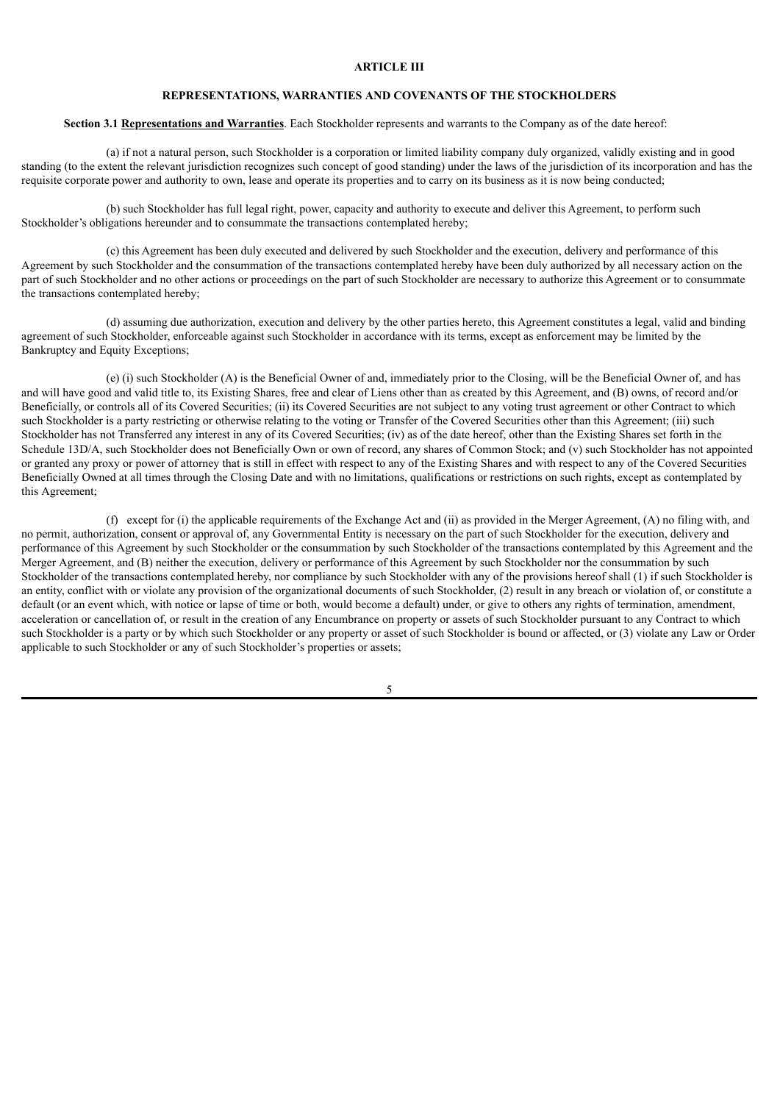## **ARTICLE III**

# **REPRESENTATIONS, WARRANTIES AND COVENANTS OF THE STOCKHOLDERS**

# **Section 3.1 Representations and Warranties**. Each Stockholder represents and warrants to the Company as of the date hereof:

(a) if not a natural person, such Stockholder is a corporation or limited liability company duly organized, validly existing and in good standing (to the extent the relevant jurisdiction recognizes such concept of good standing) under the laws of the jurisdiction of its incorporation and has the requisite corporate power and authority to own, lease and operate its properties and to carry on its business as it is now being conducted;

(b) such Stockholder has full legal right, power, capacity and authority to execute and deliver this Agreement, to perform such Stockholder's obligations hereunder and to consummate the transactions contemplated hereby;

(c) this Agreement has been duly executed and delivered by such Stockholder and the execution, delivery and performance of this Agreement by such Stockholder and the consummation of the transactions contemplated hereby have been duly authorized by all necessary action on the part of such Stockholder and no other actions or proceedings on the part of such Stockholder are necessary to authorize this Agreement or to consummate the transactions contemplated hereby;

(d) assuming due authorization, execution and delivery by the other parties hereto, this Agreement constitutes a legal, valid and binding agreement of such Stockholder, enforceable against such Stockholder in accordance with its terms, except as enforcement may be limited by the Bankruptcy and Equity Exceptions;

(e) (i) such Stockholder (A) is the Beneficial Owner of and, immediately prior to the Closing, will be the Beneficial Owner of, and has and will have good and valid title to, its Existing Shares, free and clear of Liens other than as created by this Agreement, and (B) owns, of record and/or Beneficially, or controls all of its Covered Securities; (ii) its Covered Securities are not subject to any voting trust agreement or other Contract to which such Stockholder is a party restricting or otherwise relating to the voting or Transfer of the Covered Securities other than this Agreement; (iii) such Stockholder has not Transferred any interest in any of its Covered Securities; (iv) as of the date hereof, other than the Existing Shares set forth in the Schedule 13D/A, such Stockholder does not Beneficially Own or own of record, any shares of Common Stock; and (v) such Stockholder has not appointed or granted any proxy or power of attorney that is still in effect with respect to any of the Existing Shares and with respect to any of the Covered Securities Beneficially Owned at all times through the Closing Date and with no limitations, qualifications or restrictions on such rights, except as contemplated by this Agreement;

(f) except for (i) the applicable requirements of the Exchange Act and (ii) as provided in the Merger Agreement, (A) no filing with, and no permit, authorization, consent or approval of, any Governmental Entity is necessary on the part of such Stockholder for the execution, delivery and performance of this Agreement by such Stockholder or the consummation by such Stockholder of the transactions contemplated by this Agreement and the Merger Agreement, and (B) neither the execution, delivery or performance of this Agreement by such Stockholder nor the consummation by such Stockholder of the transactions contemplated hereby, nor compliance by such Stockholder with any of the provisions hereof shall (1) if such Stockholder is an entity, conflict with or violate any provision of the organizational documents of such Stockholder, (2) result in any breach or violation of, or constitute a default (or an event which, with notice or lapse of time or both, would become a default) under, or give to others any rights of termination, amendment, acceleration or cancellation of, or result in the creation of any Encumbrance on property or assets of such Stockholder pursuant to any Contract to which such Stockholder is a party or by which such Stockholder or any property or asset of such Stockholder is bound or affected, or (3) violate any Law or Order applicable to such Stockholder or any of such Stockholder's properties or assets;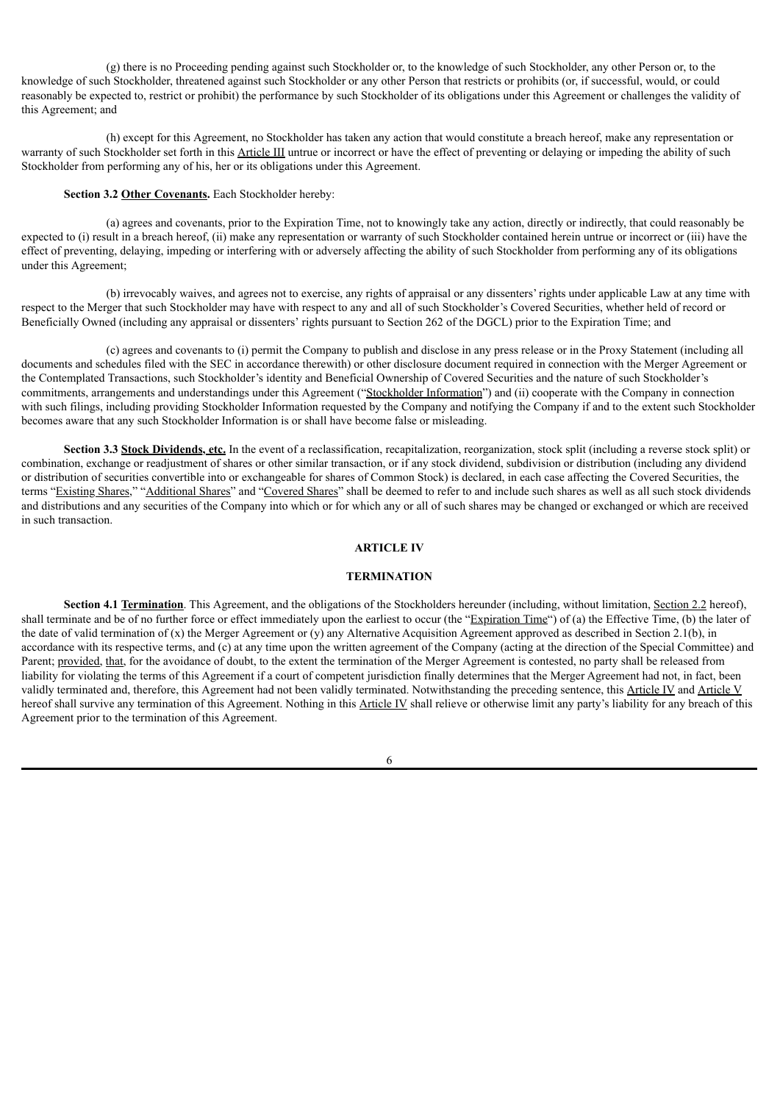(g) there is no Proceeding pending against such Stockholder or, to the knowledge of such Stockholder, any other Person or, to the knowledge of such Stockholder, threatened against such Stockholder or any other Person that restricts or prohibits (or, if successful, would, or could reasonably be expected to, restrict or prohibit) the performance by such Stockholder of its obligations under this Agreement or challenges the validity of this Agreement; and

(h) except for this Agreement, no Stockholder has taken any action that would constitute a breach hereof, make any representation or warranty of such Stockholder set forth in this Article III untrue or incorrect or have the effect of preventing or delaying or impeding the ability of such Stockholder from performing any of his, her or its obligations under this Agreement.

#### **Section 3.2 Other Covenants.** Each Stockholder hereby:

(a) agrees and covenants, prior to the Expiration Time, not to knowingly take any action, directly or indirectly, that could reasonably be expected to (i) result in a breach hereof, (ii) make any representation or warranty of such Stockholder contained herein untrue or incorrect or (iii) have the effect of preventing, delaying, impeding or interfering with or adversely affecting the ability of such Stockholder from performing any of its obligations under this Agreement;

(b) irrevocably waives, and agrees not to exercise, any rights of appraisal or any dissenters' rights under applicable Law at any time with respect to the Merger that such Stockholder may have with respect to any and all of such Stockholder's Covered Securities, whether held of record or Beneficially Owned (including any appraisal or dissenters' rights pursuant to Section 262 of the DGCL) prior to the Expiration Time; and

(c) agrees and covenants to (i) permit the Company to publish and disclose in any press release or in the Proxy Statement (including all documents and schedules filed with the SEC in accordance therewith) or other disclosure document required in connection with the Merger Agreement or the Contemplated Transactions, such Stockholder's identity and Beneficial Ownership of Covered Securities and the nature of such Stockholder's commitments, arrangements and understandings under this Agreement ("Stockholder Information") and (ii) cooperate with the Company in connection with such filings, including providing Stockholder Information requested by the Company and notifying the Company if and to the extent such Stockholder becomes aware that any such Stockholder Information is or shall have become false or misleading.

**Section 3.3 Stock Dividends, etc.** In the event of a reclassification, recapitalization, reorganization, stock split (including a reverse stock split) or combination, exchange or readjustment of shares or other similar transaction, or if any stock dividend, subdivision or distribution (including any dividend or distribution of securities convertible into or exchangeable for shares of Common Stock) is declared, in each case affecting the Covered Securities, the terms "Existing Shares," "Additional Shares" and "Covered Shares" shall be deemed to refer to and include such shares as well as all such stock dividends and distributions and any securities of the Company into which or for which any or all of such shares may be changed or exchanged or which are received in such transaction.

#### **ARTICLE IV**

#### **TERMINATION**

**Section 4.1 Termination**. This Agreement, and the obligations of the Stockholders hereunder (including, without limitation, Section 2.2 hereof), shall terminate and be of no further force or effect immediately upon the earliest to occur (the "Expiration Time") of (a) the Effective Time, (b) the later of the date of valid termination of (x) the Merger Agreement or (y) any Alternative Acquisition Agreement approved as described in Section 2.1(b), in accordance with its respective terms, and (c) at any time upon the written agreement of the Company (acting at the direction of the Special Committee) and Parent; provided, that, for the avoidance of doubt, to the extent the termination of the Merger Agreement is contested, no party shall be released from liability for violating the terms of this Agreement if a court of competent jurisdiction finally determines that the Merger Agreement had not, in fact, been validly terminated and, therefore, this Agreement had not been validly terminated. Notwithstanding the preceding sentence, this Article IV and Article V hereof shall survive any termination of this Agreement. Nothing in this Article IV shall relieve or otherwise limit any party's liability for any breach of this Agreement prior to the termination of this Agreement.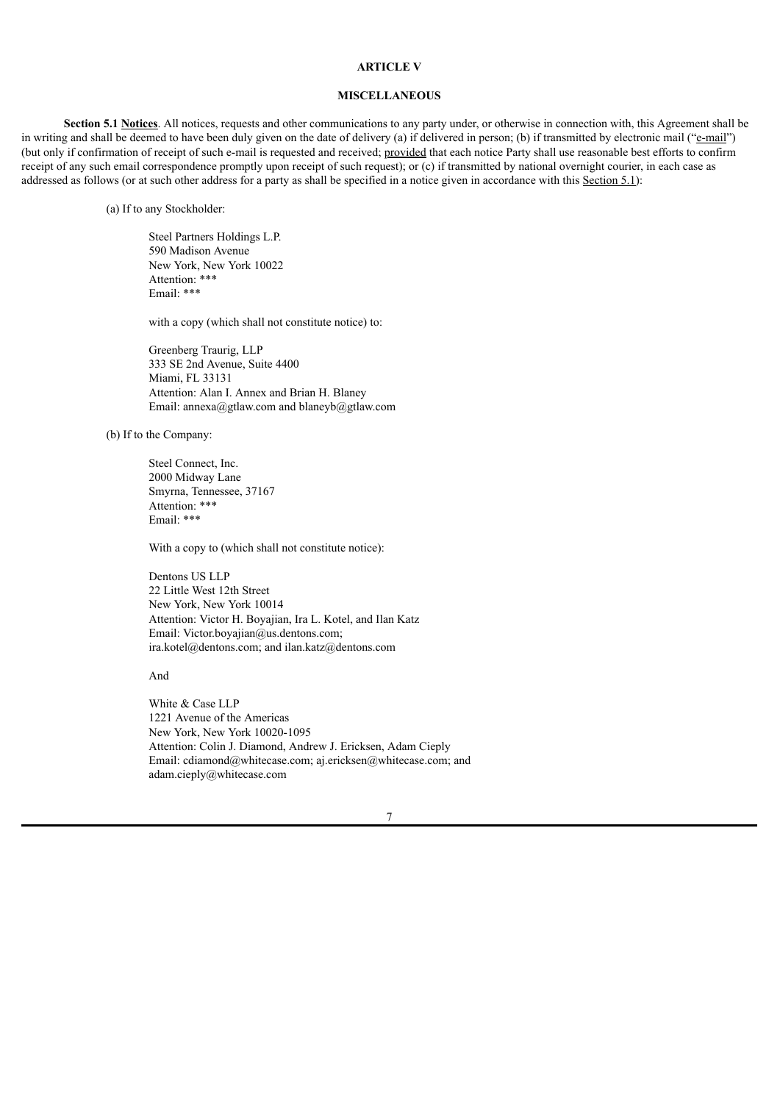#### **ARTICLE V**

#### **MISCELLANEOUS**

**Section 5.1 Notices**. All notices, requests and other communications to any party under, or otherwise in connection with, this Agreement shall be in writing and shall be deemed to have been duly given on the date of delivery (a) if delivered in person; (b) if transmitted by electronic mail ("e-mail") (but only if confirmation of receipt of such e-mail is requested and received; provided that each notice Party shall use reasonable best efforts to confirm receipt of any such email correspondence promptly upon receipt of such request); or (c) if transmitted by national overnight courier, in each case as addressed as follows (or at such other address for a party as shall be specified in a notice given in accordance with this Section 5.1):

(a) If to any Stockholder:

Steel Partners Holdings L.P. 590 Madison Avenue New York, New York 10022 Attention: \*\*\* Email: \*\*\*

with a copy (which shall not constitute notice) to:

Greenberg Traurig, LLP 333 SE 2nd Avenue, Suite 4400 Miami, FL 33131 Attention: Alan I. Annex and Brian H. Blaney Email: annexa@gtlaw.com and blaneyb@gtlaw.com

(b) If to the Company:

Steel Connect, Inc. 2000 Midway Lane Smyrna, Tennessee, 37167 Attention: \*\*\* Email: \*\*\*

With a copy to (which shall not constitute notice):

Dentons US LLP 22 Little West 12th Street New York, New York 10014 Attention: Victor H. Boyajian, Ira L. Kotel, and Ilan Katz Email: Victor.boyajian@us.dentons.com; ira.kotel@dentons.com; and ilan.katz@dentons.com

And

White & Case LLP 1221 Avenue of the Americas New York, New York 10020-1095 Attention: Colin J. Diamond, Andrew J. Ericksen, Adam Cieply Email: cdiamond@whitecase.com; aj.ericksen@whitecase.com; and adam.cieply@whitecase.com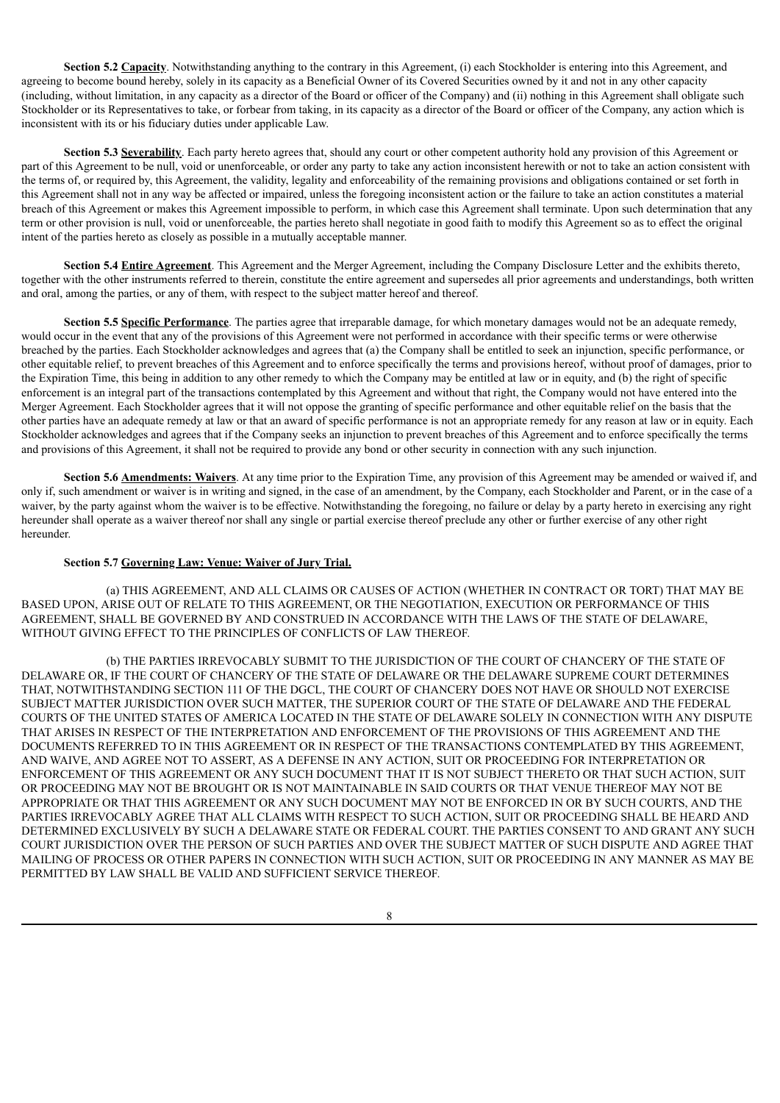**Section 5.2 Capacity**. Notwithstanding anything to the contrary in this Agreement, (i) each Stockholder is entering into this Agreement, and agreeing to become bound hereby, solely in its capacity as a Beneficial Owner of its Covered Securities owned by it and not in any other capacity (including, without limitation, in any capacity as a director of the Board or officer of the Company) and (ii) nothing in this Agreement shall obligate such Stockholder or its Representatives to take, or forbear from taking, in its capacity as a director of the Board or officer of the Company, any action which is inconsistent with its or his fiduciary duties under applicable Law.

**Section 5.3 Severability**. Each party hereto agrees that, should any court or other competent authority hold any provision of this Agreement or part of this Agreement to be null, void or unenforceable, or order any party to take any action inconsistent herewith or not to take an action consistent with the terms of, or required by, this Agreement, the validity, legality and enforceability of the remaining provisions and obligations contained or set forth in this Agreement shall not in any way be affected or impaired, unless the foregoing inconsistent action or the failure to take an action constitutes a material breach of this Agreement or makes this Agreement impossible to perform, in which case this Agreement shall terminate. Upon such determination that any term or other provision is null, void or unenforceable, the parties hereto shall negotiate in good faith to modify this Agreement so as to effect the original intent of the parties hereto as closely as possible in a mutually acceptable manner.

**Section 5.4 Entire Agreement**. This Agreement and the Merger Agreement, including the Company Disclosure Letter and the exhibits thereto, together with the other instruments referred to therein, constitute the entire agreement and supersedes all prior agreements and understandings, both written and oral, among the parties, or any of them, with respect to the subject matter hereof and thereof.

**Section 5.5 Specific Performance**. The parties agree that irreparable damage, for which monetary damages would not be an adequate remedy, would occur in the event that any of the provisions of this Agreement were not performed in accordance with their specific terms or were otherwise breached by the parties. Each Stockholder acknowledges and agrees that (a) the Company shall be entitled to seek an injunction, specific performance, or other equitable relief, to prevent breaches of this Agreement and to enforce specifically the terms and provisions hereof, without proof of damages, prior to the Expiration Time, this being in addition to any other remedy to which the Company may be entitled at law or in equity, and (b) the right of specific enforcement is an integral part of the transactions contemplated by this Agreement and without that right, the Company would not have entered into the Merger Agreement. Each Stockholder agrees that it will not oppose the granting of specific performance and other equitable relief on the basis that the other parties have an adequate remedy at law or that an award of specific performance is not an appropriate remedy for any reason at law or in equity. Each Stockholder acknowledges and agrees that if the Company seeks an injunction to prevent breaches of this Agreement and to enforce specifically the terms and provisions of this Agreement, it shall not be required to provide any bond or other security in connection with any such injunction.

**Section 5.6 Amendments: Waivers**. At any time prior to the Expiration Time, any provision of this Agreement may be amended or waived if, and only if, such amendment or waiver is in writing and signed, in the case of an amendment, by the Company, each Stockholder and Parent, or in the case of a waiver, by the party against whom the waiver is to be effective. Notwithstanding the foregoing, no failure or delay by a party hereto in exercising any right hereunder shall operate as a waiver thereof nor shall any single or partial exercise thereof preclude any other or further exercise of any other right hereunder.

## **Section 5.7 Governing Law: Venue: Waiver of Jury Trial.**

(a) THIS AGREEMENT, AND ALL CLAIMS OR CAUSES OF ACTION (WHETHER IN CONTRACT OR TORT) THAT MAY BE BASED UPON, ARISE OUT OF RELATE TO THIS AGREEMENT, OR THE NEGOTIATION, EXECUTION OR PERFORMANCE OF THIS AGREEMENT, SHALL BE GOVERNED BY AND CONSTRUED IN ACCORDANCE WITH THE LAWS OF THE STATE OF DELAWARE, WITHOUT GIVING EFFECT TO THE PRINCIPLES OF CONFLICTS OF LAW THEREOF.

(b) THE PARTIES IRREVOCABLY SUBMIT TO THE JURISDICTION OF THE COURT OF CHANCERY OF THE STATE OF DELAWARE OR, IF THE COURT OF CHANCERY OF THE STATE OF DELAWARE OR THE DELAWARE SUPREME COURT DETERMINES THAT, NOTWITHSTANDING SECTION 111 OF THE DGCL, THE COURT OF CHANCERY DOES NOT HAVE OR SHOULD NOT EXERCISE SUBJECT MATTER JURISDICTION OVER SUCH MATTER, THE SUPERIOR COURT OF THE STATE OF DELAWARE AND THE FEDERAL COURTS OF THE UNITED STATES OF AMERICA LOCATED IN THE STATE OF DELAWARE SOLELY IN CONNECTION WITH ANY DISPUTE THAT ARISES IN RESPECT OF THE INTERPRETATION AND ENFORCEMENT OF THE PROVISIONS OF THIS AGREEMENT AND THE DOCUMENTS REFERRED TO IN THIS AGREEMENT OR IN RESPECT OF THE TRANSACTIONS CONTEMPLATED BY THIS AGREEMENT, AND WAIVE, AND AGREE NOT TO ASSERT, AS A DEFENSE IN ANY ACTION, SUIT OR PROCEEDING FOR INTERPRETATION OR ENFORCEMENT OF THIS AGREEMENT OR ANY SUCH DOCUMENT THAT IT IS NOT SUBJECT THERETO OR THAT SUCH ACTION, SUIT OR PROCEEDING MAY NOT BE BROUGHT OR IS NOT MAINTAINABLE IN SAID COURTS OR THAT VENUE THEREOF MAY NOT BE APPROPRIATE OR THAT THIS AGREEMENT OR ANY SUCH DOCUMENT MAY NOT BE ENFORCED IN OR BY SUCH COURTS, AND THE PARTIES IRREVOCABLY AGREE THAT ALL CLAIMS WITH RESPECT TO SUCH ACTION, SUIT OR PROCEEDING SHALL BE HEARD AND DETERMINED EXCLUSIVELY BY SUCH A DELAWARE STATE OR FEDERAL COURT. THE PARTIES CONSENT TO AND GRANT ANY SUCH COURT JURISDICTION OVER THE PERSON OF SUCH PARTIES AND OVER THE SUBJECT MATTER OF SUCH DISPUTE AND AGREE THAT MAILING OF PROCESS OR OTHER PAPERS IN CONNECTION WITH SUCH ACTION, SUIT OR PROCEEDING IN ANY MANNER AS MAY BE PERMITTED BY LAW SHALL BE VALID AND SUFFICIENT SERVICE THEREOF.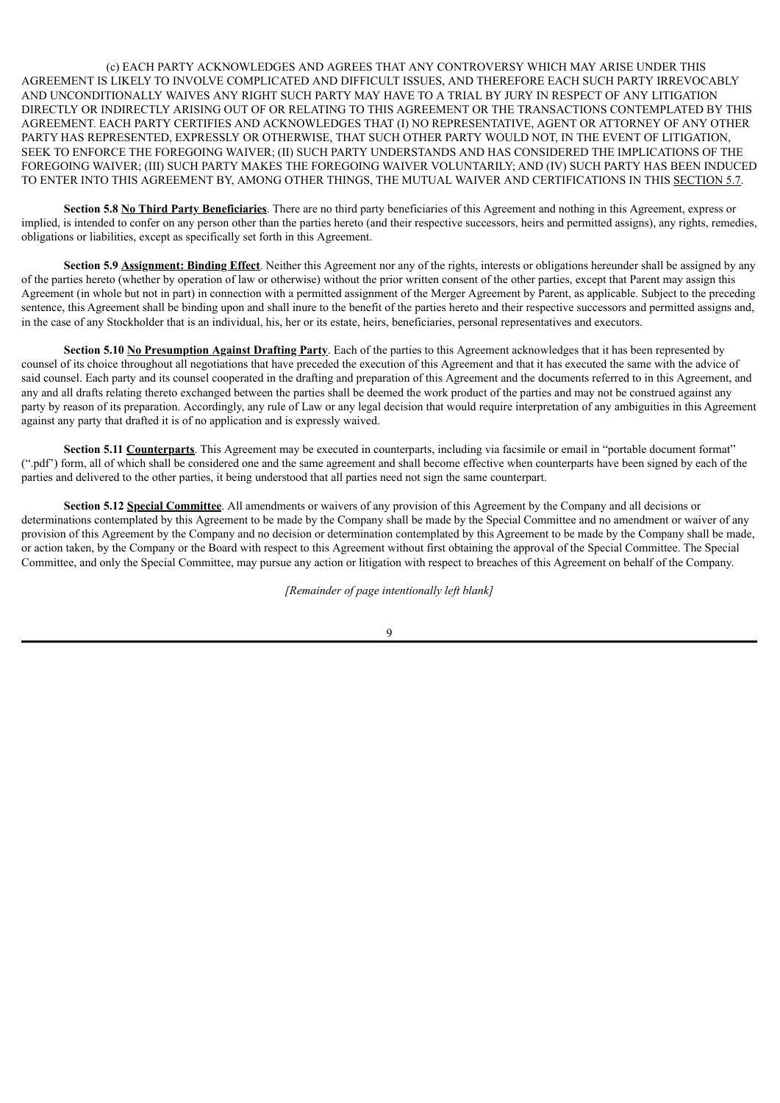(c) EACH PARTY ACKNOWLEDGES AND AGREES THAT ANY CONTROVERSY WHICH MAY ARISE UNDER THIS AGREEMENT IS LIKELY TO INVOLVE COMPLICATED AND DIFFICULT ISSUES, AND THEREFORE EACH SUCH PARTY IRREVOCABLY AND UNCONDITIONALLY WAIVES ANY RIGHT SUCH PARTY MAY HAVE TO A TRIAL BY JURY IN RESPECT OF ANY LITIGATION DIRECTLY OR INDIRECTLY ARISING OUT OF OR RELATING TO THIS AGREEMENT OR THE TRANSACTIONS CONTEMPLATED BY THIS AGREEMENT. EACH PARTY CERTIFIES AND ACKNOWLEDGES THAT (I) NO REPRESENTATIVE, AGENT OR ATTORNEY OF ANY OTHER PARTY HAS REPRESENTED, EXPRESSLY OR OTHERWISE, THAT SUCH OTHER PARTY WOULD NOT, IN THE EVENT OF LITIGATION, SEEK TO ENFORCE THE FOREGOING WAIVER; (II) SUCH PARTY UNDERSTANDS AND HAS CONSIDERED THE IMPLICATIONS OF THE FOREGOING WAIVER; (III) SUCH PARTY MAKES THE FOREGOING WAIVER VOLUNTARILY; AND (IV) SUCH PARTY HAS BEEN INDUCED TO ENTER INTO THIS AGREEMENT BY, AMONG OTHER THINGS, THE MUTUAL WAIVER AND CERTIFICATIONS IN THIS SECTION 5.7.

**Section 5.8 No Third Party Beneficiaries**. There are no third party beneficiaries of this Agreement and nothing in this Agreement, express or implied, is intended to confer on any person other than the parties hereto (and their respective successors, heirs and permitted assigns), any rights, remedies, obligations or liabilities, except as specifically set forth in this Agreement.

**Section 5.9 Assignment: Binding Effect**. Neither this Agreement nor any of the rights, interests or obligations hereunder shall be assigned by any of the parties hereto (whether by operation of law or otherwise) without the prior written consent of the other parties, except that Parent may assign this Agreement (in whole but not in part) in connection with a permitted assignment of the Merger Agreement by Parent, as applicable. Subject to the preceding sentence, this Agreement shall be binding upon and shall inure to the benefit of the parties hereto and their respective successors and permitted assigns and, in the case of any Stockholder that is an individual, his, her or its estate, heirs, beneficiaries, personal representatives and executors.

**Section 5.10 No Presumption Against Drafting Party**. Each of the parties to this Agreement acknowledges that it has been represented by counsel of its choice throughout all negotiations that have preceded the execution of this Agreement and that it has executed the same with the advice of said counsel. Each party and its counsel cooperated in the drafting and preparation of this Agreement and the documents referred to in this Agreement, and any and all drafts relating thereto exchanged between the parties shall be deemed the work product of the parties and may not be construed against any party by reason of its preparation. Accordingly, any rule of Law or any legal decision that would require interpretation of any ambiguities in this Agreement against any party that drafted it is of no application and is expressly waived.

**Section 5.11 Counterparts**. This Agreement may be executed in counterparts, including via facsimile or email in "portable document format" (".pdf') form, all of which shall be considered one and the same agreement and shall become effective when counterparts have been signed by each of the parties and delivered to the other parties, it being understood that all parties need not sign the same counterpart.

**Section 5.12 Special Committee**. All amendments or waivers of any provision of this Agreement by the Company and all decisions or determinations contemplated by this Agreement to be made by the Company shall be made by the Special Committee and no amendment or waiver of any provision of this Agreement by the Company and no decision or determination contemplated by this Agreement to be made by the Company shall be made, or action taken, by the Company or the Board with respect to this Agreement without first obtaining the approval of the Special Committee. The Special Committee, and only the Special Committee, may pursue any action or litigation with respect to breaches of this Agreement on behalf of the Company.

*[Remainder of page intentionally left blank]*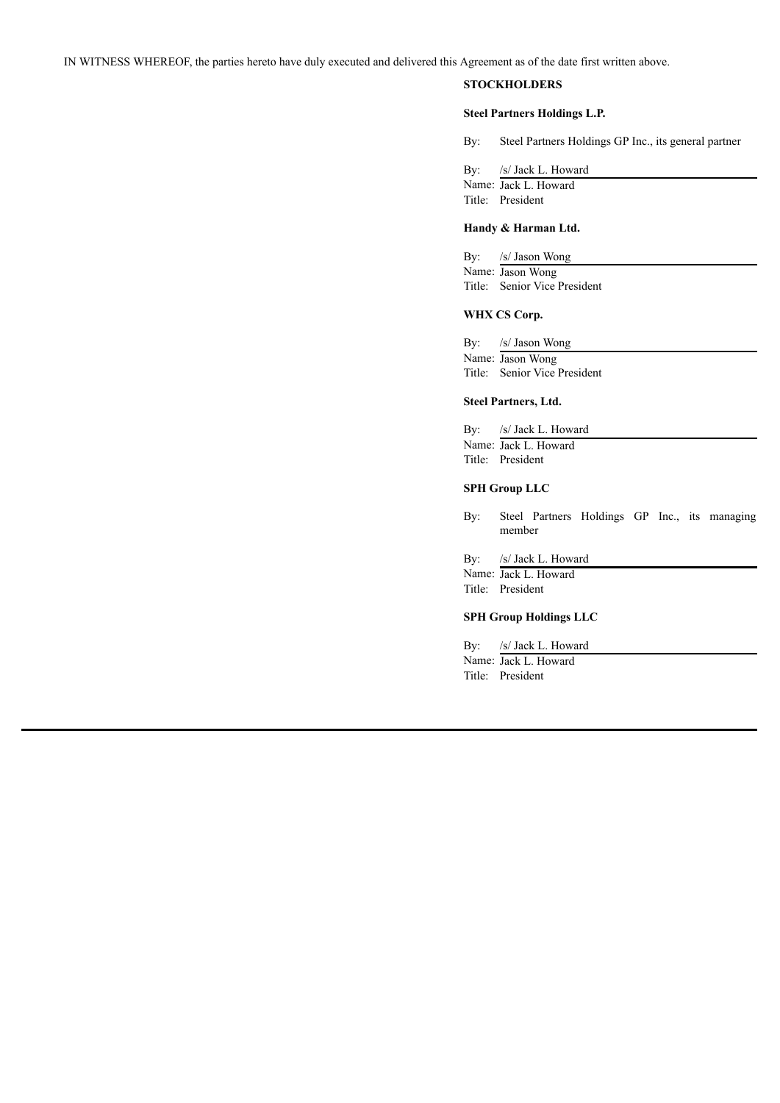IN WITNESS WHEREOF, the parties hereto have duly executed and delivered this Agreement as of the date first written above.

# **STOCKHOLDERS**

#### **Steel Partners Holdings L.P.**

By: Steel Partners Holdings GP Inc., its general partner

By: /s/ Jack L. Howard Name: Jack L. Howard Title: President

# **Handy & Harman Ltd.**

By: /s/ Jason Wong Name: Jason Wong Title: Senior Vice President

#### **WHX CS Corp.**

By: /s/ Jason Wong Name: Jason Wong Title: Senior Vice President

# **Steel Partners, Ltd.**

By: /s/ Jack L. Howard Name: Jack L. Howard Title: President

#### **SPH Group LLC**

By: Steel Partners Holdings GP Inc., its managing member

By: /s/ Jack L. Howard

Name: Jack L. Howard Title: President

#### **SPH Group Holdings LLC**

By: /s/ Jack L. Howard Name: Jack L. Howard Title: President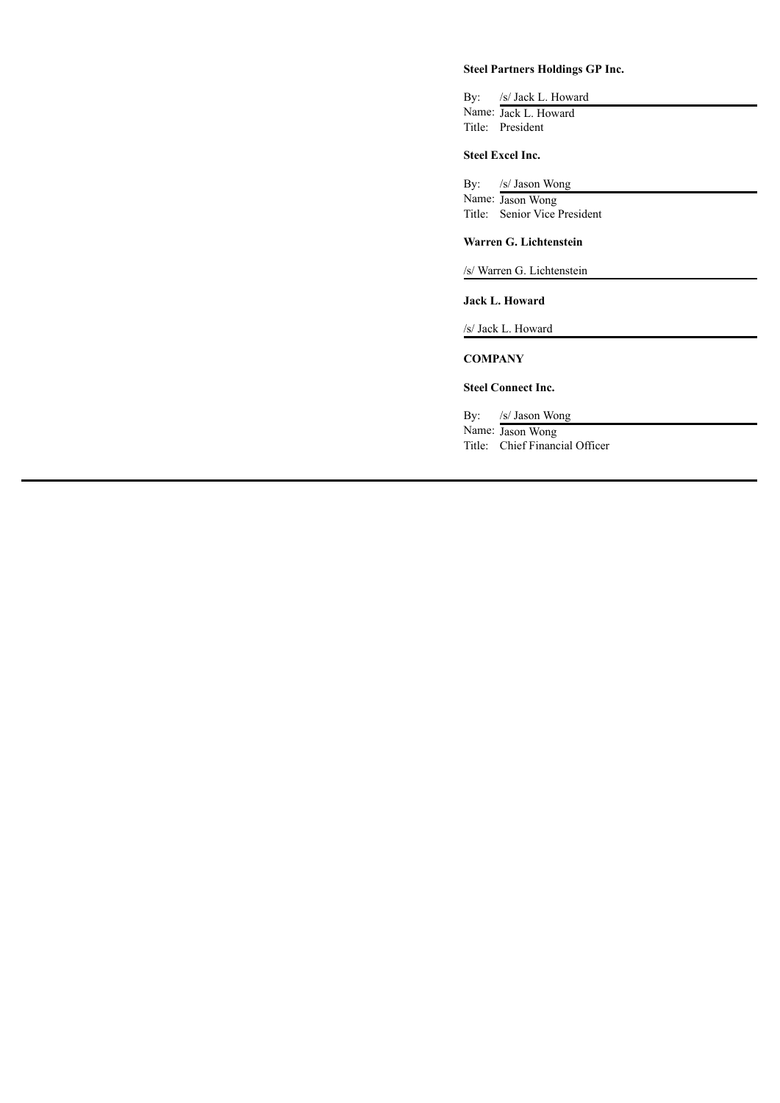# **Steel Partners Holdings GP Inc.**

By: /s/ Jack L. Howard Name: Jack L. Howard Title: President

# **Steel Excel Inc.**

By: /s/ Jason Wong Name: Jason Wong Title: Senior Vice President

#### **Warren G. Lichtenstein**

/s/ Warren G. Lichtenstein

# **Jack L. Howard**

/s/ Jack L. Howard

# **COMPANY**

## **Steel Connect Inc.**

By: /s/ Jason Wong Name: Jason Wong

Title: Chief Financial Officer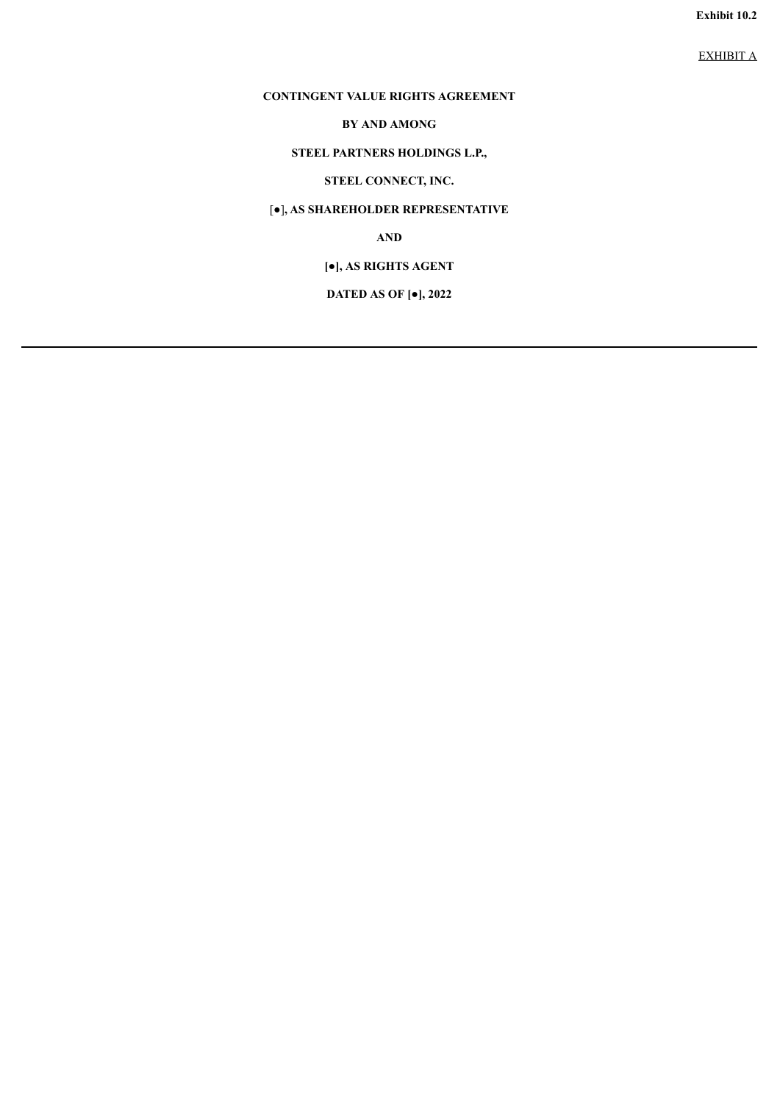**Exhibit 10.2**

EXHIBIT A

# **CONTINGENT VALUE RIGHTS AGREEMENT**

# **BY AND AMONG**

# **STEEL PARTNERS HOLDINGS L.P.,**

# **STEEL CONNECT, INC.**

# [●]**, AS SHAREHOLDER REPRESENTATIVE**

**AND**

# **[●], AS RIGHTS AGENT**

# **DATED AS OF [●], 2022**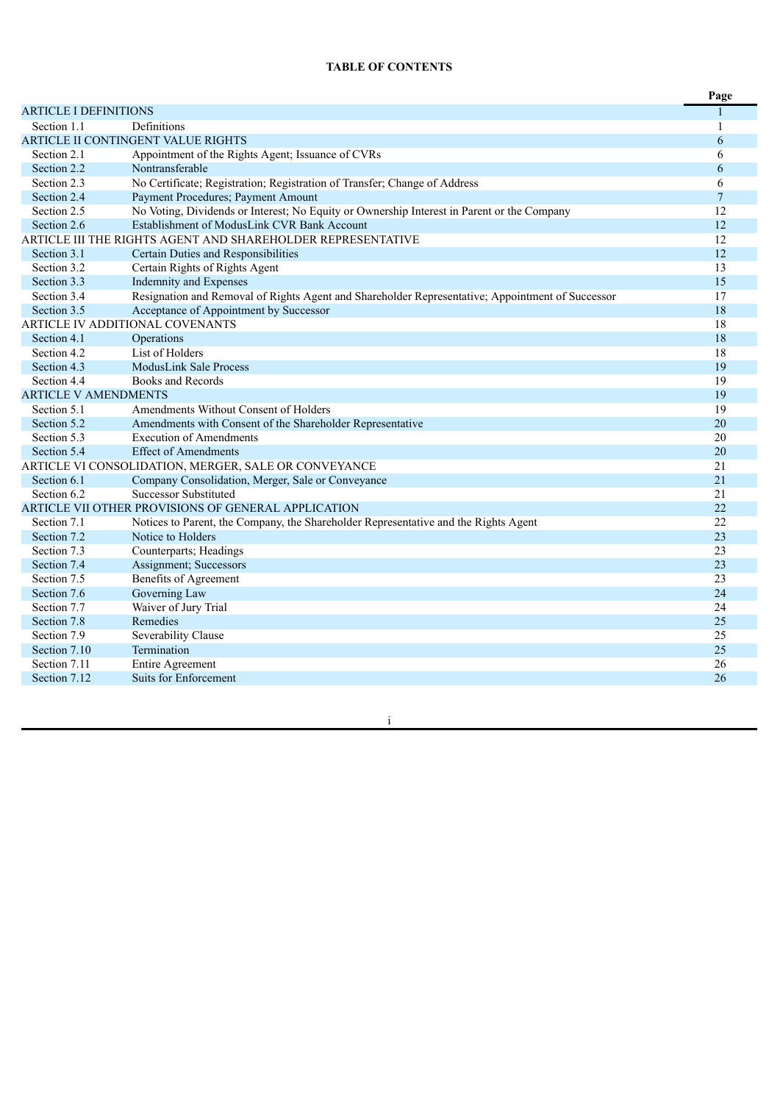# **TABLE OF CONTENTS**

|                              |                                                                                                  | Page           |
|------------------------------|--------------------------------------------------------------------------------------------------|----------------|
| <b>ARTICLE I DEFINITIONS</b> |                                                                                                  |                |
| Section 1.1                  | Definitions                                                                                      | 1              |
|                              | <b>ARTICLE II CONTINGENT VALUE RIGHTS</b>                                                        | 6              |
| Section 2.1                  | Appointment of the Rights Agent; Issuance of CVRs                                                | 6              |
| Section 2.2                  | Nontransferable                                                                                  | 6              |
| Section 2.3                  | No Certificate; Registration; Registration of Transfer; Change of Address                        | 6              |
| Section 2.4                  | Payment Procedures; Payment Amount                                                               | $\overline{7}$ |
| Section 2.5                  | No Voting, Dividends or Interest; No Equity or Ownership Interest in Parent or the Company       | 12             |
| Section 2.6                  | Establishment of ModusLink CVR Bank Account                                                      | 12             |
|                              | ARTICLE III THE RIGHTS AGENT AND SHAREHOLDER REPRESENTATIVE                                      | 12             |
| Section 3.1                  | Certain Duties and Responsibilities                                                              | 12             |
| Section 3.2                  | Certain Rights of Rights Agent                                                                   | 13             |
| Section 3.3                  | Indemnity and Expenses                                                                           | 15             |
| Section 3.4                  | Resignation and Removal of Rights Agent and Shareholder Representative; Appointment of Successor | 17             |
| Section 3.5                  | Acceptance of Appointment by Successor                                                           | 18             |
|                              | ARTICLE IV ADDITIONAL COVENANTS                                                                  | 18             |
| Section 4.1                  | Operations                                                                                       | 18             |
| Section 4.2                  | List of Holders                                                                                  | 18             |
| Section 4.3                  | <b>ModusLink Sale Process</b>                                                                    | 19             |
| Section 4.4                  | Books and Records                                                                                | 19             |
| <b>ARTICLE V AMENDMENTS</b>  |                                                                                                  | 19             |
| Section 5.1                  | Amendments Without Consent of Holders                                                            | 19             |
| Section 5.2                  | Amendments with Consent of the Shareholder Representative                                        | 20             |
| Section 5.3                  | <b>Execution of Amendments</b>                                                                   | 20             |
| Section 5.4                  | <b>Effect of Amendments</b>                                                                      | 20             |
|                              | ARTICLE VI CONSOLIDATION, MERGER, SALE OR CONVEYANCE                                             | 21             |
| Section 6.1                  | Company Consolidation, Merger, Sale or Conveyance                                                | 21             |
| Section 6.2                  | <b>Successor Substituted</b>                                                                     | 21             |
|                              | ARTICLE VII OTHER PROVISIONS OF GENERAL APPLICATION                                              | 22             |
| Section 7.1                  | Notices to Parent, the Company, the Shareholder Representative and the Rights Agent              | 22             |
| Section 7.2                  | Notice to Holders                                                                                | 23             |
| Section 7.3                  | Counterparts; Headings                                                                           | 23             |
| Section 7.4                  | Assignment; Successors                                                                           | 23             |
| Section 7.5                  | <b>Benefits of Agreement</b>                                                                     | 23             |
| Section 7.6                  | Governing Law                                                                                    | 24             |
| Section 7.7                  | Waiver of Jury Trial                                                                             | 24             |
| Section 7.8                  | Remedies                                                                                         | 25             |
| Section 7.9                  | Severability Clause                                                                              | 25             |
| Section 7.10                 | Termination                                                                                      | 25             |
| Section 7.11                 | Entire Agreement                                                                                 | 26             |
| Section 7.12                 | <b>Suits for Enforcement</b>                                                                     | 26             |

in a construction of the construction of the construction of the construction of the construction of the construction of the construction of the construction of the construction of the construction of the construction of t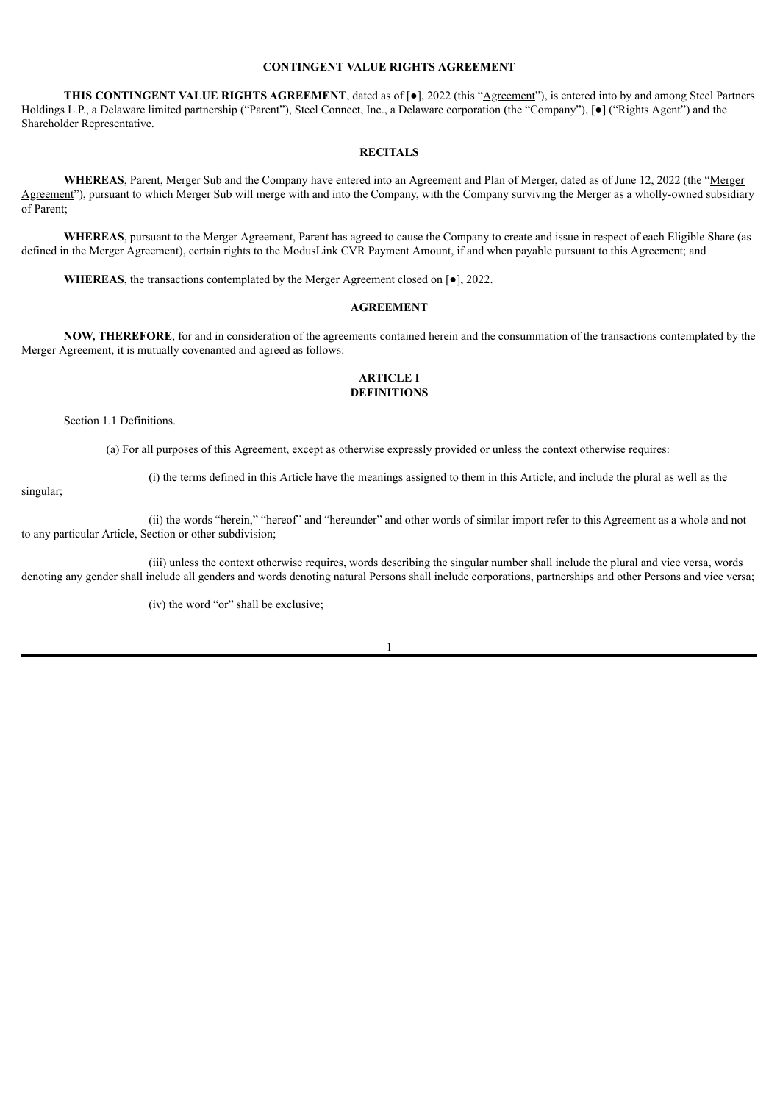# **CONTINGENT VALUE RIGHTS AGREEMENT**

**THIS CONTINGENT VALUE RIGHTS AGREEMENT**, dated as of [●], 2022 (this "Agreement"), is entered into by and among Steel Partners Holdings L.P., a Delaware limited partnership ("Parent"), Steel Connect, Inc., a Delaware corporation (the "Company"), [●] ("Rights Agent") and the Shareholder Representative.

# **RECITALS**

**WHEREAS**, Parent, Merger Sub and the Company have entered into an Agreement and Plan of Merger, dated as of June 12, 2022 (the "Merger Agreement"), pursuant to which Merger Sub will merge with and into the Company, with the Company surviving the Merger as a wholly-owned subsidiary of Parent;

**WHEREAS**, pursuant to the Merger Agreement, Parent has agreed to cause the Company to create and issue in respect of each Eligible Share (as defined in the Merger Agreement), certain rights to the ModusLink CVR Payment Amount, if and when payable pursuant to this Agreement; and

**WHEREAS**, the transactions contemplated by the Merger Agreement closed on [●], 2022.

# **AGREEMENT**

**NOW, THEREFORE**, for and in consideration of the agreements contained herein and the consummation of the transactions contemplated by the Merger Agreement, it is mutually covenanted and agreed as follows:

## **ARTICLE I DEFINITIONS**

### Section 1.1 Definitions.

(a) For all purposes of this Agreement, except as otherwise expressly provided or unless the context otherwise requires:

(i) the terms defined in this Article have the meanings assigned to them in this Article, and include the plural as well as the

singular;

(ii) the words "herein," "hereof" and "hereunder" and other words of similar import refer to this Agreement as a whole and not to any particular Article, Section or other subdivision;

(iii) unless the context otherwise requires, words describing the singular number shall include the plural and vice versa, words denoting any gender shall include all genders and words denoting natural Persons shall include corporations, partnerships and other Persons and vice versa;

(iv) the word "or" shall be exclusive;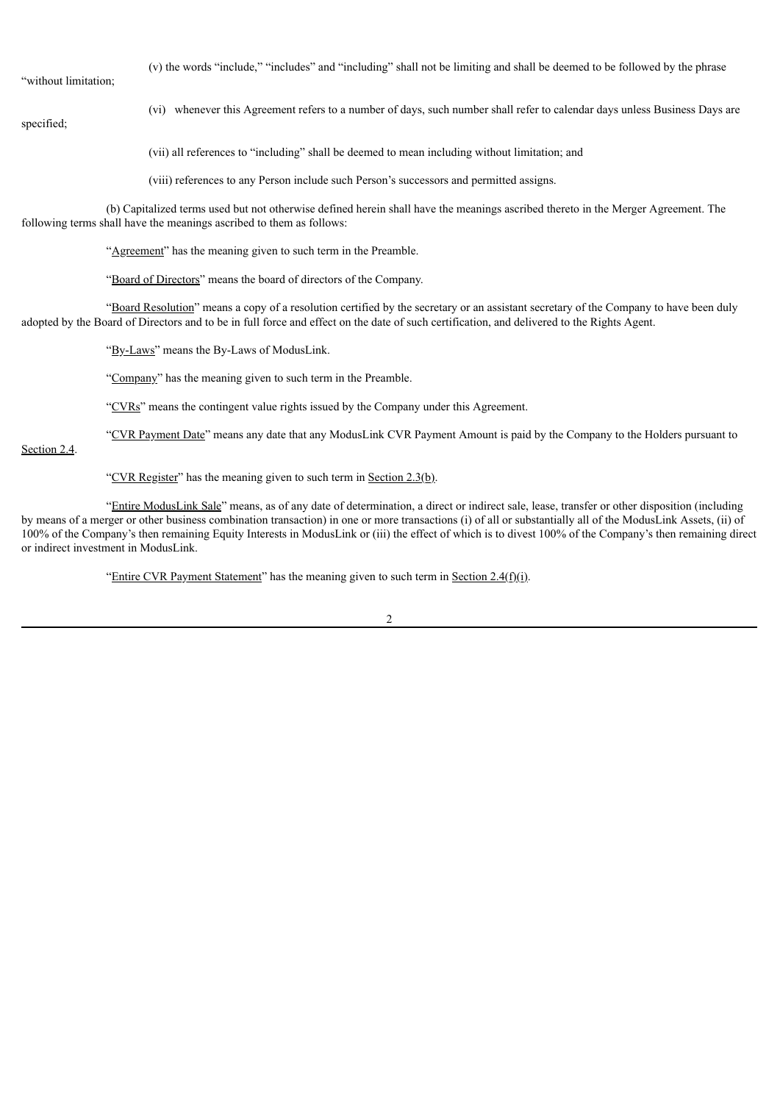"without limitation;

(v) the words "include," "includes" and "including" shall not be limiting and shall be deemed to be followed by the phrase

specified;

(vi) whenever this Agreement refers to a number of days, such number shall refer to calendar days unless Business Days are

(vii) all references to "including" shall be deemed to mean including without limitation; and

(viii) references to any Person include such Person's successors and permitted assigns.

(b) Capitalized terms used but not otherwise defined herein shall have the meanings ascribed thereto in the Merger Agreement. The following terms shall have the meanings ascribed to them as follows:

"Agreement" has the meaning given to such term in the Preamble.

"Board of Directors" means the board of directors of the Company.

"Board Resolution" means a copy of a resolution certified by the secretary or an assistant secretary of the Company to have been duly adopted by the Board of Directors and to be in full force and effect on the date of such certification, and delivered to the Rights Agent.

"By-Laws" means the By-Laws of ModusLink.

"Company" has the meaning given to such term in the Preamble.

"CVRs" means the contingent value rights issued by the Company under this Agreement.

"CVR Payment Date" means any date that any ModusLink CVR Payment Amount is paid by the Company to the Holders pursuant to

Section 2.4.

"CVR Register" has the meaning given to such term in Section  $2.3(b)$ .

"Entire ModusLink Sale" means, as of any date of determination, a direct or indirect sale, lease, transfer or other disposition (including by means of a merger or other business combination transaction) in one or more transactions (i) of all or substantially all of the ModusLink Assets, (ii) of 100% of the Company's then remaining Equity Interests in ModusLink or (iii) the effect of which is to divest 100% of the Company's then remaining direct or indirect investment in ModusLink.

"Entire CVR Payment Statement" has the meaning given to such term in Section  $2.4(f)(i)$ .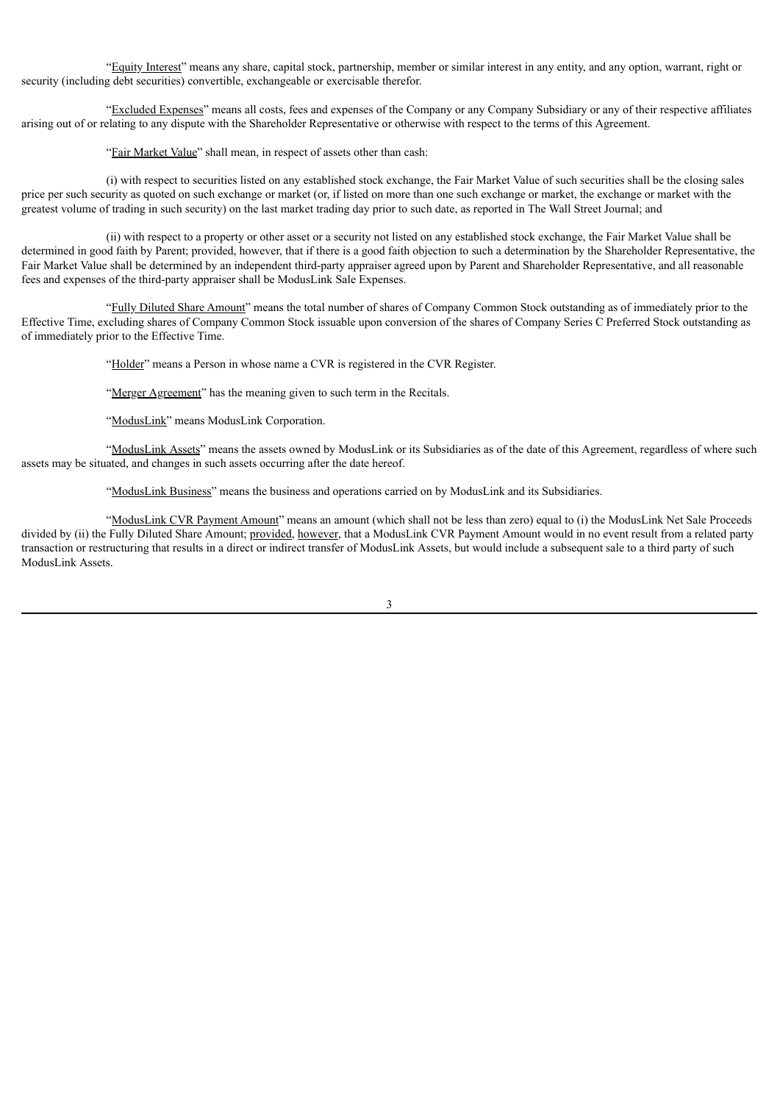"Equity Interest" means any share, capital stock, partnership, member or similar interest in any entity, and any option, warrant, right or security (including debt securities) convertible, exchangeable or exercisable therefor.

"Excluded Expenses" means all costs, fees and expenses of the Company or any Company Subsidiary or any of their respective affiliates arising out of or relating to any dispute with the Shareholder Representative or otherwise with respect to the terms of this Agreement.

"Fair Market Value" shall mean, in respect of assets other than cash:

(i) with respect to securities listed on any established stock exchange, the Fair Market Value of such securities shall be the closing sales price per such security as quoted on such exchange or market (or, if listed on more than one such exchange or market, the exchange or market with the greatest volume of trading in such security) on the last market trading day prior to such date, as reported in The Wall Street Journal; and

(ii) with respect to a property or other asset or a security not listed on any established stock exchange, the Fair Market Value shall be determined in good faith by Parent; provided, however, that if there is a good faith objection to such a determination by the Shareholder Representative, the Fair Market Value shall be determined by an independent third-party appraiser agreed upon by Parent and Shareholder Representative, and all reasonable fees and expenses of the third-party appraiser shall be ModusLink Sale Expenses.

"Fully Diluted Share Amount" means the total number of shares of Company Common Stock outstanding as of immediately prior to the Effective Time, excluding shares of Company Common Stock issuable upon conversion of the shares of Company Series C Preferred Stock outstanding as of immediately prior to the Effective Time.

"Holder" means a Person in whose name a CVR is registered in the CVR Register.

"Merger Agreement" has the meaning given to such term in the Recitals.

"ModusLink" means ModusLink Corporation.

"ModusLink Assets" means the assets owned by ModusLink or its Subsidiaries as of the date of this Agreement, regardless of where such assets may be situated, and changes in such assets occurring after the date hereof.

"ModusLink Business" means the business and operations carried on by ModusLink and its Subsidiaries.

"ModusLink CVR Payment Amount" means an amount (which shall not be less than zero) equal to (i) the ModusLink Net Sale Proceeds divided by (ii) the Fully Diluted Share Amount; provided, however, that a ModusLink CVR Payment Amount would in no event result from a related party transaction or restructuring that results in a direct or indirect transfer of ModusLink Assets, but would include a subsequent sale to a third party of such ModusLink Assets.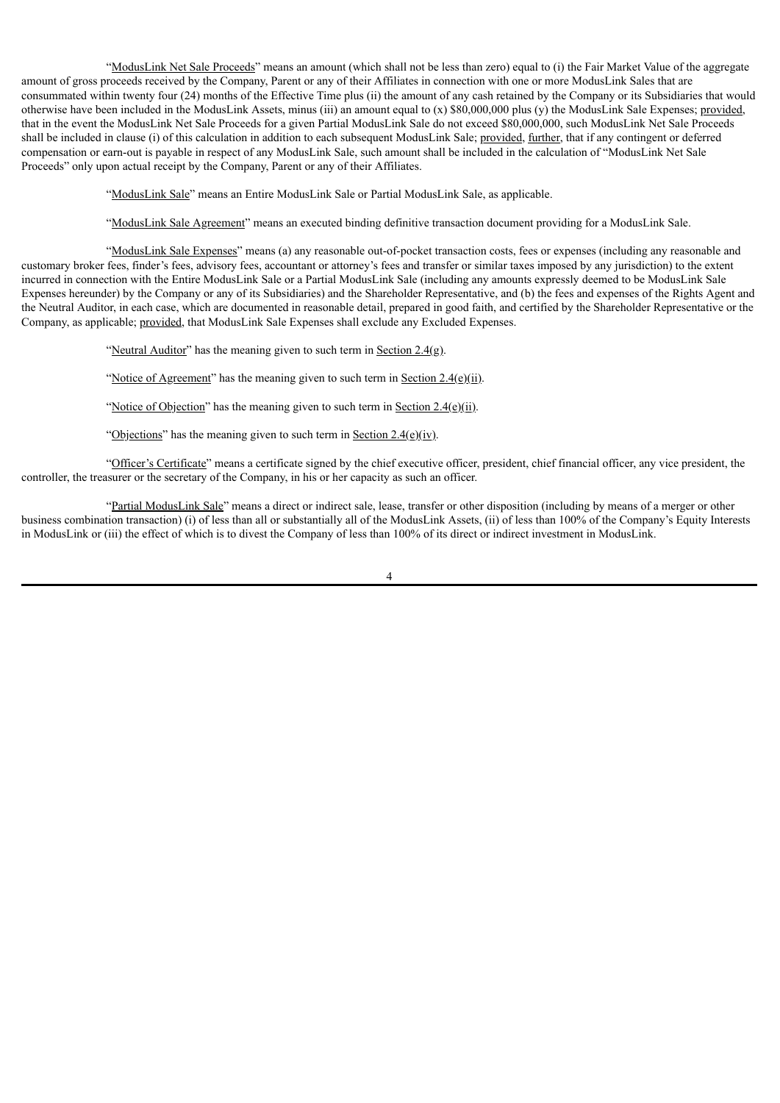"ModusLink Net Sale Proceeds" means an amount (which shall not be less than zero) equal to (i) the Fair Market Value of the aggregate amount of gross proceeds received by the Company, Parent or any of their Affiliates in connection with one or more ModusLink Sales that are consummated within twenty four (24) months of the Effective Time plus (ii) the amount of any cash retained by the Company or its Subsidiaries that would otherwise have been included in the ModusLink Assets, minus (iii) an amount equal to (x) \$80,000,000 plus (y) the ModusLink Sale Expenses; provided, that in the event the ModusLink Net Sale Proceeds for a given Partial ModusLink Sale do not exceed \$80,000,000, such ModusLink Net Sale Proceeds shall be included in clause (i) of this calculation in addition to each subsequent ModusLink Sale; provided, further, that if any contingent or deferred compensation or earn-out is payable in respect of any ModusLink Sale, such amount shall be included in the calculation of "ModusLink Net Sale Proceeds" only upon actual receipt by the Company, Parent or any of their Affiliates.

"ModusLink Sale" means an Entire ModusLink Sale or Partial ModusLink Sale, as applicable.

"ModusLink Sale Agreement" means an executed binding definitive transaction document providing for a ModusLink Sale.

"ModusLink Sale Expenses" means (a) any reasonable out-of-pocket transaction costs, fees or expenses (including any reasonable and customary broker fees, finder's fees, advisory fees, accountant or attorney's fees and transfer or similar taxes imposed by any jurisdiction) to the extent incurred in connection with the Entire ModusLink Sale or a Partial ModusLink Sale (including any amounts expressly deemed to be ModusLink Sale Expenses hereunder) by the Company or any of its Subsidiaries) and the Shareholder Representative, and (b) the fees and expenses of the Rights Agent and the Neutral Auditor, in each case, which are documented in reasonable detail, prepared in good faith, and certified by the Shareholder Representative or the Company, as applicable; provided, that ModusLink Sale Expenses shall exclude any Excluded Expenses.

"Neutral Auditor" has the meaning given to such term in Section  $2.4(g)$ .

"Notice of Agreement" has the meaning given to such term in Section  $2.4(e)(ii)$ .

"Notice of Objection" has the meaning given to such term in Section  $2.4(e)(ii)$ .

"Objections" has the meaning given to such term in Section  $2.4(e)(iv)$ .

"Officer's Certificate" means a certificate signed by the chief executive officer, president, chief financial officer, any vice president, the controller, the treasurer or the secretary of the Company, in his or her capacity as such an officer.

"Partial ModusLink Sale" means a direct or indirect sale, lease, transfer or other disposition (including by means of a merger or other business combination transaction) (i) of less than all or substantially all of the ModusLink Assets, (ii) of less than 100% of the Company's Equity Interests in ModusLink or (iii) the effect of which is to divest the Company of less than 100% of its direct or indirect investment in ModusLink.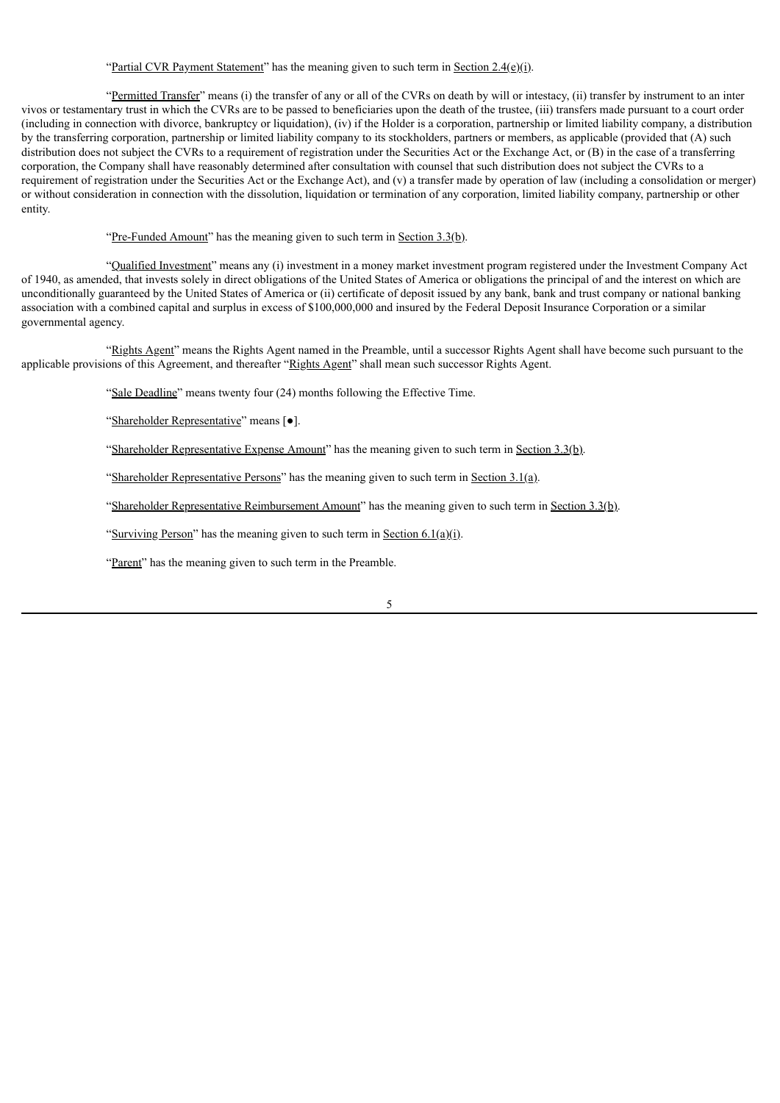# "Partial CVR Payment Statement" has the meaning given to such term in Section 2.4(e)(i).

"Permitted Transfer" means (i) the transfer of any or all of the CVRs on death by will or intestacy, (ii) transfer by instrument to an inter vivos or testamentary trust in which the CVRs are to be passed to beneficiaries upon the death of the trustee, (iii) transfers made pursuant to a court order (including in connection with divorce, bankruptcy or liquidation), (iv) if the Holder is a corporation, partnership or limited liability company, a distribution by the transferring corporation, partnership or limited liability company to its stockholders, partners or members, as applicable (provided that (A) such distribution does not subject the CVRs to a requirement of registration under the Securities Act or the Exchange Act, or (B) in the case of a transferring corporation, the Company shall have reasonably determined after consultation with counsel that such distribution does not subject the CVRs to a requirement of registration under the Securities Act or the Exchange Act), and (v) a transfer made by operation of law (including a consolidation or merger) or without consideration in connection with the dissolution, liquidation or termination of any corporation, limited liability company, partnership or other entity.

"Pre-Funded Amount" has the meaning given to such term in Section  $3.3(b)$ .

"Qualified Investment" means any (i) investment in a money market investment program registered under the Investment Company Act of 1940, as amended, that invests solely in direct obligations of the United States of America or obligations the principal of and the interest on which are unconditionally guaranteed by the United States of America or (ii) certificate of deposit issued by any bank, bank and trust company or national banking association with a combined capital and surplus in excess of \$100,000,000 and insured by the Federal Deposit Insurance Corporation or a similar governmental agency.

"Rights Agent" means the Rights Agent named in the Preamble, until a successor Rights Agent shall have become such pursuant to the applicable provisions of this Agreement, and thereafter "Rights Agent" shall mean such successor Rights Agent.

"Sale Deadline" means twenty four (24) months following the Effective Time.

"Shareholder Representative" means [●].

"Shareholder Representative Expense Amount" has the meaning given to such term in Section 3.3(b).

"Shareholder Representative Persons" has the meaning given to such term in Section  $3.1(a)$ .

"Shareholder Representative Reimbursement Amount" has the meaning given to such term in Section 3.3(b).

"Surviving Person" has the meaning given to such term in Section  $6.1(a)(i)$ .

"Parent" has the meaning given to such term in the Preamble.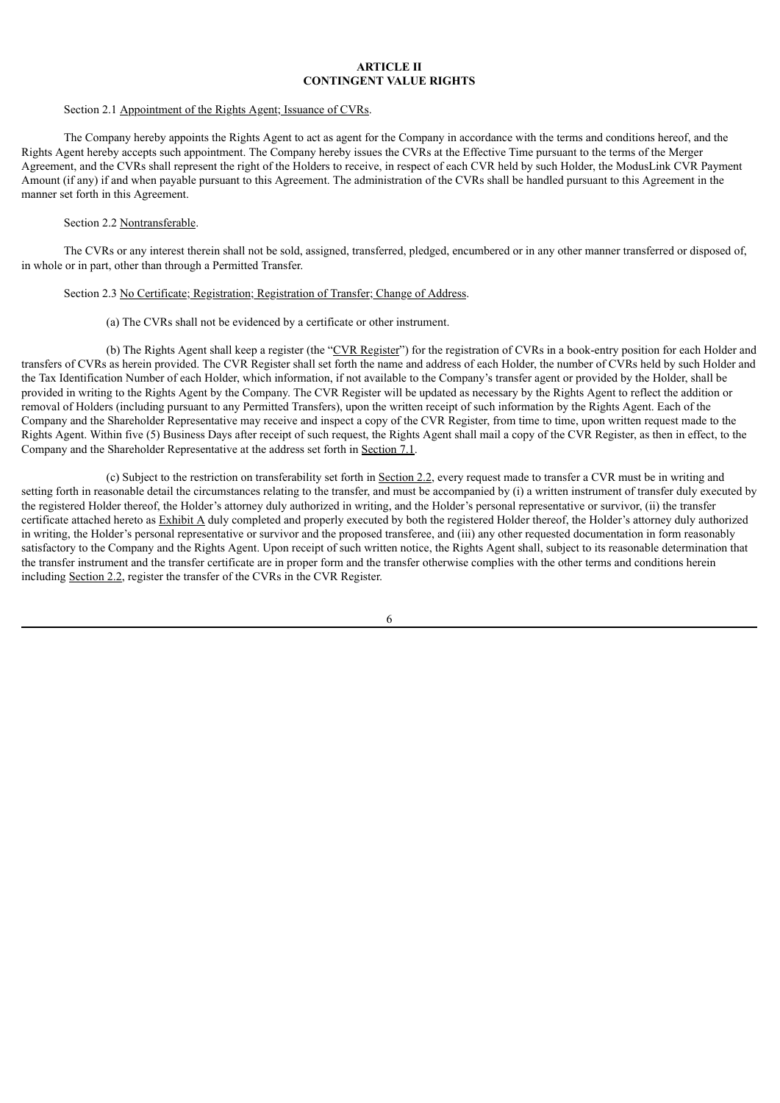# **ARTICLE II CONTINGENT VALUE RIGHTS**

#### Section 2.1 Appointment of the Rights Agent; Issuance of CVRs.

The Company hereby appoints the Rights Agent to act as agent for the Company in accordance with the terms and conditions hereof, and the Rights Agent hereby accepts such appointment. The Company hereby issues the CVRs at the Effective Time pursuant to the terms of the Merger Agreement, and the CVRs shall represent the right of the Holders to receive, in respect of each CVR held by such Holder, the ModusLink CVR Payment Amount (if any) if and when payable pursuant to this Agreement. The administration of the CVRs shall be handled pursuant to this Agreement in the manner set forth in this Agreement.

# Section 2.2 Nontransferable.

The CVRs or any interest therein shall not be sold, assigned, transferred, pledged, encumbered or in any other manner transferred or disposed of, in whole or in part, other than through a Permitted Transfer.

### Section 2.3 No Certificate; Registration; Registration of Transfer; Change of Address.

# (a) The CVRs shall not be evidenced by a certificate or other instrument.

(b) The Rights Agent shall keep a register (the "CVR Register") for the registration of CVRs in a book-entry position for each Holder and transfers of CVRs as herein provided. The CVR Register shall set forth the name and address of each Holder, the number of CVRs held by such Holder and the Tax Identification Number of each Holder, which information, if not available to the Company's transfer agent or provided by the Holder, shall be provided in writing to the Rights Agent by the Company. The CVR Register will be updated as necessary by the Rights Agent to reflect the addition or removal of Holders (including pursuant to any Permitted Transfers), upon the written receipt of such information by the Rights Agent. Each of the Company and the Shareholder Representative may receive and inspect a copy of the CVR Register, from time to time, upon written request made to the Rights Agent. Within five (5) Business Days after receipt of such request, the Rights Agent shall mail a copy of the CVR Register, as then in effect, to the Company and the Shareholder Representative at the address set forth in Section 7.1.

(c) Subject to the restriction on transferability set forth in Section 2.2, every request made to transfer a CVR must be in writing and setting forth in reasonable detail the circumstances relating to the transfer, and must be accompanied by (i) a written instrument of transfer duly executed by the registered Holder thereof, the Holder's attorney duly authorized in writing, and the Holder's personal representative or survivor, (ii) the transfer certificate attached hereto as Exhibit A duly completed and properly executed by both the registered Holder thereof, the Holder's attorney duly authorized in writing, the Holder's personal representative or survivor and the proposed transferee, and (iii) any other requested documentation in form reasonably satisfactory to the Company and the Rights Agent. Upon receipt of such written notice, the Rights Agent shall, subject to its reasonable determination that the transfer instrument and the transfer certificate are in proper form and the transfer otherwise complies with the other terms and conditions herein including Section 2.2, register the transfer of the CVRs in the CVR Register.

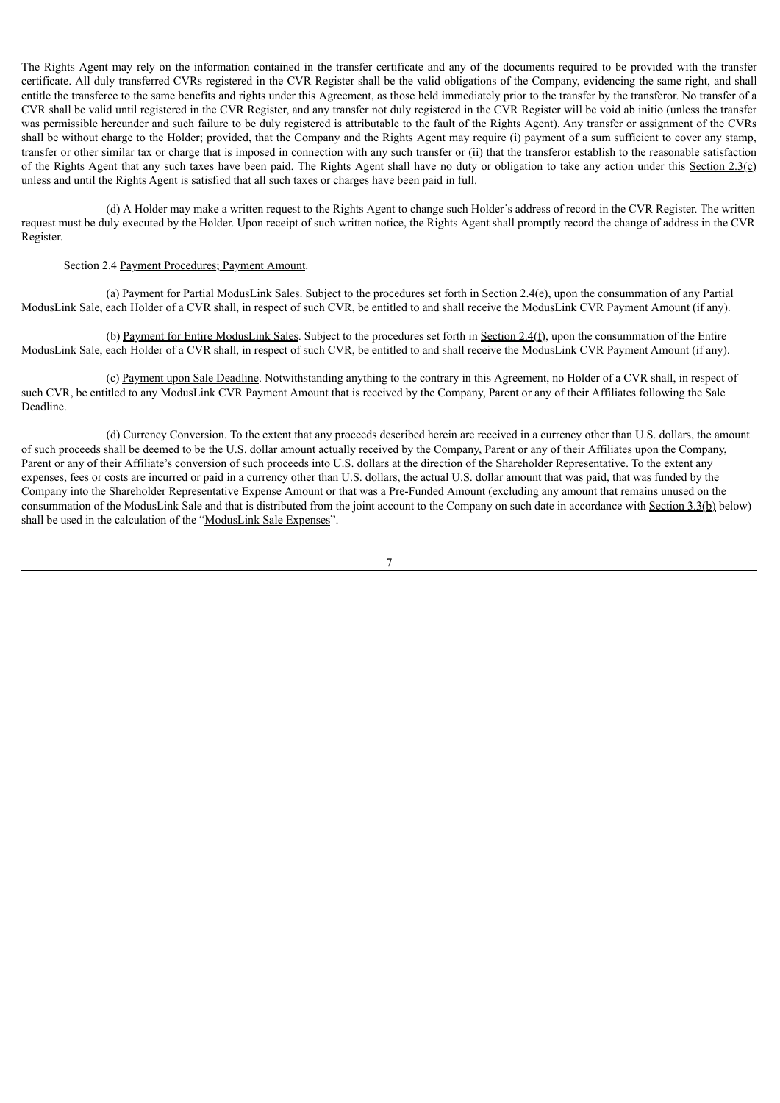The Rights Agent may rely on the information contained in the transfer certificate and any of the documents required to be provided with the transfer certificate. All duly transferred CVRs registered in the CVR Register shall be the valid obligations of the Company, evidencing the same right, and shall entitle the transferee to the same benefits and rights under this Agreement, as those held immediately prior to the transfer by the transferor. No transfer of a CVR shall be valid until registered in the CVR Register, and any transfer not duly registered in the CVR Register will be void ab initio (unless the transfer was permissible hereunder and such failure to be duly registered is attributable to the fault of the Rights Agent). Any transfer or assignment of the CVRs shall be without charge to the Holder; provided, that the Company and the Rights Agent may require (i) payment of a sum sufficient to cover any stamp, transfer or other similar tax or charge that is imposed in connection with any such transfer or (ii) that the transferor establish to the reasonable satisfaction of the Rights Agent that any such taxes have been paid. The Rights Agent shall have no duty or obligation to take any action under this Section  $2.3(c)$ unless and until the Rights Agent is satisfied that all such taxes or charges have been paid in full.

(d) A Holder may make a written request to the Rights Agent to change such Holder's address of record in the CVR Register. The written request must be duly executed by the Holder. Upon receipt of such written notice, the Rights Agent shall promptly record the change of address in the CVR Register.

#### Section 2.4 Payment Procedures; Payment Amount.

(a) Payment for Partial ModusLink Sales. Subject to the procedures set forth in Section  $2.4(e)$ , upon the consummation of any Partial ModusLink Sale, each Holder of a CVR shall, in respect of such CVR, be entitled to and shall receive the ModusLink CVR Payment Amount (if any).

(b) Payment for Entire ModusLink Sales. Subject to the procedures set forth in Section 2.4(f), upon the consummation of the Entire ModusLink Sale, each Holder of a CVR shall, in respect of such CVR, be entitled to and shall receive the ModusLink CVR Payment Amount (if any).

(c) Payment upon Sale Deadline. Notwithstanding anything to the contrary in this Agreement, no Holder of a CVR shall, in respect of such CVR, be entitled to any ModusLink CVR Payment Amount that is received by the Company, Parent or any of their Affiliates following the Sale Deadline.

(d) Currency Conversion. To the extent that any proceeds described herein are received in a currency other than U.S. dollars, the amount of such proceeds shall be deemed to be the U.S. dollar amount actually received by the Company, Parent or any of their Affiliates upon the Company, Parent or any of their Affiliate's conversion of such proceeds into U.S. dollars at the direction of the Shareholder Representative. To the extent any expenses, fees or costs are incurred or paid in a currency other than U.S. dollars, the actual U.S. dollar amount that was paid, that was funded by the Company into the Shareholder Representative Expense Amount or that was a Pre-Funded Amount (excluding any amount that remains unused on the consummation of the ModusLink Sale and that is distributed from the joint account to the Company on such date in accordance with Section 3.3(b) below) shall be used in the calculation of the "ModusLink Sale Expenses".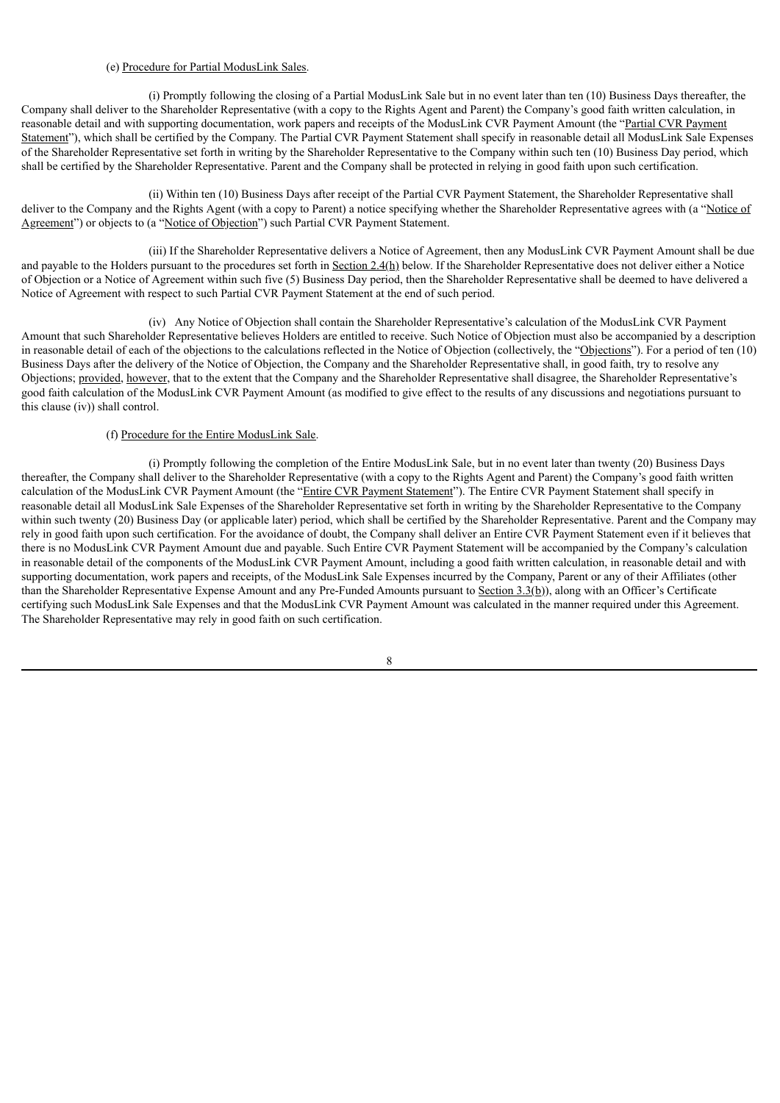# (e) Procedure for Partial ModusLink Sales.

(i) Promptly following the closing of a Partial ModusLink Sale but in no event later than ten (10) Business Days thereafter, the Company shall deliver to the Shareholder Representative (with a copy to the Rights Agent and Parent) the Company's good faith written calculation, in reasonable detail and with supporting documentation, work papers and receipts of the ModusLink CVR Payment Amount (the "Partial CVR Payment Statement"), which shall be certified by the Company. The Partial CVR Payment Statement shall specify in reasonable detail all ModusLink Sale Expenses of the Shareholder Representative set forth in writing by the Shareholder Representative to the Company within such ten (10) Business Day period, which shall be certified by the Shareholder Representative. Parent and the Company shall be protected in relying in good faith upon such certification.

(ii) Within ten (10) Business Days after receipt of the Partial CVR Payment Statement, the Shareholder Representative shall deliver to the Company and the Rights Agent (with a copy to Parent) a notice specifying whether the Shareholder Representative agrees with (a "Notice of Agreement") or objects to (a "Notice of Objection") such Partial CVR Payment Statement.

(iii) If the Shareholder Representative delivers a Notice of Agreement, then any ModusLink CVR Payment Amount shall be due and payable to the Holders pursuant to the procedures set forth in Section 2.4(h) below. If the Shareholder Representative does not deliver either a Notice of Objection or a Notice of Agreement within such five (5) Business Day period, then the Shareholder Representative shall be deemed to have delivered a Notice of Agreement with respect to such Partial CVR Payment Statement at the end of such period.

(iv) Any Notice of Objection shall contain the Shareholder Representative's calculation of the ModusLink CVR Payment Amount that such Shareholder Representative believes Holders are entitled to receive. Such Notice of Objection must also be accompanied by a description in reasonable detail of each of the objections to the calculations reflected in the Notice of Objection (collectively, the "Objections"). For a period of ten (10) Business Days after the delivery of the Notice of Objection, the Company and the Shareholder Representative shall, in good faith, try to resolve any Objections; provided, however, that to the extent that the Company and the Shareholder Representative shall disagree, the Shareholder Representative's good faith calculation of the ModusLink CVR Payment Amount (as modified to give effect to the results of any discussions and negotiations pursuant to this clause (iv)) shall control.

# (f) Procedure for the Entire ModusLink Sale.

(i) Promptly following the completion of the Entire ModusLink Sale, but in no event later than twenty (20) Business Days thereafter, the Company shall deliver to the Shareholder Representative (with a copy to the Rights Agent and Parent) the Company's good faith written calculation of the ModusLink CVR Payment Amount (the "Entire CVR Payment Statement"). The Entire CVR Payment Statement shall specify in reasonable detail all ModusLink Sale Expenses of the Shareholder Representative set forth in writing by the Shareholder Representative to the Company within such twenty (20) Business Day (or applicable later) period, which shall be certified by the Shareholder Representative. Parent and the Company may rely in good faith upon such certification. For the avoidance of doubt, the Company shall deliver an Entire CVR Payment Statement even if it believes that there is no ModusLink CVR Payment Amount due and payable. Such Entire CVR Payment Statement will be accompanied by the Company's calculation in reasonable detail of the components of the ModusLink CVR Payment Amount, including a good faith written calculation, in reasonable detail and with supporting documentation, work papers and receipts, of the ModusLink Sale Expenses incurred by the Company, Parent or any of their Affiliates (other than the Shareholder Representative Expense Amount and any Pre-Funded Amounts pursuant to Section 3.3(b)), along with an Officer's Certificate certifying such ModusLink Sale Expenses and that the ModusLink CVR Payment Amount was calculated in the manner required under this Agreement. The Shareholder Representative may rely in good faith on such certification.

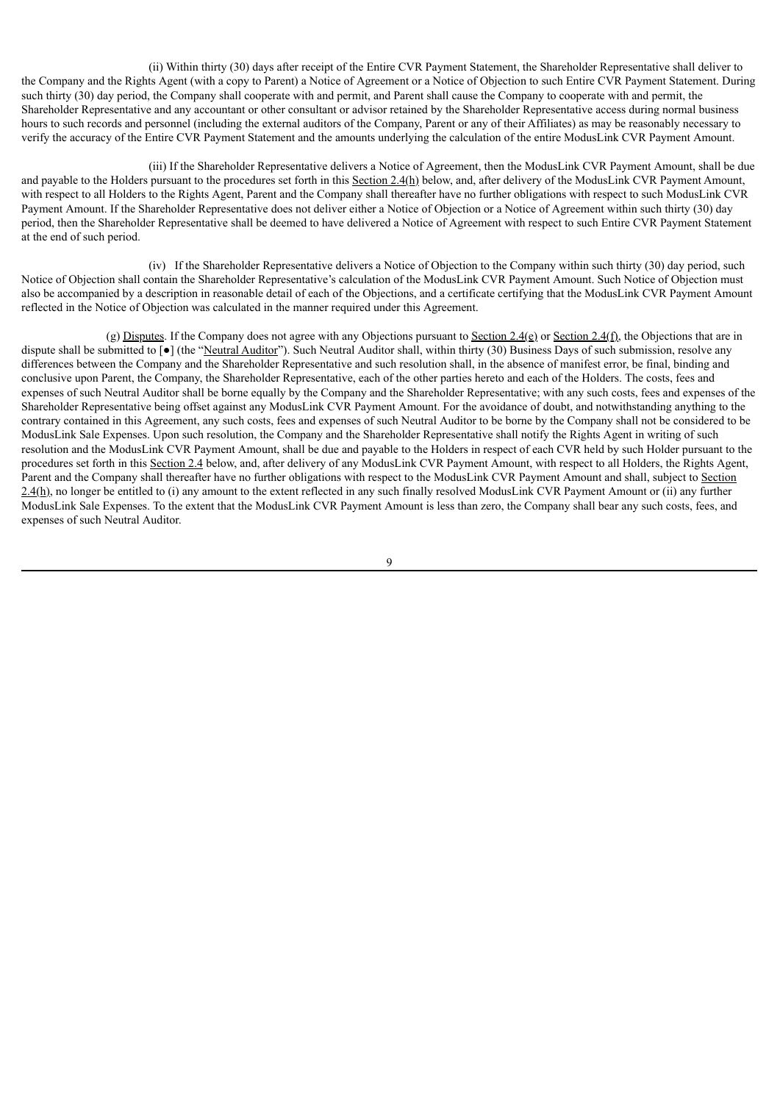(ii) Within thirty (30) days after receipt of the Entire CVR Payment Statement, the Shareholder Representative shall deliver to the Company and the Rights Agent (with a copy to Parent) a Notice of Agreement or a Notice of Objection to such Entire CVR Payment Statement. During such thirty (30) day period, the Company shall cooperate with and permit, and Parent shall cause the Company to cooperate with and permit, the Shareholder Representative and any accountant or other consultant or advisor retained by the Shareholder Representative access during normal business hours to such records and personnel (including the external auditors of the Company, Parent or any of their Affiliates) as may be reasonably necessary to verify the accuracy of the Entire CVR Payment Statement and the amounts underlying the calculation of the entire ModusLink CVR Payment Amount.

(iii) If the Shareholder Representative delivers a Notice of Agreement, then the ModusLink CVR Payment Amount, shall be due and payable to the Holders pursuant to the procedures set forth in this Section 2.4(h) below, and, after delivery of the ModusLink CVR Payment Amount, with respect to all Holders to the Rights Agent, Parent and the Company shall thereafter have no further obligations with respect to such ModusLink CVR Payment Amount. If the Shareholder Representative does not deliver either a Notice of Objection or a Notice of Agreement within such thirty (30) day period, then the Shareholder Representative shall be deemed to have delivered a Notice of Agreement with respect to such Entire CVR Payment Statement at the end of such period.

(iv) If the Shareholder Representative delivers a Notice of Objection to the Company within such thirty (30) day period, such Notice of Objection shall contain the Shareholder Representative's calculation of the ModusLink CVR Payment Amount. Such Notice of Objection must also be accompanied by a description in reasonable detail of each of the Objections, and a certificate certifying that the ModusLink CVR Payment Amount reflected in the Notice of Objection was calculated in the manner required under this Agreement.

(g) Disputes. If the Company does not agree with any Objections pursuant to Section 2.4(e) or Section 2.4(f), the Objections that are in dispute shall be submitted to  $\lceil \bullet \rceil$  (the "Neutral Auditor"). Such Neutral Auditor shall, within thirty (30) Business Days of such submission, resolve any differences between the Company and the Shareholder Representative and such resolution shall, in the absence of manifest error, be final, binding and conclusive upon Parent, the Company, the Shareholder Representative, each of the other parties hereto and each of the Holders. The costs, fees and expenses of such Neutral Auditor shall be borne equally by the Company and the Shareholder Representative; with any such costs, fees and expenses of the Shareholder Representative being offset against any ModusLink CVR Payment Amount. For the avoidance of doubt, and notwithstanding anything to the contrary contained in this Agreement, any such costs, fees and expenses of such Neutral Auditor to be borne by the Company shall not be considered to be ModusLink Sale Expenses. Upon such resolution, the Company and the Shareholder Representative shall notify the Rights Agent in writing of such resolution and the ModusLink CVR Payment Amount, shall be due and payable to the Holders in respect of each CVR held by such Holder pursuant to the procedures set forth in this Section 2.4 below, and, after delivery of any ModusLink CVR Payment Amount, with respect to all Holders, the Rights Agent, Parent and the Company shall thereafter have no further obligations with respect to the ModusLink CVR Payment Amount and shall, subject to Section  $2.4(h)$ , no longer be entitled to (i) any amount to the extent reflected in any such finally resolved ModusLink CVR Payment Amount or (ii) any further ModusLink Sale Expenses. To the extent that the ModusLink CVR Payment Amount is less than zero, the Company shall bear any such costs, fees, and expenses of such Neutral Auditor.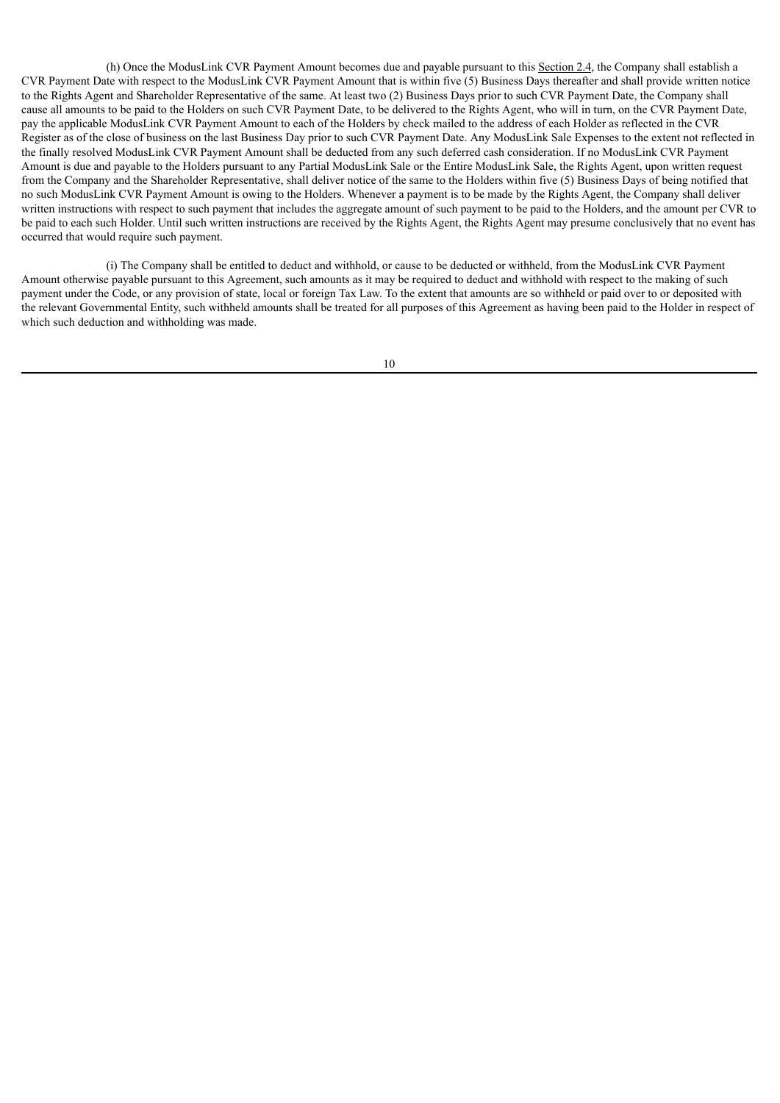(h) Once the ModusLink CVR Payment Amount becomes due and payable pursuant to this Section 2.4, the Company shall establish a CVR Payment Date with respect to the ModusLink CVR Payment Amount that is within five (5) Business Days thereafter and shall provide written notice to the Rights Agent and Shareholder Representative of the same. At least two (2) Business Days prior to such CVR Payment Date, the Company shall cause all amounts to be paid to the Holders on such CVR Payment Date, to be delivered to the Rights Agent, who will in turn, on the CVR Payment Date, pay the applicable ModusLink CVR Payment Amount to each of the Holders by check mailed to the address of each Holder as reflected in the CVR Register as of the close of business on the last Business Day prior to such CVR Payment Date. Any ModusLink Sale Expenses to the extent not reflected in the finally resolved ModusLink CVR Payment Amount shall be deducted from any such deferred cash consideration. If no ModusLink CVR Payment Amount is due and payable to the Holders pursuant to any Partial ModusLink Sale or the Entire ModusLink Sale, the Rights Agent, upon written request from the Company and the Shareholder Representative, shall deliver notice of the same to the Holders within five (5) Business Days of being notified that no such ModusLink CVR Payment Amount is owing to the Holders. Whenever a payment is to be made by the Rights Agent, the Company shall deliver written instructions with respect to such payment that includes the aggregate amount of such payment to be paid to the Holders, and the amount per CVR to be paid to each such Holder. Until such written instructions are received by the Rights Agent, the Rights Agent may presume conclusively that no event has occurred that would require such payment.

(i) The Company shall be entitled to deduct and withhold, or cause to be deducted or withheld, from the ModusLink CVR Payment Amount otherwise payable pursuant to this Agreement, such amounts as it may be required to deduct and withhold with respect to the making of such payment under the Code, or any provision of state, local or foreign Tax Law. To the extent that amounts are so withheld or paid over to or deposited with the relevant Governmental Entity, such withheld amounts shall be treated for all purposes of this Agreement as having been paid to the Holder in respect of which such deduction and withholding was made.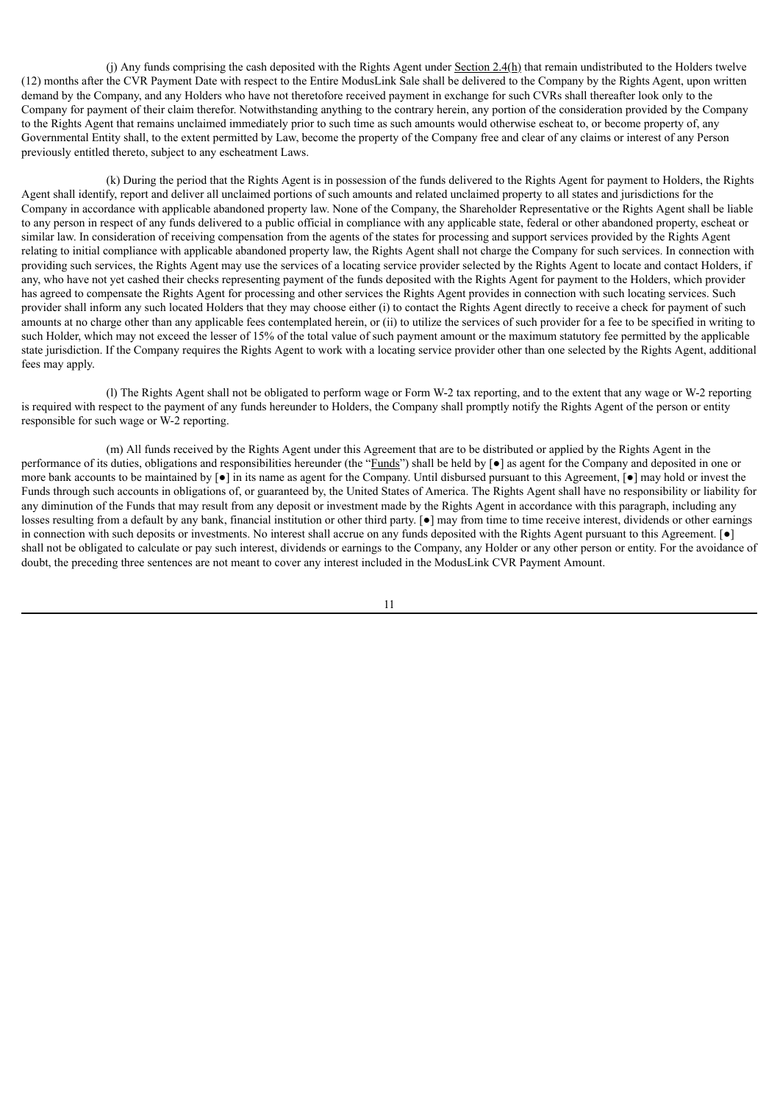(i) Any funds comprising the cash deposited with the Rights Agent under Section  $2.4(h)$  that remain undistributed to the Holders twelve (12) months after the CVR Payment Date with respect to the Entire ModusLink Sale shall be delivered to the Company by the Rights Agent, upon written demand by the Company, and any Holders who have not theretofore received payment in exchange for such CVRs shall thereafter look only to the Company for payment of their claim therefor. Notwithstanding anything to the contrary herein, any portion of the consideration provided by the Company to the Rights Agent that remains unclaimed immediately prior to such time as such amounts would otherwise escheat to, or become property of, any Governmental Entity shall, to the extent permitted by Law, become the property of the Company free and clear of any claims or interest of any Person previously entitled thereto, subject to any escheatment Laws.

(k) During the period that the Rights Agent is in possession of the funds delivered to the Rights Agent for payment to Holders, the Rights Agent shall identify, report and deliver all unclaimed portions of such amounts and related unclaimed property to all states and jurisdictions for the Company in accordance with applicable abandoned property law. None of the Company, the Shareholder Representative or the Rights Agent shall be liable to any person in respect of any funds delivered to a public official in compliance with any applicable state, federal or other abandoned property, escheat or similar law. In consideration of receiving compensation from the agents of the states for processing and support services provided by the Rights Agent relating to initial compliance with applicable abandoned property law, the Rights Agent shall not charge the Company for such services. In connection with providing such services, the Rights Agent may use the services of a locating service provider selected by the Rights Agent to locate and contact Holders, if any, who have not yet cashed their checks representing payment of the funds deposited with the Rights Agent for payment to the Holders, which provider has agreed to compensate the Rights Agent for processing and other services the Rights Agent provides in connection with such locating services. Such provider shall inform any such located Holders that they may choose either (i) to contact the Rights Agent directly to receive a check for payment of such amounts at no charge other than any applicable fees contemplated herein, or (ii) to utilize the services of such provider for a fee to be specified in writing to such Holder, which may not exceed the lesser of 15% of the total value of such payment amount or the maximum statutory fee permitted by the applicable state jurisdiction. If the Company requires the Rights Agent to work with a locating service provider other than one selected by the Rights Agent, additional fees may apply.

(l) The Rights Agent shall not be obligated to perform wage or Form W-2 tax reporting, and to the extent that any wage or W-2 reporting is required with respect to the payment of any funds hereunder to Holders, the Company shall promptly notify the Rights Agent of the person or entity responsible for such wage or W-2 reporting.

(m) All funds received by the Rights Agent under this Agreement that are to be distributed or applied by the Rights Agent in the performance of its duties, obligations and responsibilities hereunder (the "Funds") shall be held by [ $\bullet$ ] as agent for the Company and deposited in one or more bank accounts to be maintained by  $\bullet$  in its name as agent for the Company. Until disbursed pursuant to this Agreement,  $\bullet$  may hold or invest the Funds through such accounts in obligations of, or guaranteed by, the United States of America. The Rights Agent shall have no responsibility or liability for any diminution of the Funds that may result from any deposit or investment made by the Rights Agent in accordance with this paragraph, including any losses resulting from a default by any bank, financial institution or other third party. [●] may from time to time receive interest, dividends or other earnings in connection with such deposits or investments. No interest shall accrue on any funds deposited with the Rights Agent pursuant to this Agreement. [●] shall not be obligated to calculate or pay such interest, dividends or earnings to the Company, any Holder or any other person or entity. For the avoidance of doubt, the preceding three sentences are not meant to cover any interest included in the ModusLink CVR Payment Amount.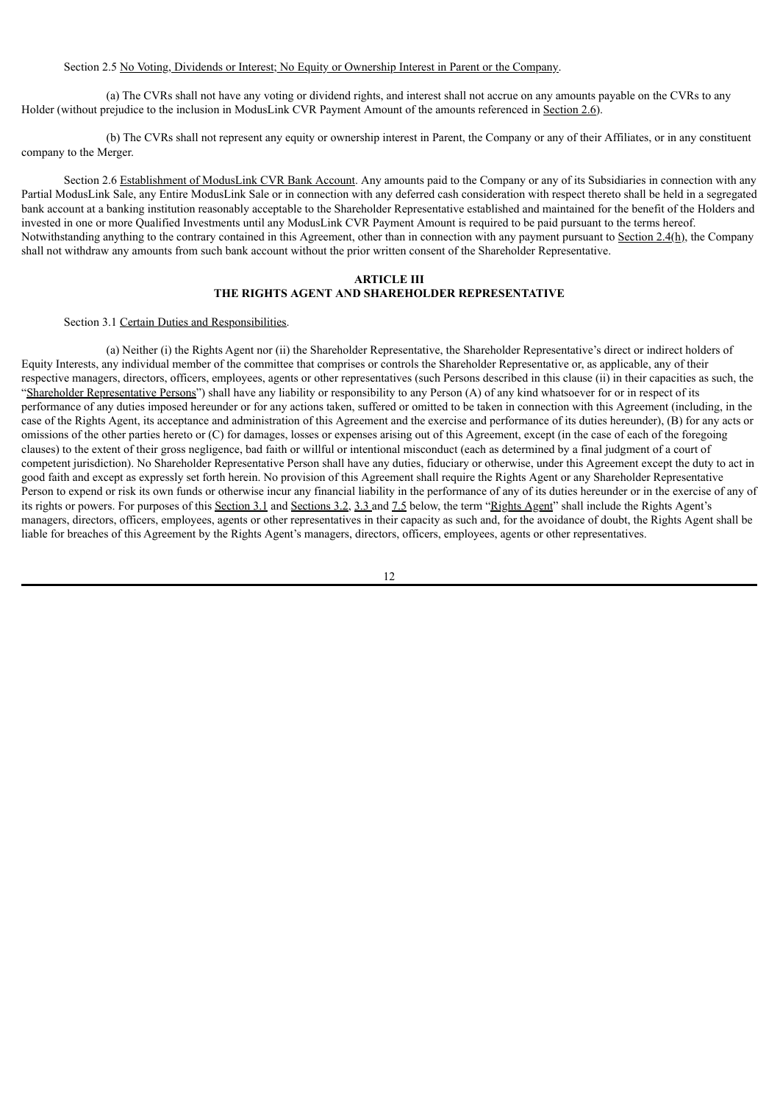# Section 2.5 No Voting, Dividends or Interest; No Equity or Ownership Interest in Parent or the Company.

(a) The CVRs shall not have any voting or dividend rights, and interest shall not accrue on any amounts payable on the CVRs to any Holder (without prejudice to the inclusion in ModusLink CVR Payment Amount of the amounts referenced in Section 2.6).

(b) The CVRs shall not represent any equity or ownership interest in Parent, the Company or any of their Affiliates, or in any constituent company to the Merger.

Section 2.6 Establishment of ModusLink CVR Bank Account. Any amounts paid to the Company or any of its Subsidiaries in connection with any Partial ModusLink Sale, any Entire ModusLink Sale or in connection with any deferred cash consideration with respect thereto shall be held in a segregated bank account at a banking institution reasonably acceptable to the Shareholder Representative established and maintained for the benefit of the Holders and invested in one or more Qualified Investments until any ModusLink CVR Payment Amount is required to be paid pursuant to the terms hereof. Notwithstanding anything to the contrary contained in this Agreement, other than in connection with any payment pursuant to Section 2.4(h), the Company shall not withdraw any amounts from such bank account without the prior written consent of the Shareholder Representative.

# **ARTICLE III THE RIGHTS AGENT AND SHAREHOLDER REPRESENTATIVE**

## Section 3.1 Certain Duties and Responsibilities.

(a) Neither (i) the Rights Agent nor (ii) the Shareholder Representative, the Shareholder Representative's direct or indirect holders of Equity Interests, any individual member of the committee that comprises or controls the Shareholder Representative or, as applicable, any of their respective managers, directors, officers, employees, agents or other representatives (such Persons described in this clause (ii) in their capacities as such, the "Shareholder Representative Persons") shall have any liability or responsibility to any Person (A) of any kind whatsoever for or in respect of its performance of any duties imposed hereunder or for any actions taken, suffered or omitted to be taken in connection with this Agreement (including, in the case of the Rights Agent, its acceptance and administration of this Agreement and the exercise and performance of its duties hereunder), (B) for any acts or omissions of the other parties hereto or (C) for damages, losses or expenses arising out of this Agreement, except (in the case of each of the foregoing clauses) to the extent of their gross negligence, bad faith or willful or intentional misconduct (each as determined by a final judgment of a court of competent jurisdiction). No Shareholder Representative Person shall have any duties, fiduciary or otherwise, under this Agreement except the duty to act in good faith and except as expressly set forth herein. No provision of this Agreement shall require the Rights Agent or any Shareholder Representative Person to expend or risk its own funds or otherwise incur any financial liability in the performance of any of its duties hereunder or in the exercise of any of its rights or powers. For purposes of this Section 3.1 and Sections 3.2, 3.3 and 7.5 below, the term "Rights Agent" shall include the Rights Agent's managers, directors, officers, employees, agents or other representatives in their capacity as such and, for the avoidance of doubt, the Rights Agent shall be liable for breaches of this Agreement by the Rights Agent's managers, directors, officers, employees, agents or other representatives.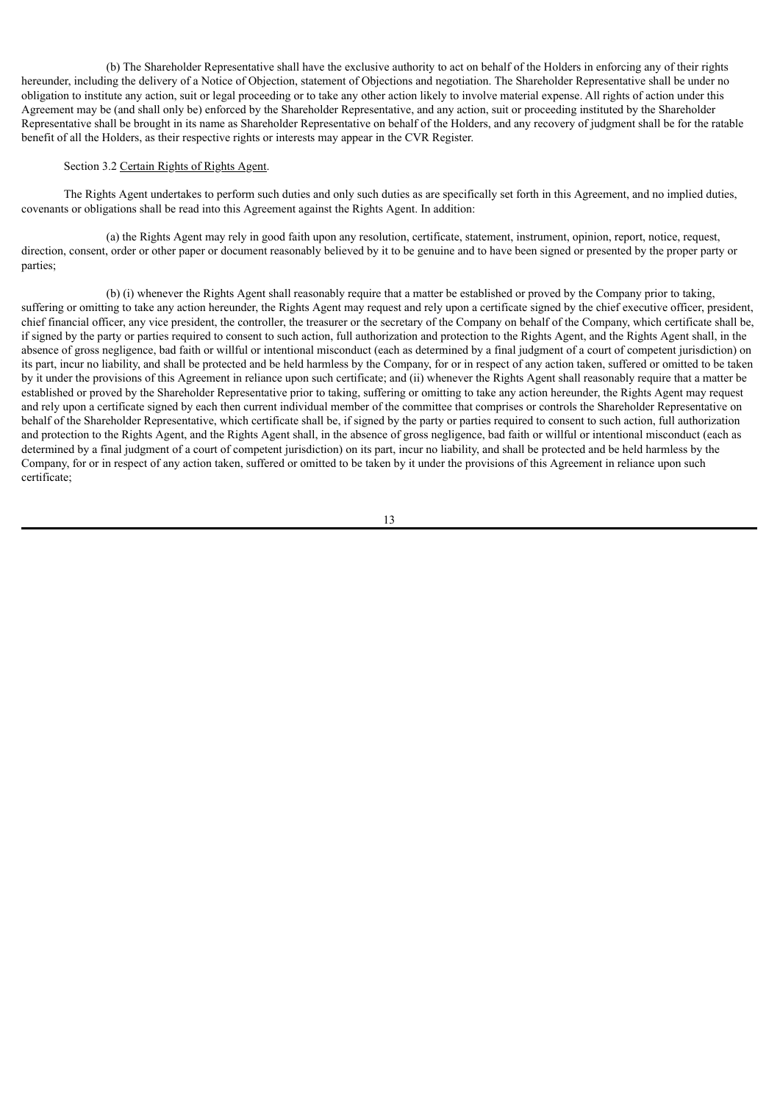(b) The Shareholder Representative shall have the exclusive authority to act on behalf of the Holders in enforcing any of their rights hereunder, including the delivery of a Notice of Objection, statement of Objections and negotiation. The Shareholder Representative shall be under no obligation to institute any action, suit or legal proceeding or to take any other action likely to involve material expense. All rights of action under this Agreement may be (and shall only be) enforced by the Shareholder Representative, and any action, suit or proceeding instituted by the Shareholder Representative shall be brought in its name as Shareholder Representative on behalf of the Holders, and any recovery of judgment shall be for the ratable benefit of all the Holders, as their respective rights or interests may appear in the CVR Register.

# Section 3.2 Certain Rights of Rights Agent.

The Rights Agent undertakes to perform such duties and only such duties as are specifically set forth in this Agreement, and no implied duties, covenants or obligations shall be read into this Agreement against the Rights Agent. In addition:

(a) the Rights Agent may rely in good faith upon any resolution, certificate, statement, instrument, opinion, report, notice, request, direction, consent, order or other paper or document reasonably believed by it to be genuine and to have been signed or presented by the proper party or parties;

(b) (i) whenever the Rights Agent shall reasonably require that a matter be established or proved by the Company prior to taking, suffering or omitting to take any action hereunder, the Rights Agent may request and rely upon a certificate signed by the chief executive officer, president, chief financial officer, any vice president, the controller, the treasurer or the secretary of the Company on behalf of the Company, which certificate shall be, if signed by the party or parties required to consent to such action, full authorization and protection to the Rights Agent, and the Rights Agent shall, in the absence of gross negligence, bad faith or willful or intentional misconduct (each as determined by a final judgment of a court of competent jurisdiction) on its part, incur no liability, and shall be protected and be held harmless by the Company, for or in respect of any action taken, suffered or omitted to be taken by it under the provisions of this Agreement in reliance upon such certificate; and (ii) whenever the Rights Agent shall reasonably require that a matter be established or proved by the Shareholder Representative prior to taking, suffering or omitting to take any action hereunder, the Rights Agent may request and rely upon a certificate signed by each then current individual member of the committee that comprises or controls the Shareholder Representative on behalf of the Shareholder Representative, which certificate shall be, if signed by the party or parties required to consent to such action, full authorization and protection to the Rights Agent, and the Rights Agent shall, in the absence of gross negligence, bad faith or willful or intentional misconduct (each as determined by a final judgment of a court of competent jurisdiction) on its part, incur no liability, and shall be protected and be held harmless by the Company, for or in respect of any action taken, suffered or omitted to be taken by it under the provisions of this Agreement in reliance upon such certificate;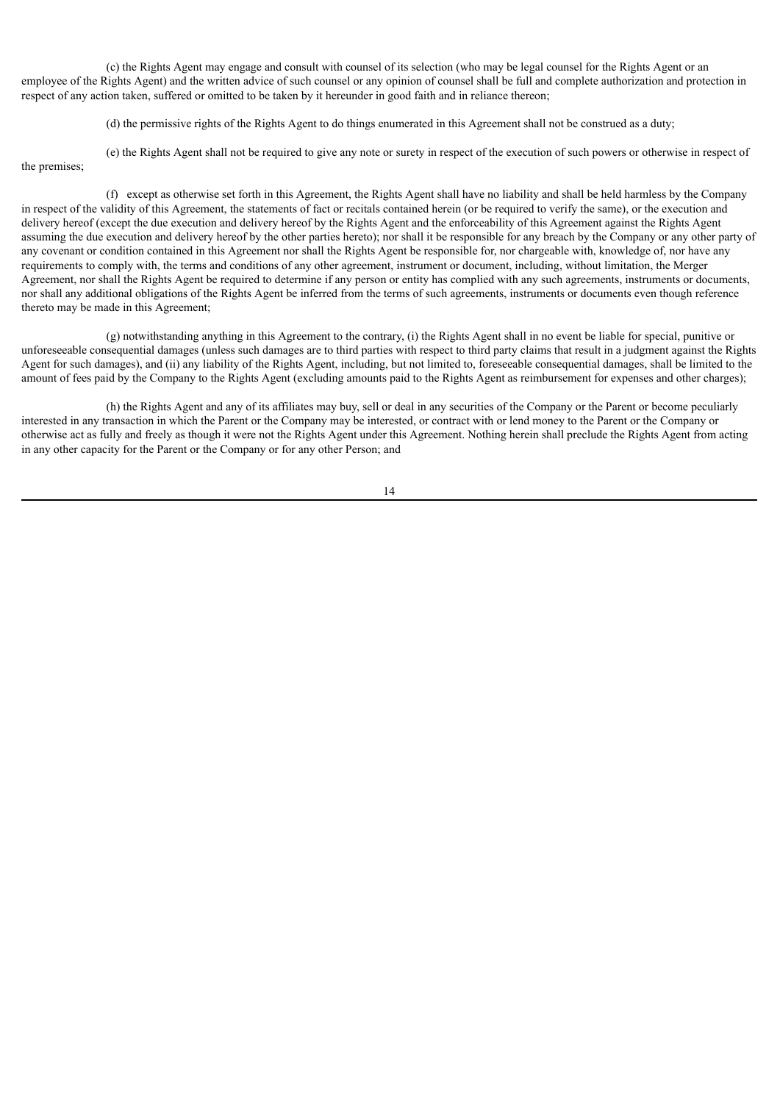(c) the Rights Agent may engage and consult with counsel of its selection (who may be legal counsel for the Rights Agent or an employee of the Rights Agent) and the written advice of such counsel or any opinion of counsel shall be full and complete authorization and protection in respect of any action taken, suffered or omitted to be taken by it hereunder in good faith and in reliance thereon;

(d) the permissive rights of the Rights Agent to do things enumerated in this Agreement shall not be construed as a duty;

(e) the Rights Agent shall not be required to give any note or surety in respect of the execution of such powers or otherwise in respect of the premises;

(f) except as otherwise set forth in this Agreement, the Rights Agent shall have no liability and shall be held harmless by the Company in respect of the validity of this Agreement, the statements of fact or recitals contained herein (or be required to verify the same), or the execution and delivery hereof (except the due execution and delivery hereof by the Rights Agent and the enforceability of this Agreement against the Rights Agent assuming the due execution and delivery hereof by the other parties hereto); nor shall it be responsible for any breach by the Company or any other party of any covenant or condition contained in this Agreement nor shall the Rights Agent be responsible for, nor chargeable with, knowledge of, nor have any requirements to comply with, the terms and conditions of any other agreement, instrument or document, including, without limitation, the Merger Agreement, nor shall the Rights Agent be required to determine if any person or entity has complied with any such agreements, instruments or documents, nor shall any additional obligations of the Rights Agent be inferred from the terms of such agreements, instruments or documents even though reference thereto may be made in this Agreement;

(g) notwithstanding anything in this Agreement to the contrary, (i) the Rights Agent shall in no event be liable for special, punitive or unforeseeable consequential damages (unless such damages are to third parties with respect to third party claims that result in a judgment against the Rights Agent for such damages), and (ii) any liability of the Rights Agent, including, but not limited to, foreseeable consequential damages, shall be limited to the amount of fees paid by the Company to the Rights Agent (excluding amounts paid to the Rights Agent as reimbursement for expenses and other charges);

(h) the Rights Agent and any of its affiliates may buy, sell or deal in any securities of the Company or the Parent or become peculiarly interested in any transaction in which the Parent or the Company may be interested, or contract with or lend money to the Parent or the Company or otherwise act as fully and freely as though it were not the Rights Agent under this Agreement. Nothing herein shall preclude the Rights Agent from acting in any other capacity for the Parent or the Company or for any other Person; and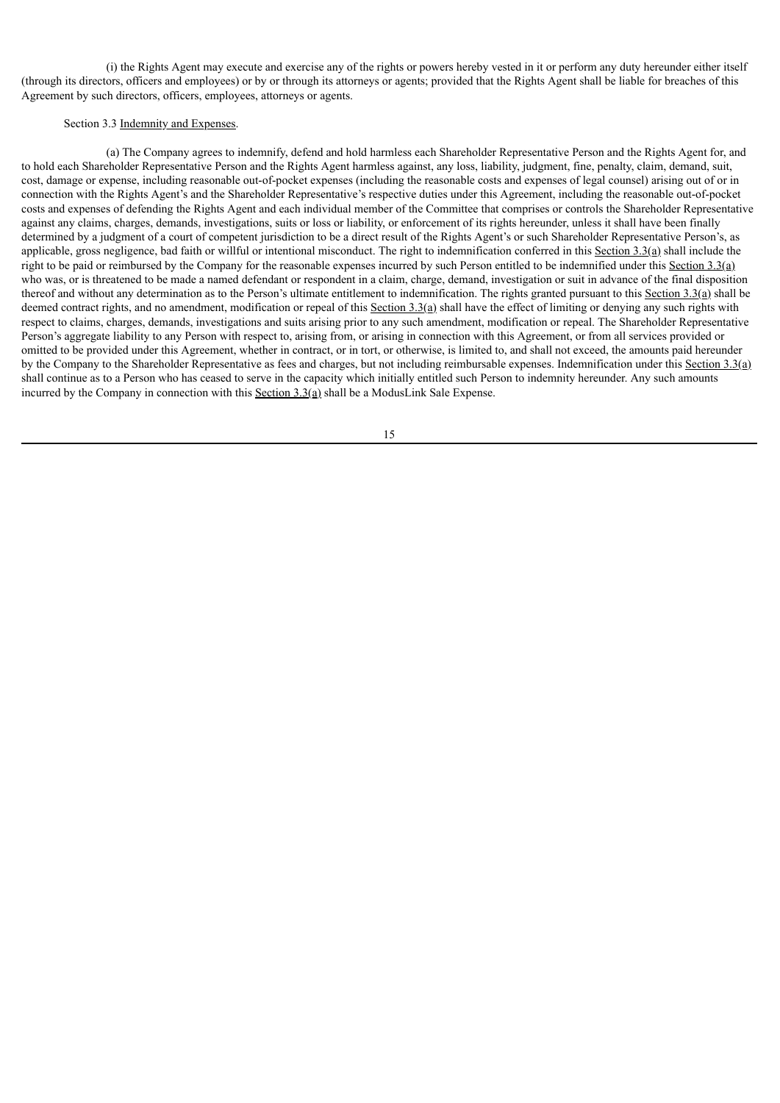(i) the Rights Agent may execute and exercise any of the rights or powers hereby vested in it or perform any duty hereunder either itself (through its directors, officers and employees) or by or through its attorneys or agents; provided that the Rights Agent shall be liable for breaches of this Agreement by such directors, officers, employees, attorneys or agents.

# Section 3.3 Indemnity and Expenses.

(a) The Company agrees to indemnify, defend and hold harmless each Shareholder Representative Person and the Rights Agent for, and to hold each Shareholder Representative Person and the Rights Agent harmless against, any loss, liability, judgment, fine, penalty, claim, demand, suit, cost, damage or expense, including reasonable out-of-pocket expenses (including the reasonable costs and expenses of legal counsel) arising out of or in connection with the Rights Agent's and the Shareholder Representative's respective duties under this Agreement, including the reasonable out-of-pocket costs and expenses of defending the Rights Agent and each individual member of the Committee that comprises or controls the Shareholder Representative against any claims, charges, demands, investigations, suits or loss or liability, or enforcement of its rights hereunder, unless it shall have been finally determined by a judgment of a court of competent jurisdiction to be a direct result of the Rights Agent's or such Shareholder Representative Person's, as applicable, gross negligence, bad faith or willful or intentional misconduct. The right to indemnification conferred in this Section  $3.3(a)$  shall include the right to be paid or reimbursed by the Company for the reasonable expenses incurred by such Person entitled to be indemnified under this Section 3.3(a) who was, or is threatened to be made a named defendant or respondent in a claim, charge, demand, investigation or suit in advance of the final disposition thereof and without any determination as to the Person's ultimate entitlement to indemnification. The rights granted pursuant to this Section 3.3(a) shall be deemed contract rights, and no amendment, modification or repeal of this Section 3.3(a) shall have the effect of limiting or denying any such rights with respect to claims, charges, demands, investigations and suits arising prior to any such amendment, modification or repeal. The Shareholder Representative Person's aggregate liability to any Person with respect to, arising from, or arising in connection with this Agreement, or from all services provided or omitted to be provided under this Agreement, whether in contract, or in tort, or otherwise, is limited to, and shall not exceed, the amounts paid hereunder by the Company to the Shareholder Representative as fees and charges, but not including reimbursable expenses. Indemnification under this Section 3.3(a) shall continue as to a Person who has ceased to serve in the capacity which initially entitled such Person to indemnity hereunder. Any such amounts incurred by the Company in connection with this  $Section 3.3(a) shall be a ModusLink Sale Expression.$ </u>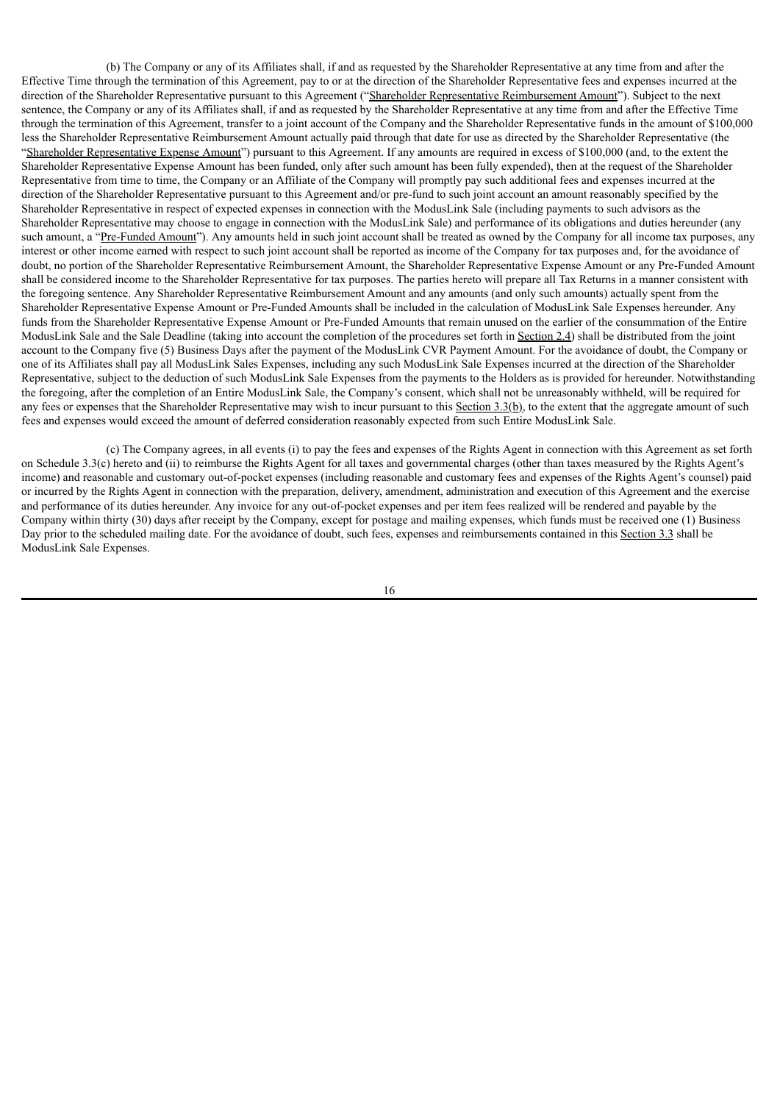(b) The Company or any of its Affiliates shall, if and as requested by the Shareholder Representative at any time from and after the Effective Time through the termination of this Agreement, pay to or at the direction of the Shareholder Representative fees and expenses incurred at the direction of the Shareholder Representative pursuant to this Agreement ("Shareholder Representative Reimbursement Amount"). Subject to the next sentence, the Company or any of its Affiliates shall, if and as requested by the Shareholder Representative at any time from and after the Effective Time through the termination of this Agreement, transfer to a joint account of the Company and the Shareholder Representative funds in the amount of \$100,000 less the Shareholder Representative Reimbursement Amount actually paid through that date for use as directed by the Shareholder Representative (the "Shareholder Representative Expense Amount") pursuant to this Agreement. If any amounts are required in excess of \$100,000 (and, to the extent the Shareholder Representative Expense Amount has been funded, only after such amount has been fully expended), then at the request of the Shareholder Representative from time to time, the Company or an Affiliate of the Company will promptly pay such additional fees and expenses incurred at the direction of the Shareholder Representative pursuant to this Agreement and/or pre-fund to such joint account an amount reasonably specified by the Shareholder Representative in respect of expected expenses in connection with the ModusLink Sale (including payments to such advisors as the Shareholder Representative may choose to engage in connection with the ModusLink Sale) and performance of its obligations and duties hereunder (any such amount, a "Pre-Funded Amount"). Any amounts held in such joint account shall be treated as owned by the Company for all income tax purposes, any interest or other income earned with respect to such joint account shall be reported as income of the Company for tax purposes and, for the avoidance of doubt, no portion of the Shareholder Representative Reimbursement Amount, the Shareholder Representative Expense Amount or any Pre-Funded Amount shall be considered income to the Shareholder Representative for tax purposes. The parties hereto will prepare all Tax Returns in a manner consistent with the foregoing sentence. Any Shareholder Representative Reimbursement Amount and any amounts (and only such amounts) actually spent from the Shareholder Representative Expense Amount or Pre-Funded Amounts shall be included in the calculation of ModusLink Sale Expenses hereunder. Any funds from the Shareholder Representative Expense Amount or Pre-Funded Amounts that remain unused on the earlier of the consummation of the Entire ModusLink Sale and the Sale Deadline (taking into account the completion of the procedures set forth in Section 2.4) shall be distributed from the joint account to the Company five (5) Business Days after the payment of the ModusLink CVR Payment Amount. For the avoidance of doubt, the Company or one of its Affiliates shall pay all ModusLink Sales Expenses, including any such ModusLink Sale Expenses incurred at the direction of the Shareholder Representative, subject to the deduction of such ModusLink Sale Expenses from the payments to the Holders as is provided for hereunder. Notwithstanding the foregoing, after the completion of an Entire ModusLink Sale, the Company's consent, which shall not be unreasonably withheld, will be required for any fees or expenses that the Shareholder Representative may wish to incur pursuant to this Section  $3.3(b)$ , to the extent that the aggregate amount of such fees and expenses would exceed the amount of deferred consideration reasonably expected from such Entire ModusLink Sale.

(c) The Company agrees, in all events (i) to pay the fees and expenses of the Rights Agent in connection with this Agreement as set forth on Schedule 3.3(c) hereto and (ii) to reimburse the Rights Agent for all taxes and governmental charges (other than taxes measured by the Rights Agent's income) and reasonable and customary out-of-pocket expenses (including reasonable and customary fees and expenses of the Rights Agent's counsel) paid or incurred by the Rights Agent in connection with the preparation, delivery, amendment, administration and execution of this Agreement and the exercise and performance of its duties hereunder. Any invoice for any out-of-pocket expenses and per item fees realized will be rendered and payable by the Company within thirty (30) days after receipt by the Company, except for postage and mailing expenses, which funds must be received one (1) Business Day prior to the scheduled mailing date. For the avoidance of doubt, such fees, expenses and reimbursements contained in this Section 3.3 shall be ModusLink Sale Expenses.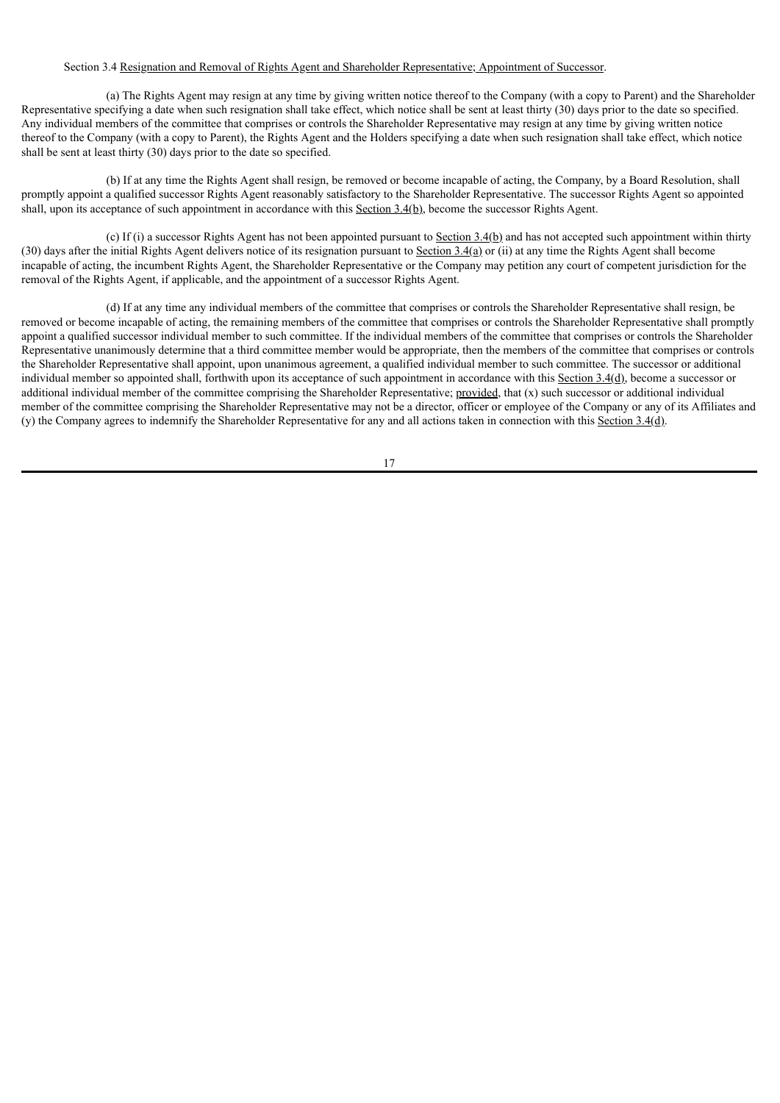# Section 3.4 Resignation and Removal of Rights Agent and Shareholder Representative; Appointment of Successor.

(a) The Rights Agent may resign at any time by giving written notice thereof to the Company (with a copy to Parent) and the Shareholder Representative specifying a date when such resignation shall take effect, which notice shall be sent at least thirty (30) days prior to the date so specified. Any individual members of the committee that comprises or controls the Shareholder Representative may resign at any time by giving written notice thereof to the Company (with a copy to Parent), the Rights Agent and the Holders specifying a date when such resignation shall take effect, which notice shall be sent at least thirty (30) days prior to the date so specified.

(b) If at any time the Rights Agent shall resign, be removed or become incapable of acting, the Company, by a Board Resolution, shall promptly appoint a qualified successor Rights Agent reasonably satisfactory to the Shareholder Representative. The successor Rights Agent so appointed shall, upon its acceptance of such appointment in accordance with this Section 3.4(b), become the successor Rights Agent.

(c) If (i) a successor Rights Agent has not been appointed pursuant to Section  $3.4(b)$  and has not accepted such appointment within thirty (30) days after the initial Rights Agent delivers notice of its resignation pursuant to Section  $3.4(a)$  or (ii) at any time the Rights Agent shall become incapable of acting, the incumbent Rights Agent, the Shareholder Representative or the Company may petition any court of competent jurisdiction for the removal of the Rights Agent, if applicable, and the appointment of a successor Rights Agent.

(d) If at any time any individual members of the committee that comprises or controls the Shareholder Representative shall resign, be removed or become incapable of acting, the remaining members of the committee that comprises or controls the Shareholder Representative shall promptly appoint a qualified successor individual member to such committee. If the individual members of the committee that comprises or controls the Shareholder Representative unanimously determine that a third committee member would be appropriate, then the members of the committee that comprises or controls the Shareholder Representative shall appoint, upon unanimous agreement, a qualified individual member to such committee. The successor or additional individual member so appointed shall, forthwith upon its acceptance of such appointment in accordance with this Section  $3.4(d)$ , become a successor or additional individual member of the committee comprising the Shareholder Representative; provided, that (x) such successor or additional individual member of the committee comprising the Shareholder Representative may not be a director, officer or employee of the Company or any of its Affiliates and (y) the Company agrees to indemnify the Shareholder Representative for any and all actions taken in connection with this Section  $3.4(d)$ .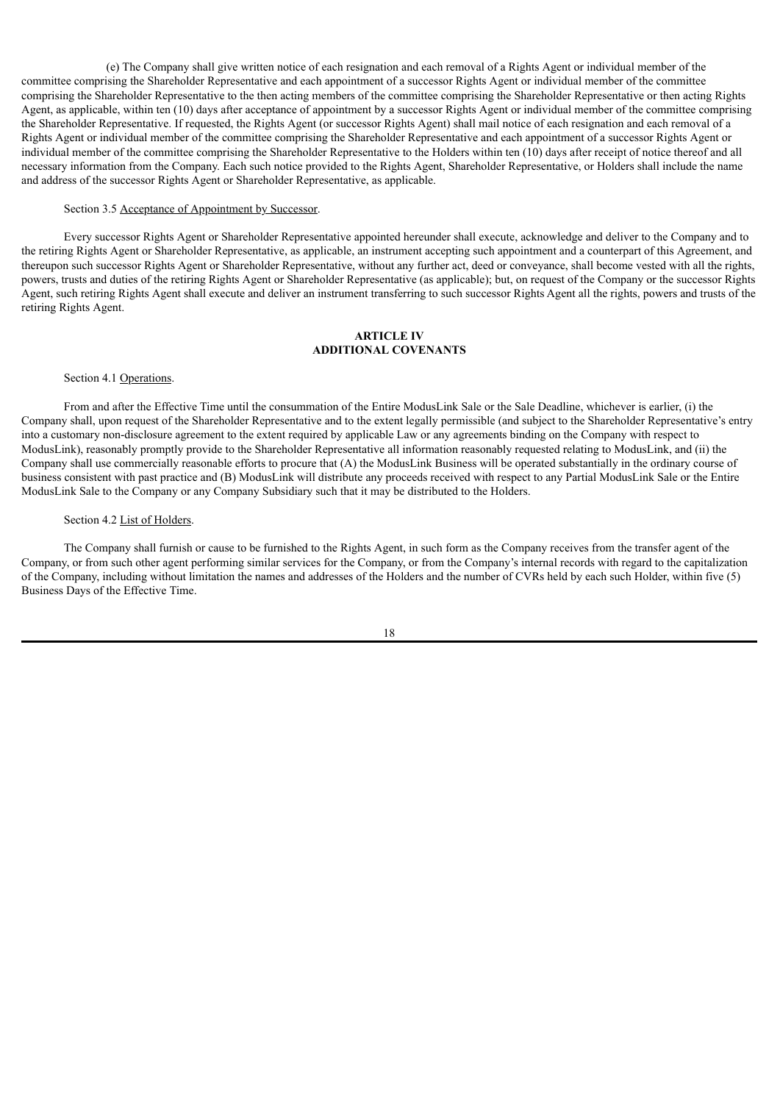(e) The Company shall give written notice of each resignation and each removal of a Rights Agent or individual member of the committee comprising the Shareholder Representative and each appointment of a successor Rights Agent or individual member of the committee comprising the Shareholder Representative to the then acting members of the committee comprising the Shareholder Representative or then acting Rights Agent, as applicable, within ten (10) days after acceptance of appointment by a successor Rights Agent or individual member of the committee comprising the Shareholder Representative. If requested, the Rights Agent (or successor Rights Agent) shall mail notice of each resignation and each removal of a Rights Agent or individual member of the committee comprising the Shareholder Representative and each appointment of a successor Rights Agent or individual member of the committee comprising the Shareholder Representative to the Holders within ten (10) days after receipt of notice thereof and all necessary information from the Company. Each such notice provided to the Rights Agent, Shareholder Representative, or Holders shall include the name and address of the successor Rights Agent or Shareholder Representative, as applicable.

#### Section 3.5 Acceptance of Appointment by Successor.

Every successor Rights Agent or Shareholder Representative appointed hereunder shall execute, acknowledge and deliver to the Company and to the retiring Rights Agent or Shareholder Representative, as applicable, an instrument accepting such appointment and a counterpart of this Agreement, and thereupon such successor Rights Agent or Shareholder Representative, without any further act, deed or conveyance, shall become vested with all the rights, powers, trusts and duties of the retiring Rights Agent or Shareholder Representative (as applicable); but, on request of the Company or the successor Rights Agent, such retiring Rights Agent shall execute and deliver an instrument transferring to such successor Rights Agent all the rights, powers and trusts of the retiring Rights Agent.

# **ARTICLE IV ADDITIONAL COVENANTS**

### Section 4.1 Operations.

From and after the Effective Time until the consummation of the Entire ModusLink Sale or the Sale Deadline, whichever is earlier, (i) the Company shall, upon request of the Shareholder Representative and to the extent legally permissible (and subject to the Shareholder Representative's entry into a customary non-disclosure agreement to the extent required by applicable Law or any agreements binding on the Company with respect to ModusLink), reasonably promptly provide to the Shareholder Representative all information reasonably requested relating to ModusLink, and (ii) the Company shall use commercially reasonable efforts to procure that (A) the ModusLink Business will be operated substantially in the ordinary course of business consistent with past practice and (B) ModusLink will distribute any proceeds received with respect to any Partial ModusLink Sale or the Entire ModusLink Sale to the Company or any Company Subsidiary such that it may be distributed to the Holders.

#### Section 4.2 List of Holders.

The Company shall furnish or cause to be furnished to the Rights Agent, in such form as the Company receives from the transfer agent of the Company, or from such other agent performing similar services for the Company, or from the Company's internal records with regard to the capitalization of the Company, including without limitation the names and addresses of the Holders and the number of CVRs held by each such Holder, within five (5) Business Days of the Effective Time.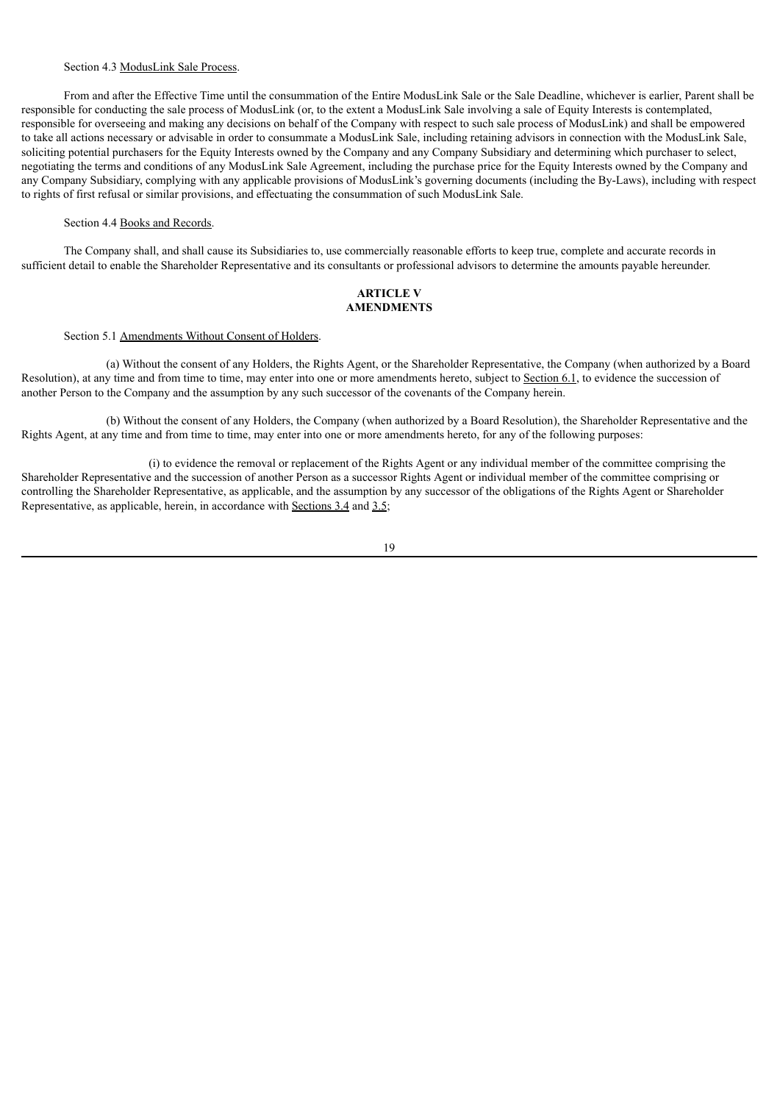### Section 4.3 ModusLink Sale Process.

From and after the Effective Time until the consummation of the Entire ModusLink Sale or the Sale Deadline, whichever is earlier, Parent shall be responsible for conducting the sale process of ModusLink (or, to the extent a ModusLink Sale involving a sale of Equity Interests is contemplated, responsible for overseeing and making any decisions on behalf of the Company with respect to such sale process of ModusLink) and shall be empowered to take all actions necessary or advisable in order to consummate a ModusLink Sale, including retaining advisors in connection with the ModusLink Sale, soliciting potential purchasers for the Equity Interests owned by the Company and any Company Subsidiary and determining which purchaser to select, negotiating the terms and conditions of any ModusLink Sale Agreement, including the purchase price for the Equity Interests owned by the Company and any Company Subsidiary, complying with any applicable provisions of ModusLink's governing documents (including the By-Laws), including with respect to rights of first refusal or similar provisions, and effectuating the consummation of such ModusLink Sale.

## Section 4.4 Books and Records.

The Company shall, and shall cause its Subsidiaries to, use commercially reasonable efforts to keep true, complete and accurate records in sufficient detail to enable the Shareholder Representative and its consultants or professional advisors to determine the amounts payable hereunder.

### **ARTICLE V AMENDMENTS**

# Section 5.1 Amendments Without Consent of Holders.

(a) Without the consent of any Holders, the Rights Agent, or the Shareholder Representative, the Company (when authorized by a Board Resolution), at any time and from time to time, may enter into one or more amendments hereto, subject to Section 6.1, to evidence the succession of another Person to the Company and the assumption by any such successor of the covenants of the Company herein.

(b) Without the consent of any Holders, the Company (when authorized by a Board Resolution), the Shareholder Representative and the Rights Agent, at any time and from time to time, may enter into one or more amendments hereto, for any of the following purposes:

(i) to evidence the removal or replacement of the Rights Agent or any individual member of the committee comprising the Shareholder Representative and the succession of another Person as a successor Rights Agent or individual member of the committee comprising or controlling the Shareholder Representative, as applicable, and the assumption by any successor of the obligations of the Rights Agent or Shareholder Representative, as applicable, herein, in accordance with Sections 3.4 and 3.5;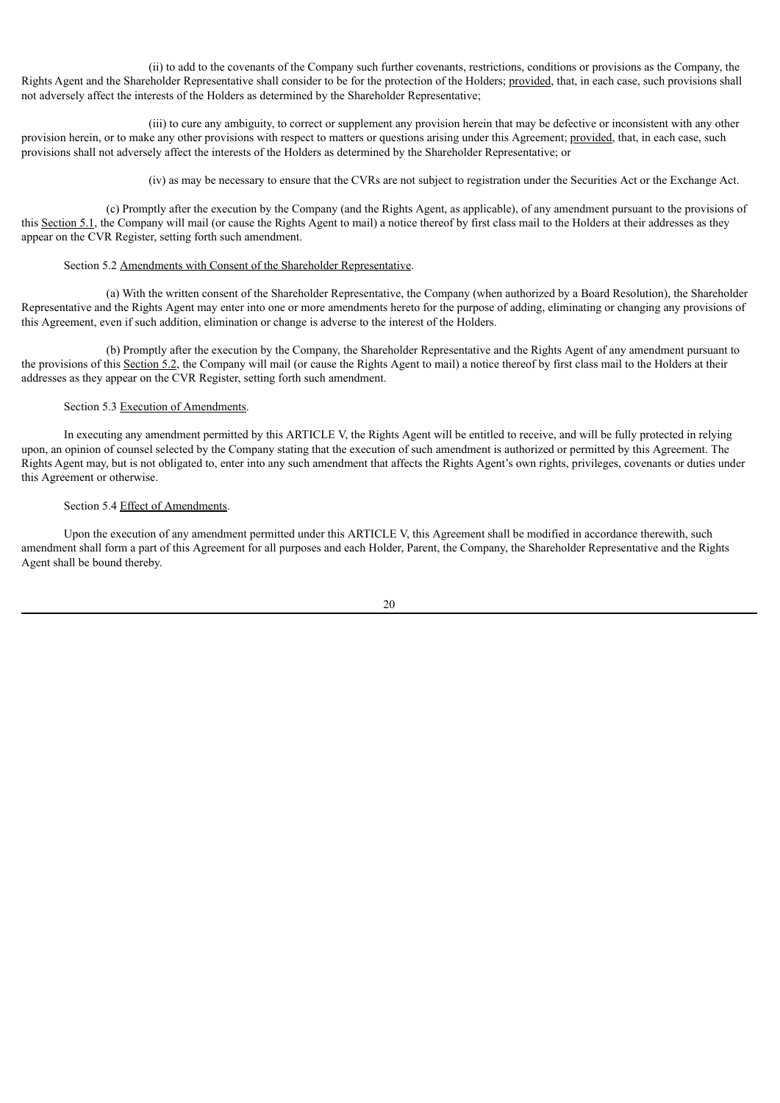(ii) to add to the covenants of the Company such further covenants, restrictions, conditions or provisions as the Company, the Rights Agent and the Shareholder Representative shall consider to be for the protection of the Holders; provided, that, in each case, such provisions shall not adversely affect the interests of the Holders as determined by the Shareholder Representative;

(iii) to cure any ambiguity, to correct or supplement any provision herein that may be defective or inconsistent with any other provision herein, or to make any other provisions with respect to matters or questions arising under this Agreement; provided, that, in each case, such provisions shall not adversely affect the interests of the Holders as determined by the Shareholder Representative; or

(iv) as may be necessary to ensure that the CVRs are not subject to registration under the Securities Act or the Exchange Act.

(c) Promptly after the execution by the Company (and the Rights Agent, as applicable), of any amendment pursuant to the provisions of this Section 5.1, the Company will mail (or cause the Rights Agent to mail) a notice thereof by first class mail to the Holders at their addresses as they appear on the CVR Register, setting forth such amendment.

# Section 5.2 Amendments with Consent of the Shareholder Representative.

(a) With the written consent of the Shareholder Representative, the Company (when authorized by a Board Resolution), the Shareholder Representative and the Rights Agent may enter into one or more amendments hereto for the purpose of adding, eliminating or changing any provisions of this Agreement, even if such addition, elimination or change is adverse to the interest of the Holders.

(b) Promptly after the execution by the Company, the Shareholder Representative and the Rights Agent of any amendment pursuant to the provisions of this Section 5.2, the Company will mail (or cause the Rights Agent to mail) a notice thereof by first class mail to the Holders at their addresses as they appear on the CVR Register, setting forth such amendment.

# Section 5.3 Execution of Amendments.

In executing any amendment permitted by this ARTICLE V, the Rights Agent will be entitled to receive, and will be fully protected in relying upon, an opinion of counsel selected by the Company stating that the execution of such amendment is authorized or permitted by this Agreement. The Rights Agent may, but is not obligated to, enter into any such amendment that affects the Rights Agent's own rights, privileges, covenants or duties under this Agreement or otherwise.

#### Section 5.4 Effect of Amendments.

Upon the execution of any amendment permitted under this ARTICLE V, this Agreement shall be modified in accordance therewith, such amendment shall form a part of this Agreement for all purposes and each Holder, Parent, the Company, the Shareholder Representative and the Rights Agent shall be bound thereby.

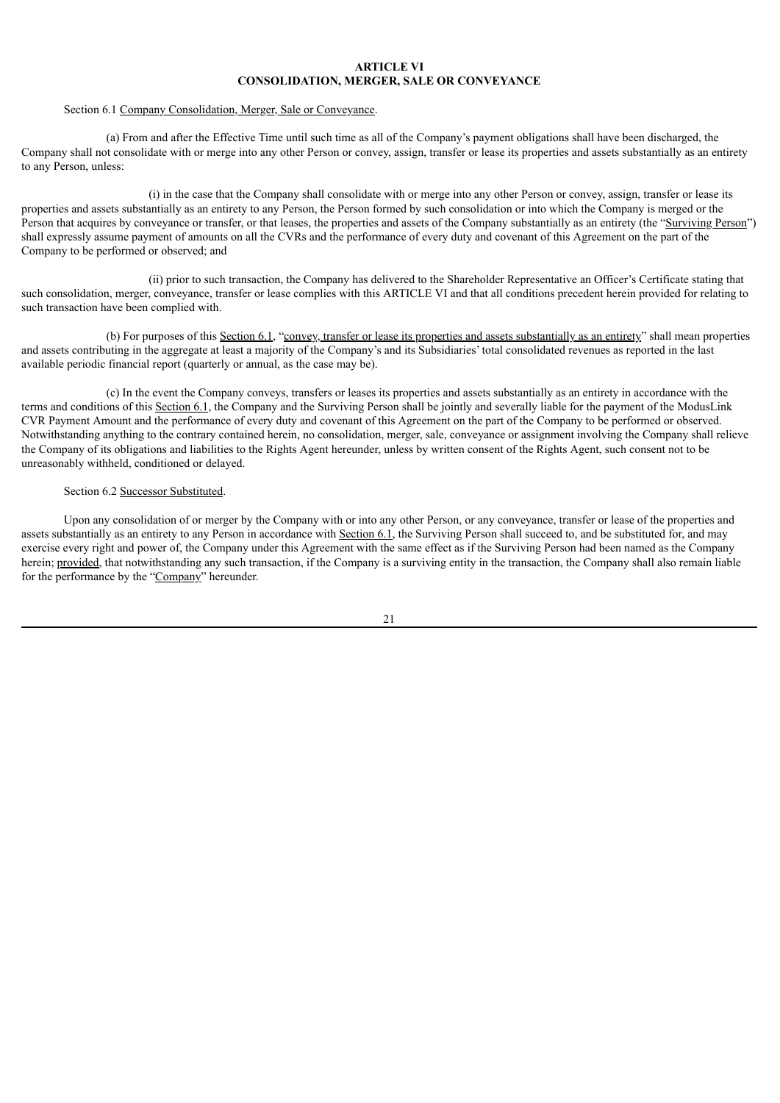# **ARTICLE VI CONSOLIDATION, MERGER, SALE OR CONVEYANCE**

#### Section 6.1 Company Consolidation, Merger, Sale or Conveyance.

(a) From and after the Effective Time until such time as all of the Company's payment obligations shall have been discharged, the Company shall not consolidate with or merge into any other Person or convey, assign, transfer or lease its properties and assets substantially as an entirety to any Person, unless:

(i) in the case that the Company shall consolidate with or merge into any other Person or convey, assign, transfer or lease its properties and assets substantially as an entirety to any Person, the Person formed by such consolidation or into which the Company is merged or the Person that acquires by conveyance or transfer, or that leases, the properties and assets of the Company substantially as an entirety (the "Surviving Person") shall expressly assume payment of amounts on all the CVRs and the performance of every duty and covenant of this Agreement on the part of the Company to be performed or observed; and

(ii) prior to such transaction, the Company has delivered to the Shareholder Representative an Officer's Certificate stating that such consolidation, merger, conveyance, transfer or lease complies with this ARTICLE VI and that all conditions precedent herein provided for relating to such transaction have been complied with.

(b) For purposes of this Section 6.1, "convey, transfer or lease its properties and assets substantially as an entirety" shall mean properties and assets contributing in the aggregate at least a majority of the Company's and its Subsidiaries' total consolidated revenues as reported in the last available periodic financial report (quarterly or annual, as the case may be).

(c) In the event the Company conveys, transfers or leases its properties and assets substantially as an entirety in accordance with the terms and conditions of this Section 6.1, the Company and the Surviving Person shall be jointly and severally liable for the payment of the ModusLink CVR Payment Amount and the performance of every duty and covenant of this Agreement on the part of the Company to be performed or observed. Notwithstanding anything to the contrary contained herein, no consolidation, merger, sale, conveyance or assignment involving the Company shall relieve the Company of its obligations and liabilities to the Rights Agent hereunder, unless by written consent of the Rights Agent, such consent not to be unreasonably withheld, conditioned or delayed.

#### Section 6.2 Successor Substituted.

Upon any consolidation of or merger by the Company with or into any other Person, or any conveyance, transfer or lease of the properties and assets substantially as an entirety to any Person in accordance with Section 6.1, the Surviving Person shall succeed to, and be substituted for, and may exercise every right and power of, the Company under this Agreement with the same effect as if the Surviving Person had been named as the Company herein; provided, that notwithstanding any such transaction, if the Company is a surviving entity in the transaction, the Company shall also remain liable for the performance by the "Company" hereunder.

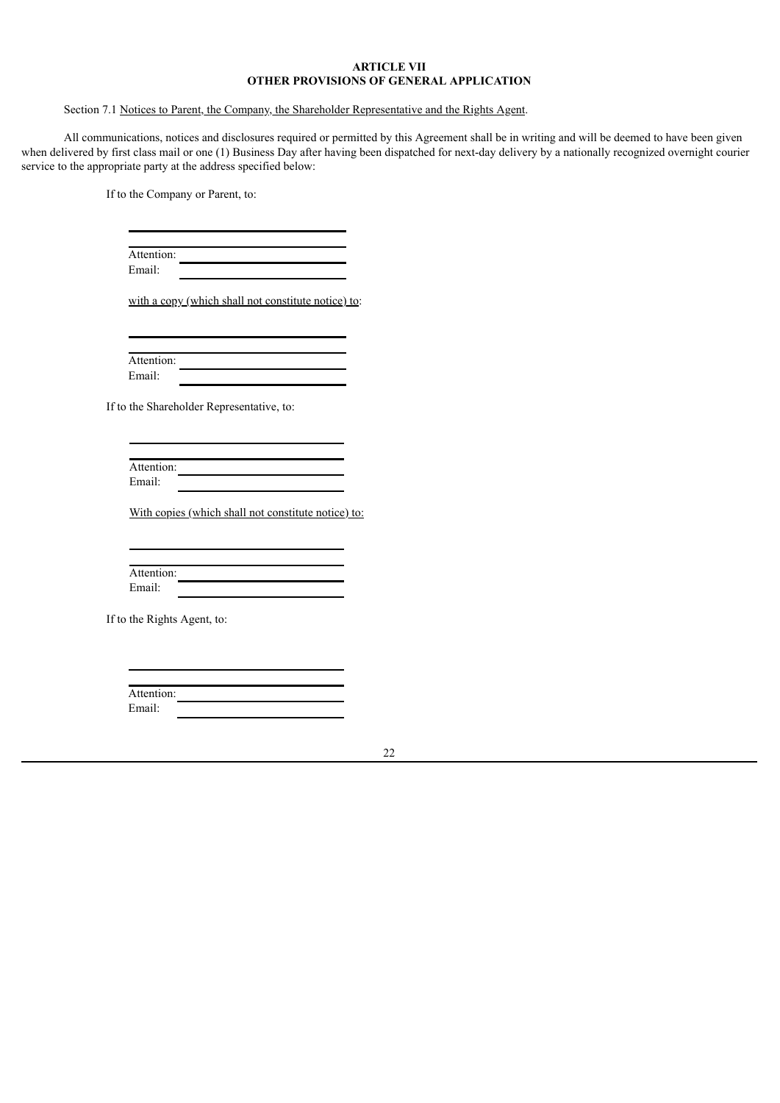# **ARTICLE VII OTHER PROVISIONS OF GENERAL APPLICATION**

# Section 7.1 Notices to Parent, the Company, the Shareholder Representative and the Rights Agent.

All communications, notices and disclosures required or permitted by this Agreement shall be in writing and will be deemed to have been given when delivered by first class mail or one (1) Business Day after having been dispatched for next-day delivery by a nationally recognized overnight courier service to the appropriate party at the address specified below:

If to the Company or Parent, to:

| Attention: |  |
|------------|--|
| Email:     |  |
|            |  |

with a copy (which shall not constitute notice) to:

Attention: Email:

If to the Shareholder Representative, to:

| Attention: |  |  |
|------------|--|--|
| Email:     |  |  |

With copies (which shall not constitute notice) to:

| Attention: |  |
|------------|--|
| Email:     |  |

If to the Rights Agent, to:

| Attention: |  |  |
|------------|--|--|
| Email:     |  |  |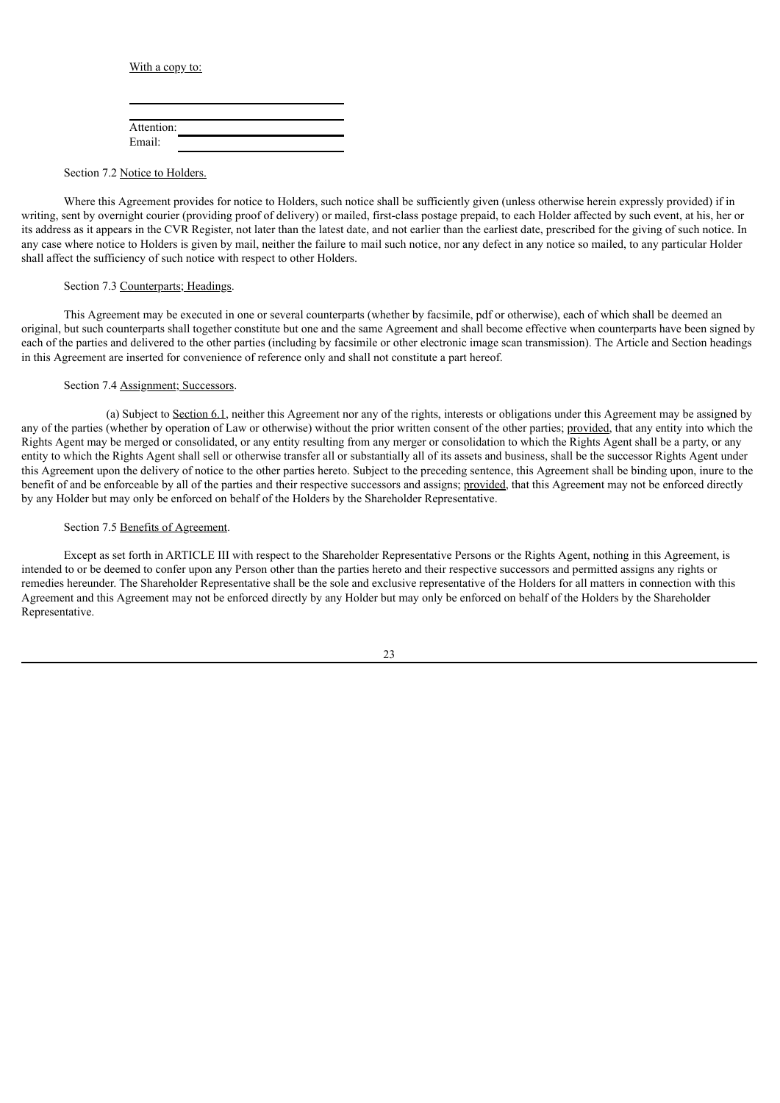With a copy to:

| Attention: |  |  |
|------------|--|--|
| Email:     |  |  |

Section 7.2 Notice to Holders.

Where this Agreement provides for notice to Holders, such notice shall be sufficiently given (unless otherwise herein expressly provided) if in writing, sent by overnight courier (providing proof of delivery) or mailed, first-class postage prepaid, to each Holder affected by such event, at his, her or its address as it appears in the CVR Register, not later than the latest date, and not earlier than the earliest date, prescribed for the giving of such notice. In any case where notice to Holders is given by mail, neither the failure to mail such notice, nor any defect in any notice so mailed, to any particular Holder shall affect the sufficiency of such notice with respect to other Holders.

#### Section 7.3 Counterparts; Headings.

This Agreement may be executed in one or several counterparts (whether by facsimile, pdf or otherwise), each of which shall be deemed an original, but such counterparts shall together constitute but one and the same Agreement and shall become effective when counterparts have been signed by each of the parties and delivered to the other parties (including by facsimile or other electronic image scan transmission). The Article and Section headings in this Agreement are inserted for convenience of reference only and shall not constitute a part hereof.

#### Section 7.4 Assignment; Successors.

(a) Subject to Section 6.1, neither this Agreement nor any of the rights, interests or obligations under this Agreement may be assigned by any of the parties (whether by operation of Law or otherwise) without the prior written consent of the other parties; provided, that any entity into which the Rights Agent may be merged or consolidated, or any entity resulting from any merger or consolidation to which the Rights Agent shall be a party, or any entity to which the Rights Agent shall sell or otherwise transfer all or substantially all of its assets and business, shall be the successor Rights Agent under this Agreement upon the delivery of notice to the other parties hereto. Subject to the preceding sentence, this Agreement shall be binding upon, inure to the benefit of and be enforceable by all of the parties and their respective successors and assigns; provided, that this Agreement may not be enforced directly by any Holder but may only be enforced on behalf of the Holders by the Shareholder Representative.

#### Section 7.5 Benefits of Agreement.

Except as set forth in ARTICLE III with respect to the Shareholder Representative Persons or the Rights Agent, nothing in this Agreement, is intended to or be deemed to confer upon any Person other than the parties hereto and their respective successors and permitted assigns any rights or remedies hereunder. The Shareholder Representative shall be the sole and exclusive representative of the Holders for all matters in connection with this Agreement and this Agreement may not be enforced directly by any Holder but may only be enforced on behalf of the Holders by the Shareholder Representative.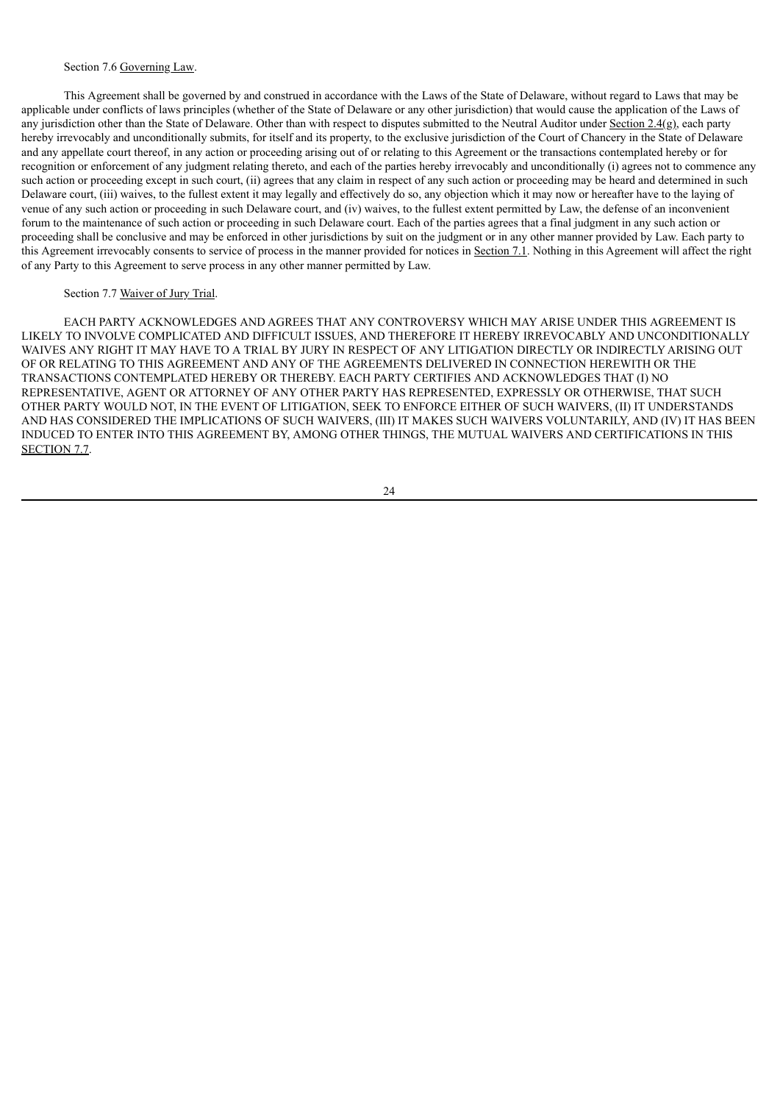## Section 7.6 Governing Law.

This Agreement shall be governed by and construed in accordance with the Laws of the State of Delaware, without regard to Laws that may be applicable under conflicts of laws principles (whether of the State of Delaware or any other jurisdiction) that would cause the application of the Laws of any jurisdiction other than the State of Delaware. Other than with respect to disputes submitted to the Neutral Auditor under Section 2.4(g), each party hereby irrevocably and unconditionally submits, for itself and its property, to the exclusive jurisdiction of the Court of Chancery in the State of Delaware and any appellate court thereof, in any action or proceeding arising out of or relating to this Agreement or the transactions contemplated hereby or for recognition or enforcement of any judgment relating thereto, and each of the parties hereby irrevocably and unconditionally (i) agrees not to commence any such action or proceeding except in such court, (ii) agrees that any claim in respect of any such action or proceeding may be heard and determined in such Delaware court, (iii) waives, to the fullest extent it may legally and effectively do so, any objection which it may now or hereafter have to the laying of venue of any such action or proceeding in such Delaware court, and (iv) waives, to the fullest extent permitted by Law, the defense of an inconvenient forum to the maintenance of such action or proceeding in such Delaware court. Each of the parties agrees that a final judgment in any such action or proceeding shall be conclusive and may be enforced in other jurisdictions by suit on the judgment or in any other manner provided by Law. Each party to this Agreement irrevocably consents to service of process in the manner provided for notices in Section 7.1. Nothing in this Agreement will affect the right of any Party to this Agreement to serve process in any other manner permitted by Law.

#### Section 7.7 Waiver of Jury Trial.

EACH PARTY ACKNOWLEDGES AND AGREES THAT ANY CONTROVERSY WHICH MAY ARISE UNDER THIS AGREEMENT IS LIKELY TO INVOLVE COMPLICATED AND DIFFICULT ISSUES, AND THEREFORE IT HEREBY IRREVOCABLY AND UNCONDITIONALLY WAIVES ANY RIGHT IT MAY HAVE TO A TRIAL BY JURY IN RESPECT OF ANY LITIGATION DIRECTLY OR INDIRECTLY ARISING OUT OF OR RELATING TO THIS AGREEMENT AND ANY OF THE AGREEMENTS DELIVERED IN CONNECTION HEREWITH OR THE TRANSACTIONS CONTEMPLATED HEREBY OR THEREBY. EACH PARTY CERTIFIES AND ACKNOWLEDGES THAT (I) NO REPRESENTATIVE, AGENT OR ATTORNEY OF ANY OTHER PARTY HAS REPRESENTED, EXPRESSLY OR OTHERWISE, THAT SUCH OTHER PARTY WOULD NOT, IN THE EVENT OF LITIGATION, SEEK TO ENFORCE EITHER OF SUCH WAIVERS, (II) IT UNDERSTANDS AND HAS CONSIDERED THE IMPLICATIONS OF SUCH WAIVERS, (III) IT MAKES SUCH WAIVERS VOLUNTARILY, AND (IV) IT HAS BEEN INDUCED TO ENTER INTO THIS AGREEMENT BY, AMONG OTHER THINGS, THE MUTUAL WAIVERS AND CERTIFICATIONS IN THIS SECTION 7.7.

24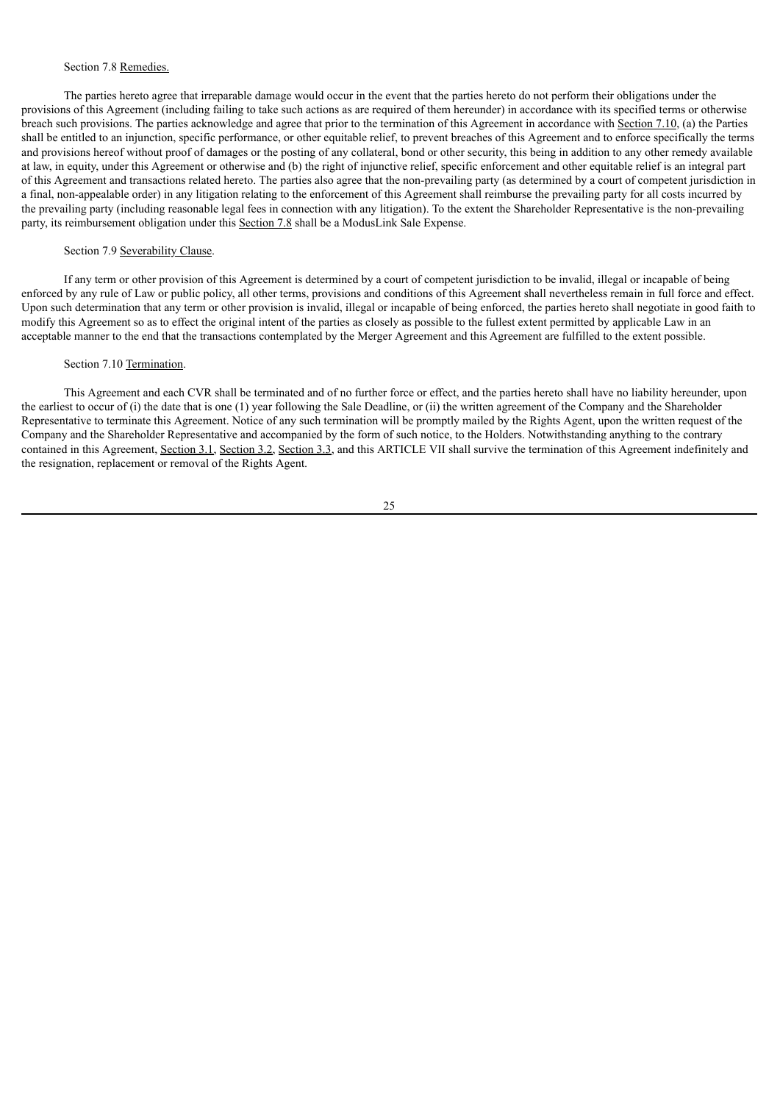# Section 7.8 Remedies.

The parties hereto agree that irreparable damage would occur in the event that the parties hereto do not perform their obligations under the provisions of this Agreement (including failing to take such actions as are required of them hereunder) in accordance with its specified terms or otherwise breach such provisions. The parties acknowledge and agree that prior to the termination of this Agreement in accordance with Section 7.10, (a) the Parties shall be entitled to an injunction, specific performance, or other equitable relief, to prevent breaches of this Agreement and to enforce specifically the terms and provisions hereof without proof of damages or the posting of any collateral, bond or other security, this being in addition to any other remedy available at law, in equity, under this Agreement or otherwise and (b) the right of injunctive relief, specific enforcement and other equitable relief is an integral part of this Agreement and transactions related hereto. The parties also agree that the non-prevailing party (as determined by a court of competent jurisdiction in a final, non-appealable order) in any litigation relating to the enforcement of this Agreement shall reimburse the prevailing party for all costs incurred by the prevailing party (including reasonable legal fees in connection with any litigation). To the extent the Shareholder Representative is the non-prevailing party, its reimbursement obligation under this Section 7.8 shall be a ModusLink Sale Expense.

# Section 7.9 Severability Clause.

If any term or other provision of this Agreement is determined by a court of competent jurisdiction to be invalid, illegal or incapable of being enforced by any rule of Law or public policy, all other terms, provisions and conditions of this Agreement shall nevertheless remain in full force and effect. Upon such determination that any term or other provision is invalid, illegal or incapable of being enforced, the parties hereto shall negotiate in good faith to modify this Agreement so as to effect the original intent of the parties as closely as possible to the fullest extent permitted by applicable Law in an acceptable manner to the end that the transactions contemplated by the Merger Agreement and this Agreement are fulfilled to the extent possible.

# Section 7.10 Termination.

This Agreement and each CVR shall be terminated and of no further force or effect, and the parties hereto shall have no liability hereunder, upon the earliest to occur of (i) the date that is one (1) year following the Sale Deadline, or (ii) the written agreement of the Company and the Shareholder Representative to terminate this Agreement. Notice of any such termination will be promptly mailed by the Rights Agent, upon the written request of the Company and the Shareholder Representative and accompanied by the form of such notice, to the Holders. Notwithstanding anything to the contrary contained in this Agreement, Section 3.1, Section 3.2, Section 3.3, and this ARTICLE VII shall survive the termination of this Agreement indefinitely and the resignation, replacement or removal of the Rights Agent.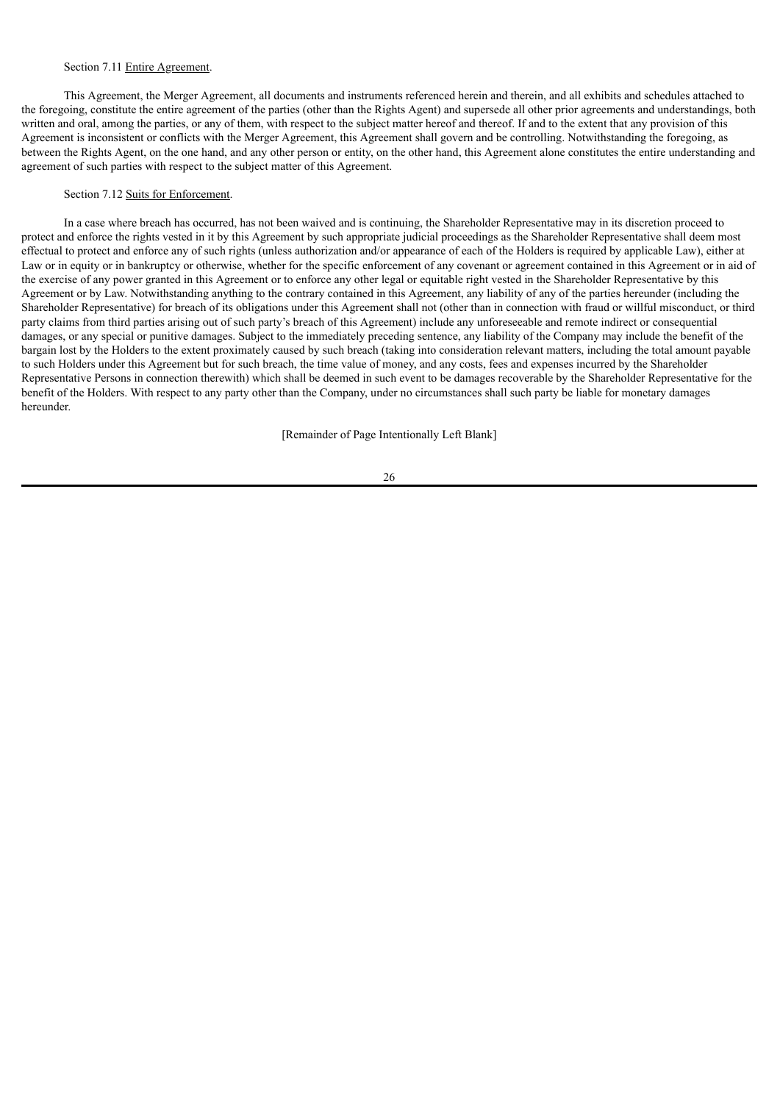## Section 7.11 Entire Agreement.

This Agreement, the Merger Agreement, all documents and instruments referenced herein and therein, and all exhibits and schedules attached to the foregoing, constitute the entire agreement of the parties (other than the Rights Agent) and supersede all other prior agreements and understandings, both written and oral, among the parties, or any of them, with respect to the subject matter hereof and thereof. If and to the extent that any provision of this Agreement is inconsistent or conflicts with the Merger Agreement, this Agreement shall govern and be controlling. Notwithstanding the foregoing, as between the Rights Agent, on the one hand, and any other person or entity, on the other hand, this Agreement alone constitutes the entire understanding and agreement of such parties with respect to the subject matter of this Agreement.

#### Section 7.12 Suits for Enforcement.

In a case where breach has occurred, has not been waived and is continuing, the Shareholder Representative may in its discretion proceed to protect and enforce the rights vested in it by this Agreement by such appropriate judicial proceedings as the Shareholder Representative shall deem most effectual to protect and enforce any of such rights (unless authorization and/or appearance of each of the Holders is required by applicable Law), either at Law or in equity or in bankruptcy or otherwise, whether for the specific enforcement of any covenant or agreement contained in this Agreement or in aid of the exercise of any power granted in this Agreement or to enforce any other legal or equitable right vested in the Shareholder Representative by this Agreement or by Law. Notwithstanding anything to the contrary contained in this Agreement, any liability of any of the parties hereunder (including the Shareholder Representative) for breach of its obligations under this Agreement shall not (other than in connection with fraud or willful misconduct, or third party claims from third parties arising out of such party's breach of this Agreement) include any unforeseeable and remote indirect or consequential damages, or any special or punitive damages. Subject to the immediately preceding sentence, any liability of the Company may include the benefit of the bargain lost by the Holders to the extent proximately caused by such breach (taking into consideration relevant matters, including the total amount payable to such Holders under this Agreement but for such breach, the time value of money, and any costs, fees and expenses incurred by the Shareholder Representative Persons in connection therewith) which shall be deemed in such event to be damages recoverable by the Shareholder Representative for the benefit of the Holders. With respect to any party other than the Company, under no circumstances shall such party be liable for monetary damages hereunder.

[Remainder of Page Intentionally Left Blank]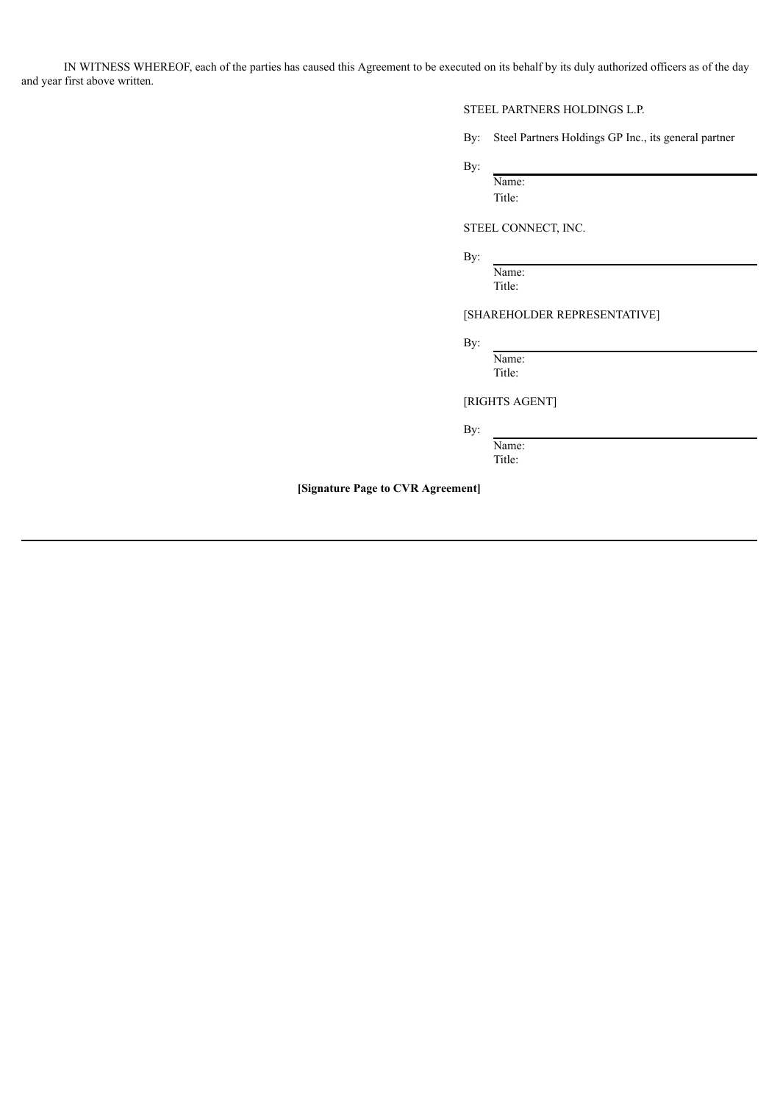IN WITNESS WHEREOF, each of the parties has caused this Agreement to be executed on its behalf by its duly authorized officers as of the day and year first above written.

# STEEL PARTNERS HOLDINGS L.P.

By: Steel Partners Holdings GP Inc., its general partner

By:

Name: Title:

STEEL CONNECT, INC.

By:

Name: Title:

# [SHAREHOLDER REPRESENTATIVE]

By:

Name: Title:

[RIGHTS AGENT]

By:

Name: Title:

**[Signature Page to CVR Agreement]**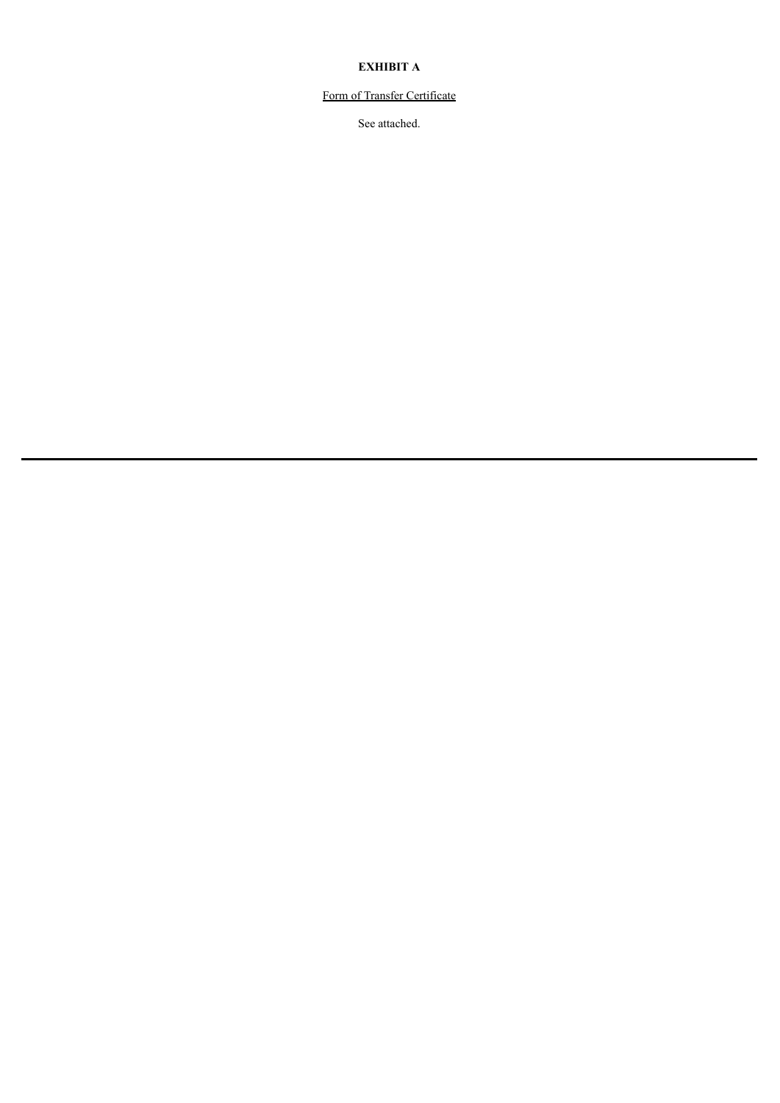# **EXHIBIT A**

# Form of Transfer Certificate

See attached.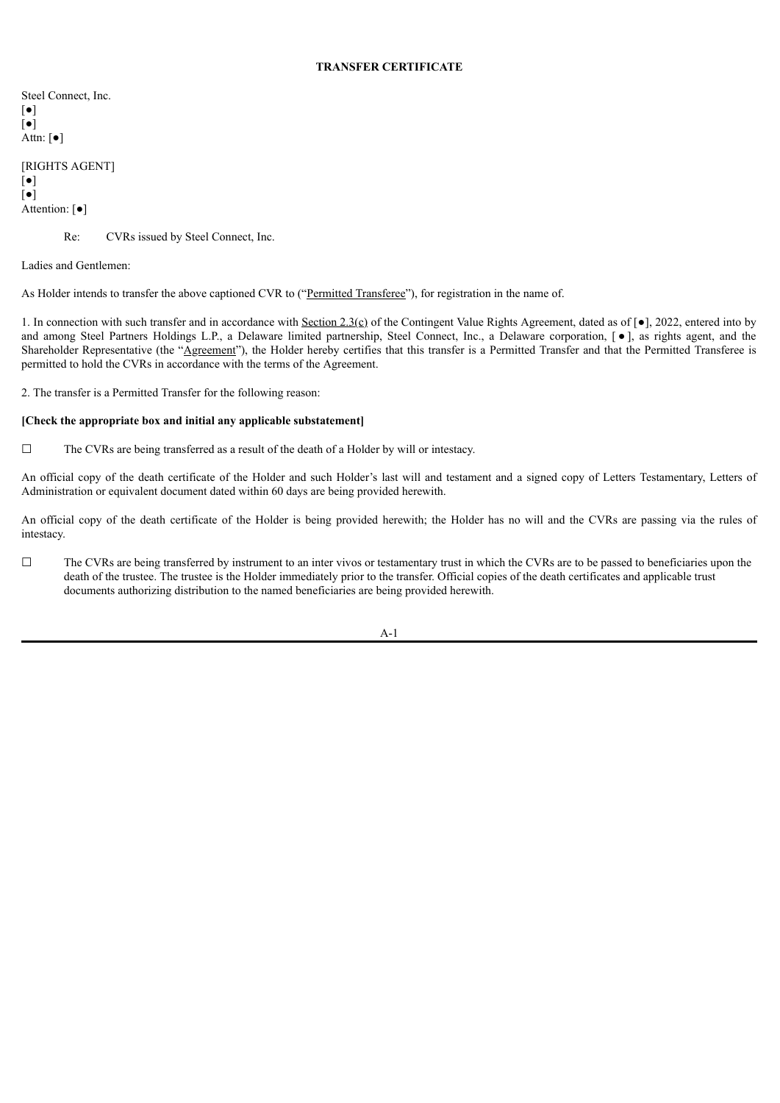# **TRANSFER CERTIFICATE**

Steel Connect, Inc. [●] [●] Attn: [●]

[RIGHTS AGENT] [●] [●] Attention: [●]

Re: CVRs issued by Steel Connect, Inc.

Ladies and Gentlemen:

As Holder intends to transfer the above captioned CVR to ("Permitted Transferee"), for registration in the name of.

1. In connection with such transfer and in accordance with  $Section 2.3(c) of the Contingent Value Rights Agreement, dated as of  $[•]$ , 2022, entered into by$ </u> and among Steel Partners Holdings L.P., a Delaware limited partnership, Steel Connect, Inc., a Delaware corporation, [ $\bullet$ ], as rights agent, and the Shareholder Representative (the "Agreement"), the Holder hereby certifies that this transfer is a Permitted Transfer and that the Permitted Transferee is permitted to hold the CVRs in accordance with the terms of the Agreement.

2. The transfer is a Permitted Transfer for the following reason:

## **[Check the appropriate box and initial any applicable substatement]**

☐ The CVRs are being transferred as a result of the death of a Holder by will or intestacy.

An official copy of the death certificate of the Holder and such Holder's last will and testament and a signed copy of Letters Testamentary, Letters of Administration or equivalent document dated within 60 days are being provided herewith.

An official copy of the death certificate of the Holder is being provided herewith; the Holder has no will and the CVRs are passing via the rules of intestacy.

 $\Box$  The CVRs are being transferred by instrument to an inter vivos or testamentary trust in which the CVRs are to be passed to beneficiaries upon the death of the trustee. The trustee is the Holder immediately prior to the transfer. Official copies of the death certificates and applicable trust documents authorizing distribution to the named beneficiaries are being provided herewith.

A-1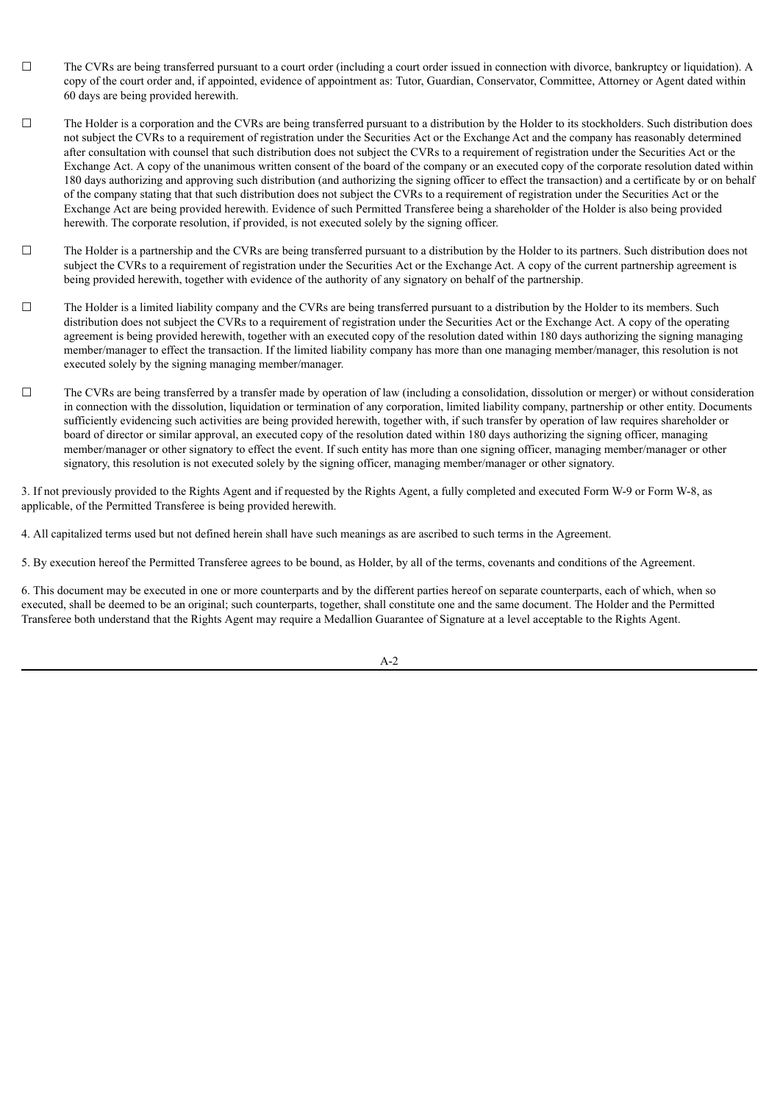- $\Box$  The CVRs are being transferred pursuant to a court order (including a court order issued in connection with divorce, bankruptcy or liquidation). A copy of the court order and, if appointed, evidence of appointment as: Tutor, Guardian, Conservator, Committee, Attorney or Agent dated within 60 days are being provided herewith.
- ☐ The Holder is a corporation and the CVRs are being transferred pursuant to a distribution by the Holder to its stockholders. Such distribution does not subject the CVRs to a requirement of registration under the Securities Act or the Exchange Act and the company has reasonably determined after consultation with counsel that such distribution does not subject the CVRs to a requirement of registration under the Securities Act or the Exchange Act. A copy of the unanimous written consent of the board of the company or an executed copy of the corporate resolution dated within 180 days authorizing and approving such distribution (and authorizing the signing officer to effect the transaction) and a certificate by or on behalf of the company stating that that such distribution does not subject the CVRs to a requirement of registration under the Securities Act or the Exchange Act are being provided herewith. Evidence of such Permitted Transferee being a shareholder of the Holder is also being provided herewith. The corporate resolution, if provided, is not executed solely by the signing officer.
- ☐ The Holder is a partnership and the CVRs are being transferred pursuant to a distribution by the Holder to its partners. Such distribution does not subject the CVRs to a requirement of registration under the Securities Act or the Exchange Act. A copy of the current partnership agreement is being provided herewith, together with evidence of the authority of any signatory on behalf of the partnership.
- ☐ The Holder is a limited liability company and the CVRs are being transferred pursuant to a distribution by the Holder to its members. Such distribution does not subject the CVRs to a requirement of registration under the Securities Act or the Exchange Act. A copy of the operating agreement is being provided herewith, together with an executed copy of the resolution dated within 180 days authorizing the signing managing member/manager to effect the transaction. If the limited liability company has more than one managing member/manager, this resolution is not executed solely by the signing managing member/manager.
- $\Box$  The CVRs are being transferred by a transfer made by operation of law (including a consolidation, dissolution or merger) or without consideration in connection with the dissolution, liquidation or termination of any corporation, limited liability company, partnership or other entity. Documents sufficiently evidencing such activities are being provided herewith, together with, if such transfer by operation of law requires shareholder or board of director or similar approval, an executed copy of the resolution dated within 180 days authorizing the signing officer, managing member/manager or other signatory to effect the event. If such entity has more than one signing officer, managing member/manager or other signatory, this resolution is not executed solely by the signing officer, managing member/manager or other signatory.

3. If not previously provided to the Rights Agent and if requested by the Rights Agent, a fully completed and executed Form W-9 or Form W-8, as applicable, of the Permitted Transferee is being provided herewith.

4. All capitalized terms used but not defined herein shall have such meanings as are ascribed to such terms in the Agreement.

5. By execution hereof the Permitted Transferee agrees to be bound, as Holder, by all of the terms, covenants and conditions of the Agreement.

6. This document may be executed in one or more counterparts and by the different parties hereof on separate counterparts, each of which, when so executed, shall be deemed to be an original; such counterparts, together, shall constitute one and the same document. The Holder and the Permitted Transferee both understand that the Rights Agent may require a Medallion Guarantee of Signature at a level acceptable to the Rights Agent.

A-2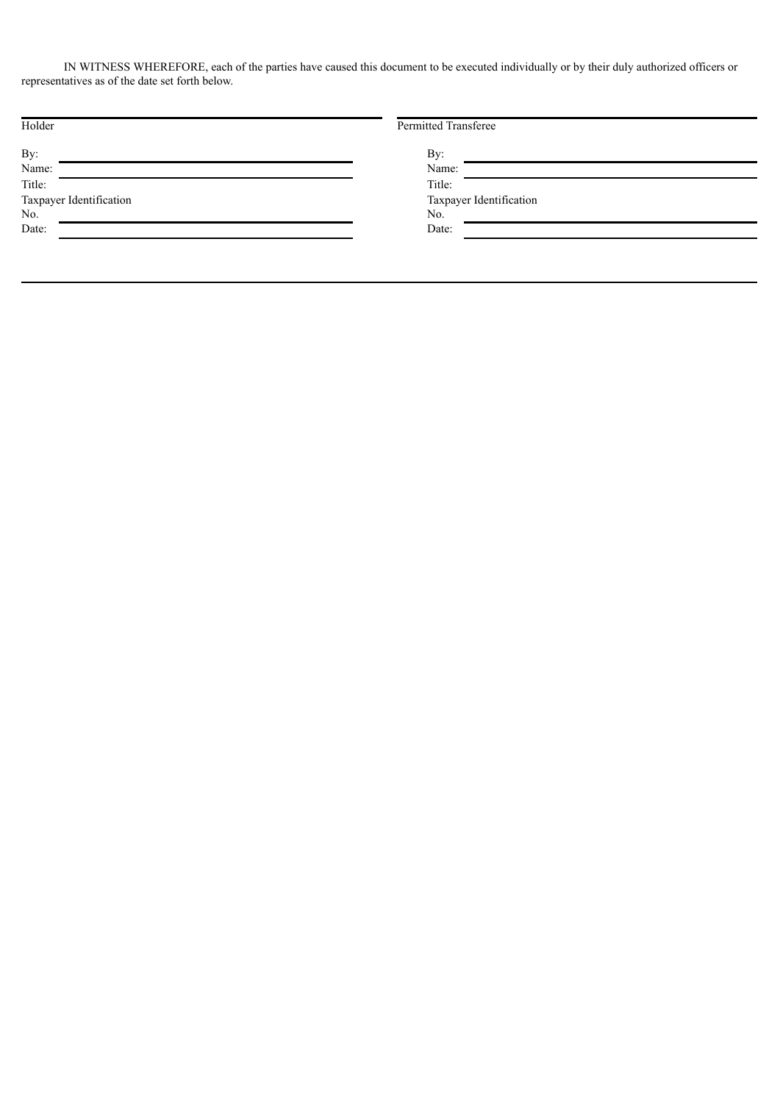IN WITNESS WHEREFORE, each of the parties have caused this document to be executed individually or by their duly authorized officers or representatives as of the date set forth below.

| Holder                  | Permitted Transferee    |
|-------------------------|-------------------------|
| By:                     | By:                     |
| Name:                   | Name:                   |
| Title:                  | Title:                  |
| Taxpayer Identification | Taxpayer Identification |
| No.                     | No.                     |
| Date:                   | Date:                   |
|                         |                         |
|                         |                         |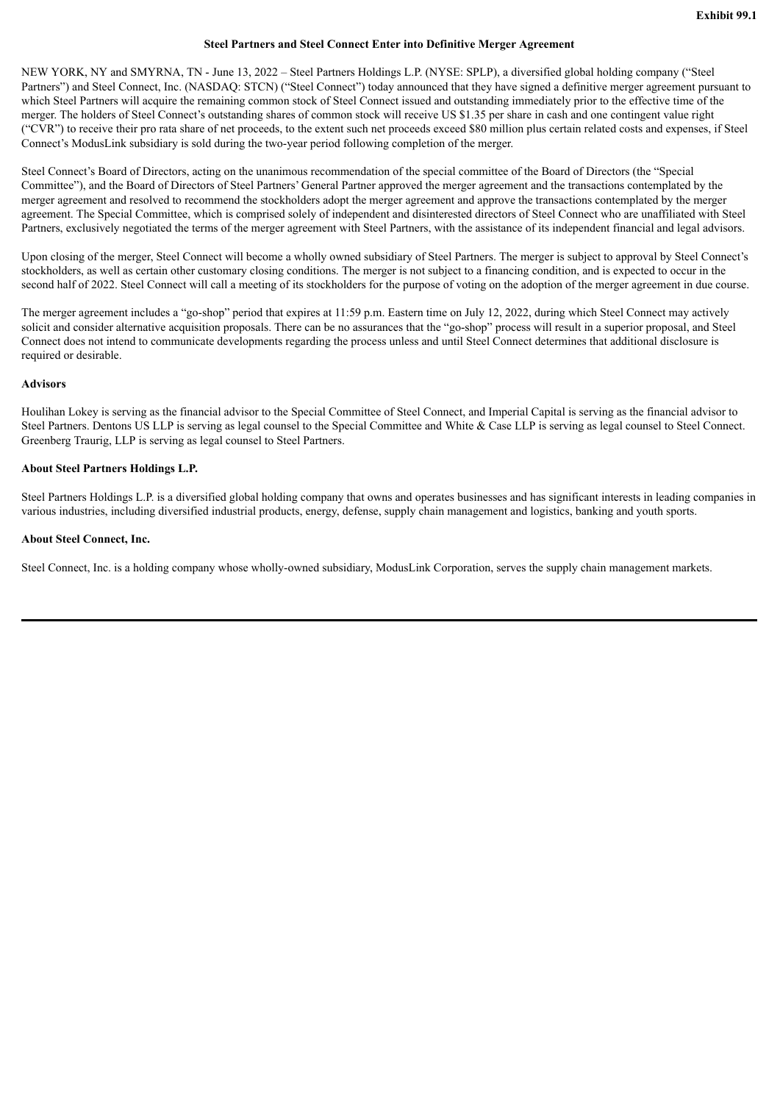### **Steel Partners and Steel Connect Enter into Definitive Merger Agreement**

NEW YORK, NY and SMYRNA, TN - June 13, 2022 – Steel Partners Holdings L.P. (NYSE: SPLP), a diversified global holding company ("Steel Partners") and Steel Connect, Inc. (NASDAQ: STCN) ("Steel Connect") today announced that they have signed a definitive merger agreement pursuant to which Steel Partners will acquire the remaining common stock of Steel Connect issued and outstanding immediately prior to the effective time of the merger. The holders of Steel Connect's outstanding shares of common stock will receive US \$1.35 per share in cash and one contingent value right ("CVR") to receive their pro rata share of net proceeds, to the extent such net proceeds exceed \$80 million plus certain related costs and expenses, if Steel Connect's ModusLink subsidiary is sold during the two-year period following completion of the merger.

Steel Connect's Board of Directors, acting on the unanimous recommendation of the special committee of the Board of Directors (the "Special Committee"), and the Board of Directors of Steel Partners' General Partner approved the merger agreement and the transactions contemplated by the merger agreement and resolved to recommend the stockholders adopt the merger agreement and approve the transactions contemplated by the merger agreement. The Special Committee, which is comprised solely of independent and disinterested directors of Steel Connect who are unaffiliated with Steel Partners, exclusively negotiated the terms of the merger agreement with Steel Partners, with the assistance of its independent financial and legal advisors.

Upon closing of the merger, Steel Connect will become a wholly owned subsidiary of Steel Partners. The merger is subject to approval by Steel Connect's stockholders, as well as certain other customary closing conditions. The merger is not subject to a financing condition, and is expected to occur in the second half of 2022. Steel Connect will call a meeting of its stockholders for the purpose of voting on the adoption of the merger agreement in due course.

The merger agreement includes a "go-shop" period that expires at 11:59 p.m. Eastern time on July 12, 2022, during which Steel Connect may actively solicit and consider alternative acquisition proposals. There can be no assurances that the "go-shop" process will result in a superior proposal, and Steel Connect does not intend to communicate developments regarding the process unless and until Steel Connect determines that additional disclosure is required or desirable.

#### **Advisors**

Houlihan Lokey is serving as the financial advisor to the Special Committee of Steel Connect, and Imperial Capital is serving as the financial advisor to Steel Partners. Dentons US LLP is serving as legal counsel to the Special Committee and White & Case LLP is serving as legal counsel to Steel Connect. Greenberg Traurig, LLP is serving as legal counsel to Steel Partners.

### **About Steel Partners Holdings L.P.**

Steel Partners Holdings L.P. is a diversified global holding company that owns and operates businesses and has significant interests in leading companies in various industries, including diversified industrial products, energy, defense, supply chain management and logistics, banking and youth sports.

### **About Steel Connect, Inc.**

Steel Connect, Inc. is a holding company whose wholly-owned subsidiary, ModusLink Corporation, serves the supply chain management markets.